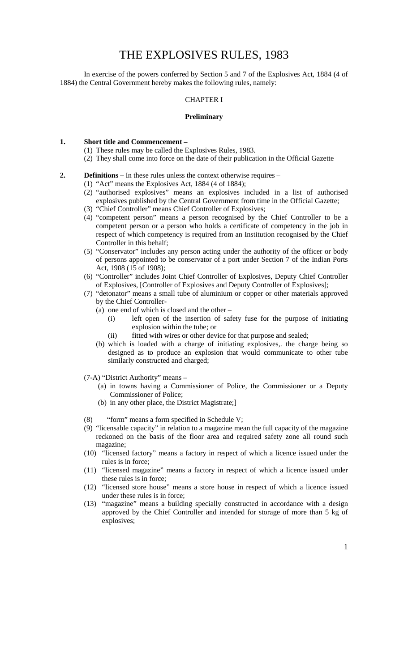# THE EXPLOSIVES RULES, 1983

In exercise of the powers conferred by Section 5 and 7 of the Explosives Act, 1884 (4 of 1884) the Central Government hereby makes the following rules, namely:

#### CHAPTER I

#### **Preliminary**

## **1. Short title and Commencement –**

- (1) These rules may be called the Explosives Rules, 1983.
- (2) They shall come into force on the date of their publication in the Official Gazette
- **2. Definitions** In these rules unless the context otherwise requires
	- (1) "Act" means the Explosives Act, 1884 (4 of 1884);
	- (2) "authorised explosives" means an explosives included in a list of authorised explosives published by the Central Government from time in the Official Gazette;
	- (3) "Chief Controller" means Chief Controller of Explosives;
	- (4) "competent person" means a person recognised by the Chief Controller to be a competent person or a person who holds a certificate of competency in the job in respect of which competency is required from an Institution recognised by the Chief Controller in this behalf;
	- (5) "Conservator" includes any person acting under the authority of the officer or body of persons appointed to be conservator of a port under Section 7 of the Indian Ports Act, 1908 (15 of 1908);
	- (6) "Controller" includes Joint Chief Controller of Explosives, Deputy Chief Controller of Explosives, [Controller of Explosives and Deputy Controller of Explosives];
	- (7) "detonator" means a small tube of aluminium or copper or other materials approved by the Chief Controller-
		- (a) one end of which is closed and the other
			- (i) left open of the insertion of safety fuse for the purpose of initiating explosion within the tube; or
			- (ii) fitted with wires or other device for that purpose and sealed;
		- (b) which is loaded with a charge of initiating explosives,. the charge being so designed as to produce an explosion that would communicate to other tube similarly constructed and charged;
	- (7-A) "District Authority" means
		- (a) in towns having a Commissioner of Police, the Commissioner or a Deputy Commissioner of Police;
			- (b) in any other place, the District Magistrate;]
	- (8) "form" means a form specified in Schedule V;
	- (9) "licensable capacity" in relation to a magazine mean the full capacity of the magazine reckoned on the basis of the floor area and required safety zone all round such magazine;
	- (10) "licensed factory" means a factory in respect of which a licence issued under the rules is in force;
	- (11) "licensed magazine" means a factory in respect of which a licence issued under these rules is in force;
	- (12) "licensed store house" means a store house in respect of which a licence issued under these rules is in force;
	- (13) "magazine" means a building specially constructed in accordance with a design approved by the Chief Controller and intended for storage of more than 5 kg of explosives;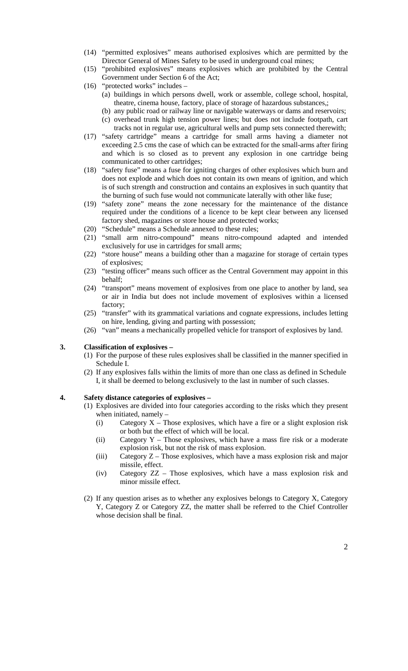- (14) "permitted explosives" means authorised explosives which are permitted by the Director General of Mines Safety to be used in underground coal mines;
- (15) "prohibited explosives" means explosives which are prohibited by the Central Government under Section 6 of the Act;
- (16) "protected works" includes
	- (a) buildings in which persons dwell, work or assemble, college school, hospital, theatre, cinema house, factory, place of storage of hazardous substances,;
	- (b) any public road or railway line or navigable waterways or dams and reservoirs;
	- (c) overhead trunk high tension power lines; but does not include footpath, cart tracks not in regular use, agricultural wells and pump sets connected therewith;
- (17) "safety cartridge" means a cartridge for small arms having a diameter not exceeding 2.5 cms the case of which can be extracted for the small-arms after firing and which is so closed as to prevent any explosion in one cartridge being communicated to other cartridges;
- (18) "safety fuse" means a fuse for igniting charges of other explosives which burn and does not explode and which does not contain its own means of ignition, and which is of such strength and construction and contains an explosives in such quantity that the burning of such fuse would not communicate laterally with other like fuse;
- (19) "safety zone" means the zone necessary for the maintenance of the distance required under the conditions of a licence to be kept clear between any licensed factory shed, magazines or store house and protected works;
- (20) "Schedule" means a Schedule annexed to these rules;
- (21) "small arm nitro-compound" means nitro-compound adapted and intended exclusively for use in cartridges for small arms;
- (22) "store house" means a building other than a magazine for storage of certain types of explosives;
- (23) "testing officer" means such officer as the Central Government may appoint in this behalf;
- (24) "transport" means movement of explosives from one place to another by land, sea or air in India but does not include movement of explosives within a licensed factory;
- (25) "transfer" with its grammatical variations and cognate expressions, includes letting on hire, lending, giving and parting with possession;
- (26) "van" means a mechanically propelled vehicle for transport of explosives by land.

## **3. Classification of explosives –**

- (1) For the purpose of these rules explosives shall be classified in the manner specified in Schedule I.
- (2) If any explosives falls within the limits of more than one class as defined in Schedule I, it shall be deemed to belong exclusively to the last in number of such classes.

#### **4. Safety distance categories of explosives –**

- (1) Explosives are divided into four categories according to the risks which they present when initiated, namely –
	- (i) Category  $X$  Those explosives, which have a fire or a slight explosion risk or both but the effect of which will be local.
	- (ii) Category Y Those explosives, which have a mass fire risk or a moderate explosion risk, but not the risk of mass explosion.
	- (iii) Category Z Those explosives, which have a mass explosion risk and major missile, effect.
	- (iv) Category ZZ Those explosives, which have a mass explosion risk and minor missile effect.
- (2) If any question arises as to whether any explosives belongs to Category X, Category Y, Category Z or Category ZZ, the matter shall be referred to the Chief Controller whose decision shall be final.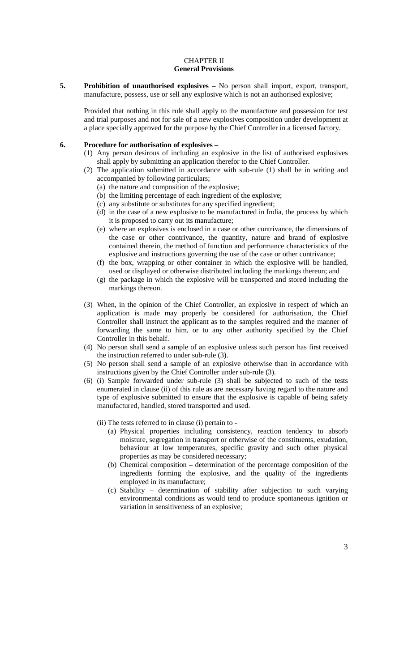#### CHAPTER II **General Provisions**

**5. Prohibition of unauthorised explosives –** No person shall import, export, transport, manufacture, possess, use or sell any explosive which is not an authorised explosive;

Provided that nothing in this rule shall apply to the manufacture and possession for test and trial purposes and not for sale of a new explosives composition under development at a place specially approved for the purpose by the Chief Controller in a licensed factory.

#### **6. Procedure for authorisation of explosives –**

- (1) Any person desirous of including an explosive in the list of authorised explosives shall apply by submitting an application therefor to the Chief Controller.
- (2) The application submitted in accordance with sub-rule (1) shall be in writing and accompanied by following particulars;
	- (a) the nature and composition of the explosive;
	- (b) the limiting percentage of each ingredient of the explosive;
	- (c) any substitute or substitutes for any specified ingredient;
	- (d) in the case of a new explosive to be manufactured in India, the process by which it is proposed to carry out its manufacture;
	- (e) where an explosives is enclosed in a case or other contrivance, the dimensions of the case or other contrivance, the quantity, nature and brand of explosive contained therein, the method of function and performance characteristics of the explosive and instructions governing the use of the case or other contrivance;
	- (f) the box, wrapping or other container in which the explosive will be handled, used or displayed or otherwise distributed including the markings thereon; and
	- (g) the package in which the explosive will be transported and stored including the markings thereon.
- (3) When, in the opinion of the Chief Controller, an explosive in respect of which an application is made may properly be considered for authorisation, the Chief Controller shall instruct the applicant as to the samples required and the manner of forwarding the same to him, or to any other authority specified by the Chief Controller in this behalf.
- (4) No person shall send a sample of an explosive unless such person has first received the instruction referred to under sub-rule (3).
- (5) No person shall send a sample of an explosive otherwise than in accordance with instructions given by the Chief Controller under sub-rule (3).
- (6) (i) Sample forwarded under sub-rule (3) shall be subjected to such of the tests enumerated in clause (ii) of this rule as are necessary having regard to the nature and type of explosive submitted to ensure that the explosive is capable of being safety manufactured, handled, stored transported and used.
	- (ii) The tests referred to in clause (i) pertain to
		- (a) Physical properties including consistency, reaction tendency to absorb moisture, segregation in transport or otherwise of the constituents, exudation, behaviour at low temperatures, specific gravity and such other physical properties as may be considered necessary;
		- (b) Chemical composition determination of the percentage composition of the ingredients forming the explosive, and the quality of the ingredients employed in its manufacture;
		- (c) Stability determination of stability after subjection to such varying environmental conditions as would tend to produce spontaneous ignition or variation in sensitiveness of an explosive;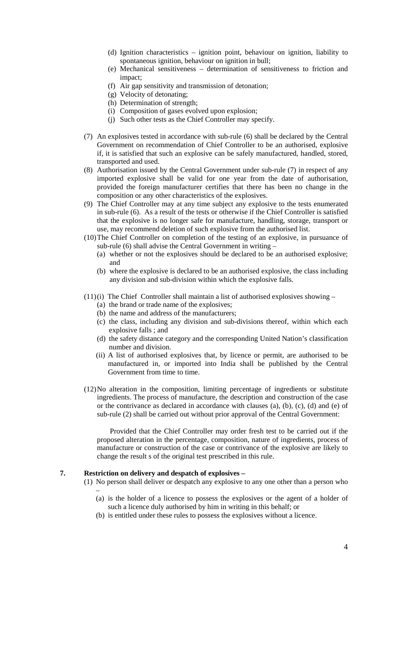- (d) Ignition characteristics ignition point, behaviour on ignition, liability to spontaneous ignition, behaviour on ignition in bull;
- (e) Mechanical sensitiveness determination of sensitiveness to friction and impact;
- (f) Air gap sensitivity and transmission of detonation;
- (g) Velocity of detonating;
- (h) Determination of strength;
- (i) Composition of gases evolved upon explosion;
- (j) Such other tests as the Chief Controller may specify.
- (7) An explosives tested in accordance with sub-rule (6) shall be declared by the Central Government on recommendation of Chief Controller to be an authorised, explosive if, it is satisfied that such an explosive can be safely manufactured, handled, stored, transported and used.
- (8) Authorisation issued by the Central Government under sub-rule (7) in respect of any imported explosive shall be valid for one year from the date of authorisation, provided the foreign manufacturer certifies that there has been no change in the composition or any other characteristics of the explosives.
- (9) The Chief Controller may at any time subject any explosive to the tests enumerated in sub-rule (6). As a result of the tests or otherwise if the Chief Controller is satisfied that the explosive is no longer safe for manufacture, handling, storage, transport or use, may recommend deletion of such explosive from the authorised list.
- (10)The Chief Controller on completion of the testing of an explosive, in pursuance of sub-rule (6) shall advise the Central Government in writing –
	- (a) whether or not the explosives should be declared to be an authorised explosive; and
	- (b) where the explosive is declared to be an authorised explosive, the class including any division and sub-division within which the explosive falls.
- $(11)(i)$  The Chief Controller shall maintain a list of authorised explosives showing
	- (a) the brand or trade name of the explosives;
	- (b) the name and address of the manufacturers;
	- (c) the class, including any division and sub-divisions thereof, within which each explosive falls ; and
	- (d) the safety distance category and the corresponding United Nation's classification number and division.
	- (ii) A list of authorised explosives that, by licence or permit, are authorised to be manufactured in, or imported into India shall be published by the Central Government from time to time.
- (12)No alteration in the composition, limiting percentage of ingredients or substitute ingredients. The process of manufacture, the description and construction of the case or the contrivance as declared in accordance with clauses  $(a)$ ,  $(b)$ ,  $(c)$ ,  $(d)$  and  $(e)$  of sub-rule (2) shall be carried out without prior approval of the Central Government:

 Provided that the Chief Controller may order fresh test to be carried out if the proposed alteration in the percentage, composition, nature of ingredients, process of manufacture or construction of the case or contrivance of the explosive are likely to change the result s of the original test prescribed in this rule.

# **7. Restriction on delivery and despatch of explosives –**

- (1) No person shall deliver or despatch any explosive to any one other than a person who –
	- (a) is the holder of a licence to possess the explosives or the agent of a holder of such a licence duly authorised by him in writing in this behalf; or
	- (b) is entitled under these rules to possess the explosives without a licence.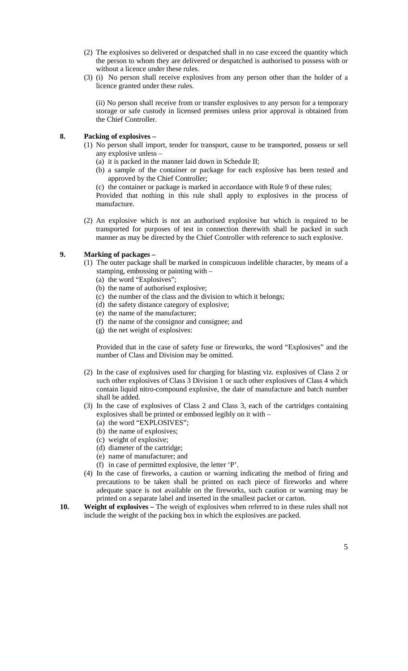- (2) The explosives so delivered or despatched shall in no case exceed the quantity which the person to whom they are delivered or despatched is authorised to possess with or without a licence under these rules.
- (3) (i) No person shall receive explosives from any person other than the holder of a licence granted under these rules.

(ii) No person shall receive from or transfer explosives to any person for a temporary storage or safe custody in licensed premises unless prior approval is obtained from the Chief Controller.

## **8. Packing of explosives –**

- (1) No person shall import, tender for transport, cause to be transported, possess or sell any explosive unless –
	- (a) it is packed in the manner laid down in Schedule II;
	- (b) a sample of the container or package for each explosive has been tested and approved by the Chief Controller;

(c) the container or package is marked in accordance with Rule 9 of these rules; Provided that nothing in this rule shall apply to explosives in the process of manufacture.

(2) An explosive which is not an authorised explosive but which is required to be transported for purposes of test in connection therewith shall be packed in such manner as may be directed by the Chief Controller with reference to such explosive.

# **9. Marking of packages –**

- (1) The outer package shall be marked in conspicuous indelible character, by means of a stamping, embossing or painting with –
	- (a) the word "Explosives";
	- (b) the name of authorised explosive;
	- (c) the number of the class and the division to which it belongs;
	- (d) the safety distance category of explosive;
	- (e) the name of the manufacturer;
	- (f) the name of the consignor and consignee; and
	- (g) the net weight of explosives:

Provided that in the case of safety fuse or fireworks, the word "Explosives" and the number of Class and Division may be omitted.

- (2) In the case of explosives used for charging for blasting viz. explosives of Class 2 or such other explosives of Class 3 Division 1 or such other explosives of Class 4 which contain liquid nitro-compound explosive, the date of manufacture and batch number shall be added.
- (3) In the case of explosives of Class 2 and Class 3, each of the cartridges containing explosives shall be printed or embossed legibly on it with –
	- (a) the word "EXPLOSIVES";
	- (b) the name of explosives;
	- (c) weight of explosive;
	- (d) diameter of the cartridge;
	- (e) name of manufacturer; and
	- (f) in case of permitted explosive, the letter 'P'.
- (4) In the case of fireworks, a caution or warning indicating the method of firing and precautions to be taken shall be printed on each piece of fireworks and where adequate space is not available on the fireworks, such caution or warning may be printed on a separate label and inserted in the smallest packet or carton.
- **10. Weight of explosives** The weigh of explosives when referred to in these rules shall not include the weight of the packing box in which the explosives are packed.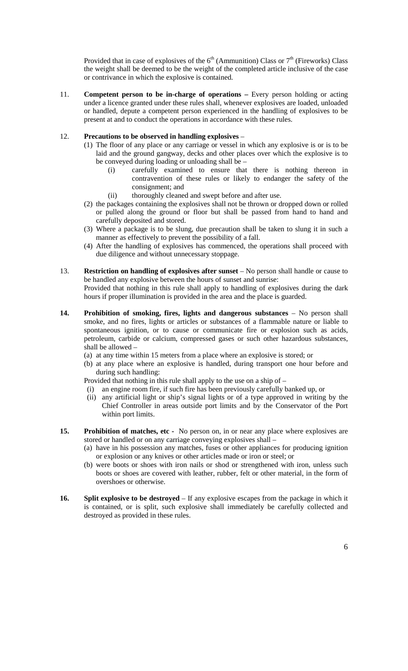Provided that in case of explosives of the  $6<sup>th</sup>$  (Ammunition) Class or  $7<sup>th</sup>$  (Fireworks) Class the weight shall be deemed to be the weight of the completed article inclusive of the case or contrivance in which the explosive is contained.

11. **Competent person to be in-charge of operations –** Every person holding or acting under a licence granted under these rules shall, whenever explosives are loaded, unloaded or handled, depute a competent person experienced in the handling of explosives to be present at and to conduct the operations in accordance with these rules.

## 12. **Precautions to be observed in handling explosives** –

- (1) The floor of any place or any carriage or vessel in which any explosive is or is to be laid and the ground gangway, decks and other places over which the explosive is to be conveyed during loading or unloading shall be –
	- (i) carefully examined to ensure that there is nothing thereon in contravention of these rules or likely to endanger the safety of the consignment; and
	- (ii) thoroughly cleaned and swept before and after use.
- (2) the packages containing the explosives shall not be thrown or dropped down or rolled or pulled along the ground or floor but shall be passed from hand to hand and carefully deposited and stored.
- (3) Where a package is to be slung, due precaution shall be taken to slung it in such a manner as effectively to prevent the possibility of a fall.
- (4) After the handling of explosives has commenced, the operations shall proceed with due diligence and without unnecessary stoppage.
- 13. **Restriction on handling of explosives after sunset** No person shall handle or cause to be handled any explosive between the hours of sunset and sunrise: Provided that nothing in this rule shall apply to handling of explosives during the dark

hours if proper illumination is provided in the area and the place is guarded.

- **14. Prohibition of smoking, fires, lights and dangerous substances** No person shall smoke, and no fires, lights or articles or substances of a flammable nature or liable to spontaneous ignition, or to cause or communicate fire or explosion such as acids, petroleum, carbide or calcium, compressed gases or such other hazardous substances, shall be allowed –
	- (a) at any time within 15 meters from a place where an explosive is stored; or
	- (b) at any place where an explosive is handled, during transport one hour before and during such handling:

Provided that nothing in this rule shall apply to the use on a ship of –

- (i) an engine room fire, if such fire has been previously carefully banked up, or
- (ii) any artificial light or ship's signal lights or of a type approved in writing by the Chief Controller in areas outside port limits and by the Conservator of the Port within port limits.
- **15. Prohibition of matches, etc** No person on, in or near any place where explosives are stored or handled or on any carriage conveying explosives shall –
	- (a) have in his possession any matches, fuses or other appliances for producing ignition or explosion or any knives or other articles made or iron or steel; or
	- (b) were boots or shoes with iron nails or shod or strengthened with iron, unless such boots or shoes are covered with leather, rubber, felt or other material, in the form of overshoes or otherwise.
- **16. Split explosive to be destroyed** If any explosive escapes from the package in which it is contained, or is split, such explosive shall immediately be carefully collected and destroyed as provided in these rules.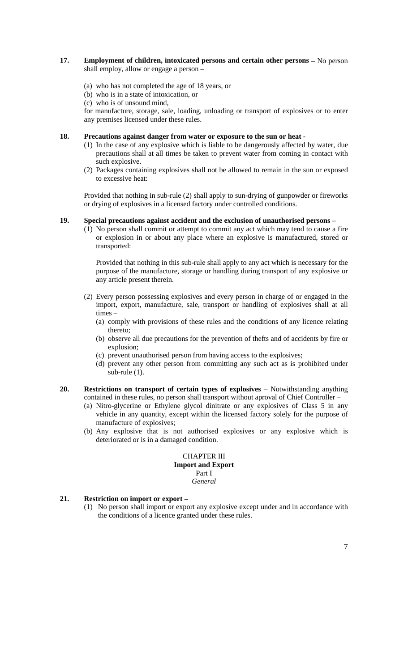## **17. Employment of children, intoxicated persons and certain other persons** – No person shall employ, allow or engage a person –

- (a) who has not completed the age of 18 years, or
- (b) who is in a state of intoxication, or
- (c) who is of unsound mind,

for manufacture, storage, sale, loading, unloading or transport of explosives or to enter any premises licensed under these rules.

## **18. Precautions against danger from water or exposure to the sun or heat -**

- (1) In the case of any explosive which is liable to be dangerously affected by water, due precautions shall at all times be taken to prevent water from coming in contact with such explosive.
- (2) Packages containing explosives shall not be allowed to remain in the sun or exposed to excessive heat:

Provided that nothing in sub-rule (2) shall apply to sun-drying of gunpowder or fireworks or drying of explosives in a licensed factory under controlled conditions.

# **19. Special precautions against accident and the exclusion of unauthorised persons** –

(1) No person shall commit or attempt to commit any act which may tend to cause a fire or explosion in or about any place where an explosive is manufactured, stored or transported:

Provided that nothing in this sub-rule shall apply to any act which is necessary for the purpose of the manufacture, storage or handling during transport of any explosive or any article present therein.

- (2) Every person possessing explosives and every person in charge of or engaged in the import, export, manufacture, sale, transport or handling of explosives shall at all times –
	- (a) comply with provisions of these rules and the conditions of any licence relating thereto;
	- (b) observe all due precautions for the prevention of thefts and of accidents by fire or explosion;
	- (c) prevent unauthorised person from having access to the explosives;
	- (d) prevent any other person from committing any such act as is prohibited under sub-rule (1).
- **20. Restrictions on transport of certain types of explosives**  Notwithstanding anything contained in these rules, no person shall transport without aproval of Chief Controller –
	- (a) Nitro-glycerine or Ethylene glycol dinitrate or any explosives of Class 5 in any vehicle in any quantity, except within the licensed factory solely for the purpose of manufacture of explosives;
	- (b) Any explosive that is not authorised explosives or any explosive which is deteriorated or is in a damaged condition.

#### CHAPTER III **Import and Export** Part I *General*

# **21. Restriction on import or export –**

(1) No person shall import or export any explosive except under and in accordance with the conditions of a licence granted under these rules.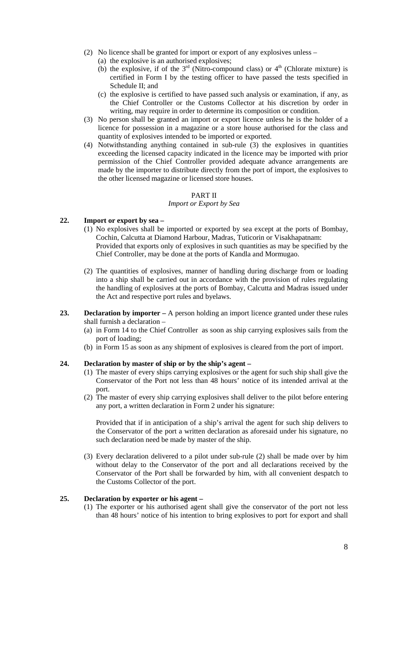- (2) No licence shall be granted for import or export of any explosives unless
	- (a) the explosive is an authorised explosives;
	- (b) the explosive, if of the  $3<sup>rd</sup>$  (Nitro-compound class) or  $4<sup>th</sup>$  (Chlorate mixture) is certified in Form I by the testing officer to have passed the tests specified in Schedule II; and
	- (c) the explosive is certified to have passed such analysis or examination, if any, as the Chief Controller or the Customs Collector at his discretion by order in writing, may require in order to determine its composition or condition.
- (3) No person shall be granted an import or export licence unless he is the holder of a licence for possession in a magazine or a store house authorised for the class and quantity of explosives intended to be imported or exported.
- (4) Notwithstanding anything contained in sub-rule (3) the explosives in quantities exceeding the licensed capacity indicated in the licence may be imported with prior permission of the Chief Controller provided adequate advance arrangements are made by the importer to distribute directly from the port of import, the explosives to the other licensed magazine or licensed store houses.

#### PART II

#### *Import or Export by Sea*

## **22. Import or export by sea –**

- (1) No explosives shall be imported or exported by sea except at the ports of Bombay, Cochin, Calcutta at Diamond Harbour, Madras, Tuticorin or Visakhapatnam: Provided that exports only of explosives in such quantities as may be specified by the Chief Controller, may be done at the ports of Kandla and Mormugao.
- (2) The quantities of explosives, manner of handling during discharge from or loading into a ship shall be carried out in accordance with the provision of rules regulating the handling of explosives at the ports of Bombay, Calcutta and Madras issued under the Act and respective port rules and byelaws.
- **23. Declaration by importer –** A person holding an import licence granted under these rules shall furnish a declaration –
	- (a) in Form 14 to the Chief Controller as soon as ship carrying explosives sails from the port of loading;
	- (b) in Form 15 as soon as any shipment of explosives is cleared from the port of import.

#### **24. Declaration by master of ship or by the ship's agent –**

- (1) The master of every ships carrying explosives or the agent for such ship shall give the Conservator of the Port not less than 48 hours' notice of its intended arrival at the port.
- (2) The master of every ship carrying explosives shall deliver to the pilot before entering any port, a written declaration in Form 2 under his signature:

Provided that if in anticipation of a ship's arrival the agent for such ship delivers to the Conservator of the port a written declaration as aforesaid under his signature, no such declaration need be made by master of the ship.

(3) Every declaration delivered to a pilot under sub-rule (2) shall be made over by him without delay to the Conservator of the port and all declarations received by the Conservator of the Port shall be forwarded by him, with all convenient despatch to the Customs Collector of the port.

# **25. Declaration by exporter or his agent –**

(1) The exporter or his authorised agent shall give the conservator of the port not less than 48 hours' notice of his intention to bring explosives to port for export and shall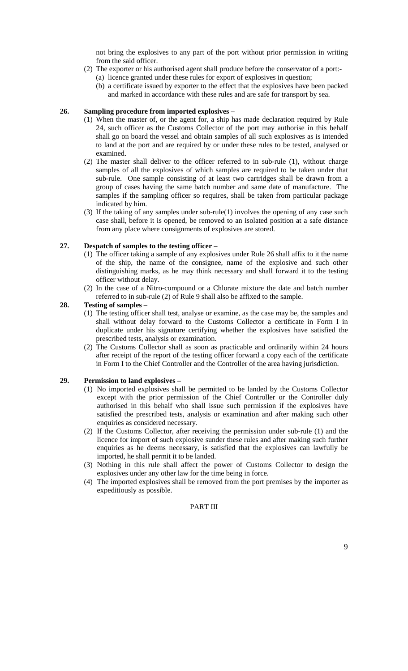not bring the explosives to any part of the port without prior permission in writing from the said officer.

- (2) The exporter or his authorised agent shall produce before the conservator of a port:- (a) licence granted under these rules for export of explosives in question;
	- (b) a certificate issued by exporter to the effect that the explosives have been packed and marked in accordance with these rules and are safe for transport by sea.

#### **26. Sampling procedure from imported explosives –**

- (1) When the master of, or the agent for, a ship has made declaration required by Rule 24, such officer as the Customs Collector of the port may authorise in this behalf shall go on board the vessel and obtain samples of all such explosives as is intended to land at the port and are required by or under these rules to be tested, analysed or examined.
- (2) The master shall deliver to the officer referred to in sub-rule (1), without charge samples of all the explosives of which samples are required to be taken under that sub-rule. One sample consisting of at least two cartridges shall be drawn from a group of cases having the same batch number and same date of manufacture. The samples if the sampling officer so requires, shall be taken from particular package indicated by him.
- (3) If the taking of any samples under sub-rule(1) involves the opening of any case such case shall, before it is opened, be removed to an isolated position at a safe distance from any place where consignments of explosives are stored.

#### **27. Despatch of samples to the testing officer –**

- (1) The officer taking a sample of any explosives under Rule 26 shall affix to it the name of the ship, the name of the consignee, name of the explosive and such other distinguishing marks, as he may think necessary and shall forward it to the testing officer without delay.
- (2) In the case of a Nitro-compound or a Chlorate mixture the date and batch number referred to in sub-rule (2) of Rule 9 shall also be affixed to the sample.

## **28. Testing of samples –**

- (1) The testing officer shall test, analyse or examine, as the case may be, the samples and shall without delay forward to the Customs Collector a certificate in Form I in duplicate under his signature certifying whether the explosives have satisfied the prescribed tests, analysis or examination.
- (2) The Customs Collector shall as soon as practicable and ordinarily within 24 hours after receipt of the report of the testing officer forward a copy each of the certificate in Form I to the Chief Controller and the Controller of the area having jurisdiction.

## **29. Permission to land explosives** –

- (1) No imported explosives shall be permitted to be landed by the Customs Collector except with the prior permission of the Chief Controller or the Controller duly authorised in this behalf who shall issue such permission if the explosives have satisfied the prescribed tests, analysis or examination and after making such other enquiries as considered necessary.
- (2) If the Customs Collector, after receiving the permission under sub-rule (1) and the licence for import of such explosive sunder these rules and after making such further enquiries as he deems necessary, is satisfied that the explosives can lawfully be imported, he shall permit it to be landed.
- (3) Nothing in this rule shall affect the power of Customs Collector to design the explosives under any other law for the time being in force.
- (4) The imported explosives shall be removed from the port premises by the importer as expeditiously as possible.

# PART III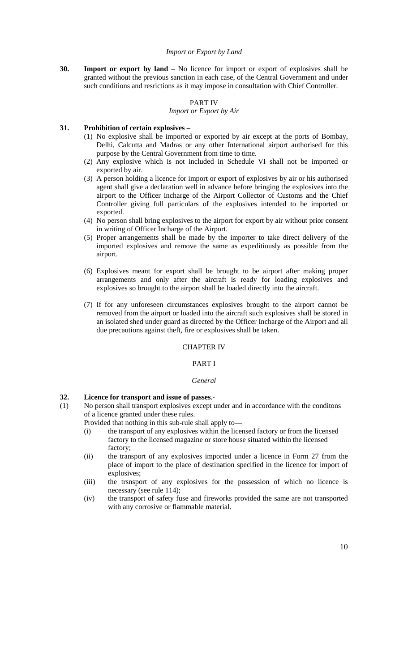#### *Import or Export by Land*

**30. Import or export by land** – No licence for import or export of explosives shall be granted without the previous sanction in each case, of the Central Government and under such conditions and resrictions as it may impose in consultation with Chief Controller.

## PART IV

#### *Import or Export by Air*

## **31. Prohibition of certain explosives –**

- (1) No explosive shall be imported or exported by air except at the ports of Bombay, Delhi, Calcutta and Madras or any other International airport authorised for this purpose by the Central Government from time to time.
- (2) Any explosive which is not included in Schedule VI shall not be imported or exported by air.
- (3) A person holding a licence for import or export of explosives by air or his authorised agent shall give a declaration well in advance before bringing the explosives into the airport to the Officer Incharge of the Airport Collector of Customs and the Chief Controller giving full particulars of the explosives intended to be imported or exported.
- (4) No person shall bring explosives to the airport for export by air without prior consent in writing of Officer Incharge of the Airport.
- (5) Proper arrangements shall be made by the importer to take direct delivery of the imported explosives and remove the same as expeditiously as possible from the airport.
- (6) Explosives meant for export shall be brought to be airport after making proper arrangements and only after the aircraft is ready for loading explosives and explosives so brought to the airport shall be loaded directly into the aircraft.
- (7) If for any unforeseen circumstances explosives brought to the airport cannot be removed from the airport or loaded into the aircraft such explosives shall be stored in an isolated shed under guard as directed by the Officer Incharge of the Airport and all due precautions against theft, fire or explosives shall be taken.

## CHAPTER IV

## PART I

#### *General*

## **32. Licence for transport and issue of passes**.-

(1) No person shall transport explosives except under and in accordance with the conditons of a licence granted under these rules.

Provided that nothing in this sub-rule shall apply to—

- (i) the transport of any explosives within the licensed factory or from the licensed factory to the licensed magazine or store house situated within the licensed factory;
- (ii) the transport of any explosives imported under a licence in Form 27 from the place of import to the place of destination specified in the licence for import of explosives;
- (iii) the trsnsport of any explosives for the possession of which no licence is necessary (see rule 114);
- (iv) the transport of safety fuse and fireworks provided the same are not transported with any corrosive or flammable material.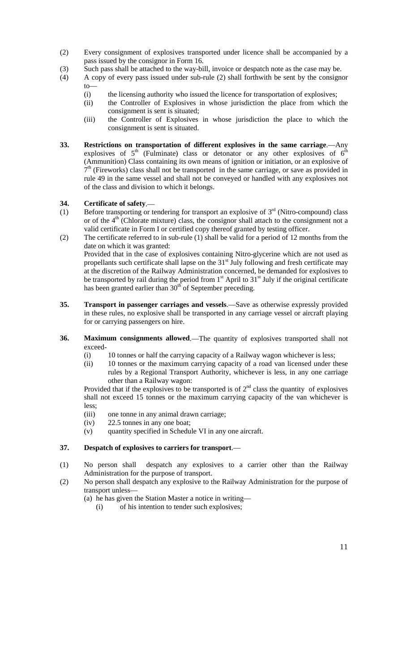- (2) Every consignment of explosives transported under licence shall be accompanied by a pass issued by the consignor in Form 16.
- (3) Such pass shall be attached to the way-bill, invoice or despatch note as the case may be.
- (4) A copy of every pass issued under sub-rule (2) shall forthwith be sent by the consignor to—
	- (i) the licensing authority who issued the licence for transportation of explosives;
	- (ii) the Controller of Explosives in whose jurisdiction the place from which the consignment is sent is situated;
	- (iii) the Controller of Explosives in whose jurisdiction the place to which the consignment is sent is situated.
- **33. Restrictions on transportation of different explosives in the same carriage**.—Any explosives of  $5<sup>th</sup>$  (Fulminate) class or detonator or any other explosives of  $6<sup>th</sup>$ (Ammunition) Class containing its own means of ignition or initiation, or an explosive of  $7<sup>th</sup>$  (Fireworks) class shall not be transported in the same carriage, or save as provided in rule 49 in the same vessel and shall not be conveyed or handled with any explosives not of the class and division to which it belongs.

# **34. Certificate of safety**.—

- (1) Before transporting or tendering for transport an explosive of  $3<sup>rd</sup>$  (Nitro-compound) class or of the  $4<sup>th</sup>$  (Chlorate mixture) class, the consignor shall attach to the consignment not a valid certificate in Form I or certified copy thereof granted by testing officer.
- (2) The certificate referred to in sub-rule (1) shall be valid for a period of 12 months from the date on which it was granted: Provided that in the case of explosives containing Nitro-glycerine which are not used as propellants such certificate shall lapse on the  $31<sup>st</sup>$  July following and fresh certificate may at the discretion of the Railway Administration concerned, be demanded for explosives to be transported by rail during the period from  $1<sup>st</sup>$  April to  $31<sup>st</sup>$  July if the original certificate has been granted earlier than 30<sup>th</sup> of September preceding.
- **35. Transport in passenger carriages and vessels**.—Save as otherwise expressly provided in these rules, no explosive shall be transported in any carriage vessel or aircraft playing for or carrying passengers on hire.
- **36. Maximum consignments allowed**.—The quantity of explosives transported shall not exceed-
	- (i) 10 tonnes or half the carrying capacity of a Railway wagon whichever is less;
	- (ii) 10 tonnes or the maximum carrying capacity of a road van licensed under these rules by a Regional Transport Authority, whichever is less, in any one carriage other than a Railway wagon:

Provided that if the explosives to be transported is of  $2<sup>nd</sup>$  class the quantity of explosives shall not exceed 15 tonnes or the maximum carrying capacity of the van whichever is less;

- (iii) one tonne in any animal drawn carriage;
- (iv) 22.5 tonnes in any one boat;
- (v) quantity specified in Schedule VI in any one aircraft.

## **37. Despatch of explosives to carriers for transport**.—

- (1) No person shall despatch any explosives to a carrier other than the Railway Administration for the purpose of transport.
- (2) No person shall despatch any explosive to the Railway Administration for the purpose of transport unless—
	- (a) he has given the Station Master a notice in writing—
		- (i) of his intention to tender such explosives;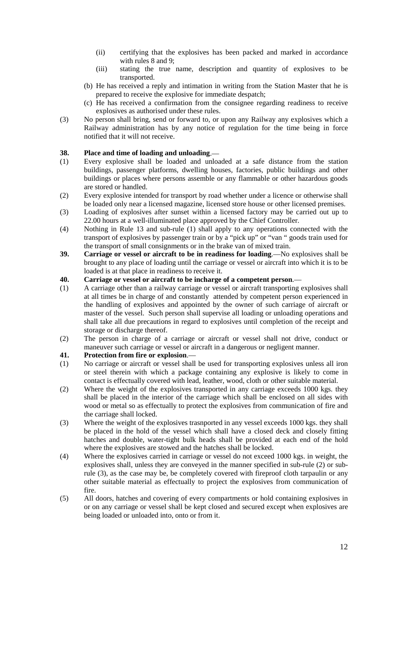- (ii) certifying that the explosives has been packed and marked in accordance with rules 8 and 9;
- (iii) stating the true name, description and quantity of explosives to be transported.
- (b) He has received a reply and intimation in writing from the Station Master that he is prepared to receive the explosive for immediate despatch;
- (c) He has received a confirmation from the consignee regarding readiness to receive explosives as authorised under these rules.
- (3) No person shall bring, send or forward to, or upon any Railway any explosives which a Railway administration has by any notice of regulation for the time being in force notified that it will not receive.

## **38. Place and time of loading and unloading**.—

- (1) Every explosive shall be loaded and unloaded at a safe distance from the station buildings, passenger platforms, dwelling houses, factories, public buildings and other buildings or places where persons assemble or any flammable or other hazardous goods are stored or handled.
- (2) Every explosive intended for transport by road whether under a licence or otherwise shall be loaded only near a licensed magazine, licensed store house or other licensed premises.
- (3) Loading of explosives after sunset within a licensed factory may be carried out up to 22.00 hours at a well-illuminated place approved by the Chief Controller.
- (4) Nothing in Rule 13 and sub-rule (1) shall apply to any operations connected with the transport of explosives by passenger train or by a "pick up" or "van " goods train used for the transport of small consignments or in the brake van of mixed train.
- **39. Carriage or vessel or aircraft to be in readiness for loading**.—No explosives shall be brought to any place of loading until the carriage or vessel or aircraft into which it is to be loaded is at that place in readiness to receive it.
- **40. Carriage or vessel or aircraft to be incharge of a competent person**.—
- (1) A carriage other than a railway carriage or vessel or aircraft transporting explosives shall at all times be in charge of and constantly attended by competent person experienced in the handling of explosives and appointed by the owner of such carriage of aircraft or master of the vessel. Such person shall supervise all loading or unloading operations and shall take all due precautions in regard to explosives until completion of the receipt and storage or discharge thereof.
- (2) The person in charge of a carriage or aircraft or vessel shall not drive, conduct or maneuver such carriage or vessel or aircraft in a dangerous or negligent manner.

## **41. Protection from fire or explosion**.—

- (1) No carriage or aircraft or vessel shall be used for transporting explosives unless all iron or steel therein with which a package containing any explosive is likely to come in contact is effectually covered with lead, leather, wood, cloth or other suitable material.
- (2) Where the weight of the explosives transported in any carriage exceeds 1000 kgs. they shall be placed in the interior of the carriage which shall be enclosed on all sides with wood or metal so as effectually to protect the explosives from communication of fire and the carriage shall locked.
- (3) Where the weight of the explosives trasnported in any vessel exceeds 1000 kgs. they shall be placed in the hold of the vessel which shall have a closed deck and closely fitting hatches and double, water-tight bulk heads shall be provided at each end of the hold where the explosives are stowed and the hatches shall be locked.
- (4) Where the explosives carried in carriage or vessel do not exceed 1000 kgs. in weight, the explosives shall, unless they are conveyed in the manner specified in sub-rule (2) or subrule (3), as the case may be, be completely covered with fireproof cloth tarpaulin or any other suitable material as effectually to project the explosives from communication of fire.
- (5) All doors, hatches and covering of every compartments or hold containing explosives in or on any carriage or vessel shall be kept closed and secured except when explosives are being loaded or unloaded into, onto or from it.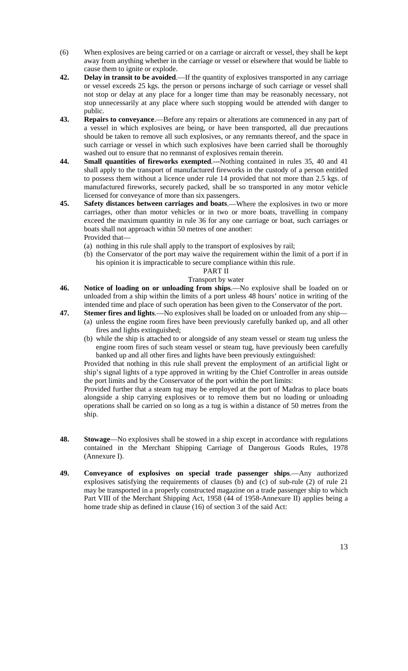- (6) When explosives are being carried or on a carriage or aircraft or vessel, they shall be kept away from anything whether in the carriage or vessel or elsewhere that would be liable to cause them to ignite or explode.
- **42. Delay in transit to be avoided**.—If the quantity of explosives transported in any carriage or vessel exceeds 25 kgs. the person or persons incharge of such carriage or vessel shall not stop or delay at any place for a longer time than may be reasonably necessary, not stop unnecessarily at any place where such stopping would be attended with danger to public.
- **43. Repairs to conveyance**.—Before any repairs or alterations are commenced in any part of a vessel in which explosives are being, or have been transported, all due precautions should be taken to remove all such explosives, or any remnants thereof, and the space in such carriage or vessel in which such explosives have been carried shall be thoroughly washed out to ensure that no remnanst of explosives remain therein.
- **44. Small quantities of fireworks exempted**.---Nothing contained in rules 35, 40 and 41 shall apply to the transport of manufactured fireworks in the custody of a person entitled to possess them without a licence under rule 14 provided that not more than 2.5 kgs. of manufactured fireworks, securely packed, shall be so transported in any motor vehicle licensed for conveyance of more than six passengers.
- **45. Safety distances between carriages and boats**.—Where the explosives in two or more carriages, other than motor vehicles or in two or more boats, travelling in company exceed the maximum quantity in rule 36 for any one carriage or boat, such carriages or boats shall not approach within 50 metres of one another: Provided that—
	- (a) nothing in this rule shall apply to the transport of explosives by rail;
	- (b) the Conservator of the port may waive the requirement within the limit of a port if in his opinion it is impracticable to secure compliance within this rule.

#### PART II

## Transport by water

- **46. Notice of loading on or unloading from ships**.—No explosive shall be loaded on or unloaded from a ship within the limits of a port unless 48 hours' notice in writing of the intended time and place of such operation has been given to the Conservator of the port.
- **47. Stemer fires and lights**.—No explosives shall be loaded on or unloaded from any ship—
	- (a) unless the engine room fires have been previously carefully banked up, and all other fires and lights extinguished;
	- (b) while the ship is attached to or alongside of any steam vessel or steam tug unless the engine room fires of such steam vessel or steam tug, have previously been carefully banked up and all other fires and lights have been previously extinguished:

Provided that nothing in this rule shall prevent the employment of an artificial light or ship's signal lights of a type approved in writing by the Chief Controller in areas outside the port limits and by the Conservator of the port within the port limits:

Provided further that a steam tug may be employed at the port of Madras to place boats alongside a ship carrying explosives or to remove them but no loading or unloading operations shall be carried on so long as a tug is within a distance of 50 metres from the ship.

- **48. Stowage**—No explosives shall be stowed in a ship except in accordance with regulations contained in the Merchant Shipping Carriage of Dangerous Goods Rules, 1978 (Annexure I).
- **49. Conveyance of explosives on special trade passenger ships**.—Any authorized explosives satisfying the requirements of clauses (b) and (c) of sub-rule (2) of rule 21 may be transported in a properly constructed magazine on a trade passenger ship to which Part VIII of the Merchant Shipping Act, 1958 (44 of 1958-Annexure II) applies being a home trade ship as defined in clause (16) of section 3 of the said Act: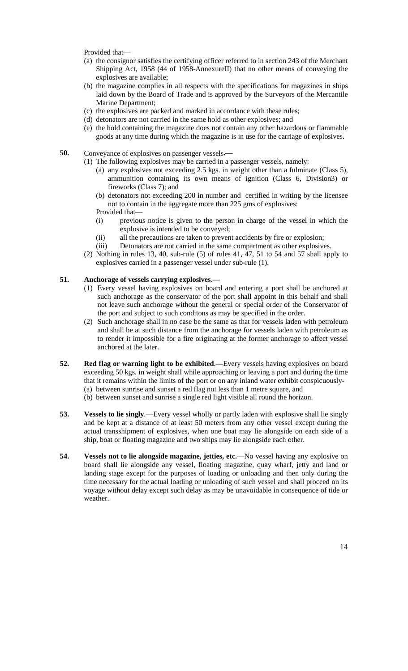Provided that—

- (a) the consignor satisfies the certifying officer referred to in section 243 of the Merchant Shipping Act, 1958 (44 of 1958-AnnexureII) that no other means of conveying the explosives are available;
- (b) the magazine complies in all respects with the specifications for magazines in ships laid down by the Board of Trade and is approved by the Surveyors of the Mercantile Marine Department;
- (c) the explosives are packed and marked in accordance with these rules;
- (d) detonators are not carried in the same hold as other explosives; and
- (e) the hold containing the magazine does not contain any other hazardous or flammable goods at any time during which the magazine is in use for the carriage of explosives.
- **50.** Conveyance of explosives on passenger vessels**.—**
	- (1) The following explosives may be carried in a passenger vessels, namely:
		- (a) any explosives not exceeding 2.5 kgs. in weight other than a fulminate (Class 5), ammunition containing its own means of ignition (Class 6, Division3) or fireworks (Class 7); and
		- (b) detonators not exceeding 200 in number and certified in writing by the licensee not to contain in the aggregate more than 225 gms of explosives: Provided that—
		- (i) previous notice is given to the person in charge of the vessel in which the explosive is intended to be conveyed;
		- (ii) all the precautions are taken to prevent accidents by fire or explosion;
		- (iii) Detonators are not carried in the same compartment as other explosives.
	- (2) Nothing in rules 13, 40, sub-rule (5) of rules 41,  $\overline{47}$ , 51 to 54 and 57 shall apply to explosives carried in a passenger vessel under sub-rule (1).

## **51. Anchorage of vessels carrying explosives**.—

- (1) Every vessel having explosives on board and entering a port shall be anchored at such anchorage as the conservator of the port shall appoint in this behalf and shall not leave such anchorage without the general or special order of the Conservator of the port and subject to such conditons as may be specified in the order.
- (2) Such anchorage shall in no case be the same as that for vessels laden with petroleum and shall be at such distance from the anchorage for vessels laden with petroleum as to render it impossible for a fire originating at the former anchorage to affect vessel anchored at the later.
- **52. Red flag or warning light to be exhibited**.—Every vessels having explosives on board exceeding 50 kgs. in weight shall while approaching or leaving a port and during the time that it remains within the limits of the port or on any inland water exhibit conspicuously- (a) between sunrise and sunset a red flag not less than 1 metre square, and
	- (b) between sunset and sunrise a single red light visible all round the horizon.
- **53. Vessels to lie singly**.—Every vessel wholly or partly laden with explosive shall lie singly and be kept at a distance of at least 50 meters from any other vessel except during the actual transshipment of explosives, when one boat may lie alongside on each side of a ship, boat or floating magazine and two ships may lie alongside each other.
- **54. Vessels not to lie alongside magazine, jetties, etc.**—No vessel having any explosive on board shall lie alongside any vessel, floating magazine, quay wharf, jetty and land or landing stage except for the purposes of loading or unloading and then only during the time necessary for the actual loading or unloading of such vessel and shall proceed on its voyage without delay except such delay as may be unavoidable in consequence of tide or weather.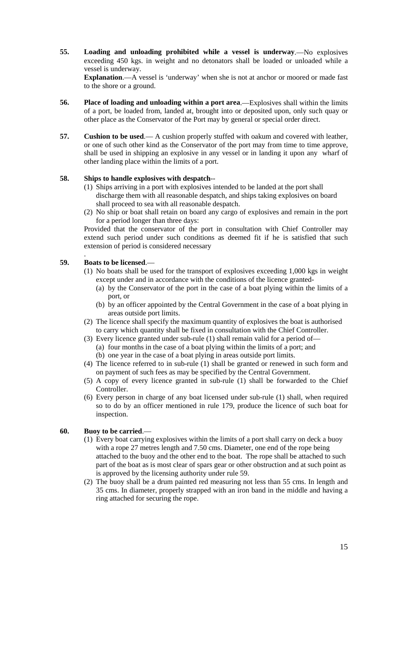**55. Loading and unloading prohibited while a vessel is underway**.—No explosives exceeding 450 kgs. in weight and no detonators shall be loaded or unloaded while a vessel is underway.

**Explanation**.—A vessel is 'underway' when she is not at anchor or moored or made fast to the shore or a ground.

- **56. Place of loading and unloading within a port area**.—Explosives shall within the limits of a port, be loaded from, landed at, brought into or deposited upon, only such quay or other place as the Conservator of the Port may by general or special order direct.
- **57. Cushion to be used**.— A cushion properly stuffed with oakum and covered with leather, or one of such other kind as the Conservator of the port may from time to time approve, shall be used in shipping an explosive in any vessel or in landing it upon any wharf of other landing place within the limits of a port.

# **58. Ships to handle explosives with despatch**--

- (1) Ships arriving in a port with explosives intended to be landed at the port shall discharge them with all reasonable despatch, and ships taking explosives on board shall proceed to sea with all reasonable despatch.
- (2) No ship or boat shall retain on board any cargo of explosives and remain in the port for a period longer than three days:

Provided that the conservator of the port in consultation with Chief Controller may extend such period under such conditions as deemed fit if he is satisfied that such extension of period is considered necessary

#### . **59. Boats to be licensed**.—

- (1) No boats shall be used for the transport of explosives exceeding 1,000 kgs in weight except under and in accordance with the conditions of the licence granted-
	- (a) by the Conservator of the port in the case of a boat plying within the limits of a port, or
	- (b) by an officer appointed by the Central Government in the case of a boat plying in areas outside port limits.
- (2) The licence shall specify the maximum quantity of explosives the boat is authorised to carry which quantity shall be fixed in consultation with the Chief Controller.
- (3) Every licence granted under sub-rule (1) shall remain valid for a period of— (a) four months in the case of a boat plying within the limits of a port; and
	- (b) one year in the case of a boat plying in areas outside port limits.
- (4) The licence referred to in sub-rule (1) shall be granted or renewed in such form and on payment of such fees as may be specified by the Central Government.
- (5) A copy of every licence granted in sub-rule (1) shall be forwarded to the Chief Controller.
- (6) Every person in charge of any boat licensed under sub-rule (1) shall, when required so to do by an officer mentioned in rule 179, produce the licence of such boat for inspection.

## **60. Buoy to be carried**.—

- (1) Every boat carrying explosives within the limits of a port shall carry on deck a buoy with a rope 27 metres length and 7.50 cms. Diameter, one end of the rope being attached to the buoy and the other end to the boat. The rope shall be attached to such part of the boat as is most clear of spars gear or other obstruction and at such point as is approved by the licensing authority under rule 59.
- (2) The buoy shall be a drum painted red measuring not less than 55 cms. In length and 35 cms. In diameter, properly strapped with an iron band in the middle and having a ring attached for securing the rope.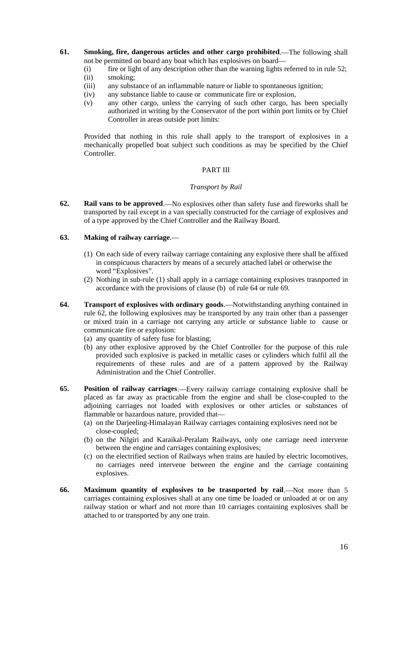- **61. Smoking, fire, dangerous articles and other cargo prohibited**.—The following shall not be permitted on board any boat which has explosives on board—
	- (i) fire or light of any description other than the warning lights referred to in rule 52;
	- (ii) smoking;
	- (iii) any substance of an inflammable nature or liable to spontaneous ignition;
	- (iv) any substance liable to cause or communicate fire or explosion,
	- (v) any other cargo, unless the carrying of such other cargo, has been specially authorized in writing by the Conservator of the port within port limits or by Chief Controller in areas outside port limits:

Provided that nothing in this rule shall apply to the transport of explosives in a mechanically propelled boat subject such conditions as may be specified by the Chief Controller.

# PART III

#### *Transport by Rail*

**62. Rail vans to be approved**.—No explosives other than safety fuse and fireworks shall be transported by rail except in a van specially constructed for the carriage of explosives and of a type approved by the Chief Controller and the Railway Board.

## **63. Making of railway carriage**.—

- (1) On each side of every railway carriage containing any explosive there shall be affixed in conspicuous characters by means of a securely attached label or otherwise the word "Explosives".
- (2) Nothing in sub-rule (1) shall apply in a carriage containing explosives trasnported in accordance with the provisions of clause (b) of rule 64 or rule 69.
- **64. Transport of explosives with ordinary goods**.—Notwithstanding anything contained in rule 62, the following explosives may be transported by any train other than a passenger or mixed train in a carriage not carrying any article or substance liable to cause or communicate fire or explosion:
	- (a) any quantity of safety fuse for blasting;
	- (b) any other explosive approved by the Chief Controller for the purpose of this rule provided such explosive is packed in metallic cases or cylinders which fulfil all the requirements of these rules and are of a pattern approved by the Railway Administration and the Chief Controller.
- **65. Position of railway carriages**.—Every railway carriage containing explosive shall be placed as far away as practicable from the engine and shall be close-coupled to the adjoining carriages not loaded with explosives or other articles or substances of flammable or hazardous nature, provided that—
	- (a) on the Darjeeling-Himalayan Railway carriages containing explosives need not be close-coupled;
	- (b) on the Nilgiri and Karaikal-Peralam Railways, only one carriage need intervene between the engine and carriages containing explosives;
	- (c) on the electrified section of Railways when trains are hauled by electric locomotives, no carriages need intervene between the engine and the carriage containing explosives.
- **66. Maximum quantity of explosives to be trasnported by rail**.—Not more than 5 carriages containing explosives shall at any one time be loaded or unloaded at or on any railway station or wharf and not more than 10 carriages containing explosives shall be attached to or transported by any one train.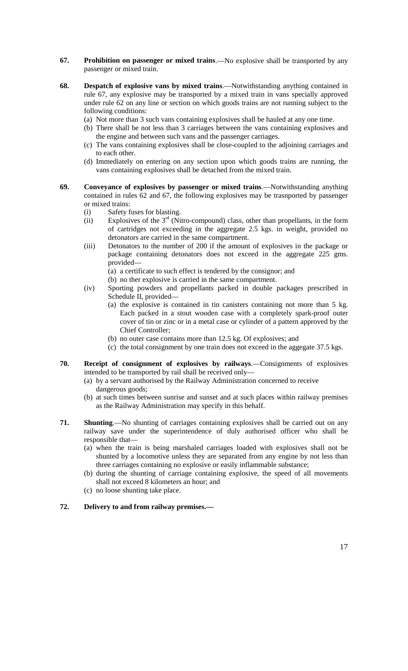- **67. Prohibition on passenger or mixed trains**.—No explosive shall be transported by any passenger or mixed train.
- **68. Despatch of explosive vans by mixed trains**.—Notwithstanding anything contained in rule 67, any explosive may be transported by a mixed train in vans specially approved under rule 62 on any line or section on which goods trains are not running subject to the following conditions:
	- (a) Not more than 3 such vans containing explosives shall be hauled at any one time.
	- (b) There shall be not less than 3 carriages between the vans containing explosives and the engine and between such vans and the passenger carriages.
	- (c) The vans containing explosives shall be close-coupled to the adjoining carriages and to each other.
	- (d) Immediately on entering on any section upon which goods trains are running, the vans containing explosives shall be detached from the mixed train.
- **69. Conveyance of explosives by passenger or mixed trains**.—Notwithstanding anything contained in rules 62 and 67, the following explosives may be trasnported by passenger or mixed trains:
	- (i) Safety fuses for blasting.
	- (ii) Explosives of the 3<sup>rd</sup> (Nitro-compound) class, other than propellants, in the form of cartridges not exceeding in the aggregate 2.5 kgs. in weight, provided no detonators are carried in the same compartment.
	- (iii) Detonators to the number of 200 if the amount of explosives in the package or package containing detonators does not exceed in the aggregate 225 gms. provided—
		- (a) a certificate to such effect is tendered by the consignor; and
		- (b) no ther explosive is carried in the same compartment.
	- (iv) Sporting powders and propellants packed in double packages prescribed in Schedule II, provided—
		- (a) the explosive is contained in tin canisters containing not more than 5 kg. Each packed in a stout wooden case with a completely spark-proof outer cover of tin or zinc or in a metal case or cylinder of a pattern approved by the Chief Controller;
		- (b) no outer case contains more than 12.5 kg. Of explosives; and
		- (c) the total consignment by one train does not exceed in the aggegate 37.5 kgs.
- **70. Receipt of consignment of explosives by railways**.—Consignments of explosives intended to be transported by rail shall be received only—
	- (a) by a servant authorised by the Railway Administration concerned to receive dangerous goods;
	- (b) at such times between sunrise and sunset and at such places within railway premises as the Railway Administration may specify in this behalf.
- **71. Shunting**.—No shunting of carriages containing explosives shall be carried out on any railway save under the superintendence of duly authorised officer who shall be responsible that—
	- (a) when the train is being marshaled carriages loaded with explosives shall not be shunted by a locomotive unless they are separated from any engine by not less than three carriages containing no explosive or easily inflammable substance;
	- (b) during the shunting of carriage containing explosive, the speed of all movements shall not exceed 8 kilometers an hour; and
	- (c) no loose shunting take place.

## **72. Delivery to and from railway premises.—**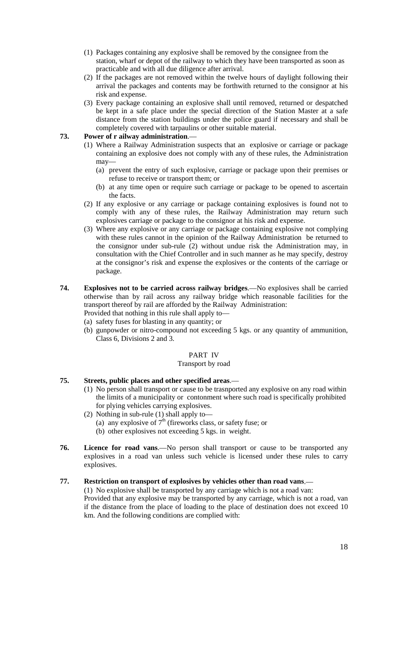- (1) Packages containing any explosive shall be removed by the consignee from the station, wharf or depot of the railway to which they have been transported as soon as practicable and with all due diligence after arrival.
- (2) If the packages are not removed within the twelve hours of daylight following their arrival the packages and contents may be forthwith returned to the consignor at his risk and expense.
- (3) Every package containing an explosive shall until removed, returned or despatched be kept in a safe place under the special direction of the Station Master at a safe distance from the station buildings under the police guard if necessary and shall be completely covered with tarpaulins or other suitable material.

## **73. Power of r ailway administration**.—

- (1) Where a Railway Administration suspects that an explosive or carriage or package containing an explosive does not comply with any of these rules, the Administration may—
	- (a) prevent the entry of such explosive, carriage or package upon their premises or refuse to receive or transport them; or
	- (b) at any time open or require such carriage or package to be opened to ascertain the facts.
- (2) If any explosive or any carriage or package containing explosives is found not to comply with any of these rules, the Railway Administration may return such explosives carriage or package to the consignor at his risk and expense.
- (3) Where any explosive or any carriage or package containing explosive not complying with these rules cannot in the opinion of the Railway Administration be returned to the consignor under sub-rule (2) without undue risk the Administration may, in consultation with the Chief Controller and in such manner as he may specify, destroy at the consignor's risk and expense the explosives or the contents of the carriage or package.
- **74. Explosives not to be carried across railway bridges**.—No explosives shall be carried otherwise than by rail across any railway bridge which reasonable facilities for the transport thereof by rail are afforded by the Railway Administration: Provided that nothing in this rule shall apply to—

(a) safety fuses for blasting in any quantity; or

(b) gunpowder or nitro-compound not exceeding 5 kgs. or any quantity of ammunition, Class 6, Divisions 2 and 3.

#### PART IV

#### Transport by road

# **75. Streets, public places and other specified areas**.—

- (1) No person shall transport or cause to be trasnported any explosive on any road within the limits of a municipality or contonment where such road is specifically prohibited for plying vehicles carrying explosives.
- (2) Nothing in sub-rule (1) shall apply to—
	- (a) any explosive of  $7<sup>th</sup>$  (fireworks class, or safety fuse; or
	- (b) other explosives not exceeding 5 kgs. in weight.
- **76. Licence for road vans**.—No person shall transport or cause to be transported any explosives in a road van unless such vehicle is licensed under these rules to carry explosives.

# **77. Restriction on transport of explosives by vehicles other than road vans**.—

(1) No explosive shall be transported by any carriage which is not a road van: Provided that any explosive may be transported by any carriage, which is not a road, van if the distance from the place of loading to the place of destination does not exceed 10 km. And the following conditions are complied with: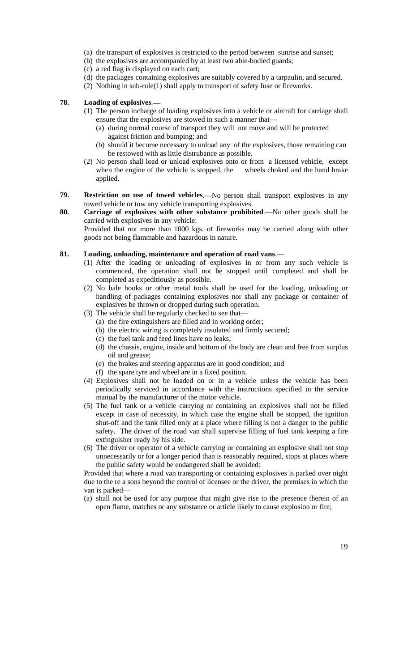- (a) the transport of explosives is restricted to the period between sunrise and sunset;
- (b) the explosives are accompanied by at least two able-bodied guards;
- (c) a red flag is displayed on each cart;
- (d) the packages containing explosives are suitably covered by a tarpaulin, and secured.
- (2) Nothing in sub-rule(1) shall apply to transport of safety fuse or fireworks.

#### **78. Loading of explosives**.—

- (1) The person incharge of loading explosives into a vehicle or aircraft for carriage shall ensure that the explosives are stowed in such a manner that—
	- (a) during normal course of transport they will not move and will be protected against friction and bumping; and
	- (b) should it become necessary to unload any of the explosives, those remaining can be restowed with as little distrubance as possible.
- (2) No person shall load or unload explosives onto or from a licensed vehicle, except when the engine of the vehicle is stopped, the wheels choked and the hand brake applied.
- **79. Restriction on use of towed vehicles**.—No person shall transport explosives in any towed vehicle or tow any vehicle transporting explosives.
- **80. Carriage of explosives with other substance prohibited**.—No other goods shall be carried with explosives in any vehicle:

Provided that not more than 1000 kgs. of fireworks may be carried along with other goods not being flammable and hazardous in nature.

## **81. Loading, unloading, maintenance and operation of road vans**.—

- (1) After the loading or unloading of explosives in or from any such vehicle is commenced, the operation shall not be stopped until completed and shall be completed as expeditiously as possible.
- (2) No bale hooks or other metal tools shall be used for the loading, unloading or handling of packages containing explosives nor shall any package or container of explosives be thrown or dropped during such operation.
- (3) The vehicle shall be regularly checked to see that—
	- (a) the fire extinguishers are filled and in working order;
	- (b) the electric wiring is completely insulated and firmly secured;
	- (c) the fuel tank and feed lines have no leaks;
	- (d) the chassis, engine, inside and bottom of the body are clean and free from surplus oil and grease;
	- (e) the brakes and steering apparatus are in good condition; and
	- (f) the spare tyre and wheel are in a fixed position.
- (4) Explosives shall not be loaded on or in a vehicle unless the vehicle has been periodically serviced in accordance with the instructions specified in the service manual by the manufacturer of the motor vehicle.
- (5) The fuel tank or a vehicle carrying or containing an explosives shall not be filled except in case of necessity, in which case the engine shall be stopped, the ignition shut-off and the tank filled only at a place where filling is not a danger to the public safety. The driver of the road van shall supervise filling of fuel tank keeping a fire extinguisher ready by his side.
- (6) The driver or operator of a vehicle carrying or containing an explosive shall not stop unnecessarily or for a longer period than is reasonably required, stops at places where the public safety would be endangered shall be avoided:

Provided that where a road van transporting or containing explosives is parked over night due to the re a sons beyond the control of licensee or the driver, the premises in which the van is parked—

(a) shall not be used for any purpose that might give rise to the presence therein of an open flame, matches or any substance or article likely to cause explosion or fire;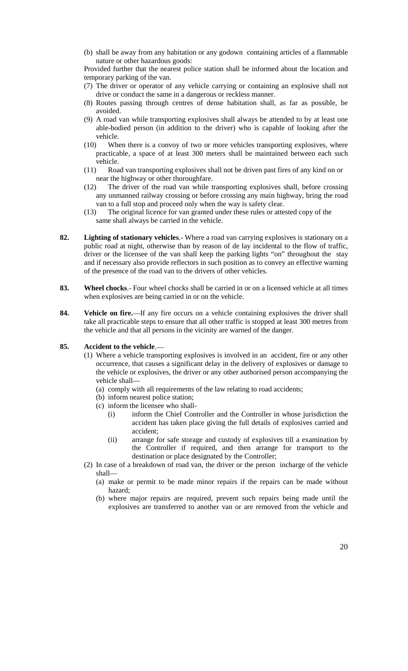(b) shall be away from any habitation or any godown containing articles of a flammable nature or other hazardous goods:

Provided further that the nearest police station shall be informed about the location and temporary parking of the van.

- (7) The driver or operator of any vehicle carrying or containing an explosive shall not drive or conduct the same in a dangerous or reckless manner.
- (8) Routes passing through centres of dense habitation shall, as far as possible, be avoided.
- (9) A road van while transporting explosives shall always be attended to by at least one able-bodied person (in addition to the driver) who is capable of looking after the vehicle.
- (10) When there is a convoy of two or more vehicles transporting explosives, where practicable, a space of at least 300 meters shall be maintained between each such vehicle.
- (11) Road van transporting explosives shall not be driven past fires of any kind on or near the highway or other thoroughfare.
- (12) The driver of the road van while transporting explosives shall, before crossing any unmanned railway crossing or before crossing any main highway, bring the road van to a full stop and proceed only when the way is safety clear.
- (13) The original licence for van granted under these rules or attested copy of the same shall always be carried in the vehicle.
- **82. Lighting of stationary vehicles**.- Where a road van carrying explosives is stationary on a public road at night, otherwise than by reason of de lay incidental to the flow of traffic, driver or the licensee of the van shall keep the parking lights "on" throughout the stay and if necessary also provide reflectors in such position as to convey an effective warning of the presence of the road van to the drivers of other vehicles.
- **83. Wheel chocks**.- Four wheel chocks shall be carried in or on a licensed vehicle at all times when explosives are being carried in or on the vehicle.
- **84. Vehicle on fire.**—If any fire occurs on a vehicle containing explosives the driver shall take all practicable steps to ensure that all other traffic is stopped at least 300 metres from the vehicle and that all persons in the vicinity are warned of the danger.

## **85. Accident to the vehicle**.—

- (1) Where a vehicle transporting explosives is involved in an accident, fire or any other occurrence, that causes a significant delay in the delivery of explosives or damage to the vehicle or explosives, the driver or any other authorised person accompanying the vehicle shall—
	- (a) comply with all requirements of the law relating to road accidents;
	- (b) inform nearest police station;
	- (c) inform the licensee who shall-
		- (i) inform the Chief Controller and the Controller in whose jurisdiction the accident has taken place giving the full details of explosives carried and accident;
		- (ii) arrange for safe storage and custody of explosives till a examination by the Controller if required, and then arrange for transport to the destination or place designated by the Controller;
- (2) In case of a breakdown of road van, the driver or the person incharge of the vehicle shall—
	- (a) make or permit to be made minor repairs if the repairs can be made without hazard;
	- (b) where major repairs are required, prevent such repairs being made until the explosives are transferred to another van or are removed from the vehicle and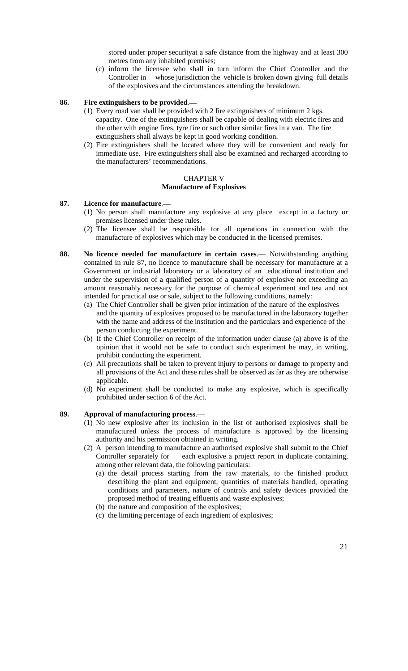stored under proper securityat a safe distance from the highway and at least 300 metres from any inhabited premises;

(c) inform the licensee who shall in turn inform the Chief Controller and the Controller in whose jurisdiction the vehicle is broken down giving full details of the explosives and the circumstances attending the breakdown.

#### **86. Fire extinguishers to be provided**.—

- (1) Every road van shall be provided with 2 fire extinguishers of minimum 2 kgs. capacity. One of the extinguishers shall be capable of dealing with electric fires and the other with engine fires, tyre fire or such other similar fires in a van. The fire extinguishers shall always be kept in good working condition.
- (2) Fire extinguishers shall be located where they will be convenient and ready for immediate use. Fire extinguishers shall also be examined and recharged according to the manufacturers' recommendations.

#### CHAPTER V **Manufacture of Explosives**

## **87. Licence for manufacture**.—

- (1) No person shall manufacture any explosive at any place except in a factory or premises licensed under these rules.
- (2) The licensee shall be responsible for all operations in connection with the manufacture of explosives which may be conducted in the licensed premises.
- **88. No licence needed for manufacture in certain cases**.— Notwithstanding anything contained in rule 87, no licence to manufacture shall be necessary for manufacture at a Government or industrial laboratory or a laboratory of an educational institution and under the supervision of a qualified person of a quantity of explosive not exceeding an amount reasonably necessary for the purpose of chemical experiment and test and not intended for practical use or sale, subject to the following conditions, namely:
	- (a) The Chief Controller shall be given prior intimation of the nature of the explosives and the quantity of explosives proposed to be manufactured in the laboratory together with the name and address of the institution and the particulars and experience of the person conducting the experiment.
	- (b) If the Chief Controller on receipt of the information under clause (a) above is of the opinion that it would not be safe to conduct such experiment he may, in writing, prohibit conducting the experiment.
	- (c) All precautions shall be taken to prevent injury to persons or damage to property and all provisions of the Act and these rules shall be observed as far as they are otherwise applicable.
	- (d) No experiment shall be conducted to make any explosive, which is specifically prohibited under section 6 of the Act.

#### **89. Approval of manufacturing process**.—

- (1) No new explosive after its inclusion in the list of authorised explosives shall be manufactured unless the process of manufacture is approved by the licensing authority and his permission obtained in writing.
- (2) A person intending to manufacture an authorised explosive shall submit to the Chief Controller separately for each explosive a project report in duplicate containing, among other relevant data, the following particulars:
	- (a) the detail process starting from the raw materials, to the finished product describing the plant and equipment, quantities of materials handled, operating conditions and parameters, nature of controls and safety devices provided the proposed method of treating effluents and waste explosives;
	- (b) the nature and composition of the explosives;
	- (c) the limiting percentage of each ingredient of explosives;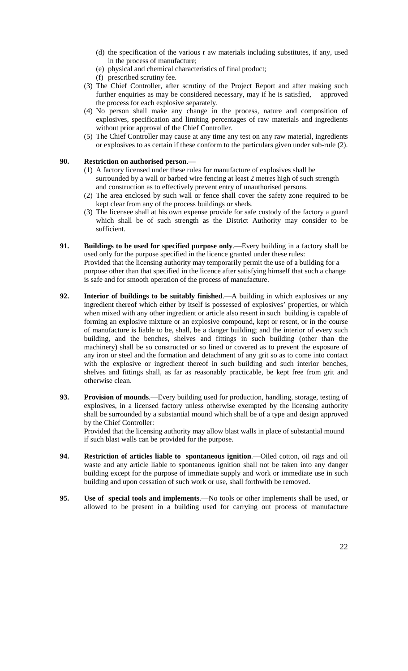- (d) the specification of the various r aw materials including substitutes, if any, used in the process of manufacture;
- (e) physical and chemical characteristics of final product;
- (f) prescribed scrutiny fee.
- (3) The Chief Controller, after scrutiny of the Project Report and after making such further enquiries as may be considered necessary, may if he is satisfied, approved the process for each explosive separately.
- (4) No person shall make any change in the process, nature and composition of explosives, specification and limiting percentages of raw materials and ingredients without prior approval of the Chief Controller.
- (5) The Chief Controller may cause at any time any test on any raw material, ingredients or explosives to as certain if these conform to the particulars given under sub-rule (2).

# **90. Restriction on authorised person**.—

- (1) A factory licensed under these rules for manufacture of explosives shall be surrounded by a wall or barbed wire fencing at least 2 metres high of such strength and construction as to effectively prevent entry of unauthorised persons.
- (2) The area enclosed by such wall or fence shall cover the safety zone required to be kept clear from any of the process buildings or sheds.
- (3) The licensee shall at his own expense provide for safe custody of the factory a guard which shall be of such strength as the District Authority may consider to be sufficient.
- **91. Buildings to be used for specified purpose only**.—Every building in a factory shall be used only for the purpose specified in the licence granted under these rules: Provided that the licensing authority may temporarily permit the use of a building for a purpose other than that specified in the licence after satisfying himself that such a change is safe and for smooth operation of the process of manufacture.
- **92. Interior of buildings to be suitably finished**.—A building in which explosives or any ingredient thereof which either by itself is possessed of explosives' properties, or which when mixed with any other ingredient or article also resent in such building is capable of forming an explosive mixture or an explosive compound, kept or resent, or in the course of manufacture is liable to be, shall, be a danger building; and the interior of every such building, and the benches, shelves and fittings in such building (other than the machinery) shall be so constructed or so lined or covered as to prevent the exposure of any iron or steel and the formation and detachment of any grit so as to come into contact with the explosive or ingredient thereof in such building and such interior benches, shelves and fittings shall, as far as reasonably practicable, be kept free from grit and otherwise clean.
- **93. Provision of mounds**.—Every building used for production, handling, storage, testing of explosives, in a licensed factory unless otherwise exempted by the licensing authority shall be surrounded by a substantial mound which shall be of a type and design approved by the Chief Controller:

Provided that the licensing authority may allow blast walls in place of substantial mound if such blast walls can be provided for the purpose.

- **94. Restriction of articles liable to spontaneous ignition**.—Oiled cotton, oil rags and oil waste and any article liable to spontaneous ignition shall not be taken into any danger building except for the purpose of immediate supply and work or immediate use in such building and upon cessation of such work or use, shall forthwith be removed.
- **95. Use of special tools and implements**.—No tools or other implements shall be used, or allowed to be present in a building used for carrying out process of manufacture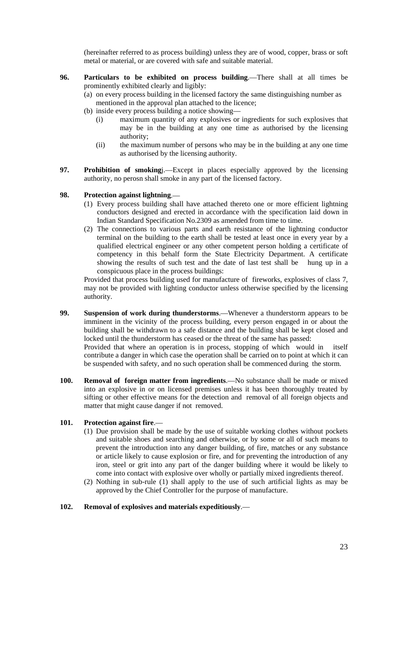(hereinafter referred to as process building) unless they are of wood, copper, brass or soft metal or material, or are covered with safe and suitable material.

- **96. Particulars to be exhibited on process building**.—There shall at all times be prominently exhibited clearly and ligibly:
	- (a) on every process building in the licensed factory the same distinguishing number as mentioned in the approval plan attached to the licence;
	- (b) inside every process building a notice showing—
		- (i) maximum quantity of any explosives or ingredients for such explosives that may be in the building at any one time as authorised by the licensing authority;
		- (ii) the maximum number of persons who may be in the building at any one time as authorised by the licensing authority.
- **97. Prohibition of smoking**j.—Except in places especially approved by the licensing authority, no perosn shall smoke in any part of the licensed factory.

#### **98. Protection against lightning**.—

- (1) Every process building shall have attached thereto one or more efficient lightning conductors designed and erected in accordance with the specification laid down in Indian Standard Specification No.2309 as amended from time to time.
- (2) The connections to various parts and earth resistance of the lightning conductor terminal on the building to the earth shall be tested at least once in every year by a qualified electrical engineer or any other competent person holding a certificate of competency in this behalf form the State Electricity Department. A certificate showing the results of such test and the date of last test shall be hung up in a conspicuous place in the process buildings:

Provided that process building used for manufacture of fireworks, explosives of class 7, may not be provided with lighting conductor unless otherwise specified by the licensing authority.

- **99. Suspension of work during thunderstorms**.—Whenever a thunderstorm appears to be imminent in the vicinity of the process building, every person engaged in or about the building shall be withdrawn to a safe distance and the building shall be kept closed and locked until the thunderstorm has ceased or the threat of the same has passed: Provided that where an operation is in process, stopping of which would in itself contribute a danger in which case the operation shall be carried on to point at which it can be suspended with safety, and no such operation shall be commenced during the storm.
- **100. Removal of foreign matter from ingredients**.—No substance shall be made or mixed into an explosive in or on licensed premises unless it has been thoroughly treated by sifting or other effective means for the detection and removal of all foreign objects and matter that might cause danger if not removed.

## **101. Protection against fire**.—

- (1) Due provision shall be made by the use of suitable working clothes without pockets and suitable shoes and searching and otherwise, or by some or all of such means to prevent the introduction into any danger building, of fire, matches or any substance or article likely to cause explosion or fire, and for preventing the introduction of any iron, steel or grit into any part of the danger building where it would be likely to come into contact with explosive over wholly or partially mixed ingredients thereof.
- (2) Nothing in sub-rule (1) shall apply to the use of such artificial lights as may be approved by the Chief Controller for the purpose of manufacture.

#### **102. Removal of explosives and materials expeditiously**.—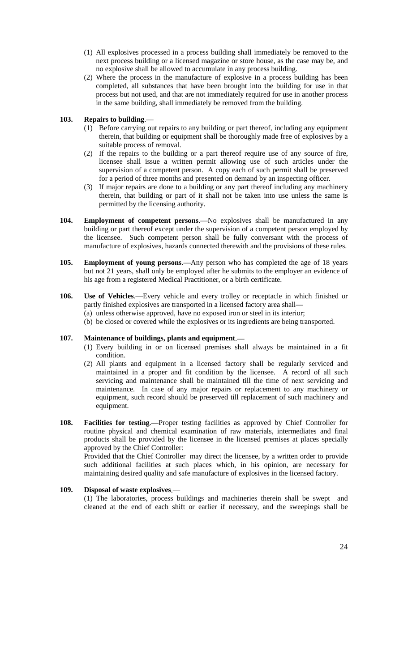- (1) All explosives processed in a process building shall immediately be removed to the next process building or a licensed magazine or store house, as the case may be, and no explosive shall be allowed to accumulate in any process building.
- (2) Where the process in the manufacture of explosive in a process building has been completed, all substances that have been brought into the building for use in that process but not used, and that are not immediately required for use in another process in the same building, shall immediately be removed from the building.

## **103. Repairs to building**.—

- (1) Before carrying out repairs to any building or part thereof, including any equipment therein, that building or equipment shall be thoroughly made free of explosives by a suitable process of removal.
- (2) If the repairs to the building or a part thereof require use of any source of fire, licensee shall issue a written permit allowing use of such articles under the supervision of a competent person. A copy each of such permit shall be preserved for a period of three months and presented on demand by an inspecting officer.
- (3) If major repairs are done to a building or any part thereof including any machinery therein, that building or part of it shall not be taken into use unless the same is permitted by the licensing authority.
- **104. Employment of competent persons**.—No explosives shall be manufactured in any building or part thereof except under the supervision of a competent person employed by the licensee. Such competent person shall be fully conversant with the process of manufacture of explosives, hazards connected therewith and the provisions of these rules.
- **105. Employment of young persons**.—Any person who has completed the age of 18 years but not 21 years, shall only be employed after he submits to the employer an evidence of his age from a registered Medical Practitioner, or a birth certificate.
- **106. Use of Vehicles**.—Every vehicle and every trolley or receptacle in which finished or partly finished explosives are transported in a licensed factory area shall—
	- (a) unless otherwise approved, have no exposed iron or steel in its interior;
	- (b) be closed or covered while the explosives or its ingredients are being transported.

# **107. Maintenance of buildings, plants and equipment**.—

- (1) Every building in or on licensed premises shall always be maintained in a fit condition.
- (2) All plants and equipment in a licensed factory shall be regularly serviced and maintained in a proper and fit condition by the licensee. A record of all such servicing and maintenance shall be maintained till the time of next servicing and maintenance. In case of any major repairs or replacement to any machinery or equipment, such record should be preserved till replacement of such machinery and equipment.
- **108. Facilities for testing**.—Proper testing facilities as approved by Chief Controller for routine physical and chemical examination of raw materials, intermediates and final products shall be provided by the licensee in the licensed premises at places specially approved by the Chief Controller:

Provided that the Chief Controller may direct the licensee, by a written order to provide such additional facilities at such places which, in his opinion, are necessary for maintaining desired quality and safe manufacture of explosives in the licensed factory.

## **109. Disposal of waste explosives**.—

(1) The laboratories, process buildings and machineries therein shall be swept and cleaned at the end of each shift or earlier if necessary, and the sweepings shall be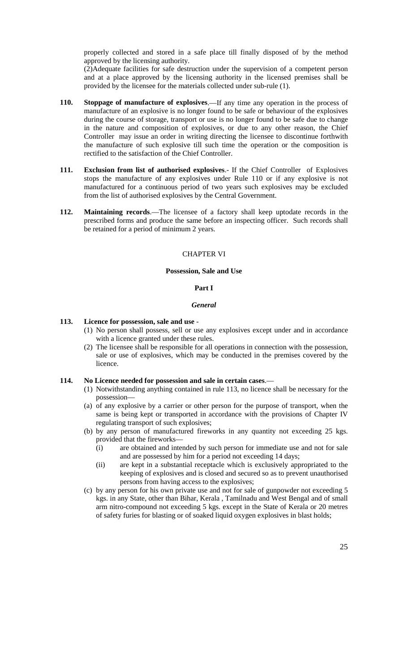properly collected and stored in a safe place till finally disposed of by the method approved by the licensing authority.

(2)Adequate facilities for safe destruction under the supervision of a competent person and at a place approved by the licensing authority in the licensed premises shall be provided by the licensee for the materials collected under sub-rule (1).

- **110. Stoppage of manufacture of explosives**.—If any time any operation in the process of manufacture of an explosive is no longer found to be safe or behaviour of the explosives during the course of storage, transport or use is no longer found to be safe due to change in the nature and composition of explosives, or due to any other reason, the Chief Controller may issue an order in writing directing the licensee to discontinue forthwith the manufacture of such explosive till such time the operation or the composition is rectified to the satisfaction of the Chief Controller.
- **111. Exclusion from list of authorised explosives**.- If the Chief Controller of Explosives stops the manufacture of any explosives under Rule 110 or if any explosive is not manufactured for a continuous period of two years such explosives may be excluded from the list of authorised explosives by the Central Government.
- **112. Maintaining records**.—The licensee of a factory shall keep uptodate records in the prescribed forms and produce the same before an inspecting officer. Such records shall be retained for a period of minimum 2 years.

#### CHAPTER VI

#### **Possession, Sale and Use**

#### **Part I**

#### *General*

#### **113. Licence for possession, sale and use** -

- (1) No person shall possess, sell or use any explosives except under and in accordance with a licence granted under these rules.
- (2) The licensee shall be responsible for all operations in connection with the possession, sale or use of explosives, which may be conducted in the premises covered by the licence.

# **114. No Licence needed for possession and sale in certain cases**.—

- (1) Notwithstanding anything contained in rule 113, no licence shall be necessary for the possession—
- (a) of any explosive by a carrier or other person for the purpose of transport, when the same is being kept or transported in accordance with the provisions of Chapter IV regulating transport of such explosives;
- (b) by any person of manufactured fireworks in any quantity not exceeding 25 kgs. provided that the fireworks—
	- (i) are obtained and intended by such person for immediate use and not for sale and are possessed by him for a period not exceeding 14 days;
	- (ii) are kept in a substantial receptacle which is exclusively appropriated to the keeping of explosives and is closed and secured so as to prevent unauthorised persons from having access to the explosives;
- (c) by any person for his own private use and not for sale of gunpowder not exceeding 5 kgs. in any State, other than Bihar, Kerala , Tamilnadu and West Bengal and of small arm nitro-compound not exceeding 5 kgs. except in the State of Kerala or 20 metres of safety furies for blasting or of soaked liquid oxygen explosives in blast holds;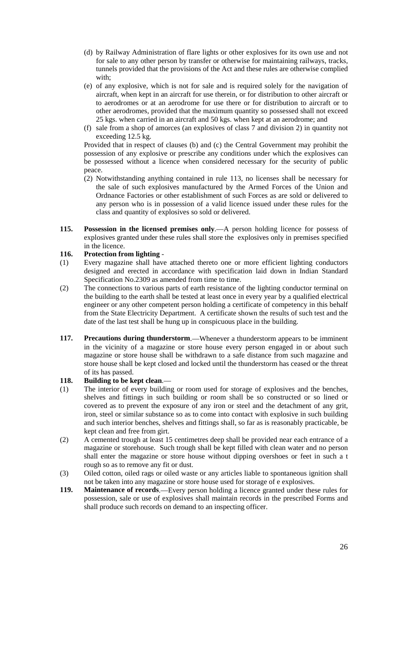- (d) by Railway Administration of flare lights or other explosives for its own use and not for sale to any other person by transfer or otherwise for maintaining railways, tracks, tunnels provided that the provisions of the Act and these rules are otherwise complied with;
- (e) of any explosive, which is not for sale and is required solely for the navigation of aircraft, when kept in an aircraft for use therein, or for distribution to other aircraft or to aerodromes or at an aerodrome for use there or for distribution to aircraft or to other aerodromes, provided that the maximum quantity so possessed shall not exceed 25 kgs. when carried in an aircraft and 50 kgs. when kept at an aerodrome; and
- (f) sale from a shop of amorces (an explosives of class 7 and division 2) in quantity not exceeding 12.5 kg.

Provided that in respect of clauses (b) and (c) the Central Government may prohibit the possession of any explosive or prescribe any conditions under which the explosives can be possessed without a licence when considered necessary for the security of public peace.

- (2) Notwithstanding anything contained in rule 113, no licenses shall be necessary for the sale of such explosives manufactured by the Armed Forces of the Union and Ordnance Factories or other establishment of such Forces as are sold or delivered to any person who is in possession of a valid licence issued under these rules for the class and quantity of explosives so sold or delivered.
- **115. Possession in the licensed premises only**.—A person holding licence for possess of explosives granted under these rules shall store the explosives only in premises specified in the licence.

# **116. Protection from lighting** -

- (1) Every magazine shall have attached thereto one or more efficient lighting conductors designed and erected in accordance with specification laid down in Indian Standard Specification No.2309 as amended from time to time.
- (2) The connections to various parts of earth resistance of the lighting conductor terminal on the building to the earth shall be tested at least once in every year by a qualified electrical engineer or any other competent person holding a certificate of competency in this behalf from the State Electricity Department. A certificate shown the results of such test and the date of the last test shall be hung up in conspicuous place in the building.
- **117. Precautions during thunderstorm**.—Whenever a thunderstorm appears to be imminent in the vicinity of a magazine or store house every person engaged in or about such magazine or store house shall be withdrawn to a safe distance from such magazine and store house shall be kept closed and locked until the thunderstorm has ceased or the threat of its has passed.

# **118. Building to be kept clean**.—

- (1) The interior of every building or room used for storage of explosives and the benches, shelves and fittings in such building or room shall be so constructed or so lined or covered as to prevent the exposure of any iron or steel and the detachment of any grit, iron, steel or similar substance so as to come into contact with explosive in such building and such interior benches, shelves and fittings shall, so far as is reasonably practicable, be kept clean and free from girt.
- (2) A cemented trough at least 15 centimetres deep shall be provided near each entrance of a magazine or storehouse. Such trough shall be kept filled with clean water and no person shall enter the magazine or store house without dipping overshoes or feet in such a t rough so as to remove any fit or dust.
- (3) Oiled cotton, oiled rags or oiled waste or any articles liable to spontaneous ignition shall not be taken into any magazine or store house used for storage of e explosives.
- **119. Maintenance of records**.—Every person holding a licence granted under these rules for possession, sale or use of explosives shall maintain records in the prescribed Forms and shall produce such records on demand to an inspecting officer.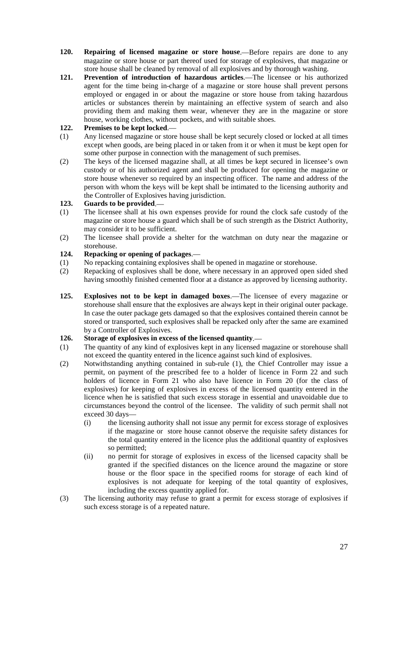- **120. Repairing of licensed magazine or store house**.—Before repairs are done to any magazine or store house or part thereof used for storage of explosives, that magazine or store house shall be cleaned by removal of all explosives and by thorough washing.
- **121. Prevention of introduction of hazardous articles**.—The licensee or his authorized agent for the time being in-charge of a magazine or store house shall prevent persons employed or engaged in or about the magazine or store house from taking hazardous articles or substances therein by maintaining an effective system of search and also providing them and making them wear, whenever they are in the magazine or store house, working clothes, without pockets, and with suitable shoes.

# **122. Premises to be kept locked**.—

- (1) Any licensed magazine or store house shall be kept securely closed or locked at all times except when goods, are being placed in or taken from it or when it must be kept open for some other purpose in connection with the management of such premises.
- (2) The keys of the licensed magazine shall, at all times be kept secured in licensee's own custody or of his authorized agent and shall be produced for opening the magazine or store house whenever so required by an inspecting officer. The name and address of the person with whom the keys will be kept shall be intimated to the licensing authority and the Controller of Explosives having jurisdiction.

# **123. Guards to be provided**.—

- (1) The licensee shall at his own expenses provide for round the clock safe custody of the magazine or store house a guard which shall be of such strength as the District Authority, may consider it to be sufficient.
- (2) The licensee shall provide a shelter for the watchman on duty near the magazine or storehouse.

# **124. Repacking or opening of packages**.—

- (1) No repacking containing explosives shall be opened in magazine or storehouse.
- (2) Repacking of explosives shall be done, where necessary in an approved open sided shed having smoothly finished cemented floor at a distance as approved by licensing authority.
- **125. Explosives not to be kept in damaged boxes**.—The licensee of every magazine or storehouse shall ensure that the explosives are always kept in their original outer package. In case the outer package gets damaged so that the explosives contained therein cannot be stored or transported, such explosives shall be repacked only after the same are examined by a Controller of Explosives.

# **126. Storage of explosives in excess of the licensed quantity**.—

- (1) The quantity of any kind of explosives kept in any licensed magazine or storehouse shall not exceed the quantity entered in the licence against such kind of explosives.
- (2) Notwithstanding anything contained in sub-rule (1), the Chief Controller may issue a permit, on payment of the prescribed fee to a holder of licence in Form 22 and such holders of licence in Form 21 who also have licence in Form 20 (for the class of explosives) for keeping of explosives in excess of the licensed quantity entered in the licence when he is satisfied that such excess storage in essential and unavoidable due to circumstances beyond the control of the licensee. The validity of such permit shall not exceed 30 days—
	- (i) the licensing authority shall not issue any permit for excess storage of explosives if the magazine or store house cannot observe the requisite safety distances for the total quantity entered in the licence plus the additional quantity of explosives so permitted;
	- (ii) no permit for storage of explosives in excess of the licensed capacity shall be granted if the specified distances on the licence around the magazine or store house or the floor space in the specified rooms for storage of each kind of explosives is not adequate for keeping of the total quantity of explosives, including the excess quantity applied for.
- (3) The licensing authority may refuse to grant a permit for excess storage of explosives if such excess storage is of a repeated nature.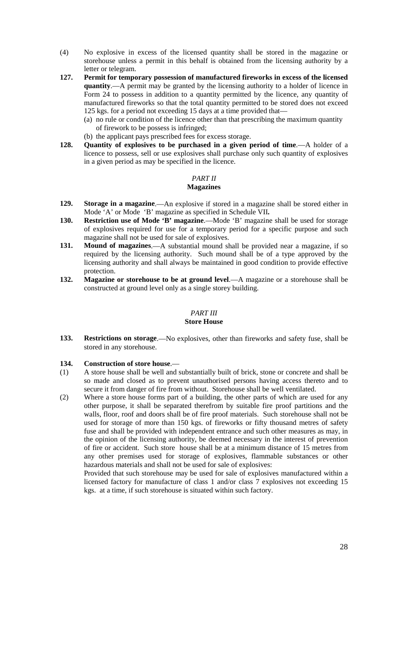- (4) No explosive in excess of the licensed quantity shall be stored in the magazine or storehouse unless a permit in this behalf is obtained from the licensing authority by a letter or telegram.
- **127. Permit for temporary possession of manufactured fireworks in excess of the licensed quantity**.—A permit may be granted by the licensing authority to a holder of licence in Form 24 to possess in addition to a quantity permitted by the licence, any quantity of manufactured fireworks so that the total quantity permitted to be stored does not exceed 125 kgs. for a period not exceeding 15 days at a time provided that—
	- (a) no rule or condition of the licence other than that prescribing the maximum quantity of firework to be possess is infringed;
	- (b) the applicant pays prescribed fees for excess storage.
- **128. Quantity of explosives to be purchased in a given period of time**.—A holder of a licence to possess, sell or use explosives shall purchase only such quantity of explosives in a given period as may be specified in the licence.

#### *PART II* **Magazines**

- **129. Storage in a magazine**.—An explosive if stored in a magazine shall be stored either in Mode 'A' or Mode 'B' magazine as specified in Schedule VII**.**
- **130. Restriction use of Mode 'B' magazine**.—Mode 'B' magazine shall be used for storage of explosives required for use for a temporary period for a specific purpose and such magazine shall not be used for sale of explosives.
- **131. Mound of magazines**.—A substantial mound shall be provided near a magazine, if so required by the licensing authority. Such mound shall be of a type approved by the licensing authority and shall always be maintained in good condition to provide effective protection.
- **132. Magazine or storehouse to be at ground level**.—A magazine or a storehouse shall be constructed at ground level only as a single storey building.

# *PART III*

# **Store House**

**133. Restrictions on storage**.—No explosives, other than fireworks and safety fuse, shall be stored in any storehouse.

## **134. Construction of store house**.—

- (1) A store house shall be well and substantially built of brick, stone or concrete and shall be so made and closed as to prevent unauthorised persons having access thereto and to secure it from danger of fire from without. Storehouse shall be well ventilated.
- (2) Where a store house forms part of a building, the other parts of which are used for any other purpose, it shall be separated therefrom by suitable fire proof partitions and the walls, floor, roof and doors shall be of fire proof materials. Such storehouse shall not be used for storage of more than 150 kgs. of fireworks or fifty thousand metres of safety fuse and shall be provided with independent entrance and such other measures as may, in the opinion of the licensing authority, be deemed necessary in the interest of prevention of fire or accident. Such store house shall be at a minimum distance of 15 metres from any other premises used for storage of explosives, flammable substances or other hazardous materials and shall not be used for sale of explosives:

Provided that such storehouse may be used for sale of explosives manufactured within a licensed factory for manufacture of class 1 and/or class 7 explosives not exceeding 15 kgs. at a time, if such storehouse is situated within such factory.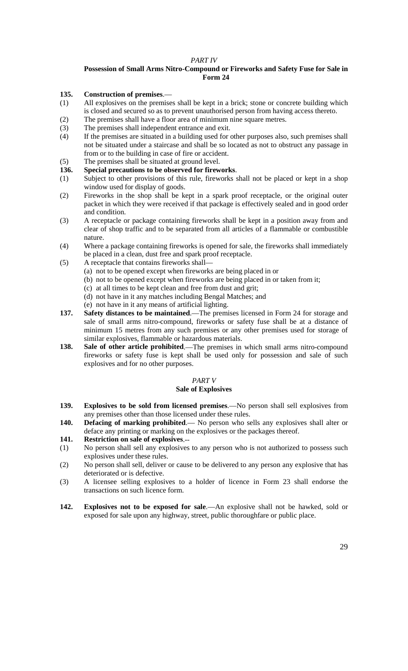# *PART IV*

## **Possession of Small Arms Nitro-Compound or Fireworks and Safety Fuse for Sale in Form 24**

## **135. Construction of premises**.—

- (1) All explosives on the premises shall be kept in a brick; stone or concrete building which is closed and secured so as to prevent unauthorised person from having access thereto.
- (2) The premises shall have a floor area of minimum nine square metres.
- (3) The premises shall independent entrance and exit.
- (4) If the premises are situated in a building used for other purposes also, such premises shall not be situated under a staircase and shall be so located as not to obstruct any passage in from or to the building in case of fire or accident.
- (5) The premises shall be situated at ground level.<br>136. Special precautions to be observed for firew

## **136. Special precautions to be observed for fireworks**.

- (1) Subject to other provisions of this rule, fireworks shall not be placed or kept in a shop window used for display of goods.
- (2) Fireworks in the shop shall be kept in a spark proof receptacle, or the original outer packet in which they were received if that package is effectively sealed and in good order and condition.
- (3) A receptacle or package containing fireworks shall be kept in a position away from and clear of shop traffic and to be separated from all articles of a flammable or combustible nature.

(4) Where a package containing fireworks is opened for sale, the fireworks shall immediately be placed in a clean, dust free and spark proof receptacle.

- (5) A receptacle that contains fireworks shall—
	- (a) not to be opened except when fireworks are being placed in or
	- (b) not to be opened except when fireworks are being placed in or taken from it;
	- (c) at all times to be kept clean and free from dust and grit;
	- (d) not have in it any matches including Bengal Matches; and
	- (e) not have in it any means of artificial lighting.
- **137. Safety distances to be maintained**.—The premises licensed in Form 24 for storage and sale of small arms nitro-compound, fireworks or safety fuse shall be at a distance of minimum 15 metres from any such premises or any other premises used for storage of similar explosives, flammable or hazardous materials.
- **138. Sale of other article prohibited**.—The premises in which small arms nitro-compound fireworks or safety fuse is kept shall be used only for possession and sale of such explosives and for no other purposes.

## *PART V*

## **Sale of Explosives**

- **139. Explosives to be sold from licensed premises**.—No person shall sell explosives from any premises other than those licensed under these rules.
- **140. Defacing of marking prohibited**.— No person who sells any explosives shall alter or deface any printing or marking on the explosives or the packages thereof.
- **141. Restriction on sale of explosives**.--
- (1) No person shall sell any explosives to any person who is not authorized to possess such explosives under these rules.
- (2) No person shall sell, deliver or cause to be delivered to any person any explosive that has deteriorated or is defective.
- (3) A licensee selling explosives to a holder of licence in Form 23 shall endorse the transactions on such licence form.
- **142. Explosives not to be exposed for sale**.—An explosive shall not be hawked, sold or exposed for sale upon any highway, street, public thoroughfare or public place.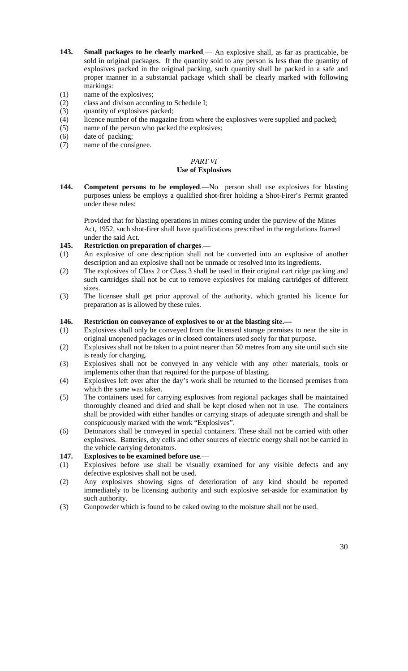- **143. Small packages to be clearly marked**.— An explosive shall, as far as practicable, be sold in original packages. If the quantity sold to any person is less than the quantity of explosives packed in the original packing, such quantity shall be packed in a safe and proper manner in a substantial package which shall be clearly marked with following markings:
- (1) name of the explosives;
- (2) class and divison according to Schedule I;
- (3) quantity of explosives packed;<br>(4) licence number of the magazin
- licence number of the magazine from where the explosives were supplied and packed;
- (5) name of the person who packed the explosives;
- (6) date of packing;
- (7) name of the consignee.

#### *PART VI* **Use of Explosives**

**144. Competent persons to be employed**.—No person shall use explosives for blasting purposes unless be employs a qualified shot-firer holding a Shot-Firer's Permit granted under these rules:

Provided that for blasting operations in mines coming under the purview of the Mines Act, 1952, such shot-firer shall have qualifications prescribed in the regulations framed under the said Act.

#### **145. Restriction on preparation of charges**.—

- (1) An explosive of one description shall not be converted into an explosive of another description and an explosive shall not be unmade or resolved into its ingredients.
- (2) The explosives of Class 2 or Class 3 shall be used in their original cart ridge packing and such cartridges shall not be cut to remove explosives for making cartridges of different sizes.
- (3) The licensee shall get prior approval of the authority, which granted his licence for preparation as is allowed by these rules.

## **146. Restriction on conveyance of explosives to or at the blasting site.—**

- (1) Explosives shall only be conveyed from the licensed storage premises to near the site in original unopened packages or in closed containers used soely for that purpose.
- (2) Explosives shall not be taken to a point nearer than 50 metres from any site until such site is ready for charging.
- (3) Explosives shall not be conveyed in any vehicle with any other materials, tools or implements other than that required for the purpose of blasting.
- (4) Explosives left over after the day's work shall be returned to the licensed premises from which the same was taken.
- (5) The containers used for carrying explosives from regional packages shall be maintained thoroughly cleaned and dried and shall be kept closed when not in use. The containers shall be provided with either handles or carrying straps of adequate strength and shall be conspicuously marked with the work "Explosives".
- (6) Detonators shall be conveyed in special containers. These shall not be carried with other explosives. Batteries, dry cells and other sources of electric energy shall not be carried in the vehicle carrying detonators.
- **147. Explosives to be examined before use**.—
- (1) Explosives before use shall be visually examined for any visible defects and any defective explosives shall not be used.
- (2) Any explosives showing signs of deterioration of any kind should be reported immediately to be licensing authority and such explosive set-aside for examination by such authority.
- (3) Gunpowder which is found to be caked owing to the moisture shall not be used.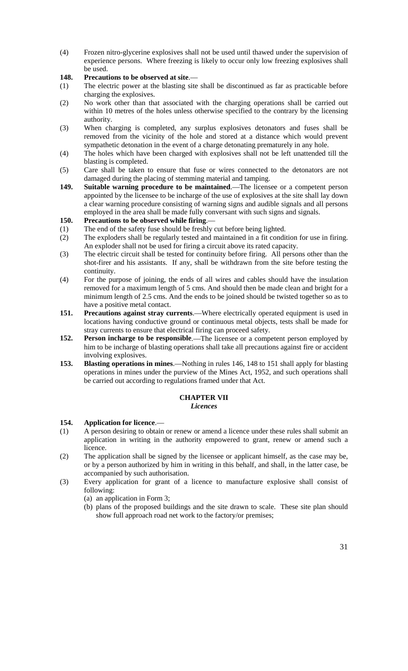(4) Frozen nitro-glycerine explosives shall not be used until thawed under the supervision of experience persons. Where freezing is likely to occur only low freezing explosives shall be used.

# **148. Precautions to be observed at site**.—

- (1) The electric power at the blasting site shall be discontinued as far as practicable before charging the explosives.
- (2) No work other than that associated with the charging operations shall be carried out within 10 metres of the holes unless otherwise specified to the contrary by the licensing authority.
- (3) When charging is completed, any surplus explosives detonators and fuses shall be removed from the vicinity of the hole and stored at a distance which would prevent sympathetic detonation in the event of a charge detonating prematurely in any hole.
- (4) The holes which have been charged with explosives shall not be left unattended till the blasting is completed.
- (5) Care shall be taken to ensure that fuse or wires connected to the detonators are not damaged during the placing of stemming material and tamping.
- **149. Suitable warning procedure to be maintained**.—The licensee or a competent person appointed by the licensee to be incharge of the use of explosives at the site shall lay down a clear warning procedure consisting of warning signs and audible signals and all persons employed in the area shall be made fully conversant with such signs and signals.
- **150. Precautions to be observed while firing**.—
- (1) The end of the safety fuse should be freshly cut before being lighted.
- (2) The exploders shall be regularly tested and maintained in a fit condition for use in firing. An exploder shall not be used for firing a circuit above its rated capacity.
- (3) The electric circuit shall be tested for continuity before firing. All persons other than the shot-firer and his assistants. If any, shall be withdrawn from the site before testing the continuity.
- (4) For the purpose of joining, the ends of all wires and cables should have the insulation removed for a maximum length of 5 cms. And should then be made clean and bright for a minimum length of 2.5 cms. And the ends to be joined should be twisted together so as to have a positive metal contact.
- **151. Precautions against stray currents**.—Where electrically operated equipment is used in locations having conductive ground or continuous metal objects, tests shall be made for stray currents to ensure that electrical firing can proceed safety.
- **152. Person incharge to be responsible**.—The licensee or a competent person employed by him to be incharge of blasting operations shall take all precautions against fire or accident involving explosives.
- **153. Blasting operations in mines**.—Nothing in rules 146, 148 to 151 shall apply for blasting operations in mines under the purview of the Mines Act, 1952, and such operations shall be carried out according to regulations framed under that Act.

# **CHAPTER VII**

## *Licences*

## **154. Application for licence**.—

- (1) A person desiring to obtain or renew or amend a licence under these rules shall submit an application in writing in the authority empowered to grant, renew or amend such a licence.
- (2) The application shall be signed by the licensee or applicant himself, as the case may be, or by a person authorized by him in writing in this behalf, and shall, in the latter case, be accompanied by such authorisation.
- (3) Every application for grant of a licence to manufacture explosive shall consist of following:
	- (a) an application in Form 3;
	- (b) plans of the proposed buildings and the site drawn to scale. These site plan should show full approach road net work to the factory/or premises;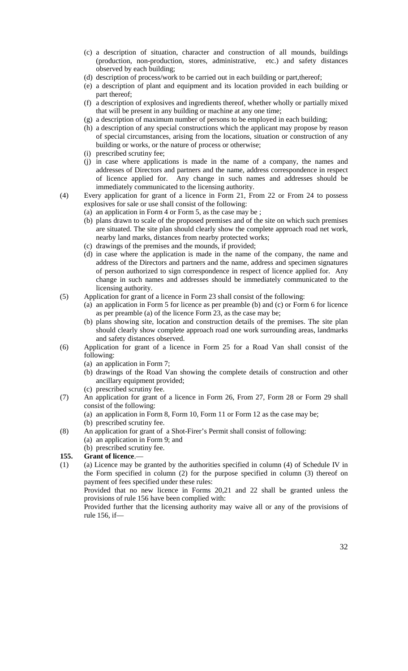- (c) a description of situation, character and construction of all mounds, buildings (production, non-production, stores, administrative, etc.) and safety distances observed by each building;
- (d) description of process/work to be carried out in each building or part,thereof;
- (e) a description of plant and equipment and its location provided in each building or part thereof;
- (f) a description of explosives and ingredients thereof, whether wholly or partially mixed that will be present in any building or machine at any one time;
- (g) a description of maximum number of persons to be employed in each building;
- (h) a description of any special constructions which the applicant may propose by reason of special circumstances, arising from the locations, situation or construction of any building or works, or the nature of process or otherwise;
- (i) prescribed scrutiny fee;
- (j) in case where applications is made in the name of a company, the names and addresses of Directors and partners and the name, address correspondence in respect of licence applied for. Any change in such names and addresses should be immediately communicated to the licensing authority.
- (4) Every application for grant of a licence in Form 21, From 22 or From 24 to possess explosives for sale or use shall consist of the following:
	- (a) an application in Form 4 or Form 5, as the case may be ;
	- (b) plans drawn to scale of the proposed premises and of the site on which such premises are situated. The site plan should clearly show the complete approach road net work, nearby land marks, distances from nearby protected works;
	- (c) drawings of the premises and the mounds, if provided;
	- (d) in case where the application is made in the name of the company, the name and address of the Directors and partners and the name, address and specimen signatures of person authorized to sign correspondence in respect of licence applied for. Any change in such names and addresses should be immediately communicated to the licensing authority.
- (5) Application for grant of a licence in Form 23 shall consist of the following:
	- (a) an application in Form 5 for licence as per preamble (b) and (c) or Form 6 for licence as per preamble (a) of the licence Form 23, as the case may be;
	- (b) plans showing site, location and construction details of the premises. The site plan should clearly show complete approach road one work surrounding areas, landmarks and safety distances observed.
- (6) Application for grant of a licence in Form 25 for a Road Van shall consist of the following:
	- (a) an application in Form 7;
	- (b) drawings of the Road Van showing the complete details of construction and other ancillary equipment provided;
	- (c) prescribed scrutiny fee.
- (7) An application for grant of a licence in Form 26, From 27, Form 28 or Form 29 shall consist of the following:
	- (a) an application in Form 8, Form 10, Form 11 or Form 12 as the case may be;
	- (b) prescribed scrutiny fee.
- (8) An application for grant of a Shot-Firer's Permit shall consist of following: (a) an application in Form 9; and
	- (b) prescribed scrutiny fee.

# **155. Grant of licence**.—

(1) (a) Licence may be granted by the authorities specified in column (4) of Schedule IV in the Form specified in column (2) for the purpose specified in column (3) thereof on payment of fees specified under these rules:

Provided that no new licence in Forms 20,21 and 22 shall be granted unless the provisions of rule 156 have been complied with:

Provided further that the licensing authority may waive all or any of the provisions of rule 156, if—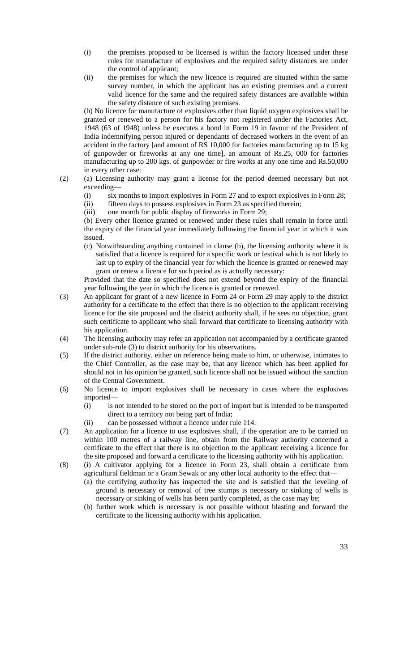- (i) the premises proposed to be licensed is within the factory licensed under these rules for manufacture of explosives and the required safety distances are under the control of applicant;
- (ii) the premises for which the new licence is required are situated within the same survey number, in which the applicant has an existing premises and a current valid licence for the same and the required safety distances are available within the safety distance of such existing premises.

(b) No licence for manufacture of explosives other than liquid oxygen explosives shall be granted or renewed to a person for his factory not registered under the Factories Act, 1948 (63 of 1948) unless he executes a bond in Form 19 in favour of the President of India indemnifying person injured or dependants of deceased workers in the event of an accident in the factory [and amount of RS 10,000 for factories manufacturing up to 15 kg of gunpowder or fireworks at any one time], an amount of Rs.25, 000 for factories manufacturing up to 200 kgs. of gunpowder or fire works at any one time and Rs.50,000 in every other case:

- (2) (a) Licensing authority may grant a license for the period deemed necessary but not exceeding—
	- (i) six months to import explosives in Form 27 and to export explosives in Form 28;
	- (ii) fifteen days to possess explosives in Form 23 as specified therein;
	- (iii) one month for public display of fireworks in Form 29;

(b) Every other licence granted or renewed under these rules shall remain in force until the expiry of the financial year immediately following the financial year in which it was issued.

(c) Notwithstanding anything contained in clause (b), the licensing authority where it is satisfied that a licence is required for a specific work or festival which is not likely to last up to expiry of the financial year for which the licence is granted or renewed may grant or renew a licence for such period as is actually necessary:

Provided that the date so specified does not extend beyond the expiry of the financial year following the year in which the licence is granted or renewed.

- (3) An applicant for grant of a new licence in Form 24 or Form 29 may apply to the district authority for a certificate to the effect that there is no objection to the applicant receiving licence for the site proposed and the district authority shall, if he sees no objection, grant such certificate to applicant who shall forward that certificate to licensing authority with his application.
- (4) The licensing authority may refer an application not accompanied by a certificate granted under sub-rule (3) to district authority for his observations.
- (5) If the district authority, either on reference being made to him, or otherwise, intimates to the Chief Controller, as the case may be, that any licence which has been applied for should not in his opinion be granted, such licence shall not be issued without the sanction of the Central Government.
- (6) No licence to import explosives shall be necessary in cases where the explosives imported—
	- (i) is not intended to be stored on the port of import but is intended to be transported direct to a territory not being part of India;
	- (ii) can be possessed without a licence under rule 114.
- (7) An application for a licence to use explosives shall, if the operation are to be carried on within 100 metres of a railway line, obtain from the Railway authority concerned a certificate to the effect that there is no objection to the applicant receiving a licence for the site proposed and forward a certificate to the licensing authority with his application.
- (8) (i) A cultivator applying for a licence in Form 23, shall obtain a certificate from agricultural fieldman or a Gram Sewak or any other local authority to the effect that—
	- (a) the certifying authority has inspected the site and is satisfied that the leveling of ground is necessary or removal of tree stumps is necessary or sinking of wells is necessary or sinking of wells has been partly completed, as the case may be;
	- (b) further work which is necessary is not possible without blasting and forward the certificate to the licensing authority with his application.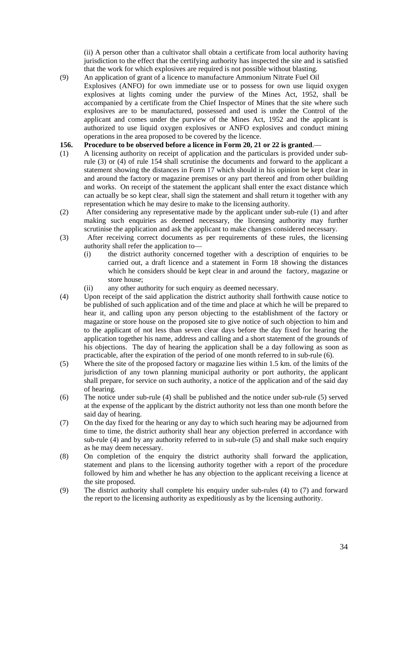(ii) A person other than a cultivator shall obtain a certificate from local authority having jurisdiction to the effect that the certifying authority has inspected the site and is satisfied that the work for which explosives are required is not possible without blasting.

(9) An application of grant of a licence to manufacture Ammonium Nitrate Fuel Oil Explosives (ANFO) for own immediate use or to possess for own use liquid oxygen explosives at lights coming under the purview of the Mines Act, 1952, shall be accompanied by a certificate from the Chief Inspector of Mines that the site where such explosives are to be manufactured, possessed and used is under the Control of the applicant and comes under the purview of the Mines Act, 1952 and the applicant is authorized to use liquid oxygen explosives or ANFO explosives and conduct mining operations in the area proposed to be covered by the licence.

## **156. Procedure to be observed before a licence in Form 20, 21 or 22 is granted**.—

- (1) A licensing authority on receipt of application and the particulars is provided under subrule (3) or (4) of rule 154 shall scrutinise the documents and forward to the applicant a statement showing the distances in Form 17 which should in his opinion be kept clear in and around the factory or magazine premises or any part thereof and from other building and works. On receipt of the statement the applicant shall enter the exact distance which can actually be so kept clear, shall sign the statement and shall return it together with any representation which he may desire to make to the licensing authority.
- (2) After considering any representative made by the applicant under sub-rule (1) and after making such enquiries as deemed necessary, the licensing authority may further scrutinise the application and ask the applicant to make changes considered necessary.
- (3) After receiving correct documents as per requirements of these rules, the licensing authority shall refer the application to—
	- (i) the district authority concerned together with a description of enquiries to be carried out, a draft licence and a statement in Form 18 showing the distances which he considers should be kept clear in and around the factory, magazine or store house;
	- (ii) any other authority for such enquiry as deemed necessary.
- (4) Upon receipt of the said application the district authority shall forthwith cause notice to be published of such application and of the time and place at which he will be prepared to hear it, and calling upon any person objecting to the establishment of the factory or magazine or store house on the proposed site to give notice of such objection to him and to the applicant of not less than seven clear days before the day fixed for hearing the application together his name, address and calling and a short statement of the grounds of his objections. The day of hearing the application shall be a day following as soon as practicable, after the expiration of the period of one month referred to in sub-rule (6).
- (5) Where the site of the proposed factory or magazine lies within 1.5 km. of the limits of the jurisdiction of any town planning municipal authority or port authority, the applicant shall prepare, for service on such authority, a notice of the application and of the said day of hearing.
- (6) The notice under sub-rule (4) shall be published and the notice under sub-rule (5) served at the expense of the applicant by the district authority not less than one month before the said day of hearing.
- (7) On the day fixed for the hearing or any day to which such hearing may be adjourned from time to time, the district authority shall hear any objection preferred in accordance with sub-rule (4) and by any authority referred to in sub-rule  $(5)$  and shall make such enquiry as he may deem necessary.
- (8) On completion of the enquiry the district authority shall forward the application, statement and plans to the licensing authority together with a report of the procedure followed by him and whether he has any objection to the applicant receiving a licence at the site proposed.
- (9) The district authority shall complete his enquiry under sub-rules (4) to (7) and forward the report to the licensing authority as expeditiously as by the licensing authority.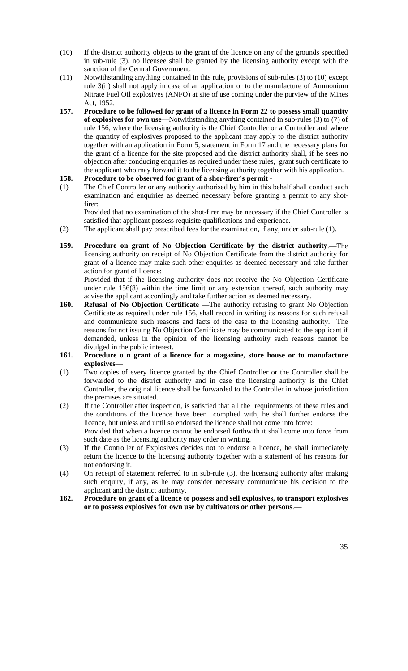- (10) If the district authority objects to the grant of the licence on any of the grounds specified in sub-rule (3), no licensee shall be granted by the licensing authority except with the sanction of the Central Government.
- (11) Notwithstanding anything contained in this rule, provisions of sub-rules (3) to (10) except rule 3(ii) shall not apply in case of an application or to the manufacture of Ammonium Nitrate Fuel Oil explosives (ANFO) at site of use coming under the purview of the Mines Act, 1952.
- **157. Procedure to be followed for grant of a licence in Form 22 to possess small quantity of explosives for own use**—Notwithstanding anything contained in sub-rules (3) to (7) of rule 156, where the licensing authority is the Chief Controller or a Controller and where the quantity of explosives proposed to the applicant may apply to the district authority together with an application in Form 5, statement in Form 17 and the necessary plans for the grant of a licence for the site proposed and the district authority shall, if he sees no objection after conducing enquiries as required under these rules, grant such certificate to the applicant who may forward it to the licensing authority together with his application.
- **158. Procedure to be observed for grant of a shor-firer's permit** -
- (1) The Chief Controller or any authority authorised by him in this behalf shall conduct such examination and enquiries as deemed necessary before granting a permit to any shotfirer:

Provided that no examination of the shot-firer may be necessary if the Chief Controller is satisfied that applicant possess requisite qualifications and experience.

- (2) The applicant shall pay prescribed fees for the examination, if any, under sub-rule (1).
- **159. Procedure on grant of No Objection Certificate by the district authority**.—The licensing authority on receipt of No Objection Certificate from the district authority for grant of a licence may make such other enquiries as deemed necessary and take further action for grant of licence:

Provided that if the licensing authority does not receive the No Objection Certificate under rule 156(8) within the time limit or any extension thereof, such authority may advise the applicant accordingly and take further action as deemed necessary.

- 160. **Refusal of No Objection Certificate** —The authority refusing to grant No Objection Certificate as required under rule 156, shall record in writing its reasons for such refusal and communicate such reasons and facts of the case to the licensing authority. The reasons for not issuing No Objection Certificate may be communicated to the applicant if demanded, unless in the opinion of the licensing authority such reasons cannot be divulged in the public interest.
- **161. Procedure o n grant of a licence for a magazine, store house or to manufacture explosives**—
- (1) Two copies of every licence granted by the Chief Controller or the Controller shall be forwarded to the district authority and in case the licensing authority is the Chief Controller, the original licence shall be forwarded to the Controller in whose jurisdiction the premises are situated.
- (2) If the Controller after inspection, is satisfied that all the requirements of these rules and the conditions of the licence have been complied with, he shall further endorse the licence, but unless and until so endorsed the licence shall not come into force: Provided that when a licence cannot be endorsed forthwith it shall come into force from such date as the licensing authority may order in writing.
- (3) If the Controller of Explosives decides not to endorse a licence, he shall immediately return the licence to the licensing authority together with a statement of his reasons for not endorsing it.
- (4) On receipt of statement referred to in sub-rule (3), the licensing authority after making such enquiry, if any, as he may consider necessary communicate his decision to the applicant and the district authority.
- **162. Procedure on grant of a licence to possess and sell explosives, to transport explosives or to possess explosives for own use by cultivators or other persons**.—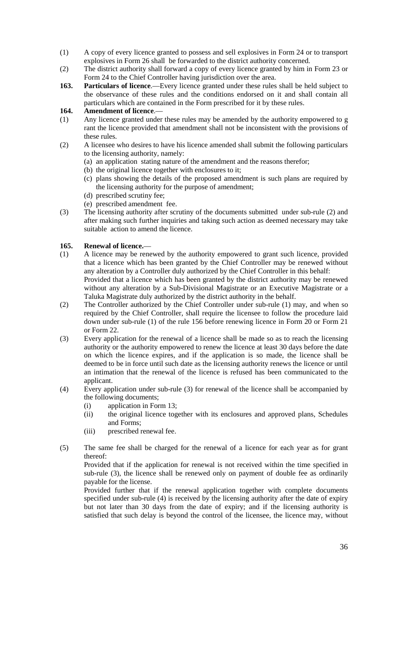- (1) A copy of every licence granted to possess and sell explosives in Form 24 or to transport explosives in Form 26 shall be forwarded to the district authority concerned.
- (2) The district authority shall forward a copy of every licence granted by him in Form 23 or Form 24 to the Chief Controller having jurisdiction over the area.
- **163. Particulars of licence**.—Every licence granted under these rules shall be held subject to the observance of these rules and the conditions endorsed on it and shall contain all particulars which are contained in the Form prescribed for it by these rules.

# **164. Amendment of licence**.—

- (1) Any licence granted under these rules may be amended by the authority empowered to g rant the licence provided that amendment shall not be inconsistent with the provisions of these rules.
- (2) A licensee who desires to have his licence amended shall submit the following particulars to the licensing authority, namely:
	- (a) an application stating nature of the amendment and the reasons therefor;
	- (b) the original licence together with enclosures to it;
	- (c) plans showing the details of the proposed amendment is such plans are required by the licensing authority for the purpose of amendment;
	- (d) prescribed scrutiny fee;
	- (e) prescribed amendment fee.
- (3) The licensing authority after scrutiny of the documents submitted under sub-rule (2) and after making such further inquiries and taking such action as deemed necessary may take suitable action to amend the licence.

# **165. Renewal of licence.**—

- (1) A licence may be renewed by the authority empowered to grant such licence, provided that a licence which has been granted by the Chief Controller may be renewed without any alteration by a Controller duly authorized by the Chief Controller in this behalf: Provided that a licence which has been granted by the district authority may be renewed without any alteration by a Sub-Divisional Magistrate or an Executive Magistrate or a Taluka Magistrate duly authorized by the district authority in the behalf.
- (2) The Controller authorized by the Chief Controller under sub-rule (1) may, and when so required by the Chief Controller, shall require the licensee to follow the procedure laid down under sub-rule (1) of the rule 156 before renewing licence in Form 20 or Form 21 or Form 22.
- (3) Every application for the renewal of a licence shall be made so as to reach the licensing authority or the authority empowered to renew the licence at least 30 days before the date on which the licence expires, and if the application is so made, the licence shall be deemed to be in force until such date as the licensing authority renews the licence or until an intimation that the renewal of the licence is refused has been communicated to the applicant.
- (4) Every application under sub-rule (3) for renewal of the licence shall be accompanied by the following documents;
	- (i) application in Form 13;
	- (ii) the original licence together with its enclosures and approved plans, Schedules and Forms;
	- (iii) prescribed renewal fee.
- (5) The same fee shall be charged for the renewal of a licence for each year as for grant thereof:

Provided that if the application for renewal is not received within the time specified in sub-rule (3), the licence shall be renewed only on payment of double fee as ordinarily payable for the license.

Provided further that if the renewal application together with complete documents specified under sub-rule (4) is received by the licensing authority after the date of expiry but not later than 30 days from the date of expiry; and if the licensing authority is satisfied that such delay is beyond the control of the licensee, the licence may, without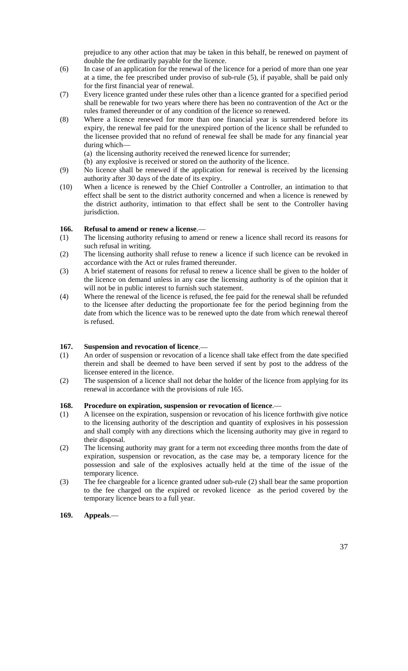prejudice to any other action that may be taken in this behalf, be renewed on payment of double the fee ordinarily payable for the licence.

- (6) In case of an application for the renewal of the licence for a period of more than one year at a time, the fee prescribed under proviso of sub-rule (5), if payable, shall be paid only for the first financial year of renewal.
- (7) Every licence granted under these rules other than a licence granted for a specified period shall be renewable for two years where there has been no contravention of the Act or the rules framed thereunder or of any condition of the licence so renewed.
- (8) Where a licence renewed for more than one financial year is surrendered before its expiry, the renewal fee paid for the unexpired portion of the licence shall be refunded to the licensee provided that no refund of renewal fee shall be made for any financial year during which—
	- (a) the licensing authority received the renewed licence for surrender;
	- (b) any explosive is received or stored on the authority of the licence.
- (9) No licence shall be renewed if the application for renewal is received by the licensing authority after 30 days of the date of its expiry.
- (10) When a licence is renewed by the Chief Controller a Controller, an intimation to that effect shall be sent to the district authority concerned and when a licence is renewed by the district authority, intimation to that effect shall be sent to the Controller having jurisdiction.

### **166. Refusal to amend or renew a license**.—

- (1) The licensing authority refusing to amend or renew a licence shall record its reasons for such refusal in writing.
- (2) The licensing authority shall refuse to renew a licence if such licence can be revoked in accordance with the Act or rules framed thereunder.
- (3) A brief statement of reasons for refusal to renew a licence shall be given to the holder of the licence on demand unless in any case the licensing authority is of the opinion that it will not be in public interest to furnish such statement.
- (4) Where the renewal of the licence is refused, the fee paid for the renewal shall be refunded to the licensee after deducting the proportionate fee for the period beginning from the date from which the licence was to be renewed upto the date from which renewal thereof is refused.

### **167. Suspension and revocation of licence**.—

- (1) An order of suspension or revocation of a licence shall take effect from the date specified therein and shall be deemed to have been served if sent by post to the address of the licensee entered in the licence.
- (2) The suspension of a licence shall not debar the holder of the licence from applying for its renewal in accordance with the provisions of rule 165.

### **168. Procedure on expiration, suspension or revocation of licence**.—

- (1) A licensee on the expiration, suspension or revocation of his licence forthwith give notice to the licensing authority of the description and quantity of explosives in his possession and shall comply with any directions which the licensing authority may give in regard to their disposal.
- (2) The licensing authority may grant for a term not exceeding three months from the date of expiration, suspension or revocation, as the case may be, a temporary licence for the possession and sale of the explosives actually held at the time of the issue of the temporary licence.
- (3) The fee chargeable for a licence granted udner sub-rule (2) shall bear the same proportion to the fee charged on the expired or revoked licence as the period covered by the temporary licence bears to a full year.
- **169. Appeals**.—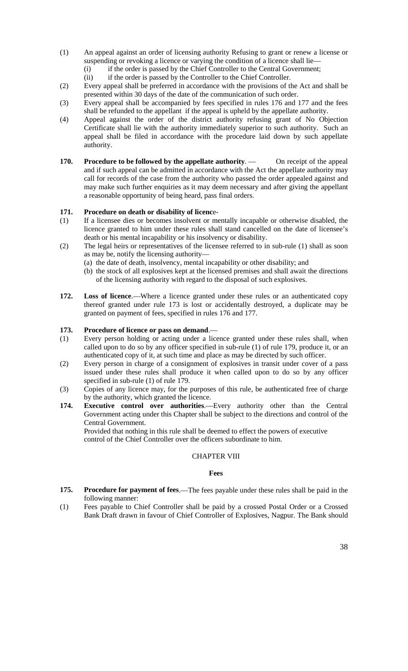- (1) An appeal against an order of licensing authority Refusing to grant or renew a license or suspending or revoking a licence or varying the condition of a licence shall lie–
	- (i) if the order is passed by the Chief Controller to the Central Government;
	- (ii) if the order is passed by the Controller to the Chief Controller.
- (2) Every appeal shall be preferred in accordance with the provisions of the Act and shall be presented within 30 days of the date of the communication of such order.
- (3) Every appeal shall be accompanied by fees specified in rules 176 and 177 and the fees shall be refunded to the appellant if the appeal is upheld by the appellate authority.
- (4) Appeal against the order of the district authority refusing grant of No Objection Certificate shall lie with the authority immediately superior to such authority. Such an appeal shall be filed in accordance with the procedure laid down by such appellate authority.
- **170. Procedure to be followed by the appellate authority.** On receipt of the appeal and if such appeal can be admitted in accordance with the Act the appellate authority may call for records of the case from the authority who passed the order appealed against and may make such further enquiries as it may deem necessary and after giving the appellant a reasonable opportunity of being heard, pass final orders.

### **171. Procedure on death or disability of licenc**e-

- (1) If a licensee dies or becomes insolvent or mentally incapable or otherwise disabled, the licence granted to him under these rules shall stand cancelled on the date of licensee's death or his mental incapability or his insolvency or disability.
- (2) The legal heirs or representatives of the licensee referred to in sub-rule (1) shall as soon as may be, notify the licensing authority—
	- (a) the date of death, insolvency, mental incapability or other disability; and
		- (b) the stock of all explosives kept at the licensed premises and shall await the directions of the licensing authority with regard to the disposal of such explosives.
- 172. Loss of licence.—Where a licence granted under these rules or an authenticated copy thereof granted under rule 173 is lost or accidentally destroyed, a duplicate may be granted on payment of fees, specified in rules 176 and 177.

### **173. Procedure of licence or pass on demand**.—

- (1) Every person holding or acting under a licence granted under these rules shall, when called upon to do so by any officer specified in sub-rule (1) of rule 179, produce it, or an authenticated copy of it, at such time and place as may be directed by such officer.
- (2) Every person in charge of a consignment of explosives in transit under cover of a pass issued under these rules shall produce it when called upon to do so by any officer specified in sub-rule (1) of rule 179.
- (3) Copies of any licence may, for the purposes of this rule, be authenticated free of charge by the authority, which granted the licence.
- **174. Executive control over authorities**.—Every authority other than the Central Government acting under this Chapter shall be subject to the directions and control of the Central Government.

Provided that nothing in this rule shall be deemed to effect the powers of executive control of the Chief Controller over the officers subordinate to him.

### CHAPTER VIII

### **Fees**

- **175. Procedure for payment of fees**.—The fees payable under these rules shall be paid in the following manner:
- (1) Fees payable to Chief Controller shall be paid by a crossed Postal Order or a Crossed Bank Draft drawn in favour of Chief Controller of Explosives, Nagpur. The Bank should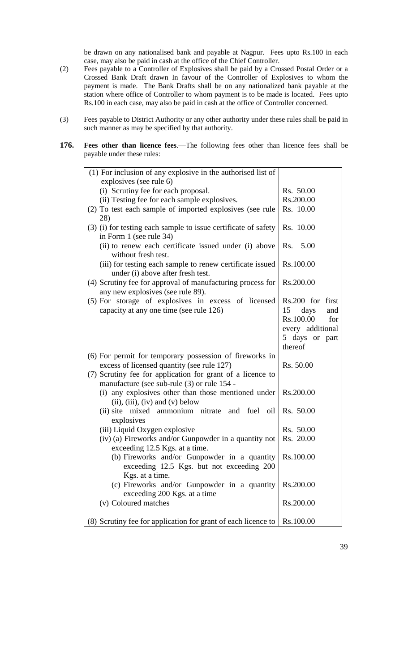be drawn on any nationalised bank and payable at Nagpur. Fees upto Rs.100 in each case, may also be paid in cash at the office of the Chief Controller.

- (2) Fees payable to a Controller of Explosives shall be paid by a Crossed Postal Order or a Crossed Bank Draft drawn In favour of the Controller of Explosives to whom the payment is made. The Bank Drafts shall be on any nationalized bank payable at the station where office of Controller to whom payment is to be made is located. Fees upto Rs.100 in each case, may also be paid in cash at the office of Controller concerned.
- (3) Fees payable to District Authority or any other authority under these rules shall be paid in such manner as may be specified by that authority.
- **176. Fees other than licence fees**.—The following fees other than licence fees shall be payable under these rules:

| (1) For inclusion of any explosive in the authorised list of                                              |                                                                                                            |
|-----------------------------------------------------------------------------------------------------------|------------------------------------------------------------------------------------------------------------|
| explosives (see rule 6)                                                                                   |                                                                                                            |
| (i) Scrutiny fee for each proposal.                                                                       | Rs. 50.00                                                                                                  |
| (ii) Testing fee for each sample explosives.                                                              | Rs.200.00                                                                                                  |
| (2) To test each sample of imported explosives (see rule                                                  | Rs. 10.00                                                                                                  |
| 28)                                                                                                       |                                                                                                            |
| (3) (i) for testing each sample to issue certificate of safety<br>in Form 1 (see rule 34)                 | Rs. 10.00                                                                                                  |
| (ii) to renew each certificate issued under (i) above<br>without fresh test.                              | 5.00<br>Rs.                                                                                                |
| (iii) for testing each sample to renew certificate issued<br>under (i) above after fresh test.            | Rs.100.00                                                                                                  |
| (4) Scrutiny fee for approval of manufacturing process for<br>any new explosives (see rule 89).           | Rs.200.00                                                                                                  |
| (5) For storage of explosives in excess of licensed<br>capacity at any one time (see rule 126)            | Rs.200 for first<br>15<br>days<br>and<br>Rs.100.00<br>for<br>every additional<br>5 days or part<br>thereof |
| (6) For permit for temporary possession of fireworks in                                                   |                                                                                                            |
| excess of licensed quantity (see rule 127)                                                                | Rs. 50.00                                                                                                  |
| (7) Scrutiny fee for application for grant of a licence to<br>manufacture (see sub-rule (3) or rule 154 - |                                                                                                            |
| (i) any explosives other than those mentioned under<br>$(ii), (iii), (iv)$ and $(v)$ below                | Rs.200.00                                                                                                  |
| mixed ammonium nitrate<br>and fuel oil<br>$(ii)$ site<br>explosives                                       | Rs. 50.00                                                                                                  |
| (iii) Liquid Oxygen explosive                                                                             | Rs. 50.00                                                                                                  |
| (iv) (a) Fireworks and/or Gunpowder in a quantity not                                                     | Rs. 20.00                                                                                                  |
| exceeding 12.5 Kgs. at a time.                                                                            |                                                                                                            |
| (b) Fireworks and/or Gunpowder in a quantity                                                              | Rs.100.00                                                                                                  |
| exceeding 12.5 Kgs. but not exceeding 200                                                                 |                                                                                                            |
| Kgs. at a time.                                                                                           |                                                                                                            |
| (c) Fireworks and/or Gunpowder in a quantity                                                              | Rs.200.00                                                                                                  |
| exceeding 200 Kgs. at a time                                                                              |                                                                                                            |
| (v) Coloured matches                                                                                      | Rs.200.00                                                                                                  |
| (8) Scrutiny fee for application for grant of each licence to                                             | Rs.100.00                                                                                                  |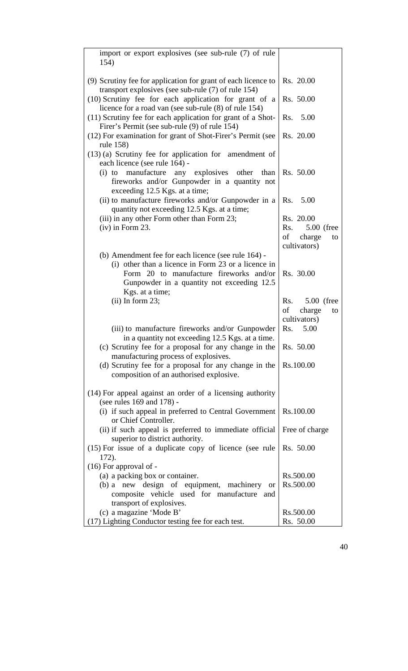| import or export explosives (see sub-rule (7) of rule<br>154)                                                                          |                    |
|----------------------------------------------------------------------------------------------------------------------------------------|--------------------|
| (9) Scrutiny fee for application for grant of each licence to<br>transport explosives (see sub-rule $(7)$ of rule 154)                 | Rs. 20.00          |
| (10) Scrutiny fee for each application for grant of a<br>licence for a road van (see sub-rule (8) of rule 154)                         | Rs. 50.00          |
| (11) Scrutiny fee for each application for grant of a Shot-<br>Firer's Permit (see sub-rule (9) of rule 154)                           | Rs. 5.00           |
| (12) For examination for grant of Shot-Firer's Permit (see<br>rule 158)                                                                | Rs. 20.00          |
| $(13)$ (a) Scrutiny fee for application for amendment of<br>each licence (see rule 164) -                                              |                    |
| any explosives other than<br>manufacture<br>$(i)$ to<br>fireworks and/or Gunpowder in a quantity not<br>exceeding 12.5 Kgs. at a time; | Rs. 50.00          |
| (ii) to manufacture fireworks and/or Gunpowder in a<br>quantity not exceeding 12.5 Kgs. at a time;                                     | Rs. 5.00           |
| (iii) in any other Form other than Form 23;                                                                                            | Rs. 20.00          |
| $(iv)$ in Form 23.                                                                                                                     | 5.00 (free<br>Rs.  |
|                                                                                                                                        | of<br>charge<br>to |
|                                                                                                                                        | cultivators)       |
| (b) Amendment fee for each licence (see rule 164) -                                                                                    |                    |
| (i) other than a licence in Form 23 or a licence in                                                                                    |                    |
| Form 20 to manufacture fireworks and/or                                                                                                | Rs. 30.00          |
| Gunpowder in a quantity not exceeding 12.5                                                                                             |                    |
| Kgs. at a time;                                                                                                                        |                    |
| $(ii)$ In form 23;                                                                                                                     | 5.00 (free<br>Rs.  |
|                                                                                                                                        | of<br>charge<br>to |
|                                                                                                                                        | cultivators)       |
| (iii) to manufacture fireworks and/or Gunpowder                                                                                        | Rs.<br>5.00        |
| in a quantity not exceeding 12.5 Kgs. at a time.                                                                                       |                    |
| (c) Scrutiny fee for a proposal for any change in the                                                                                  | Rs. 50.00          |
| manufacturing process of explosives.                                                                                                   |                    |
| (d) Scrutiny fee for a proposal for any change in the                                                                                  | Rs.100.00          |
| composition of an authorised explosive.                                                                                                |                    |
| (14) For appeal against an order of a licensing authority<br>(see rules 169 and 178) -                                                 |                    |
| (i) if such appeal in preferred to Central Government<br>or Chief Controller.                                                          | Rs.100.00          |
| (ii) if such appeal is preferred to immediate official<br>superior to district authority.                                              | Free of charge     |
| $(15)$ For issue of a duplicate copy of licence (see rule                                                                              | Rs. 50.00          |
| 172).                                                                                                                                  |                    |
| $(16)$ For approval of -                                                                                                               |                    |
| (a) a packing box or container.                                                                                                        | Rs.500.00          |
| (b) a new design of equipment, machinery<br><b>or</b>                                                                                  | Rs.500.00          |
| composite vehicle used for manufacture<br>and                                                                                          |                    |
| transport of explosives.                                                                                                               |                    |
| (c) a magazine 'Mode B'                                                                                                                | Rs.500.00          |
| (17) Lighting Conductor testing fee for each test.                                                                                     | Rs. 50.00          |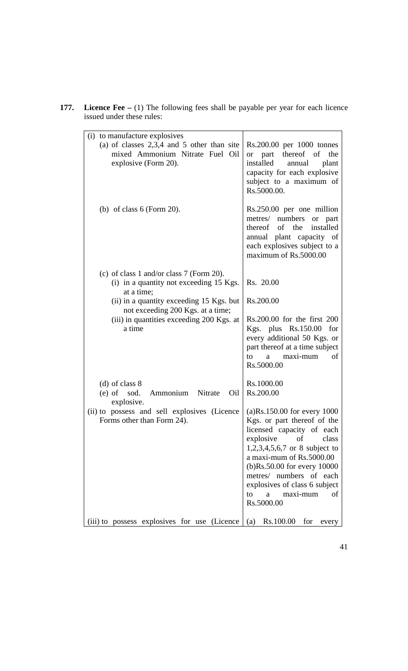| 177. | <b>Licence Fee</b> $- (1)$ The following fees shall be payable per year for each licence |
|------|------------------------------------------------------------------------------------------|
|      | issued under these rules:                                                                |

| (i) to manufacture explosives<br>(a) of classes $2,3,4$ and 5 other than site<br>mixed Ammonium Nitrate Fuel Oil<br>explosive (Form 20). | Rs.200.00 per 1000 tonnes<br>or part thereof of<br>the<br>installed<br>annual<br>plant<br>capacity for each explosive<br>subject to a maximum of<br>Rs.5000.00.                                                                                                                                                             |
|------------------------------------------------------------------------------------------------------------------------------------------|-----------------------------------------------------------------------------------------------------------------------------------------------------------------------------------------------------------------------------------------------------------------------------------------------------------------------------|
| (b) of class $6$ (Form 20).                                                                                                              | Rs.250.00 per one million<br>metres/ numbers<br>or part<br>thereof of the<br>installed<br>annual plant capacity of<br>each explosives subject to a<br>maximum of Rs.5000.00                                                                                                                                                 |
| (c) of class 1 and/or class 7 (Form 20).<br>(i) in a quantity not exceeding 15 Kgs.<br>at a time;                                        | Rs. 20.00                                                                                                                                                                                                                                                                                                                   |
| (ii) in a quantity exceeding 15 Kgs. but                                                                                                 | Rs.200.00                                                                                                                                                                                                                                                                                                                   |
| not exceeding 200 Kgs. at a time;<br>(iii) in quantities exceeding 200 Kgs. at<br>a time                                                 | Rs.200.00 for the first 200<br>Kgs. plus Rs.150.00<br>for<br>every additional 50 Kgs. or<br>part thereof at a time subject<br>maxi-mum<br>to<br>οf<br>a<br>Rs.5000.00                                                                                                                                                       |
| $(d)$ of class 8<br>sod.<br>Ammonium Nitrate<br>$(e)$ of<br>Oil<br>explosive.                                                            | Rs.1000.00<br>Rs.200.00                                                                                                                                                                                                                                                                                                     |
| (ii) to possess and sell explosives (Licence<br>Forms other than Form 24).                                                               | $(a)$ Rs.150.00 for every 1000<br>Kgs. or part thereof of the<br>licensed capacity of each<br>explosive<br>of<br>class<br>$1,2,3,4,5,6,7$ or 8 subject to<br>a maxi-mum of Rs.5000.00<br>(b)Rs.50.00 for every 10000<br>metres/ numbers of each<br>explosives of class 6 subject<br>maxi-mum<br>to<br>οf<br>a<br>Rs.5000.00 |
| (iii) to possess explosives for use (Licence                                                                                             | Rs.100.00<br>(a)<br>for<br>every                                                                                                                                                                                                                                                                                            |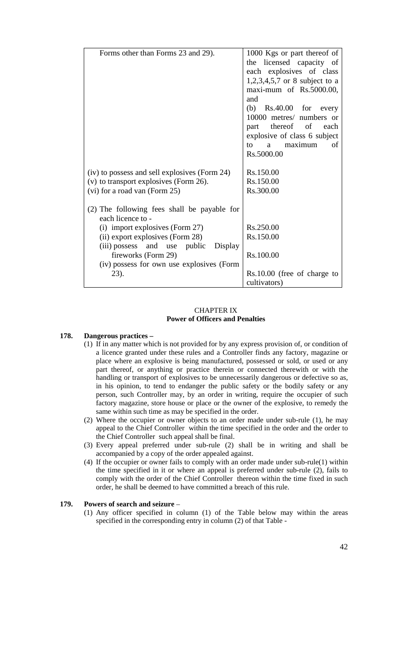| Forms other than Forms 23 and 29).            | 1000 Kgs or part thereof of                    |
|-----------------------------------------------|------------------------------------------------|
|                                               | the licensed capacity of                       |
|                                               | each explosives of class                       |
|                                               | 1,2,3,4,5,7 or 8 subject to a                  |
|                                               | maxi-mum of Rs.5000.00,                        |
|                                               | and                                            |
|                                               | (b) $Rs.40.00$ for every                       |
|                                               | 10000 metres/ numbers or                       |
|                                               | thereof of<br>each<br>part                     |
|                                               | explosive of class 6 subject                   |
|                                               | maximum<br>of<br>to<br>$a \quad$<br>Rs.5000.00 |
|                                               |                                                |
| (iv) to possess and sell explosives (Form 24) | Rs.150.00                                      |
| (v) to transport explosives (Form 26).        | Rs.150.00                                      |
| (vi) for a road van (Form 25)                 | Rs.300.00                                      |
|                                               |                                                |
| (2) The following fees shall be payable for   |                                                |
| each licence to -                             |                                                |
| (i) import explosives (Form 27)               | Rs.250.00                                      |
| (ii) export explosives (Form 28)              | Rs.150.00                                      |
| (iii) possess and use public Display          |                                                |
| fireworks (Form 29)                           | Rs.100.00                                      |
| (iv) possess for own use explosives (Form     |                                                |
| 23).                                          | Rs.10.00 (free of charge to                    |
|                                               | cultivators)                                   |

### CHAPTER IX **Power of Officers and Penalties**

#### **178. Dangerous practices –**

- (1) If in any matter which is not provided for by any express provision of, or condition of a licence granted under these rules and a Controller finds any factory, magazine or place where an explosive is being manufactured, possessed or sold, or used or any part thereof, or anything or practice therein or connected therewith or with the handling or transport of explosives to be unnecessarily dangerous or defective so as, in his opinion, to tend to endanger the public safety or the bodily safety or any person, such Controller may, by an order in writing, require the occupier of such factory magazine, store house or place or the owner of the explosive, to remedy the same within such time as may be specified in the order.
- (2) Where the occupier or owner objects to an order made under sub-rule (1), he may appeal to the Chief Controller within the time specified in the order and the order to the Chief Controller such appeal shall be final.
- (3) Every appeal preferred under sub-rule (2) shall be in writing and shall be accompanied by a copy of the order appealed against.
- (4) If the occupier or owner fails to comply with an order made under sub-rule(1) within the time specified in it or where an appeal is preferred under sub-rule (2), fails to comply with the order of the Chief Controller thereon within the time fixed in such order, he shall be deemed to have committed a breach of this rule.

### **179. Powers of search and seizure** –

(1) Any officer specified in column (1) of the Table below may within the areas specified in the corresponding entry in column (2) of that Table -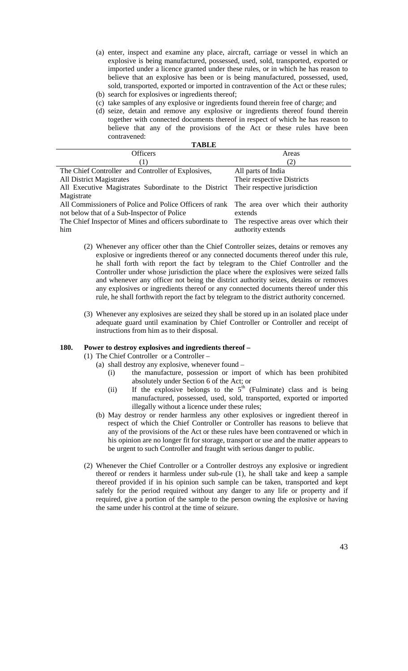- (a) enter, inspect and examine any place, aircraft, carriage or vessel in which an explosive is being manufactured, possessed, used, sold, transported, exported or imported under a licence granted under these rules, or in which he has reason to believe that an explosive has been or is being manufactured, possessed, used, sold, transported, exported or imported in contravention of the Act or these rules; (b) search for explosives or ingredients thereof;
- (c) take samples of any explosive or ingredients found therein free of charge; and
- (d) seize, detain and remove any explosive or ingredients thereof found therein together with connected documents thereof in respect of which he has reason to believe that any of the provisions of the Act or these rules have been contravened:

| TABLE                                                                                       |                                       |  |
|---------------------------------------------------------------------------------------------|---------------------------------------|--|
| Officers                                                                                    | Areas                                 |  |
|                                                                                             | (2)                                   |  |
| The Chief Controller and Controller of Explosives,                                          | All parts of India                    |  |
| <b>All District Magistrates</b>                                                             | Their respective Districts            |  |
| All Executive Magistrates Subordinate to the District                                       | Their respective jurisdiction         |  |
| Magistrate                                                                                  |                                       |  |
| All Commissioners of Police and Police Officers of rank The area over which their authority |                                       |  |
| not below that of a Sub-Inspector of Police                                                 | extends                               |  |
| The Chief Inspector of Mines and officers subordinate to                                    | The respective areas over which their |  |
| him                                                                                         | authority extends                     |  |

**TABLE** 

- (2) Whenever any officer other than the Chief Controller seizes, detains or removes any explosive or ingredients thereof or any connected documents thereof under this rule, he shall forth with report the fact by telegram to the Chief Controller and the Controller under whose jurisdiction the place where the explosives were seized falls and whenever any officer not being the district authority seizes, detains or removes any explosives or ingredients thereof or any connected documents thereof under this rule, he shall forthwith report the fact by telegram to the district authority concerned.
- (3) Whenever any explosives are seized they shall be stored up in an isolated place under adequate guard until examination by Chief Controller or Controller and receipt of instructions from him as to their disposal.

### **180. Power to destroy explosives and ingredients thereof –**

- (1) The Chief Controller or a Controller
	- (a) shall destroy any explosive, whenever found
		- (i) the manufacture, possession or import of which has been prohibited absolutely under Section 6 of the Act; or
		- (ii) If the explosive belongs to the  $5<sup>th</sup>$  (Fulminate) class and is being manufactured, possessed, used, sold, transported, exported or imported illegally without a licence under these rules;
	- (b) May destroy or render harmless any other explosives or ingredient thereof in respect of which the Chief Controller or Controller has reasons to believe that any of the provisions of the Act or these rules have been contravened or which in his opinion are no longer fit for storage, transport or use and the matter appears to be urgent to such Controller and fraught with serious danger to public.
- (2) Whenever the Chief Controller or a Controller destroys any explosive or ingredient thereof or renders it harmless under sub-rule (1), he shall take and keep a sample thereof provided if in his opinion such sample can be taken, transported and kept safely for the period required without any danger to any life or property and if required, give a portion of the sample to the person owning the explosive or having the same under his control at the time of seizure.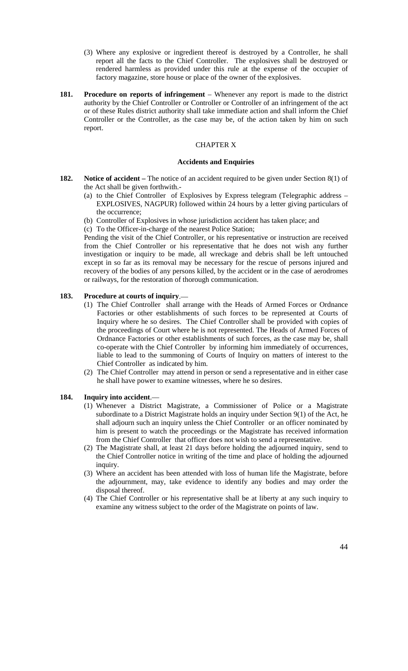- (3) Where any explosive or ingredient thereof is destroyed by a Controller, he shall report all the facts to the Chief Controller. The explosives shall be destroyed or rendered harmless as provided under this rule at the expense of the occupier of factory magazine, store house or place of the owner of the explosives.
- **181. Procedure on reports of infringement** Whenever any report is made to the district authority by the Chief Controller or Controller or Controller of an infringement of the act or of these Rules district authority shall take immediate action and shall inform the Chief Controller or the Controller, as the case may be, of the action taken by him on such report.

### CHAPTER X

#### **Accidents and Enquiries**

- **182. Notice of accident –** The notice of an accident required to be given under Section 8(1) of the Act shall be given forthwith.-
	- (a) to the Chief Controller of Explosives by Express telegram (Telegraphic address EXPLOSIVES, NAGPUR) followed within 24 hours by a letter giving particulars of the occurrence;
	- (b) Controller of Explosives in whose jurisdiction accident has taken place; and
	- (c) To the Officer-in-charge of the nearest Police Station;

Pending the visit of the Chief Controller, or his representative or instruction are received from the Chief Controller or his representative that he does not wish any further investigation or inquiry to be made, all wreckage and debris shall be left untouched except in so far as its removal may be necessary for the rescue of persons injured and recovery of the bodies of any persons killed, by the accident or in the case of aerodromes or railways, for the restoration of thorough communication.

### **183. Procedure at courts of inquiry**.—

- (1) The Chief Controller shall arrange with the Heads of Armed Forces or Ordnance Factories or other establishments of such forces to be represented at Courts of Inquiry where he so desires. The Chief Controller shall be provided with copies of the proceedings of Court where he is not represented. The Heads of Armed Forces of Ordnance Factories or other establishments of such forces, as the case may be, shall co-operate with the Chief Controller by informing him immediately of occurrences, liable to lead to the summoning of Courts of Inquiry on matters of interest to the Chief Controller as indicated by him.
- (2) The Chief Controller may attend in person or send a representative and in either case he shall have power to examine witnesses, where he so desires.

### **184. Inquiry into accident**.—

- (1) Whenever a District Magistrate, a Commissioner of Police or a Magistrate subordinate to a District Magistrate holds an inquiry under Section 9(1) of the Act, he shall adjourn such an inquiry unless the Chief Controller or an officer nominated by him is present to watch the proceedings or the Magistrate has received information from the Chief Controller that officer does not wish to send a representative.
- (2) The Magistrate shall, at least 21 days before holding the adjourned inquiry, send to the Chief Controller notice in writing of the time and place of holding the adjourned inquiry.
- (3) Where an accident has been attended with loss of human life the Magistrate, before the adjournment, may, take evidence to identify any bodies and may order the disposal thereof.
- (4) The Chief Controller or his representative shall be at liberty at any such inquiry to examine any witness subject to the order of the Magistrate on points of law.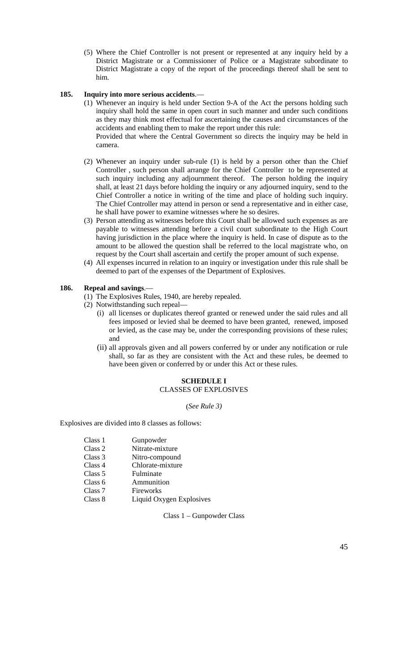(5) Where the Chief Controller is not present or represented at any inquiry held by a District Magistrate or a Commissioner of Police or a Magistrate subordinate to District Magistrate a copy of the report of the proceedings thereof shall be sent to him.

### **185. Inquiry into more serious accidents**.—

(1) Whenever an inquiry is held under Section 9-A of the Act the persons holding such inquiry shall hold the same in open court in such manner and under such conditions as they may think most effectual for ascertaining the causes and circumstances of the accidents and enabling them to make the report under this rule:

Provided that where the Central Government so directs the inquiry may be held in camera.

- (2) Whenever an inquiry under sub-rule (1) is held by a person other than the Chief Controller , such person shall arrange for the Chief Controller to be represented at such inquiry including any adjournment thereof. The person holding the inquiry shall, at least 21 days before holding the inquiry or any adjourned inquiry, send to the Chief Controller a notice in writing of the time and place of holding such inquiry. The Chief Controller may attend in person or send a representative and in either case, he shall have power to examine witnesses where he so desires.
- (3) Person attending as witnesses before this Court shall be allowed such expenses as are payable to witnesses attending before a civil court subordinate to the High Court having jurisdiction in the place where the inquiry is held. In case of dispute as to the amount to be allowed the question shall be referred to the local magistrate who, on request by the Court shall ascertain and certify the proper amount of such expense.
- (4) All expenses incurred in relation to an inquiry or investigation under this rule shall be deemed to part of the expenses of the Department of Explosives.

#### **186. Repeal and savings**.—

- (1) The Explosives Rules, 1940, are hereby repealed.
- (2) Notwithstanding such repeal—
	- (i) all licenses or duplicates thereof granted or renewed under the said rules and all fees imposed or levied shal be deemed to have been granted, renewed, imposed or levied, as the case may be, under the corresponding provisions of these rules; and
	- (ii) all approvals given and all powers conferred by or under any notification or rule shall, so far as they are consistent with the Act and these rules, be deemed to have been given or conferred by or under this Act or these rules.

#### **SCHEDULE I** CLASSES OF EXPLOSIVES

#### (*See Rule 3)*

Explosives are divided into 8 classes as follows:

| Class 1 | Gunpowder                |
|---------|--------------------------|
| Class 2 | Nitrate-mixture          |
| Class 3 | Nitro-compound           |
| Class 4 | Chlorate-mixture         |
| Class 5 | Fulminate                |
| Class 6 | Ammunition               |
| Class 7 | Fireworks                |
| Class 8 | Liquid Oxygen Explosives |

Class 1 – Gunpowder Class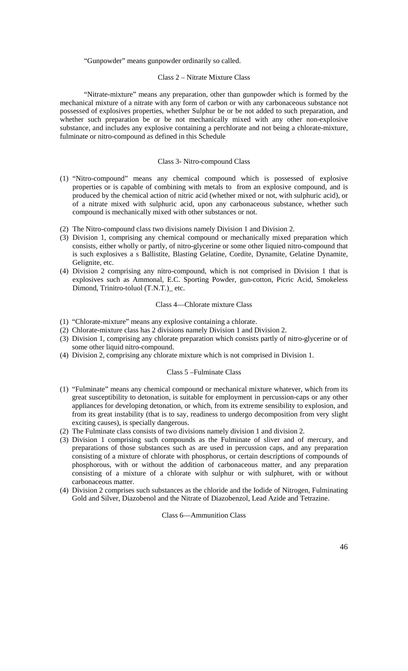#### "Gunpowder" means gunpowder ordinarily so called.

#### Class 2 – Nitrate Mixture Class

"Nitrate-mixture" means any preparation, other than gunpowder which is formed by the mechanical mixture of a nitrate with any form of carbon or with any carbonaceous substance not possessed of explosives properties, whether Sulphur be or be not added to such preparation, and whether such preparation be or be not mechanically mixed with any other non-explosive substance, and includes any explosive containing a perchlorate and not being a chlorate-mixture, fulminate or nitro-compound as defined in this Schedule

### Class 3- Nitro-compound Class

- (1) "Nitro-compound" means any chemical compound which is possessed of explosive properties or is capable of combining with metals to from an explosive compound, and is produced by the chemical action of nitric acid (whether mixed or not, with sulphuric acid), or of a nitrate mixed with sulphuric acid, upon any carbonaceous substance, whether such compound is mechanically mixed with other substances or not.
- (2) The Nitro-compound class two divisions namely Division 1 and Division 2.
- (3) Division 1, comprising any chemical compound or mechanically mixed preparation which consists, either wholly or partly, of nitro-glycerine or some other liquied nitro-compound that is such explosives a s Ballistite, Blasting Gelatine, Cordite, Dynamite, Gelatine Dynamite, Gelignite, etc.
- (4) Division 2 comprising any nitro-compound, which is not comprised in Division 1 that is explosives such as Ammonal, E.C. Sporting Powder, gun-cotton, Picric Acid, Smokeless Dimond, Trinitro-toluol (T.N.T.)\_ etc.

### Class 4—Chlorate mixture Class

- (1) "Chlorate-mixture" means any explosive containing a chlorate.
- (2) Chlorate-mixture class has 2 divisions namely Division 1 and Division 2.
- (3) Division 1, comprising any chlorate preparation which consists partly of nitro-glycerine or of some other liquid nitro-compound.
- (4) Division 2, comprising any chlorate mixture which is not comprised in Division 1.

#### Class 5 –Fulminate Class

- (1) "Fulminate" means any chemical compound or mechanical mixture whatever, which from its great susceptibility to detonation, is suitable for employment in percussion-caps or any other appliances for developing detonation, or which, from its extreme sensibility to explosion, and from its great instability (that is to say, readiness to undergo decomposition from very slight exciting causes), is specially dangerous.
- (2) The Fulminate class consists of two divisions namely division 1 and division 2.
- (3) Division 1 comprising such compounds as the Fulminate of sliver and of mercury, and preparations of those substances such as are used in percussion caps, and any preparation consisting of a mixture of chlorate with phosphorus, or certain descriptions of compounds of phosphorous, with or without the addition of carbonaceous matter, and any preparation consisting of a mixture of a chlorate with sulphur or with sulphuret, with or without carbonaceous matter.
- (4) Division 2 comprises such substances as the chloride and the Iodide of Nitrogen, Fulminating Gold and Silver, Diazobenol and the Nitrate of Diazobenzol, Lead Azide and Tetrazine.

### Class 6—Ammunition Class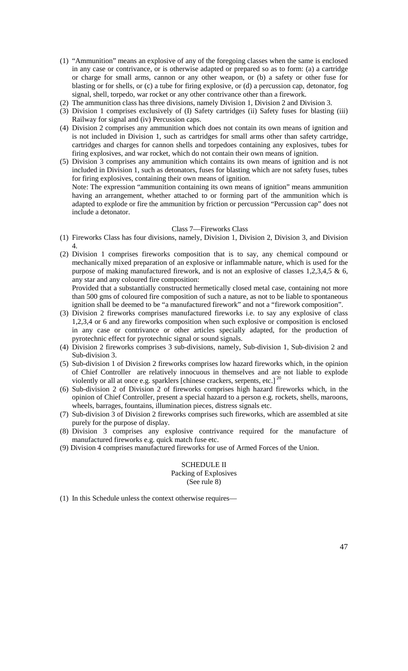- (1) "Ammunition" means an explosive of any of the foregoing classes when the same is enclosed in any case or contrivance, or is otherwise adapted or prepared so as to form: (a) a cartridge or charge for small arms, cannon or any other weapon, or (b) a safety or other fuse for blasting or for shells, or (c) a tube for firing explosive, or (d) a percussion cap, detonator, fog signal, shell, torpedo, war rocket or any other contrivance other than a firework.
- (2) The ammunition class has three divisions, namely Division 1, Division 2 and Division 3.
- (3) Division 1 comprises exclusively of (I) Safety cartridges (ii) Safety fuses for blasting (iii) Railway for signal and (iv) Percussion caps.
- (4) Division 2 comprises any ammunition which does not contain its own means of ignition and is not included in Division 1, such as cartridges for small arms other than safety cartridge, cartridges and charges for cannon shells and torpedoes containing any explosives, tubes for firing explosives, and war rocket, which do not contain their own means of ignition.
- (5) Division 3 comprises any ammunition which contains its own means of ignition and is not included in Division 1, such as detonators, fuses for blasting which are not safety fuses, tubes for firing explosives, containing their own means of ignition. Note: The expression "ammunition containing its own means of ignition" means ammunition

having an arrangement, whether attached to or forming part of the ammunition which is adapted to explode or fire the ammunition by friction or percussion "Percussion cap" does not include a detonator.

#### Class 7—Fireworks Class

- (1) Fireworks Class has four divisions, namely, Division 1, Division 2, Division 3, and Division 4.
- (2) Division 1 comprises fireworks composition that is to say, any chemical compound or mechanically mixed preparation of an explosive or inflammable nature, which is used for the purpose of making manufactured firework, and is not an explosive of classes 1,2,3,4,5 & 6, any star and any coloured fire composition:

Provided that a substantially constructed hermetically closed metal case, containing not more than 500 gms of coloured fire composition of such a nature, as not to be liable to spontaneous ignition shall be deemed to be "a manufactured firework" and not a "firework composition".

- (3) Division 2 fireworks comprises manufactured fireworks i.e. to say any explosive of class 1,2,3,4 or 6 and any fireworks composition when such explosive or composition is enclosed in any case or contrivance or other articles specially adapted, for the production of pyrotechnic effect for pyrotechnic signal or sound signals.
- (4) Division 2 fireworks comprises 3 sub-divisions, namely, Sub-division 1, Sub-division 2 and Sub-division 3.
- (5) Sub-division 1 of Division 2 fireworks comprises low hazard fireworks which, in the opinion of Chief Controller are relatively innocuous in themselves and are not liable to explode violently or all at once e.g. sparklers [chinese crackers, serpents, etc.]<sup>2</sup>
- (6) Sub-division 2 of Division 2 of fireworks comprises high hazard fireworks which, in the opinion of Chief Controller, present a special hazard to a person e.g. rockets, shells, maroons, wheels, barrages, fountains, illumination pieces, distress signals etc.
- (7) Sub-division 3 of Division 2 fireworks comprises such fireworks, which are assembled at site purely for the purpose of display.
- (8) Division 3 comprises any explosive contrivance required for the manufacture of manufactured fireworks e.g. quick match fuse etc.
- (9) Division 4 comprises manufactured fireworks for use of Armed Forces of the Union.

## SCHEDULE II

Packing of Explosives (See rule 8)

(1) In this Schedule unless the context otherwise requires—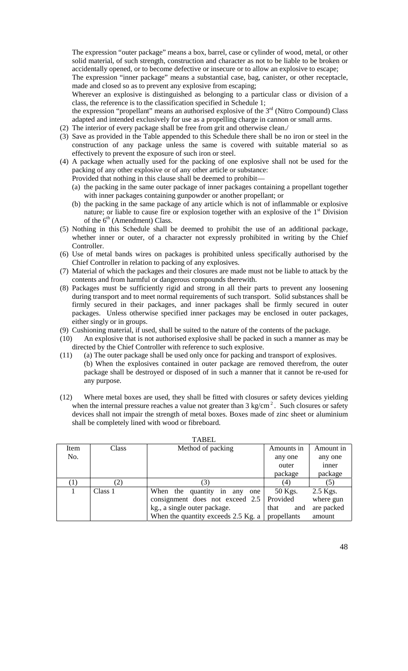The expression "outer package" means a box, barrel, case or cylinder of wood, metal, or other solid material, of such strength, construction and character as not to be liable to be broken or accidentally opened, or to become defective or insecure or to allow an explosive to escape;

The expression "inner package" means a substantial case, bag, canister, or other receptacle, made and closed so as to prevent any explosive from escaping;

Wherever an explosive is distinguished as belonging to a particular class or division of a class, the reference is to the classification specified in Schedule 1;

the expression "propellant" means an authorised explosive of the  $3<sup>rd</sup>$  (Nitro Compound) Class adapted and intended exclusively for use as a propelling charge in cannon or small arms.

- (2) The interior of every package shall be free from grit and otherwise clean./
- (3) Save as provided in the Table appended to this Schedule there shall be no iron or steel in the construction of any package unless the same is covered with suitable material so as effectively to prevent the exposure of such iron or steel.
- (4) A package when actually used for the packing of one explosive shall not be used for the packing of any other explosive or of any other article or substance:
	- Provided that nothing in this clause shall be deemed to prohibit—
	- (a) the packing in the same outer package of inner packages containing a propellant together with inner packages containing gunpowder or another propellant; or
	- (b) the packing in the same package of any article which is not of inflammable or explosive nature; or liable to cause fire or explosion together with an explosive of the  $1<sup>st</sup>$  Division of the  $6<sup>th</sup>$  (Amendment) Class.
- (5) Nothing in this Schedule shall be deemed to prohibit the use of an additional package, whether inner or outer, of a character not expressly prohibited in writing by the Chief Controller.
- (6) Use of metal bands wires on packages is prohibited unless specifically authorised by the Chief Controller in relation to packing of any explosives.
- (7) Material of which the packages and their closures are made must not be liable to attack by the contents and from harmful or dangerous compounds therewith.
- (8) Packages must be sufficiently rigid and strong in all their parts to prevent any loosening during transport and to meet normal requirements of such transport. Solid substances shall be firmly secured in their packages, and inner packages shall be firmly secured in outer packages. Unless otherwise specified inner packages may be enclosed in outer packages, either singly or in groups.
- (9) Cushioning material, if used, shall be suited to the nature of the contents of the package.
- (10) An explosive that is not authorised explosive shall be packed in such a manner as may be directed by the Chief Controller with reference to such explosive.
- (11) (a) The outer package shall be used only once for packing and transport of explosives. (b) When the explosives contained in outer package are removed therefrom, the outer package shall be destroyed or disposed of in such a manner that it cannot be re-used for any purpose.
- (12) Where metal boxes are used, they shall be fitted with closures or safety devices yielding when the internal pressure reaches a value not greater than  $3 \text{ kg/cm}^2$ . Such closures or safety devices shall not impair the strength of metal boxes. Boxes made of zinc sheet or aluminium shall be completely lined with wood or fibreboard.

| I ABEL           |         |                                     |             |            |  |
|------------------|---------|-------------------------------------|-------------|------------|--|
| Item             | Class   | Method of packing                   | Amounts in  | Amount in  |  |
| No.              |         |                                     | any one     | any one    |  |
|                  |         |                                     | outer       | inner      |  |
|                  |         |                                     | package     | package    |  |
| $\left(1\right)$ | (2)     | 3)                                  | (4)         | (5)        |  |
|                  | Class 1 | When the quantity in any<br>one     | 50 Kgs.     | 2.5 Kgs.   |  |
|                  |         | consignment does not exceed 2.5     | Provided    | where gun  |  |
|                  |         | kg., a single outer package.        | that<br>and | are packed |  |
|                  |         | When the quantity exceeds 2.5 Kg. a | propellants | amount     |  |

# **TABEL**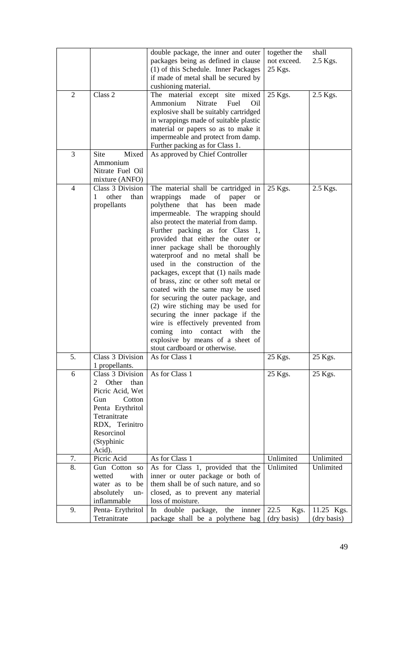|                |                                                                                                                                                                    | double package, the inner and outer<br>packages being as defined in clause<br>(1) of this Schedule. Inner Packages<br>if made of metal shall be secured by<br>cushioning material.                                                                                                                                                                                                                                                                                                                                                                                                                                                                                                                                                                                              | together the<br>not exceed.<br>25 Kgs. | shall<br>2.5 Kgs.         |
|----------------|--------------------------------------------------------------------------------------------------------------------------------------------------------------------|---------------------------------------------------------------------------------------------------------------------------------------------------------------------------------------------------------------------------------------------------------------------------------------------------------------------------------------------------------------------------------------------------------------------------------------------------------------------------------------------------------------------------------------------------------------------------------------------------------------------------------------------------------------------------------------------------------------------------------------------------------------------------------|----------------------------------------|---------------------------|
| $\overline{2}$ | Class 2                                                                                                                                                            | site mixed<br>The<br>material except<br>Nitrate<br>Ammonium<br>Fuel<br>Oil<br>explosive shall be suitably cartridged<br>in wrappings made of suitable plastic<br>material or papers so as to make it<br>impermeable and protect from damp.<br>Further packing as for Class 1.                                                                                                                                                                                                                                                                                                                                                                                                                                                                                                   | 25 Kgs.                                | 2.5 Kgs.                  |
| 3              | Site<br>Mixed<br>Ammonium<br>Nitrate Fuel Oil<br>mixture (ANFO)                                                                                                    | As approved by Chief Controller                                                                                                                                                                                                                                                                                                                                                                                                                                                                                                                                                                                                                                                                                                                                                 |                                        |                           |
| 4              | Class 3 Division<br>other<br>than<br>1<br>propellants                                                                                                              | The material shall be cartridged in<br>wrappings made of<br>paper<br><sub>or</sub><br>polythene that has been made<br>impermeable. The wrapping should<br>also protect the material from damp.<br>Further packing as for Class 1,<br>provided that either the outer or<br>inner package shall be thoroughly<br>waterproof and no metal shall be<br>used in the construction of the<br>packages, except that (1) nails made<br>of brass, zinc or other soft metal or<br>coated with the same may be used<br>for securing the outer package, and<br>(2) wire stiching may be used for<br>securing the inner package if the<br>wire is effectively prevented from<br>into<br>contact<br>coming<br>with<br>the<br>explosive by means of a sheet of<br>stout cardboard or otherwise. | 25 Kgs.                                | 2.5 Kgs.                  |
| 5.             | Class 3 Division<br>1 propellants.                                                                                                                                 | As for Class 1                                                                                                                                                                                                                                                                                                                                                                                                                                                                                                                                                                                                                                                                                                                                                                  | 25 Kgs.                                | 25 Kgs.                   |
| 6              | Class 3 Division<br>Other<br>than<br>Picric Acid, Wet<br>Gun<br>Cotton<br>Penta Erythritol<br>Tetranitrate<br>RDX, Terinitro<br>Resorcinol<br>(Styphinic<br>Acid). | As for Class 1                                                                                                                                                                                                                                                                                                                                                                                                                                                                                                                                                                                                                                                                                                                                                                  | 25 Kgs.                                | 25 Kgs.                   |
| 7.             | Picric Acid                                                                                                                                                        | As for Class 1                                                                                                                                                                                                                                                                                                                                                                                                                                                                                                                                                                                                                                                                                                                                                                  | Unlimited                              | Unlimited                 |
| 8.             | Gun Cotton so<br>wetted<br>with<br>water as to be<br>absolutely<br>un-<br>inflammable                                                                              | As for Class 1, provided that the<br>inner or outer package or both of<br>them shall be of such nature, and so<br>closed, as to prevent any material<br>loss of moisture.                                                                                                                                                                                                                                                                                                                                                                                                                                                                                                                                                                                                       | Unlimited                              | Unlimited                 |
| 9.             | Penta-Erythritol<br>Tetranitrate                                                                                                                                   | double package,<br>the innner<br>In<br>package shall be a polythene bag                                                                                                                                                                                                                                                                                                                                                                                                                                                                                                                                                                                                                                                                                                         | 22.5<br>Kgs.<br>(dry basis)            | 11.25 Kgs.<br>(dry basis) |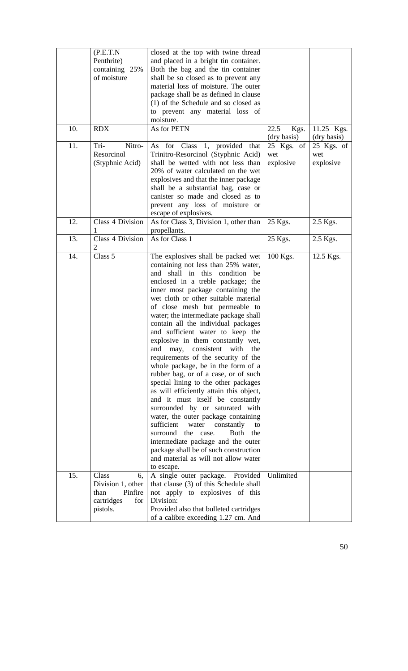|     | (P.E.T.N)               | closed at the top with twine thread                                           |              |              |
|-----|-------------------------|-------------------------------------------------------------------------------|--------------|--------------|
|     | Penthrite)              | and placed in a bright tin container.                                         |              |              |
|     | containing 25%          | Both the bag and the tin container                                            |              |              |
|     | of moisture             | shall be so closed as to prevent any                                          |              |              |
|     |                         | material loss of moisture. The outer                                          |              |              |
|     |                         | package shall be as defined In clause                                         |              |              |
|     |                         | (1) of the Schedule and so closed as                                          |              |              |
|     |                         | to prevent any material loss of                                               |              |              |
|     |                         | moisture.                                                                     |              |              |
| 10. | <b>RDX</b>              | As for PETN                                                                   | 22.5<br>Kgs. | 11.25 Kgs.   |
|     |                         |                                                                               | (dry basis)  | (dry basis)  |
| 11. | Tri-<br>Nitro-          | As for Class 1, provided<br>that                                              | 25 Kgs. of   | $25$ Kgs. of |
|     | Resorcinol              | Trinitro-Resorcinol (Styphnic Acid)                                           | wet          | wet          |
|     | (Styphnic Acid)         | shall be wetted with not less than                                            | explosive    | explosive    |
|     |                         | 20% of water calculated on the wet                                            |              |              |
|     |                         | explosives and that the inner package                                         |              |              |
|     |                         | shall be a substantial bag, case or                                           |              |              |
|     |                         | canister so made and closed as to                                             |              |              |
|     |                         | prevent any loss of moisture or                                               |              |              |
| 12. | Class 4 Division        | escape of explosives.<br>As for Class 3, Division 1, other than               | 25 Kgs.      | 2.5 Kgs.     |
|     |                         | propellants.                                                                  |              |              |
| 13. | Class 4 Division        | As for Class 1                                                                | 25 Kgs.      | 2.5 Kgs.     |
|     | 2                       |                                                                               |              |              |
| 14. | Class $\overline{5}$    | The explosives shall be packed wet                                            | $100$ Kgs.   | 12.5 Kgs.    |
|     |                         | containing not less than 25% water,                                           |              |              |
|     |                         | and shall in this condition be                                                |              |              |
|     |                         | enclosed in a treble package; the                                             |              |              |
|     |                         | inner most package containing the                                             |              |              |
|     |                         | wet cloth or other suitable material                                          |              |              |
|     |                         | of close mesh but permeable to                                                |              |              |
|     |                         | water; the intermediate package shall                                         |              |              |
|     |                         | contain all the individual packages                                           |              |              |
|     |                         | and sufficient water to keep the                                              |              |              |
|     |                         | explosive in them constantly wet,                                             |              |              |
|     |                         | and<br>consistent<br>with<br>may,<br>the                                      |              |              |
|     |                         | requirements of the security of the                                           |              |              |
|     |                         | whole package, be in the form of a                                            |              |              |
|     |                         | rubber bag, or of a case, or of such                                          |              |              |
|     |                         | special lining to the other packages                                          |              |              |
|     |                         | as will efficiently attain this object,                                       |              |              |
|     |                         | and it must itself be constantly                                              |              |              |
|     |                         | surrounded by or saturated with                                               |              |              |
|     |                         | water, the outer package containing                                           |              |              |
|     |                         | sufficient<br>water<br>constantly<br>to                                       |              |              |
|     |                         | surround<br>the case.<br><b>Both</b><br>the                                   |              |              |
|     |                         | intermediate package and the outer                                            |              |              |
|     |                         | package shall be of such construction<br>and material as will not allow water |              |              |
|     |                         |                                                                               |              |              |
| 15. | Class                   | to escape.                                                                    | Unlimited    |              |
|     | 6.<br>Division 1, other | A single outer package. Provided<br>that clause (3) of this Schedule shall    |              |              |
|     | Pinfire<br>than         | not apply to explosives of this                                               |              |              |
|     | cartridges<br>for       | Division:                                                                     |              |              |
|     | pistols.                | Provided also that bulleted cartridges                                        |              |              |
|     |                         | of a calibre exceeding 1.27 cm. And                                           |              |              |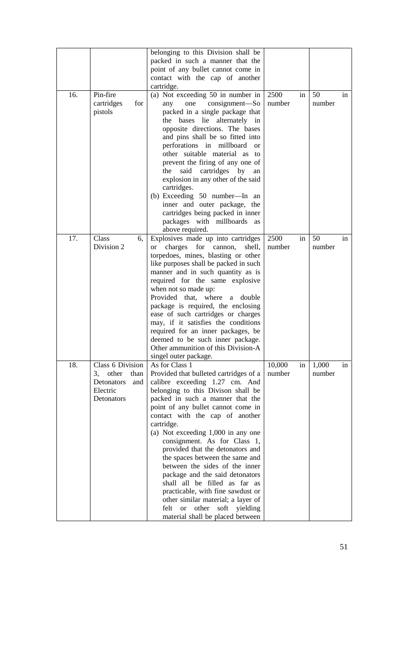|     |                   | belonging to this Division shall be              |        |    |        |    |
|-----|-------------------|--------------------------------------------------|--------|----|--------|----|
|     |                   | packed in such a manner that the                 |        |    |        |    |
|     |                   | point of any bullet cannot come in               |        |    |        |    |
|     |                   | contact with the cap of another                  |        |    |        |    |
|     |                   | cartridge.                                       |        |    |        |    |
| 16. | Pin-fire          | (a) Not exceeding 50 in number in                | 2500   | in | 50     | in |
|     | for<br>cartridges | consignment-So<br>any<br>one                     | number |    | number |    |
|     | pistols           | packed in a single package that                  |        |    |        |    |
|     |                   | bases lie alternately in<br>the                  |        |    |        |    |
|     |                   | opposite directions. The bases                   |        |    |        |    |
|     |                   | and pins shall be so fitted into                 |        |    |        |    |
|     |                   | perforations in millboard<br><sub>or</sub>       |        |    |        |    |
|     |                   | other suitable material as<br>to                 |        |    |        |    |
|     |                   | prevent the firing of any one of                 |        |    |        |    |
|     |                   | said cartridges by<br>the<br>an                  |        |    |        |    |
|     |                   | explosion in any other of the said               |        |    |        |    |
|     |                   | cartridges.                                      |        |    |        |    |
|     |                   | (b) Exceeding 50 number—In an                    |        |    |        |    |
|     |                   | inner and outer package, the                     |        |    |        |    |
|     |                   | cartridges being packed in inner                 |        |    |        |    |
|     |                   | packages with millboards as                      |        |    |        |    |
|     |                   | above required.                                  |        |    |        |    |
| 17. | Class<br>6,       | Explosives made up into cartridges               | 2500   | in | 50     | in |
|     | Division 2        | for cannon,<br>charges<br>shell,                 | number |    | number |    |
|     |                   | <b>or</b><br>torpedoes, mines, blasting or other |        |    |        |    |
|     |                   | like purposes shall be packed in such            |        |    |        |    |
|     |                   |                                                  |        |    |        |    |
|     |                   | manner and in such quantity as is                |        |    |        |    |
|     |                   | required for the same explosive                  |        |    |        |    |
|     |                   | when not so made up:                             |        |    |        |    |
|     |                   | Provided that, where a double                    |        |    |        |    |
|     |                   | package is required, the enclosing               |        |    |        |    |
|     |                   | ease of such cartridges or charges               |        |    |        |    |
|     |                   | may, if it satisfies the conditions              |        |    |        |    |
|     |                   | required for an inner packages, be               |        |    |        |    |
|     |                   | deemed to be such inner package.                 |        |    |        |    |
|     |                   | Other ammunition of this Division-A              |        |    |        |    |
|     |                   | singel outer package.                            |        |    |        |    |
| 18. | Class 6 Division  | As for Class 1                                   | 10,000 | in | 1,000  | in |
|     | 3, other<br>than  | Provided that bulleted cartridges of a           | number |    | number |    |
|     | Detonators<br>and | calibre exceeding 1.27 cm. And                   |        |    |        |    |
|     | Electric          | belonging to this Divison shall be               |        |    |        |    |
|     | Detonators        | packed in such a manner that the                 |        |    |        |    |
|     |                   | point of any bullet cannot come in               |        |    |        |    |
|     |                   | contact with the cap of another                  |        |    |        |    |
|     |                   | cartridge.                                       |        |    |        |    |
|     |                   | (a) Not exceeding 1,000 in any one               |        |    |        |    |
|     |                   | consignment. As for Class 1,                     |        |    |        |    |
|     |                   | provided that the detonators and                 |        |    |        |    |
|     |                   | the spaces between the same and                  |        |    |        |    |
|     |                   | between the sides of the inner                   |        |    |        |    |
|     |                   | package and the said detonators                  |        |    |        |    |
|     |                   | shall all be filled as far as                    |        |    |        |    |
|     |                   | practicable, with fine sawdust or                |        |    |        |    |
|     |                   | other similar material; a layer of               |        |    |        |    |
|     |                   | felt or other<br>soft yielding                   |        |    |        |    |
|     |                   | material shall be placed between                 |        |    |        |    |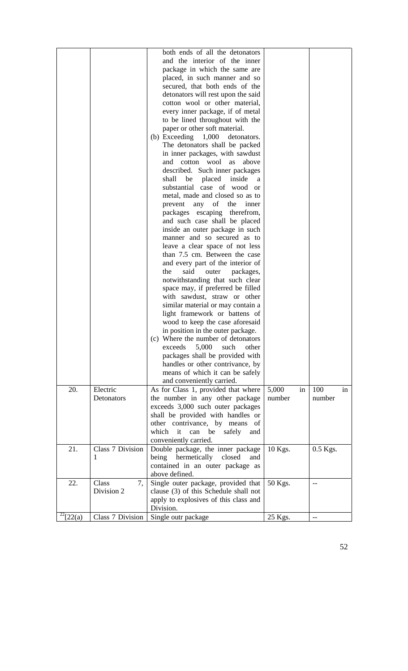|       |                  | both ends of all the detonators        |             |            |
|-------|------------------|----------------------------------------|-------------|------------|
|       |                  | and the interior of the inner          |             |            |
|       |                  | package in which the same are          |             |            |
|       |                  | placed, in such manner and so          |             |            |
|       |                  | secured, that both ends of the         |             |            |
|       |                  | detonators will rest upon the said     |             |            |
|       |                  | cotton wool or other material,         |             |            |
|       |                  | every inner package, if of metal       |             |            |
|       |                  | to be lined throughout with the        |             |            |
|       |                  | paper or other soft material.          |             |            |
|       |                  | (b) Exceeding $1,000$<br>detonators.   |             |            |
|       |                  | The detonators shall be packed         |             |            |
|       |                  | in inner packages, with sawdust        |             |            |
|       |                  | and cotton wool<br>as                  |             |            |
|       |                  | above                                  |             |            |
|       |                  | described. Such inner packages         |             |            |
|       |                  | shall<br>be<br>placed<br>inside<br>a   |             |            |
|       |                  | substantial case of wood or            |             |            |
|       |                  | metal, made and closed so as to        |             |            |
|       |                  | of the<br>prevent<br>any<br>inner      |             |            |
|       |                  | packages escaping therefrom,           |             |            |
|       |                  | and such case shall be placed          |             |            |
|       |                  | inside an outer package in such        |             |            |
|       |                  | manner and so secured as to            |             |            |
|       |                  | leave a clear space of not less        |             |            |
|       |                  | than 7.5 cm. Between the case          |             |            |
|       |                  | and every part of the interior of      |             |            |
|       |                  | said<br>the<br>outer<br>packages,      |             |            |
|       |                  | notwithstanding that such clear        |             |            |
|       |                  | space may, if preferred be filled      |             |            |
|       |                  | with sawdust, straw or other           |             |            |
|       |                  | similar material or may contain a      |             |            |
|       |                  | light framework or battens of          |             |            |
|       |                  | wood to keep the case aforesaid        |             |            |
|       |                  | in position in the outer package.      |             |            |
|       |                  | (c) Where the number of detonators     |             |            |
|       |                  | exceeds<br>5,000<br>such<br>other      |             |            |
|       |                  |                                        |             |            |
|       |                  | packages shall be provided with        |             |            |
|       |                  | handles or other contrivance, by       |             |            |
|       |                  | means of which it can be safely        |             |            |
|       |                  | and conveniently carried.              |             |            |
| 20.   | Electric         | As for Class 1, provided that where    | 5,000<br>in | 100<br>in  |
|       | Detonators       | the number in any other package        | number      | number     |
|       |                  | exceeds 3,000 such outer packages      |             |            |
|       |                  | shall be provided with handles or      |             |            |
|       |                  | other contrivance, by means of         |             |            |
|       |                  | which it<br>can<br>safely<br>be<br>and |             |            |
|       |                  | conveniently carried.                  |             |            |
| 21.   | Class 7 Division | Double package, the inner package      | 10 Kgs.     | $0.5$ Kgs. |
|       | 1                | hermetically<br>being<br>closed<br>and |             |            |
|       |                  | contained in an outer package as       |             |            |
|       |                  | above defined.                         |             |            |
| 22.   | Class<br>7,      | Single outer package, provided that    | 50 Kgs.     | --         |
|       | Division 2       | clause (3) of this Schedule shall not  |             |            |
|       |                  | apply to explosives of this class and  |             |            |
|       |                  | Division.                              |             |            |
| 22(a) | Class 7 Division | Single outr package                    | 25 Kgs.     |            |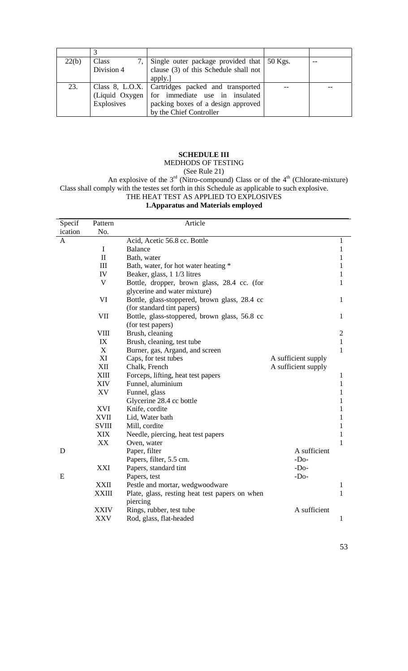| 22(b) | Class      | 7, Single outer package provided that $\vert$ 50 Kgs. |  |
|-------|------------|-------------------------------------------------------|--|
|       | Division 4 | clause (3) of this Schedule shall not                 |  |
|       |            | apply.]                                               |  |
| 23.   |            | Class 8, L.O.X.   Cartridges packed and transported   |  |
|       |            | (Liquid Oxygen for immediate use in insulated         |  |
|       | Explosives | packing boxes of a design approved                    |  |
|       |            | by the Chief Controller                               |  |

### **SCHEDULE III**

# MEDHODS OF TESTING

(See Rule 21)

An explosive of the  $3<sup>rd</sup>$  (Nitro-compound) Class or of the  $4<sup>th</sup>$  (Chlorate-mixture) Class shall comply with the testes set forth in this Schedule as applicable to such explosive. THE HEAT TEST AS APPLIED TO EXPLOSIVES

#### **1.Apparatus and Materials employed**

| Specif  | Pattern      | Article                                                    |                     |                |
|---------|--------------|------------------------------------------------------------|---------------------|----------------|
| ication | No.          |                                                            |                     |                |
| A       |              | Acid, Acetic 56.8 cc. Bottle                               |                     | 1              |
|         | $\mathbf I$  | <b>Balance</b>                                             |                     | $\mathbf{1}$   |
|         | $\mathbf{I}$ | Bath, water                                                |                     | 1              |
|         | III          | Bath, water, for hot water heating *                       |                     | 1              |
|         | IV           | Beaker, glass, 1 1/3 litres                                |                     | 1              |
|         | V            | Bottle, dropper, brown glass, 28.4 cc. (for                |                     | 1              |
|         |              | glycerine and water mixture)                               |                     |                |
|         | VI           | Bottle, glass-stoppered, brown glass, 28.4 cc              |                     | 1              |
|         |              | (for standard tint papers)                                 |                     |                |
|         | VII          | Bottle, glass-stoppered, brown glass, 56.8 cc              |                     | $\mathbf{1}$   |
|         |              | (for test papers)                                          |                     |                |
|         | <b>VIII</b>  | Brush, cleaning                                            |                     | $\overline{2}$ |
|         | IX           | Brush, cleaning, test tube                                 |                     | $\mathbf{1}$   |
|         | $\mathbf X$  | Burner, gas, Argand, and screen                            |                     | $\mathbf{1}$   |
|         | XI           | Caps, for test tubes                                       | A sufficient supply |                |
|         | XII          | Chalk, French                                              | A sufficient supply |                |
|         | XIII         | Forceps, lifting, heat test papers                         |                     | 1              |
|         | <b>XIV</b>   | Funnel, aluminium                                          |                     | $\mathbf{1}$   |
|         | XV           | Funnel, glass                                              |                     | 1              |
|         |              | Glycerine 28.4 cc bottle                                   |                     | 1              |
|         | XVI          | Knife, cordite                                             |                     | 1              |
|         | <b>XVII</b>  | Lid, Water bath                                            |                     | 1              |
|         | <b>SVIII</b> | Mill, cordite                                              |                     | 1              |
|         | <b>XIX</b>   | Needle, piercing, heat test papers                         |                     | 1              |
|         | XX           | Oven, water                                                |                     | 1              |
| D       |              | Paper, filter                                              | A sufficient        |                |
|         |              | Papers, filter, 5.5 cm.                                    | $-Do-$              |                |
|         | XXI          | Papers, standard tint                                      | $-Do-$              |                |
| E       |              | Papers, test                                               | $-Do-$              |                |
|         | <b>XXII</b>  | Pestle and mortar, wedgwoodware                            |                     | 1              |
|         | <b>XXIII</b> | Plate, glass, resting heat test papers on when<br>piercing |                     | $\mathbf{1}$   |
|         | <b>XXIV</b>  | Rings, rubber, test tube                                   | A sufficient        |                |
|         | XXV          | Rod, glass, flat-headed                                    |                     | $\mathbf{1}$   |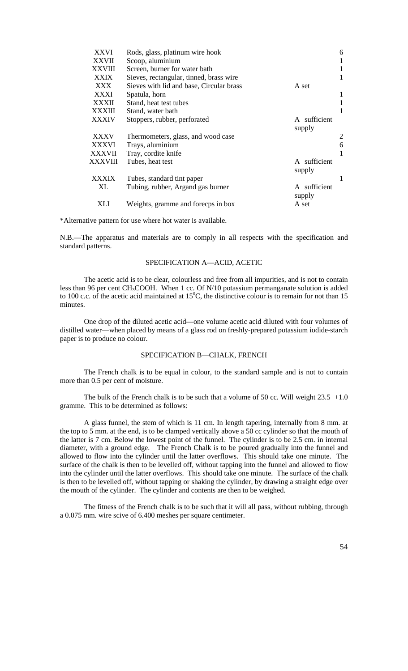| <b>XXVI</b>   | Rods, glass, platinum wire hook          |                        | 6 |
|---------------|------------------------------------------|------------------------|---|
| <b>XXVII</b>  | Scoop, aluminium                         |                        |   |
| <b>XXVIII</b> | Screen, burner for water bath            |                        |   |
| XXIX          | Sieves, rectangular, tinned, brass wire  |                        |   |
| XXX           | Sieves with lid and base, Circular brass | A set                  |   |
| XXXI          | Spatula, horn                            |                        | 1 |
| <b>XXXII</b>  | Stand, heat test tubes                   |                        |   |
| XXXIII        | Stand, water bath                        |                        |   |
| <b>XXXIV</b>  | Stoppers, rubber, perforated             | A sufficient<br>supply |   |
| <b>XXXV</b>   | Thermometers, glass, and wood case       |                        | 2 |
| <b>XXXVI</b>  | Trays, aluminium                         |                        | 6 |
| <b>XXXVII</b> | Tray, cordite knife                      |                        |   |
| XXXVIII       | Tubes, heat test                         | A sufficient<br>supply |   |
| <b>XXXIX</b>  | Tubes, standard tint paper               |                        |   |
| XL            | Tubing, rubber, Argand gas burner        | A sufficient<br>supply |   |
| XLI           | Weights, gramme and forecps in box       | A set                  |   |

\*Alternative pattern for use where hot water is available.

N.B.—The apparatus and materials are to comply in all respects with the specification and standard patterns.

### SPECIFICATION A—ACID, ACETIC

The acetic acid is to be clear, colourless and free from all impurities, and is not to contain less than 96 per cent CH<sub>3</sub>COOH. When 1 cc. Of N/10 potassium permanganate solution is added to 100 c.c. of the acetic acid maintained at  $15^{\circ}$ C, the distinctive colour is to remain for not than 15 minutes.

One drop of the diluted acetic acid—one volume acetic acid diluted with four volumes of distilled water—when placed by means of a glass rod on freshly-prepared potassium iodide-starch paper is to produce no colour.

### SPECIFICATION B—CHALK, FRENCH

The French chalk is to be equal in colour, to the standard sample and is not to contain more than 0.5 per cent of moisture.

The bulk of the French chalk is to be such that a volume of 50 cc. Will weight  $23.5 +1.0$ gramme. This to be determined as follows:

A glass funnel, the stem of which is 11 cm. In length tapering, internally from 8 mm. at the top to 5 mm. at the end, is to be clamped vertically above a  $50$  cc cylinder so that the mouth of the latter is 7 cm. Below the lowest point of the funnel. The cylinder is to be 2.5 cm. in internal diameter, with a ground edge. The French Chalk is to be poured gradually into the funnel and allowed to flow into the cylinder until the latter overflows. This should take one minute. The surface of the chalk is then to be levelled off, without tapping into the funnel and allowed to flow into the cylinder until the latter overflows. This should take one minute. The surface of the chalk is then to be levelled off, without tapping or shaking the cylinder, by drawing a straight edge over the mouth of the cylinder. The cylinder and contents are then to be weighed.

The fitness of the French chalk is to be such that it will all pass, without rubbing, through a 0.075 mm. wire scive of 6.400 meshes per square centimeter.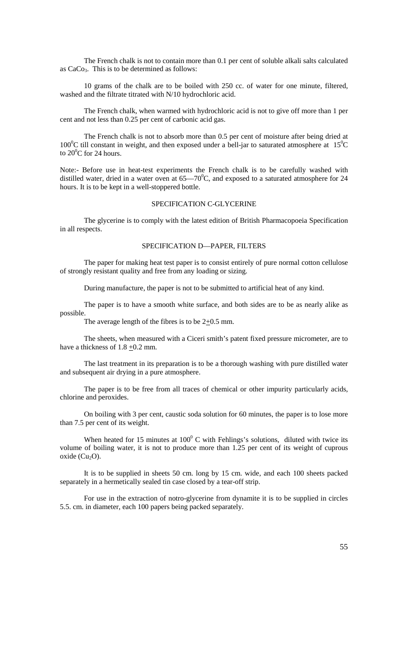The French chalk is not to contain more than 0.1 per cent of soluble alkali salts calculated as  $CaCo<sub>3</sub>$ . This is to be determined as follows:

10 grams of the chalk are to be boiled with 250 cc. of water for one minute, filtered, washed and the filtrate titrated with N/10 hydrochloric acid.

The French chalk, when warmed with hydrochloric acid is not to give off more than 1 per cent and not less than 0.25 per cent of carbonic acid gas.

The French chalk is not to absorb more than 0.5 per cent of moisture after being dried at  $100^{\circ}$ C till constant in weight, and then exposed under a bell-jar to saturated atmosphere at 15<sup>°</sup>C to 20 $^0$ C for 24 hours.

Note:- Before use in heat-test experiments the French chalk is to be carefully washed with distilled water, dried in a water oven at  $65-70^{\circ}$ C, and exposed to a saturated atmosphere for 24 hours. It is to be kept in a well-stoppered bottle.

### SPECIFICATION C-GLYCERINE

The glycerine is to comply with the latest edition of British Pharmacopoeia Specification in all respects.

### SPECIFICATION D—PAPER, FILTERS

The paper for making heat test paper is to consist entirely of pure normal cotton cellulose of strongly resistant quality and free from any loading or sizing.

During manufacture, the paper is not to be submitted to artificial heat of any kind.

The paper is to have a smooth white surface, and both sides are to be as nearly alike as possible.

The average length of the fibres is to be  $2\pm 0.5$  mm.

The sheets, when measured with a Ciceri smith's patent fixed pressure micrometer, are to have a thickness of  $1.8 \pm 0.2$  mm.

The last treatment in its preparation is to be a thorough washing with pure distilled water and subsequent air drying in a pure atmosphere.

The paper is to be free from all traces of chemical or other impurity particularly acids, chlorine and peroxides.

On boiling with 3 per cent, caustic soda solution for 60 minutes, the paper is to lose more than 7.5 per cent of its weight.

When heated for 15 minutes at  $100^{\circ}$  C with Fehlings's solutions, diluted with twice its volume of boiling water, it is not to produce more than 1.25 per cent of its weight of cuprous oxide  $(Cu_2O)$ .

It is to be supplied in sheets 50 cm. long by 15 cm. wide, and each 100 sheets packed separately in a hermetically sealed tin case closed by a tear-off strip.

For use in the extraction of notro-glycerine from dynamite it is to be supplied in circles 5.5. cm. in diameter, each 100 papers being packed separately.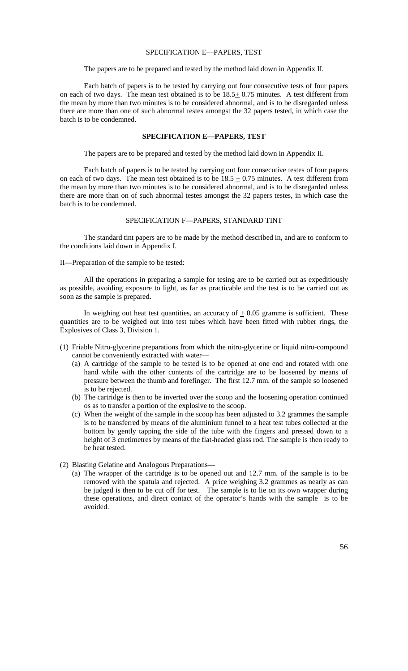#### SPECIFICATION E—PAPERS, TEST

The papers are to be prepared and tested by the method laid down in Appendix II.

Each batch of papers is to be tested by carrying out four consecutive tests of four papers on each of two days. The mean test obtained is to be  $18.5 \pm 0.75$  minutes. A test different from the mean by more than two minutes is to be considered abnormal, and is to be disregarded unless there are more than one of such abnormal testes amongst the 32 papers tested, in which case the batch is to be condemned.

### **SPECIFICATION E—PAPERS, TEST**

The papers are to be prepared and tested by the method laid down in Appendix II.

Each batch of papers is to be tested by carrying out four consecutive testes of four papers on each of two days. The mean test obtained is to be  $18.5 \pm 0.75$  minutes. A test different from the mean by more than two minutes is to be considered abnormal, and is to be disregarded unless there are more than on of such abnormal testes amongst the 32 papers testes, in which case the batch is to be condemned.

### SPECIFICATION F—PAPERS, STANDARD TINT

The standard tint papers are to be made by the method described in, and are to conform to the conditions laid down in Appendix I.

II—Preparation of the sample to be tested:

All the operations in preparing a sample for tesing are to be carried out as expeditiously as possible, avoiding exposure to light, as far as practicable and the test is to be carried out as soon as the sample is prepared.

In weighing out heat test quantities, an accuracy of  $+0.05$  gramme is sufficient. These quantities are to be weighed out into test tubes which have been fitted with rubber rings, the Explosives of Class 3, Division 1.

- (1) Friable Nitro-glycerine preparations from which the nitro-glycerine or liquid nitro-compound cannot be conveniently extracted with water—
	- (a) A cartridge of the sample to be tested is to be opened at one end and rotated with one hand while with the other contents of the cartridge are to be loosened by means of pressure between the thumb and forefinger. The first 12.7 mm. of the sample so loosened is to be rejected.
	- (b) The cartridge is then to be inverted over the scoop and the loosening operation continued os as to transfer a portion of the explosive to the scoop.
	- (c) When the weight of the sample in the scoop has been adjusted to 3.2 grammes the sample is to be transferred by means of the aluminium funnel to a heat test tubes collected at the bottom by gently tapping the side of the tube with the fingers and pressed down to a height of 3 cnetimetres by means of the flat-headed glass rod. The sample is then ready to be heat tested.
- (2) Blasting Gelatine and Analogous Preparations—
	- (a) The wrapper of the cartridge is to be opened out and 12.7 mm. of the sample is to be removed with the spatula and rejected. A price weighing 3.2 grammes as nearly as can be judged is then to be cut off for test. The sample is to lie on its own wrapper during these operations, and direct contact of the operator's hands with the sample is to be avoided.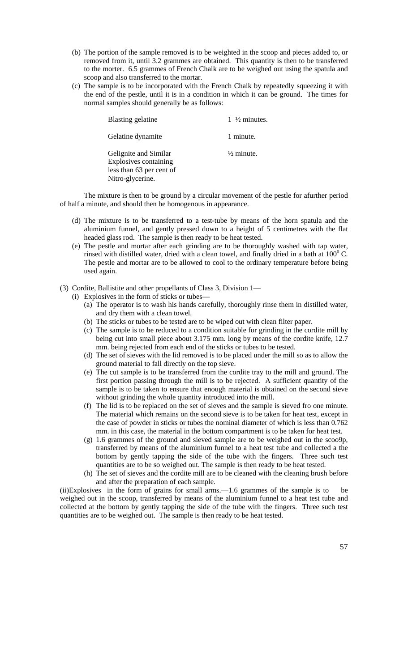- (b) The portion of the sample removed is to be weighted in the scoop and pieces added to, or removed from it, until 3.2 grammes are obtained. This quantity is then to be transferred to the morter. 6.5 grammes of French Chalk are to be weighed out using the spatula and scoop and also transferred to the mortar.
- (c) The sample is to be incorporated with the French Chalk by repeatedly squeezing it with the end of the pestle, until it is in a condition in which it can be ground. The times for normal samples should generally be as follows:

| Blasting gelatine                                                                              | 1 $\frac{1}{2}$ minutes. |
|------------------------------------------------------------------------------------------------|--------------------------|
| Gelatine dynamite                                                                              | 1 minute.                |
| Gelignite and Similar<br>Explosives containing<br>less than 63 per cent of<br>Nitro-glycerine. | $\frac{1}{2}$ minute.    |

The mixture is then to be ground by a circular movement of the pestle for afurther period of half a minute, and should then be homogenous in appearance.

- (d) The mixture is to be transferred to a test-tube by means of the horn spatula and the aluminium funnel, and gently pressed down to a height of 5 centimetres with the flat headed glass rod. The sample is then ready to be heat tested.
- (e) The pestle and mortar after each grinding are to be thoroughly washed with tap water, rinsed with distilled water, dried with a clean towel, and finally dried in a bath at  $100^{\circ}$  C. The pestle and mortar are to be allowed to cool to the ordinary temperature before being used again.
- (3) Cordite, Ballistite and other propellants of Class 3, Division 1—
	- (i) Explosives in the form of sticks or tubes—
		- (a) The operator is to wash his hands carefully, thoroughly rinse them in distilled water, and dry them with a clean towel.
		- (b) The sticks or tubes to be tested are to be wiped out with clean filter paper.
		- (c) The sample is to be reduced to a condition suitable for grinding in the cordite mill by being cut into small piece about 3.175 mm. long by means of the cordite knife, 12.7 mm. being rejected from each end of the sticks or tubes to be tested.
		- (d) The set of sieves with the lid removed is to be placed under the mill so as to allow the ground material to fall directly on the top sieve.
		- (e) The cut sample is to be transferred from the cordite tray to the mill and ground. The first portion passing through the mill is to be rejected. A sufficient quantity of the sample is to be taken to ensure that enough material is obtained on the second sieve without grinding the whole quantity introduced into the mill.
		- (f) The lid is to be replaced on the set of sieves and the sample is sieved fro one minute. The material which remains on the second sieve is to be taken for heat test, except in the case of powder in sticks or tubes the nominal diameter of which is less than 0.762 mm. in this case, the material in the bottom compartment is to be taken for heat test.
		- (g) 1.6 grammes of the ground and sieved sample are to be weighed out in the scoo9p, transferred by means of the aluminium funnel to a heat test tube and collected a the bottom by gently tapping the side of the tube with the fingers. Three such test quantities are to be so weighed out. The sample is then ready to be heat tested.
		- (h) The set of sieves and the cordite mill are to be cleaned with the cleaning brush before and after the preparation of each sample.

(ii)Explosives in the form of grains for small arms.—1.6 grammes of the sample is to be weighed out in the scoop, transferred by means of the aluminium funnel to a heat test tube and collected at the bottom by gently tapping the side of the tube with the fingers. Three such test quantities are to be weighed out. The sample is then ready to be heat tested.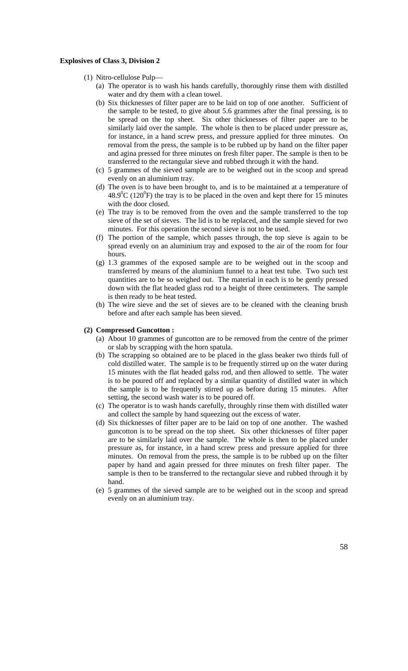### **Explosives of Class 3, Division 2**

- (1) Nitro-cellulose Pulp—
	- (a) The operator is to wash his hands carefully, thoroughly rinse them with distilled water and dry them with a clean towel.
	- (b) Six thicknesses of filter paper are to be laid on top of one another. Sufficient of the sample to be tested, to give about 5.6 grammes after the final pressing, is to be spread on the top sheet. Six other thicknesses of filter paper are to be similarly laid over the sample. The whole is then to be placed under pressure as, for instance, in a hand screw press, and pressure applied for three minutes. On removal from the press, the sample is to be rubbed up by hand on the filter paper and agina pressed for three minutes on fresh filter paper. The sample is then to be transferred to the rectangular sieve and rubbed through it with the hand.
	- (c) 5 grammes of the sieved sample are to be weighed out in the scoop and spread evenly on an aluminium tray.
	- (d) The oven is to have been brought to, and is to be maintained at a temperature of  $48.9^{\circ}$ C (120<sup>°</sup>F) the tray is to be placed in the oven and kept there for 15 minutes with the door closed.
	- (e) The tray is to be removed from the oven and the sample transferred to the top sieve of the set of sieves. The lid is to be replaced, and the sample sieved for two minutes. For this operation the second sieve is not to be used.
	- (f) The portion of the sample, which passes through, the top sieve is again to be spread evenly on an aluminium tray and exposed to the air of the room for four hours.
	- (g) 1.3 grammes of the exposed sample are to be weighed out in the scoop and transferred by means of the aluminium funnel to a heat test tube. Two such test quantities are to be so weighed out. The material in each is to be gently pressed down with the flat headed glass rod to a height of three centimeters. The sample is then ready to be heat tested.
	- (h) The wire sieve and the set of sieves are to be cleaned with the cleaning brush before and after each sample has been sieved.

#### **(2) Compressed Guncotton :**

- (a) About 10 grammes of guncotton are to be removed from the centre of the primer or slab by scrapping with the horn spatula.
- (b) The scrapping so obtained are to be placed in the glass beaker two thirds full of cold distilled water. The sample is to be frequently stirred up on the water during 15 minutes with the flat headed galss rod, and then allowed to settle. The water is to be poured off and replaced by a similar quantity of distilled water in which the sample is to be frequently stirred up as before during 15 minutes. After setting, the second wash water is to be poured off.
- (c) The operator is to wash hands carefully, throughly rinse them with distilled water and collect the sample by hand squeezing out the excess of water.
- (d) Six thicknesses of filter paper are to be laid on top of one another. The washed guncotton is to be spread on the top sheet. Six other thicknesses of filter paper are to be similarly laid over the sample. The whole is then to be placed under pressure as, for instance, in a hand screw press and pressure applied for three minutes. On removal from the press, the sample is to be rubbed up on the filter paper by hand and again pressed for three minutes on fresh filter paper. The sample is then to be transferred to the rectangular sieve and rubbed through it by hand.
- (e) 5 grammes of the sieved sample are to be weighed out in the scoop and spread evenly on an aluminium tray.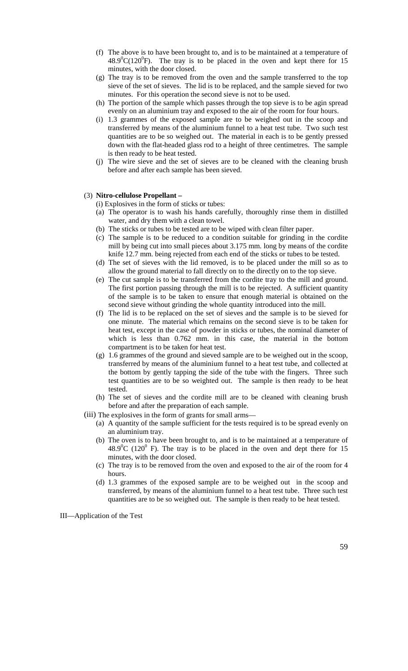- (f) The above is to have been brought to, and is to be maintained at a temperature of  $48.9^{\circ}C(120^{\circ}F)$ . The tray is to be placed in the oven and kept there for 15 minutes, with the door closed.
- (g) The tray is to be removed from the oven and the sample transferred to the top sieve of the set of sieves. The lid is to be replaced, and the sample sieved for two minutes. For this operation the second sieve is not to be used.
- (h) The portion of the sample which passes through the top sieve is to be agin spread evenly on an aluminium tray and exposed to the air of the room for four hours.
- (i) 1.3 grammes of the exposed sample are to be weighed out in the scoop and transferred by means of the aluminium funnel to a heat test tube. Two such test quantities are to be so weighed out. The material in each is to be gently pressed down with the flat-headed glass rod to a height of three centimetres. The sample is then ready to be heat tested.
- (j) The wire sieve and the set of sieves are to be cleaned with the cleaning brush before and after each sample has been sieved.

#### (3) **Nitro-cellulose Propellant –**

(i) Explosives in the form of sticks or tubes:

- (a) The operator is to wash his hands carefully, thoroughly rinse them in distilled water, and dry them with a clean towel.
- (b) The sticks or tubes to be tested are to be wiped with clean filter paper.
- (c) The sample is to be reduced to a condition suitable for grinding in the cordite mill by being cut into small pieces about 3.175 mm. long by means of the cordite knife 12.7 mm. being rejected from each end of the sticks or tubes to be tested.
- (d) The set of sieves with the lid removed, is to be placed under the mill so as to allow the ground material to fall directly on to the directly on to the top sieve.
- (e) The cut sample is to be transferred from the cordite tray to the mill and ground. The first portion passing through the mill is to be rejected. A sufficient quantity of the sample is to be taken to ensure that enough material is obtained on the second sieve without grinding the whole quantity introduced into the mill.
- (f) The lid is to be replaced on the set of sieves and the sample is to be sieved for one minute. The material which remains on the second sieve is to be taken for heat test, except in the case of powder in sticks or tubes, the nominal diameter of which is less than 0.762 mm. in this case, the material in the bottom compartment is to be taken for heat test.
- (g) 1.6 grammes of the ground and sieved sample are to be weighed out in the scoop, transferred by means of the aluminium funnel to a heat test tube, and collected at the bottom by gently tapping the side of the tube with the fingers. Three such test quantities are to be so weighted out. The sample is then ready to be heat tested.
- (h) The set of sieves and the cordite mill are to be cleaned with cleaning brush before and after the preparation of each sample.
- (iii) The explosives in the form of grants for small arms—
	- (a) A quantity of the sample sufficient for the tests required is to be spread evenly on an aluminium tray.
	- (b) The oven is to have been brought to, and is to be maintained at a temperature of  $48.9^{\circ}$ C (120<sup>°</sup> F). The tray is to be placed in the oven and dept there for 15 minutes, with the door closed.
	- (c) The tray is to be removed from the oven and exposed to the air of the room for 4 hours.
	- (d) 1.3 grammes of the exposed sample are to be weighed out in the scoop and transferred, by means of the aluminium funnel to a heat test tube. Three such test quantities are to be so weighed out. The sample is then ready to be heat tested.

III—Application of the Test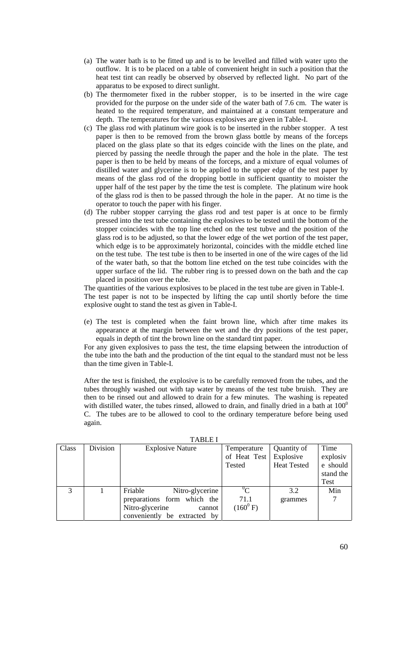- (a) The water bath is to be fitted up and is to be levelled and filled with water upto the outflow. It is to be placed on a table of convenient height in such a position that the heat test tint can readly be observed by observed by reflected light. No part of the apparatus to be exposed to direct sunlight.
- (b) The thermometer fixed in the rubber stopper, is to be inserted in the wire cage provided for the purpose on the under side of the water bath of 7.6 cm. The water is heated to the required temperature, and maintained at a constant temperature and depth. The temperatures for the various explosives are given in Table-I.
- (c) The glass rod with platinum wire gook is to be inserted in the rubber stopper. A test paper is then to be removed from the brown glass bottle by means of the forceps placed on the glass plate so that its edges coincide with the lines on the plate, and pierced by passing the needle through the paper and the hole in the plate. The test paper is then to be held by means of the forceps, and a mixture of equal volumes of distilled water and glycerine is to be applied to the upper edge of the test paper by means of the glass rod of the dropping bottle in sufficient quantity to moister the upper half of the test paper by the time the test is complete. The platinum wire hook of the glass rod is then to be passed through the hole in the paper. At no time is the operator to touch the paper with his finger.
- (d) The rubber stopper carrying the glass rod and test paper is at once to be firmly pressed into the test tube containing the explosives to be tested until the bottom of the stopper coincides with the top line etched on the test tubve and the position of the glass rod is to be adjusted, so that the lower edge of the wet portion of the test paper, which edge is to be approximately horizontal, coincides with the middle etched line on the test tube. The test tube is then to be inserted in one of the wire cages of the lid of the water bath, so that the bottom line etched on the test tube coincides with the upper surface of the lid. The rubber ring is to pressed down on the bath and the cap placed in position over the tube.

The quantities of the various explosives to be placed in the test tube are given in Table-I. The test paper is not to be inspected by lifting the cap until shortly before the time explosive ought to stand the test as given in Table-I.

(e) The test is completed when the faint brown line, which after time makes its appearance at the margin between the wet and the dry positions of the test paper, equals in depth of tint the brown line on the standard tint paper.

For any given explosives to pass the test, the time elapsing between the introduction of the tube into the bath and the production of the tint equal to the standard must not be less than the time given in Table-I.

After the test is finished, the explosive is to be carefully removed from the tubes, and the tubes throughly washed out with tap water by means of the test tube bruish. They are then to be rinsed out and allowed to drain for a few minutes. The washing is repeated with distilled water, the tubes rinsed, allowed to drain, and finally dried in a bath at  $100^0$ C. The tubes are to be allowed to cool to the ordinary temperature before being used again.

| Class | Division | <b>Explosive Nature</b>      | Temperature   | Quantity of        | Time      |
|-------|----------|------------------------------|---------------|--------------------|-----------|
|       |          |                              | of Heat Test  | Explosive          | explosiv  |
|       |          |                              | Tested        | <b>Heat Tested</b> | e should  |
|       |          |                              |               |                    | stand the |
|       |          |                              |               |                    | Test      |
| 3     |          | Friable<br>Nitro-glycerine   | $\rm ^{0}C$   | 3.2                | Min       |
|       |          | preparations form which the  | 71.1          | grammes            |           |
|       |          | Nitro-glycerine<br>cannot    | $(160^{0} F)$ |                    |           |
|       |          | conveniently be extracted by |               |                    |           |

### TABLE I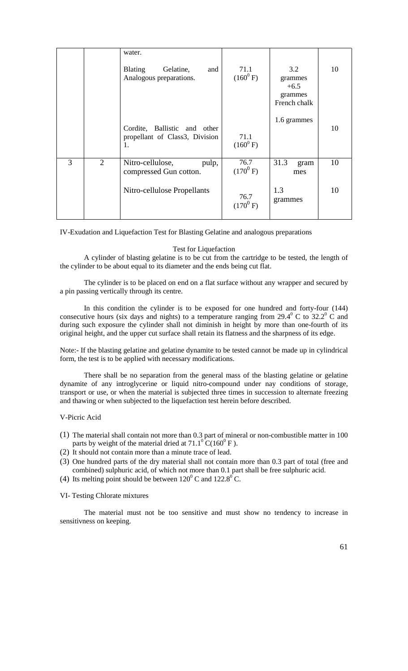|   |   | water.                                                               |                       |                                                     |    |
|---|---|----------------------------------------------------------------------|-----------------------|-----------------------------------------------------|----|
|   |   | <b>Blating</b><br>Gelatine,<br>and<br>Analogous preparations.        | 71.1<br>$(160^{0} F)$ | 3.2<br>grammes<br>$+6.5$<br>grammes<br>French chalk | 10 |
|   |   | Cordite, Ballistic and other<br>propellant of Class3, Division<br>1. | 71.1<br>$(160^{0} F)$ | 1.6 grammes                                         | 10 |
| 3 | 2 | Nitro-cellulose,<br>pulp,<br>compressed Gun cotton.                  | 76.7<br>$(170^{0} F)$ | 31.3<br>gram<br>mes                                 | 10 |
|   |   | Nitro-cellulose Propellants                                          | 76.7<br>$(170^{0} F)$ | 1.3<br>grammes                                      | 10 |

IV-Exudation and Liquefaction Test for Blasting Gelatine and analogous preparations

### Test for Liquefaction

A cylinder of blasting gelatine is to be cut from the cartridge to be tested, the length of the cylinder to be about equal to its diameter and the ends being cut flat.

The cylinder is to be placed on end on a flat surface without any wrapper and secured by a pin passing vertically through its centre.

In this condition the cylinder is to be exposed for one hundred and forty-four (144) consecutive hours (six days and nights) to a temperature ranging from 29.4 $\textdegree$  C to 32.2 $\textdegree$  C and during such exposure the cylinder shall not diminish in height by more than one-fourth of its original height, and the upper cut surface shall retain its flatness and the sharpness of its edge.

Note:- If the blasting gelatine and gelatine dynamite to be tested cannot be made up in cylindrical form, the test is to be applied with necessary modifications.

There shall be no separation from the general mass of the blasting gelatine or gelatine dynamite of any introglycerine or liquid nitro-compound under nay conditions of storage, transport or use, or when the material is subjected three times in succession to alternate freezing and thawing or when subjected to the liquefaction test herein before described.

#### V-Picric Acid

- (1) The material shall contain not more than 0.3 part of mineral or non-combustible matter in 100 parts by weight of the material dried at  $71.1^{\circ}$  C(160<sup>o</sup> F).
- (2) It should not contain more than a minute trace of lead.
- (3) One hundred parts of the dry material shall not contain more than 0.3 part of total (free and combined) sulphuric acid, of which not more than 0.1 part shall be free sulphuric acid.
- (4) Its melting point should be between  $120^{\circ}$  C and  $122.8^{\circ}$  C.

#### VI- Testing Chlorate mixtures

The material must not be too sensitive and must show no tendency to increase in sensitivness on keeping.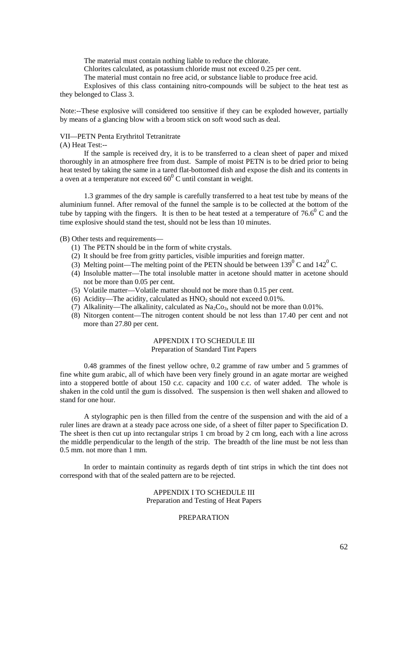The material must contain nothing liable to reduce the chlorate.

Chlorites calculated, as potassium chloride must not exceed 0.25 per cent.

The material must contain no free acid, or substance liable to produce free acid.

Explosives of this class containing nitro-compounds will be subject to the heat test as they belonged to Class 3.

Note:--These explosive will considered too sensitive if they can be exploded however, partially by means of a glancing blow with a broom stick on soft wood such as deal.

#### VII—PETN Penta Erythritol Tetranitrate

(A) Heat Test:--

If the sample is received dry, it is to be transferred to a clean sheet of paper and mixed thoroughly in an atmosphere free from dust. Sample of moist PETN is to be dried prior to being heat tested by taking the same in a tared flat-bottomed dish and expose the dish and its contents in a oven at a temperature not exceed  $60^{\circ}$  C until constant in weight.

1.3 grammes of the dry sample is carefully transferred to a heat test tube by means of the aluminium funnel. After removal of the funnel the sample is to be collected at the bottom of the tube by tapping with the fingers. It is then to be heat tested at a temperature of  $76.6^{\circ}$  C and the time explosive should stand the test, should not be less than 10 minutes.

(B) Other tests and requirements—

- (1) The PETN should be in the form of white crystals.
- (2) It should be free from gritty particles, visible impurities and foreign matter.
- (3) Melting point—The melting point of the PETN should be between  $139^{\circ}$  C and  $142^{\circ}$  C.
- (4) Insoluble matter—The total insoluble matter in acetone should matter in acetone should not be more than 0.05 per cent.
- (5) Volatile matter—Volatile matter should not be more than 0.15 per cent.
- (6) Acidity—The acidity, calculated as  $HNO<sub>2</sub>$  should not exceed 0.01%.
- (7) Alkalinity—The alkalinity, calculated as  $Na<sub>2</sub>Co<sub>3</sub>$ , should not be more than 0.01%.
- (8) Nitorgen content—The nitrogen content should be not less than 17.40 per cent and not more than 27.80 per cent.

# APPENDIX I TO SCHEDULE III

Preparation of Standard Tint Papers

0.48 grammes of the finest yellow ochre, 0.2 gramme of raw umber and 5 grammes of fine white gum arabic, all of which have been very finely ground in an agate mortar are weighed into a stoppered bottle of about 150 c.c. capacity and 100 c.c. of water added. The whole is shaken in the cold until the gum is dissolved. The suspension is then well shaken and allowed to stand for one hour.

A stylographic pen is then filled from the centre of the suspension and with the aid of a ruler lines are drawn at a steady pace across one side, of a sheet of filter paper to Specification D. The sheet is then cut up into rectangular strips 1 cm broad by 2 cm long, each with a line across the middle perpendicular to the length of the strip. The breadth of the line must be not less than 0.5 mm. not more than 1 mm.

In order to maintain continuity as regards depth of tint strips in which the tint does not correspond with that of the sealed pattern are to be rejected.

### APPENDIX I TO SCHEDULE III Preparation and Testing of Heat Papers

### PREPARATION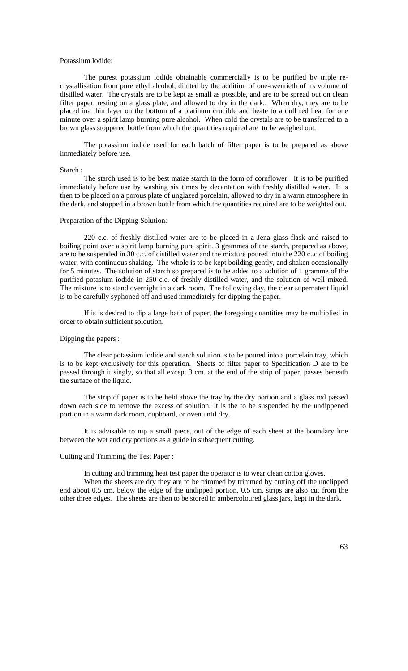#### Potassium Iodide:

The purest potassium iodide obtainable commercially is to be purified by triple recrystallisation from pure ethyl alcohol, diluted by the addition of one-twentieth of its volume of distilled water. The crystals are to be kept as small as possible, and are to be spread out on clean filter paper, resting on a glass plate, and allowed to dry in the dark,. When dry, they are to be placed ina thin layer on the bottom of a platinum crucible and heate to a dull red heat for one minute over a spirit lamp burning pure alcohol. When cold the crystals are to be transferred to a brown glass stoppered bottle from which the quantities required are to be weighed out.

The potassium iodide used for each batch of filter paper is to be prepared as above immediately before use.

#### Starch :

The starch used is to be best maize starch in the form of cornflower. It is to be purified immediately before use by washing six times by decantation with freshly distilled water. It is then to be placed on a porous plate of unglazed porcelain, allowed to dry in a warm atmosphere in the dark, and stopped in a brown bottle from which the quantities required are to be weighted out.

#### Preparation of the Dipping Solution:

220 c.c. of freshly distilled water are to be placed in a Jena glass flask and raised to boiling point over a spirit lamp burning pure spirit. 3 grammes of the starch, prepared as above, are to be suspended in 30 c.c. of distilled water and the mixture poured into the 220 c..c of boiling water, with continuous shaking. The whole is to be kept boilding gently, and shaken occasionally for 5 minutes. The solution of starch so prepared is to be added to a solution of 1 gramme of the purified potasium iodide in 250 c.c. of freshly distilled water, and the solution of well mixed. The mixture is to stand overnight in a dark room. The following day, the clear supernatent liquid is to be carefully syphoned off and used immediately for dipping the paper.

If is is desired to dip a large bath of paper, the foregoing quantities may be multiplied in order to obtain sufficient soloution.

#### Dipping the papers :

The clear potassium iodide and starch solution is to be poured into a porcelain tray, which is to be kept exclusively for this operation. Sheets of filter paper to Specification D are to be passed through it singly, so that all except 3 cm. at the end of the strip of paper, passes beneath the surface of the liquid.

The strip of paper is to be held above the tray by the dry portion and a glass rod passed down each side to remove the excess of solution. It is the to be suspended by the undippened portion in a warm dark room, cupboard, or oven until dry.

It is advisable to nip a small piece, out of the edge of each sheet at the boundary line between the wet and dry portions as a guide in subsequent cutting.

#### Cutting and Trimming the Test Paper :

In cutting and trimming heat test paper the operator is to wear clean cotton gloves.

When the sheets are dry they are to be trimmed by trimmed by cutting off the unclipped end about 0.5 cm. below the edge of the undipped portion, 0.5 cm. strips are also cut from the other three edges. The sheets are then to be stored in ambercoloured glass jars, kept in the dark.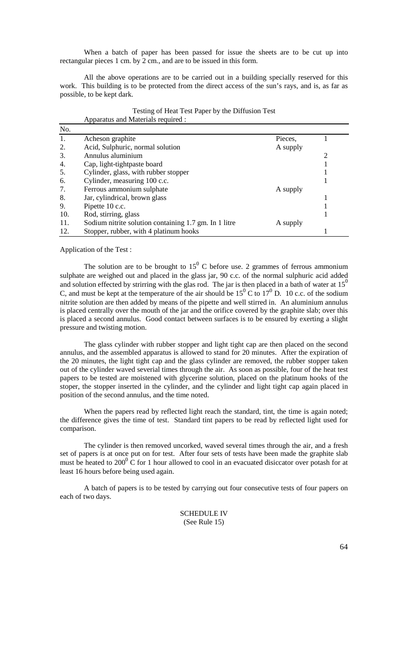When a batch of paper has been passed for issue the sheets are to be cut up into rectangular pieces 1 cm. by 2 cm., and are to be issued in this form.

All the above operations are to be carried out in a building specially reserved for this work. This building is to be protected from the direct access of the sun's rays, and is, as far as possible, to be kept dark.

| No. |                                                       |          |  |
|-----|-------------------------------------------------------|----------|--|
| 1.  | Acheson graphite                                      | Pieces,  |  |
| 2.  | Acid, Sulphuric, normal solution                      | A supply |  |
| 3.  | Annulus aluminium                                     |          |  |
| 4.  | Cap, light-tightpaste board                           |          |  |
| 5.  | Cylinder, glass, with rubber stopper                  |          |  |
| 6.  | Cylinder, measuring 100 c.c.                          |          |  |
| 7.  | Ferrous ammonium sulphate                             | A supply |  |
| 8.  | Jar, cylindrical, brown glass                         |          |  |
| 9.  | Pipette 10 c.c.                                       |          |  |
| 10. | Rod, stirring, glass                                  |          |  |
| 11. | Sodium nitrite solution containing 1.7 gm. In 1 litre | A supply |  |
| 12. | Stopper, rubber, with 4 platinum hooks                |          |  |

#### Testing of Heat Test Paper by the Diffusion Test Apparatus and Materials required :

Application of the Test :

The solution are to be brought to  $15^{\circ}$  C before use. 2 grammes of ferrous ammonium sulphate are weighed out and placed in the glass jar, 90 c.c. of the normal sulphuric acid added and solution effected by strirring with the glas rod. The jar is then placed in a bath of water at  $15<sup>0</sup>$ C, and must be kept at the temperature of the air should be  $15^{\circ}$  C to  $17^{\circ}$  D. 10 c.c. of the sodium nitrite solution are then added by means of the pipette and well stirred in. An aluminium annulus is placed centrally over the mouth of the jar and the orifice covered by the graphite slab; over this is placed a second annulus. Good contact between surfaces is to be ensured by exerting a slight pressure and twisting motion.

The glass cylinder with rubber stopper and light tight cap are then placed on the second annulus, and the assembled apparatus is allowed to stand for 20 minutes. After the expiration of the 20 minutes, the light tight cap and the glass cylinder are removed, the rubber stopper taken out of the cylinder waved severial times through the air. As soon as possible, four of the heat test papers to be tested are moistened with glycerine solution, placed on the platinum hooks of the stoper, the stopper inserted in the cylinder, and the cylinder and light tight cap again placed in position of the second annulus, and the time noted.

When the papers read by reflected light reach the standard, tint, the time is again noted; the difference gives the time of test. Standard tint papers to be read by reflected light used for comparison.

The cylinder is then removed uncorked, waved several times through the air, and a fresh set of papers is at once put on for test. After four sets of tests have been made the graphite slab must be heated to 200 $\degree$  C for 1 hour allowed to cool in an evacuated disiccator over potash for at least 16 hours before being used again.

A batch of papers is to be tested by carrying out four consecutive tests of four papers on each of two days.

> SCHEDULE IV (See Rule 15)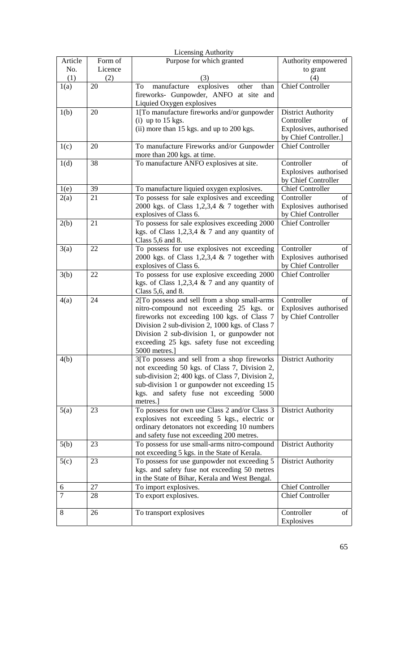| <b>Licensing Authority</b> |         |                                                                                              |                                                |  |  |
|----------------------------|---------|----------------------------------------------------------------------------------------------|------------------------------------------------|--|--|
| Article                    | Form of | Purpose for which granted                                                                    | Authority empowered                            |  |  |
| No.                        | Licence |                                                                                              | to grant                                       |  |  |
| (1)                        | (2)     | (3)                                                                                          | (4)                                            |  |  |
| 1(a)                       | 20      | manufacture<br>explosives<br>other<br>than<br>To                                             | <b>Chief Controller</b>                        |  |  |
|                            |         | fireworks- Gunpowder, ANFO at site and                                                       |                                                |  |  |
| 1(b)                       | 20      | Liquied Oxygen explosives<br>1[To manufacture fireworks and/or gunpowder                     | <b>District Authority</b>                      |  |  |
|                            |         | $(i)$ up to 15 kgs.                                                                          | Controller<br>of                               |  |  |
|                            |         | (ii) more than 15 kgs. and up to 200 kgs.                                                    | Explosives, authorised                         |  |  |
|                            |         |                                                                                              | by Chief Controller.]                          |  |  |
| 1(c)                       | 20      | To manufacture Fireworks and/or Gunpowder                                                    | <b>Chief Controller</b>                        |  |  |
|                            |         | more than 200 kgs. at time.                                                                  |                                                |  |  |
| 1(d)                       | 38      | To manufacture ANFO explosives at site.                                                      | Controller<br>of                               |  |  |
|                            |         |                                                                                              | Explosives authorised                          |  |  |
|                            | 39      |                                                                                              | by Chief Controller<br><b>Chief Controller</b> |  |  |
| 1(e)<br>2(a)               | 21      | To manufacture liquied oxygen explosives.<br>To possess for sale explosives and exceeding    | Controller<br>of                               |  |  |
|                            |         | 2000 kgs. of Class 1,2,3,4 $\&$ 7 together with                                              | Explosives authorised                          |  |  |
|                            |         | explosives of Class 6.                                                                       | by Chief Controller                            |  |  |
| 2(b)                       | 21      | To possess for sale explosives exceeding 2000                                                | <b>Chief Controller</b>                        |  |  |
|                            |         | kgs. of Class 1,2,3,4 $\&$ 7 and any quantity of                                             |                                                |  |  |
|                            |         | Class $5,6$ and 8.                                                                           |                                                |  |  |
| 3(a)                       | 22      | To possess for use explosives not exceeding                                                  | Controller<br>of                               |  |  |
|                            |         | 2000 kgs. of Class 1,2,3,4 $\&$ 7 together with                                              | Explosives authorised                          |  |  |
|                            | 22      | explosives of Class 6.<br>To possess for use explosive exceeding 2000                        | by Chief Controller<br><b>Chief Controller</b> |  |  |
| 3(b)                       |         | kgs. of Class 1,2,3,4 $\&$ 7 and any quantity of                                             |                                                |  |  |
|                            |         | Class 5,6, and 8.                                                                            |                                                |  |  |
| 4(a)                       | 24      | 2[To possess and sell from a shop small-arms                                                 | Controller<br>of                               |  |  |
|                            |         | nitro-compound not exceeding 25 kgs. or                                                      | Explosives authorised                          |  |  |
|                            |         | fireworks not exceeding 100 kgs. of Class 7                                                  | by Chief Controller                            |  |  |
|                            |         | Division 2 sub-division 2, 1000 kgs. of Class 7                                              |                                                |  |  |
|                            |         | Division 2 sub-division 1, or gunpowder not                                                  |                                                |  |  |
|                            |         | exceeding 25 kgs. safety fuse not exceeding<br>5000 metres.]                                 |                                                |  |  |
| 4(b)                       |         | 3[To possess and sell from a shop fireworks                                                  | <b>District Authority</b>                      |  |  |
|                            |         | not exceeding 50 kgs. of Class 7, Division 2,                                                |                                                |  |  |
|                            |         | sub-division 2; 400 kgs. of Class 7, Division 2,                                             |                                                |  |  |
|                            |         | sub-division 1 or gunpowder not exceeding 15                                                 |                                                |  |  |
|                            |         | kgs. and safety fuse not exceeding 5000                                                      |                                                |  |  |
|                            |         | metres.]                                                                                     |                                                |  |  |
| 5(a)                       | 23      | To possess for own use Class 2 and/or Class 3                                                | <b>District Authority</b>                      |  |  |
|                            |         | explosives not exceeding 5 kgs., electric or<br>ordinary detonators not exceeding 10 numbers |                                                |  |  |
|                            |         | and safety fuse not exceeding 200 metres.                                                    |                                                |  |  |
| 5(b)                       | 23      | To possess for use small-arms nitro-compound                                                 | <b>District Authority</b>                      |  |  |
|                            |         | not exceeding 5 kgs. in the State of Kerala.                                                 |                                                |  |  |
| 5(c)                       | 23      | To possess for use gunpowder not exceeding 5                                                 | <b>District Authority</b>                      |  |  |
|                            |         | kgs. and safety fuse not exceeding 50 metres                                                 |                                                |  |  |
|                            |         | in the State of Bihar, Kerala and West Bengal.                                               |                                                |  |  |
| 6<br>7                     | 27      | To import explosives.                                                                        | <b>Chief Controller</b>                        |  |  |
|                            | 28      | To export explosives.                                                                        | <b>Chief Controller</b>                        |  |  |
| 8                          | 26      | To transport explosives                                                                      | Controller<br>of                               |  |  |
|                            |         |                                                                                              | Explosives                                     |  |  |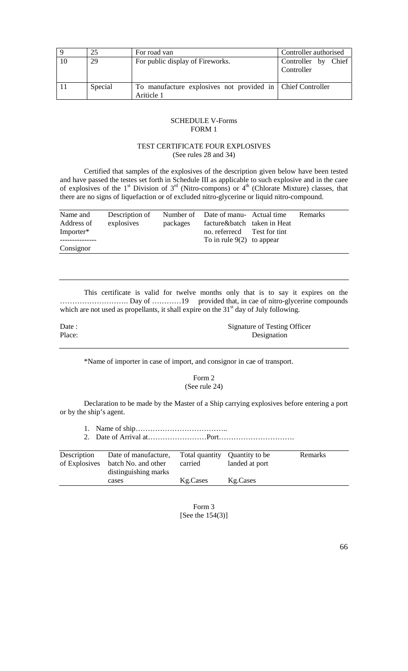|    | 25      | For road van                                                             | Controller authorised             |
|----|---------|--------------------------------------------------------------------------|-----------------------------------|
| 10 | 29      | For public display of Fireworks.                                         | Controller by Chief<br>Controller |
|    | Special | To manufacture explosives not provided in Chief Controller<br>Ariticle 1 |                                   |

### SCHEDULE V-Forms FORM 1

### TEST CERTIFICATE FOUR EXPLOSIVES (See rules 28 and 34)

Certified that samples of the explosives of the description given below have been tested and have passed the testes set forth in Schedule III as applicable to such explosive and in the caee of explosives of the 1<sup>st</sup> Division of  $3<sup>rd</sup>$  (Nitro-compons) or 4<sup>th</sup> (Chlorate Mixture) classes, that there are no signs of liquefaction or of excluded nitro-glycerine or liquid nitro-compound.

| Name and<br>Address of<br>Importer* | Description of<br>explosives | packages | Number of Date of manu- Actual time<br>facture&batch taken in Heat<br>no. referrecd Test for tint<br>To in rule $9(2)$ to appear | <b>Remarks</b> |
|-------------------------------------|------------------------------|----------|----------------------------------------------------------------------------------------------------------------------------------|----------------|
| Consignor                           |                              |          |                                                                                                                                  |                |

This certificate is valid for twelve months only that is to say it expires on the ………………………. Day of …………19 provided that, in cae of nitro-glycerine compounds which are not used as propellants, it shall expire on the  $31<sup>st</sup>$  day of July following.

Date : Signature of Testing Officer Place: Designation

\*Name of importer in case of import, and consignor in cae of transport.

Form 2 (See rule 24)

Declaration to be made by the Master of a Ship carrying explosives before entering a port or by the ship's agent.

| Description<br>of Explosives | Date of manufacture,<br>batch No. and other<br>distinguishing marks | Total quantity Quantity to be<br>carried | landed at port | Remarks |
|------------------------------|---------------------------------------------------------------------|------------------------------------------|----------------|---------|
|                              | cases                                                               | Kg.Cases                                 | Kg.Cases       |         |

Form 3 [See the 154(3)]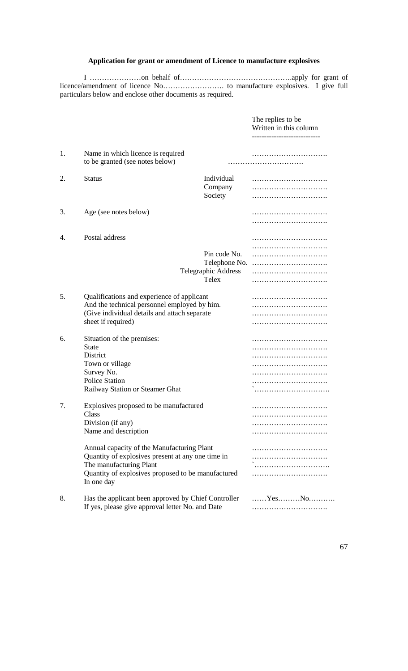# **Application for grant or amendment of Licence to manufacture explosives**

I …………………on behalf of……………………………………….apply for grant of licence/amendment of licence No……………………. to manufacture explosives. I give full particulars below and enclose other documents as required.

|    |                                                                                                                                                                  |                                                                      | The replies to be<br>Written in this column |
|----|------------------------------------------------------------------------------------------------------------------------------------------------------------------|----------------------------------------------------------------------|---------------------------------------------|
| 1. | Name in which licence is required<br>to be granted (see notes below)                                                                                             |                                                                      |                                             |
| 2. | <b>Status</b>                                                                                                                                                    | Individual<br>Company<br>Society                                     |                                             |
| 3. | Age (see notes below)                                                                                                                                            |                                                                      |                                             |
| 4. | Postal address                                                                                                                                                   | Pin code No.<br>Telephone No.<br>Telegraphic Address<br><b>Telex</b> |                                             |
| 5. | Qualifications and experience of applicant<br>And the technical personnel employed by him.<br>(Give individual details and attach separate<br>sheet if required) |                                                                      |                                             |
| 6. | Situation of the premises:<br><b>State</b><br>District<br>Town or village<br>Survey No.<br><b>Police Station</b><br>Railway Station or Steamer Ghat              |                                                                      |                                             |
| 7. | Explosives proposed to be manufactured<br>Class<br>Division (if any)<br>Name and description<br>Annual capacity of the Manufacturing Plant                       |                                                                      |                                             |
|    | Quantity of explosives present at any one time in<br>The manufacturing Plant<br>Quantity of explosives proposed to be manufactured<br>In one day                 |                                                                      |                                             |
| 8. | Has the applicant been approved by Chief Controller<br>If yes, please give approval letter No. and Date                                                          |                                                                      | $Y$ esNo                                    |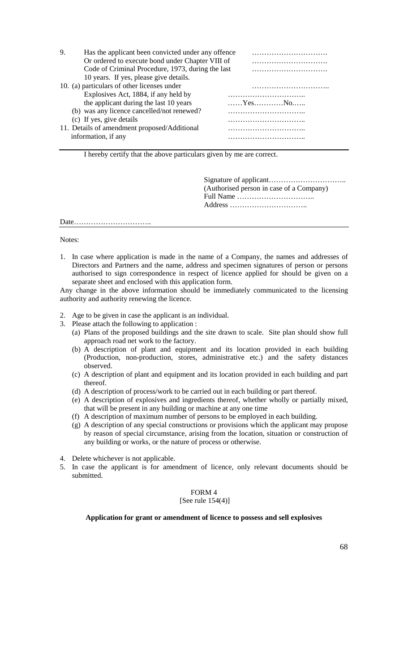| 9. | Has the applicant been convicted under any offence<br>Or ordered to execute bond under Chapter VIII of |                                                                |
|----|--------------------------------------------------------------------------------------------------------|----------------------------------------------------------------|
|    | Code of Criminal Procedure, 1973, during the last                                                      |                                                                |
|    | 10 years. If yes, please give details.                                                                 |                                                                |
|    | 10. (a) particulars of other licenses under                                                            |                                                                |
|    | Explosives Act, 1884, if any held by                                                                   |                                                                |
|    | the applicant during the last 10 years                                                                 | $\dots \dots Y$ es $\dots \dots \dots \dots N$ o $\dots \dots$ |
|    | (b) was any licence cancelled/not renewed?                                                             |                                                                |
|    | (c) If yes, give details                                                                               |                                                                |
|    | 11. Details of amendment proposed/Additional                                                           |                                                                |
|    | information, if any                                                                                    |                                                                |

I hereby certify that the above particulars given by me are correct.

Signature of applicant………………………….. (Authorised person in case of a Company) Full Name ………………………….. Address …………………………..

Date…………………………..

Notes:

1. In case where application is made in the name of a Company, the names and addresses of Directors and Partners and the name, address and specimen signatures of person or persons authorised to sign correspondence in respect of licence applied for should be given on a separate sheet and enclosed with this application form.

Any change in the above information should be immediately communicated to the licensing authority and authority renewing the licence.

- 2. Age to be given in case the applicant is an individual.
- 3. Please attach the following to application :
	- (a) Plans of the proposed buildings and the site drawn to scale. Site plan should show full approach road net work to the factory.
	- (b) A description of plant and equipment and its location provided in each building (Production, non-production, stores, administrative etc.) and the safety distances observed.
	- (c) A description of plant and equipment and its location provided in each building and part thereof.
	- (d) A description of process/work to be carried out in each building or part thereof.
	- (e) A description of explosives and ingredients thereof, whether wholly or partially mixed, that will be present in any building or machine at any one time
	- (f) A description of maximum number of persons to be employed in each building.
	- (g) A description of any special constructions or provisions which the applicant may propose by reason of special circumstance, arising from the location, situation or construction of any building or works, or the nature of process or otherwise.
- 4. Delete whichever is not applicable.
- 5. In case the applicant is for amendment of licence, only relevant documents should be submitted.

#### FORM 4 [See rule 154(4)]

#### **Application for grant or amendment of licence to possess and sell explosives**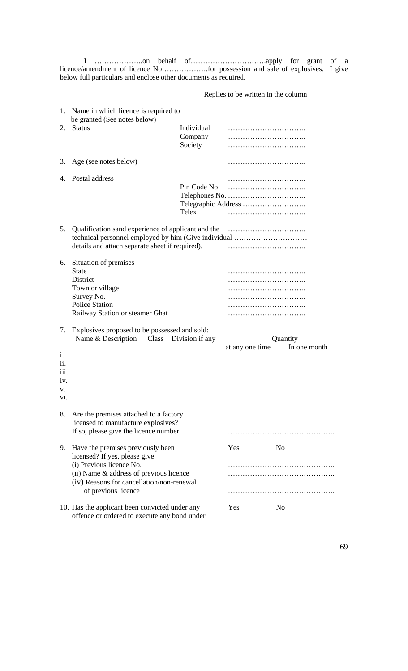I ………………..on behalf of………………………….apply for grant of a licence/amendment of licence No……………….for possession and sale of explosives. I give below full particulars and enclose other documents as required.

Replies to be written in the column

| 1.                                          | Name in which licence is required to<br>be granted (See notes below)                                                                                                                                           |                       |                 |                          |
|---------------------------------------------|----------------------------------------------------------------------------------------------------------------------------------------------------------------------------------------------------------------|-----------------------|-----------------|--------------------------|
| 2.                                          | <b>Status</b>                                                                                                                                                                                                  | Individual<br>Company |                 |                          |
|                                             |                                                                                                                                                                                                                | Society               |                 |                          |
| 3.                                          | Age (see notes below)                                                                                                                                                                                          |                       |                 |                          |
| 4.                                          | Postal address                                                                                                                                                                                                 | Pin Code No<br>Telex  |                 |                          |
| 5.                                          | Qualification sand experience of applicant and the<br>technical personnel employed by him (Give individual<br>details and attach separate sheet if required).                                                  |                       |                 |                          |
| 6.                                          | Situation of premises -<br><b>State</b><br>District<br>Town or village<br>Survey No.<br><b>Police Station</b><br>Railway Station or steamer Ghat                                                               |                       |                 |                          |
| 7.<br>i.<br>11.<br>111.<br>1V.<br>v.<br>V1. | Explosives proposed to be possessed and sold:<br>Name & Description Class Division if any                                                                                                                      |                       | at any one time | Quantity<br>In one month |
| 8.                                          | Are the premises attached to a factory<br>licensed to manufacture explosives?<br>If so, please give the licence number                                                                                         |                       |                 |                          |
| 9.                                          | Have the premises previously been<br>licensed? If yes, please give:<br>(i) Previous licence No.<br>(ii) Name & address of previous licence<br>(iv) Reasons for cancellation/non-renewal<br>of previous licence |                       | Yes             | No                       |
|                                             | 10. Has the applicant been convicted under any<br>offence or ordered to execute any bond under                                                                                                                 |                       | Yes             | N <sub>o</sub>           |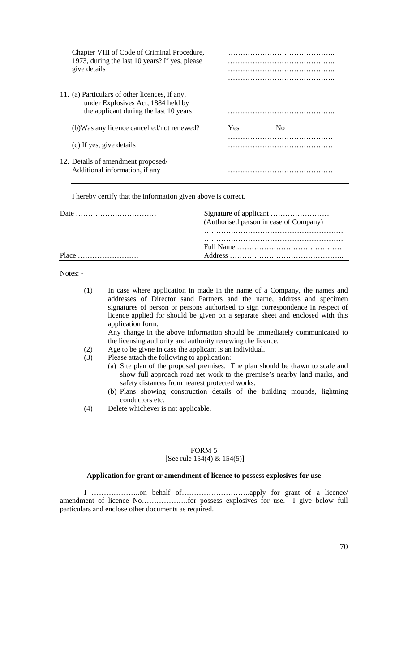| Chapter VIII of Code of Criminal Procedure,<br>1973, during the last 10 years? If yes, please<br>give details                  |     |    |
|--------------------------------------------------------------------------------------------------------------------------------|-----|----|
| 11. (a) Particulars of other licences, if any,<br>under Explosives Act, 1884 held by<br>the applicant during the last 10 years |     |    |
| (b) Was any licence cancelled/not renewed?                                                                                     | Yes | Nο |
| (c) If yes, give details                                                                                                       |     |    |
| 12. Details of amendment proposed/<br>Additional information, if any                                                           |     |    |

I hereby certify that the information given above is correct.

|                                                   | (Authorised person in case of Company) |
|---------------------------------------------------|----------------------------------------|
| $Place \dots \dots \dots \dots \dots \dots \dots$ |                                        |

Notes: -

| (1) | In case where application in made in the name of a Company, the names and       |  |  |  |  |
|-----|---------------------------------------------------------------------------------|--|--|--|--|
|     | addresses of Director sand Partners and the name, address and specimen          |  |  |  |  |
|     | signatures of person or persons authorised to sign correspondence in respect of |  |  |  |  |
|     | licence applied for should be given on a separate sheet and enclosed with this  |  |  |  |  |
|     | application form.                                                               |  |  |  |  |
|     | Any change in the above information should be immediately communicated to       |  |  |  |  |
|     | the licensing authority and authority renewing the licence.                     |  |  |  |  |
| (2) | Age to be givne in case the applicant is an individual.                         |  |  |  |  |
| (3) | Please attach the following to application:                                     |  |  |  |  |
|     | (a) Site plan of the proposed premises. The plan should be drawn to scale and   |  |  |  |  |
|     | show full approach road net work to the premise's nearby land marks, and        |  |  |  |  |

- safety distances from nearest protected works. (b) Plans showing construction details of the building mounds, lightning conductors etc.
- (4) Delete whichever is not applicable.

### FORM 5 [See rule 154(4) & 154(5)]

### **Application for grant or amendment of licence to possess explosives for use**

I ………………..on behalf of……………………….apply for grant of a licence/ amendment of licence No……………….for possess explosives for use. I give below full particulars and enclose other documents as required.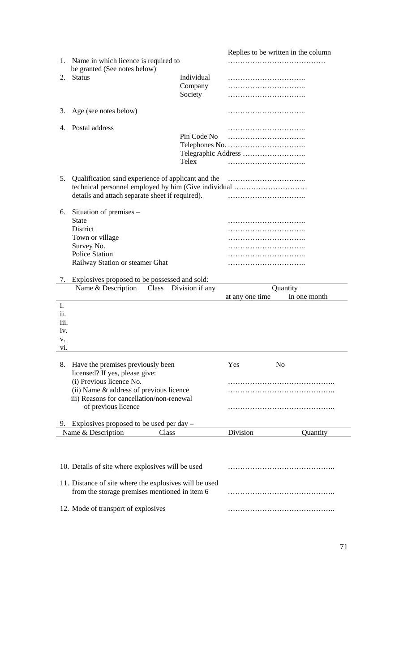|      |                                                        |                 |                 | Replies to be written in the column |
|------|--------------------------------------------------------|-----------------|-----------------|-------------------------------------|
| 1.   | Name in which licence is required to                   |                 |                 |                                     |
|      | be granted (See notes below)                           |                 |                 |                                     |
| 2.   | <b>Status</b>                                          | Individual      |                 |                                     |
|      |                                                        | Company         |                 |                                     |
|      |                                                        | Society         |                 |                                     |
|      |                                                        |                 |                 |                                     |
| 3.   | Age (see notes below)                                  |                 |                 |                                     |
|      |                                                        |                 |                 |                                     |
| 4.   | Postal address                                         |                 |                 |                                     |
|      |                                                        | Pin Code No     |                 |                                     |
|      |                                                        |                 |                 |                                     |
|      |                                                        |                 |                 |                                     |
|      |                                                        | Telex           |                 |                                     |
|      |                                                        |                 |                 |                                     |
| 5.   |                                                        |                 |                 |                                     |
|      | technical personnel employed by him (Give individual   |                 |                 |                                     |
|      | details and attach separate sheet if required).        |                 |                 |                                     |
|      |                                                        |                 |                 |                                     |
| 6.   | Situation of premises –                                |                 |                 |                                     |
|      | <b>State</b>                                           |                 |                 |                                     |
|      | District                                               |                 |                 |                                     |
|      | Town or village                                        |                 |                 |                                     |
|      | Survey No.                                             |                 |                 |                                     |
|      | <b>Police Station</b>                                  |                 |                 |                                     |
|      | Railway Station or steamer Ghat                        |                 |                 |                                     |
|      |                                                        |                 |                 |                                     |
| 7.   | Explosives proposed to be possessed and sold:          |                 |                 |                                     |
|      |                                                        |                 |                 |                                     |
|      | Name & Description<br>Class                            | Division if any |                 | Quantity                            |
|      |                                                        |                 | at any one time | In one month                        |
| i.   |                                                        |                 |                 |                                     |
| ii.  |                                                        |                 |                 |                                     |
| 111. |                                                        |                 |                 |                                     |
| iv.  |                                                        |                 |                 |                                     |
| v.   |                                                        |                 |                 |                                     |
| vi.  |                                                        |                 |                 |                                     |
|      |                                                        |                 |                 |                                     |
| 8.   | Have the premises previously been                      |                 | Yes             | N <sub>o</sub>                      |
|      | licensed? If yes, please give:                         |                 |                 |                                     |
|      | (i) Previous licence No.                               |                 |                 |                                     |
|      | (ii) Name & address of previous licence                |                 |                 |                                     |
|      | iii) Reasons for cancellation/non-renewal              |                 |                 |                                     |
|      | of previous licence                                    |                 |                 |                                     |
|      |                                                        |                 |                 |                                     |
|      | 9. Explosives proposed to be used per day $-$          |                 |                 |                                     |
|      | Name & Description<br>Class                            |                 | Division        | Quantity                            |
|      |                                                        |                 |                 |                                     |
|      |                                                        |                 |                 |                                     |
|      |                                                        |                 |                 |                                     |
|      | 10. Details of site where explosives will be used      |                 |                 |                                     |
|      |                                                        |                 |                 |                                     |
|      | 11. Distance of site where the explosives will be used |                 |                 |                                     |
|      | from the storage premises mentioned in item 6          |                 |                 |                                     |
|      | 12. Mode of transport of explosives                    |                 |                 |                                     |

71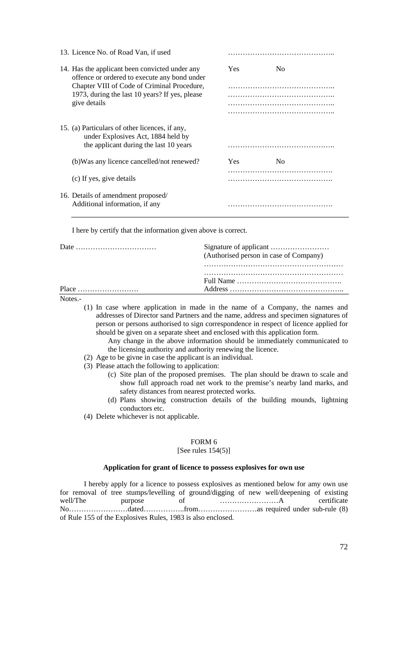| 13. Licence No. of Road Van, if used                                                                                           |            |                |  |
|--------------------------------------------------------------------------------------------------------------------------------|------------|----------------|--|
| 14. Has the applicant been convicted under any<br>offence or ordered to execute any bond under                                 | Yes        | N <sub>0</sub> |  |
| Chapter VIII of Code of Criminal Procedure,                                                                                    |            |                |  |
| 1973, during the last 10 years? If yes, please<br>give details                                                                 |            |                |  |
|                                                                                                                                |            |                |  |
|                                                                                                                                |            |                |  |
| 15. (a) Particulars of other licences, if any,<br>under Explosives Act, 1884 held by<br>the applicant during the last 10 years |            |                |  |
| (b) Was any licence cancelled/not renewed?                                                                                     | <b>Yes</b> | No             |  |
| (c) If yes, give details                                                                                                       |            |                |  |
| 16. Details of amendment proposed/<br>Additional information, if any                                                           |            |                |  |

I here by certify that the information given above is correct.

| (Authorised person in case of Company) |
|----------------------------------------|
|                                        |

Notes.-

- (1) In case where application in made in the name of a Company, the names and addresses of Director sand Partners and the name, address and specimen signatures of person or persons authorised to sign correspondence in respect of licence applied for should be given on a separate sheet and enclosed with this application form.
	- Any change in the above information should be immediately communicated to the licensing authority and authority renewing the licence.
- (2) Age to be givne in case the applicant is an individual.
- (3) Please attach the following to application:
	- (c) Site plan of the proposed premises. The plan should be drawn to scale and show full approach road net work to the premise's nearby land marks, and safety distances from nearest protected works.
	- (d) Plans showing construction details of the building mounds, lightning conductors etc.
- (4) Delete whichever is not applicable.

#### FORM 6

[See rules 154(5)]

#### **Application for grant of licence to possess explosives for own use**

I hereby apply for a licence to possess explosives as mentioned below for amy own use for removal of tree stumps/levelling of ground/digging of new well/deepening of existing well/The purpose of ……………………A certificate No……………………dated……………..from……………………as required under sub-rule (8) of Rule 155 of the Explosives Rules, 1983 is also enclosed.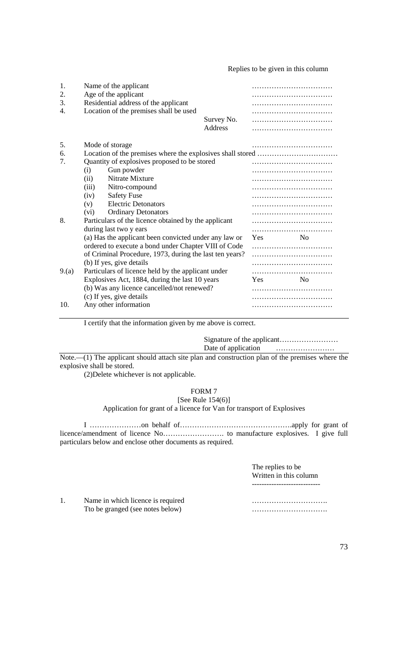Replies to be given in this column

| 1.<br>2.<br>3.<br>4. |                                                                                                                 | Name of the applicant<br>Age of the applicant<br>Residential address of the applicant<br>Location of the premises shall be used | Survey No.<br>Address |            | .              |
|----------------------|-----------------------------------------------------------------------------------------------------------------|---------------------------------------------------------------------------------------------------------------------------------|-----------------------|------------|----------------|
| 5.                   | Mode of storage                                                                                                 |                                                                                                                                 |                       |            |                |
| 6.                   |                                                                                                                 |                                                                                                                                 |                       |            |                |
| 7.                   |                                                                                                                 | Quantity of explosives proposed to be stored                                                                                    |                       |            |                |
|                      | Gun powder<br>(i)                                                                                               |                                                                                                                                 |                       |            |                |
|                      | Nitrate Mixture<br>(ii)                                                                                         |                                                                                                                                 |                       |            |                |
|                      | (iii)<br>Nitro-compound<br><b>Safety Fuse</b><br>(iv)                                                           |                                                                                                                                 |                       |            |                |
|                      |                                                                                                                 |                                                                                                                                 |                       |            |                |
|                      | (v)                                                                                                             | <b>Electric Detonators</b>                                                                                                      |                       |            |                |
|                      | $(v_i)$                                                                                                         | <b>Ordinary Detonators</b>                                                                                                      |                       |            |                |
| 8.                   |                                                                                                                 | Particulars of the licence obtained by the applicant                                                                            |                       |            |                |
|                      |                                                                                                                 | during last two y ears                                                                                                          |                       |            |                |
|                      |                                                                                                                 | (a) Has the applicant been convicted under any law or                                                                           |                       | Yes        | N <sub>0</sub> |
|                      | ordered to execute a bond under Chapter VIII of Code<br>of Criminal Procedure, 1973, during the last ten years? |                                                                                                                                 |                       |            |                |
|                      |                                                                                                                 |                                                                                                                                 |                       |            |                |
|                      |                                                                                                                 | (b) If yes, give details                                                                                                        |                       |            |                |
| 9(a)                 |                                                                                                                 | Particulars of licence held by the applicant under                                                                              |                       | <b>Yes</b> | No             |
|                      | Explosives Act, 1884, during the last 10 years                                                                  |                                                                                                                                 |                       |            |                |
|                      | (b) Was any licence cancelled/not renewed?<br>(c) If yes, give details                                          |                                                                                                                                 |                       |            |                |
| 10.                  |                                                                                                                 | Any other information                                                                                                           |                       |            |                |
|                      |                                                                                                                 |                                                                                                                                 |                       |            |                |

I certify that the information given by me above is correct.

Signature of the applicant…………………… Date of application ……………………

Note.—(1) The applicant should attach site plan and construction plan of the premises where the explosive shall be stored.

(2)Delete whichever is not applicable.

# FORM 7

[See Rule 154(6)] Application for grant of a licence for Van for transport of Explosives

I …………………on behalf of……………………………………….apply for grant of licence/amendment of licence No……………………. to manufacture explosives. I give full particulars below and enclose other documents as required.

> The replies to be Written in this column ----------------------------

1. Name in which licence is required …………………………. Tto be granged (see notes below) measured the state of the state of the state of the state of the state of the state of the state of the state of the state of the state of the state of the state of the state of the state o

73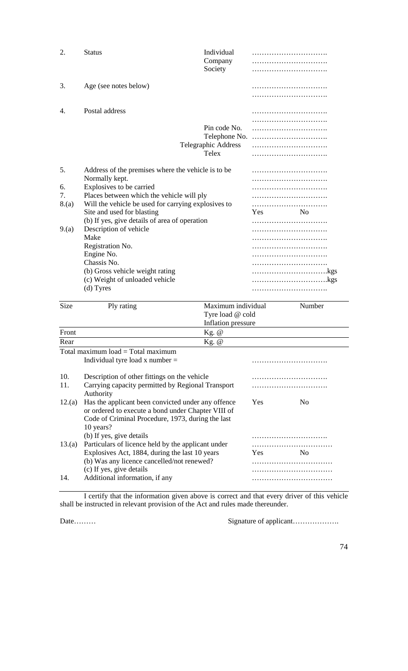| 2.                              | <b>Status</b>                                                                                                                                                                                                                                                                                                 | Individual<br>Company<br>Society                              |     |                |
|---------------------------------|---------------------------------------------------------------------------------------------------------------------------------------------------------------------------------------------------------------------------------------------------------------------------------------------------------------|---------------------------------------------------------------|-----|----------------|
| 3.                              | Age (see notes below)                                                                                                                                                                                                                                                                                         |                                                               |     |                |
| 4.                              | Postal address                                                                                                                                                                                                                                                                                                |                                                               |     |                |
|                                 |                                                                                                                                                                                                                                                                                                               | Pin code No.<br>Telephone No.<br>Telegraphic Address<br>Telex |     |                |
| 5.<br>6.<br>7.<br>8.(a)<br>9(a) | Address of the premises where the vehicle is to be<br>Normally kept.<br>Explosives to be carried<br>Places between which the vehicle will ply<br>Will the vehicle be used for carrying explosives to<br>Site and used for blasting<br>(b) If yes, give details of area of operation<br>Description of vehicle |                                                               | Yes | N <sub>0</sub> |
|                                 | Make<br>Registration No.<br>Engine No.<br>Chassis No.<br>(b) Gross vehicle weight rating<br>(c) Weight of unloaded vehicle<br>(d) Tyres                                                                                                                                                                       |                                                               |     |                |
| Size                            | Ply rating                                                                                                                                                                                                                                                                                                    | Maximum individual<br>Tyre load @ cold<br>Inflation pressure  |     | Number         |
| Front                           |                                                                                                                                                                                                                                                                                                               | $Kg$ . $@$                                                    |     |                |
| Rear                            |                                                                                                                                                                                                                                                                                                               | Kg. @                                                         |     |                |

Total maximum load = Total maximum Individual tyre load x number = ………………………….

| 10.    | Description of other fittings on the vehicle                                                             |     |                |
|--------|----------------------------------------------------------------------------------------------------------|-----|----------------|
| 11.    | Carrying capacity permitted by Regional Transport<br>Authority                                           |     |                |
| 12.(a) | Has the applicant been convicted under any offence<br>or ordered to execute a bond under Chapter VIII of | Yes | N <sub>0</sub> |
|        | Code of Criminal Procedure, 1973, during the last                                                        |     |                |
|        | 10 years?                                                                                                |     |                |
|        | (b) If yes, give details                                                                                 |     |                |
| 13.(a) | Particulars of licence held by the applicant under                                                       |     |                |
|        | Explosives Act, 1884, during the last 10 years                                                           | Yes | Nο             |
|        | (b) Was any licence cancelled/not renewed?                                                               |     |                |
|        | (c) If yes, give details                                                                                 |     |                |
| 14.    | Additional information, if any                                                                           |     |                |

I certify that the information given above is correct and that every driver of this vehicle shall be instructed in relevant provision of the Act and rules made thereunder.

Date………

 $\overline{\phantom{a}}$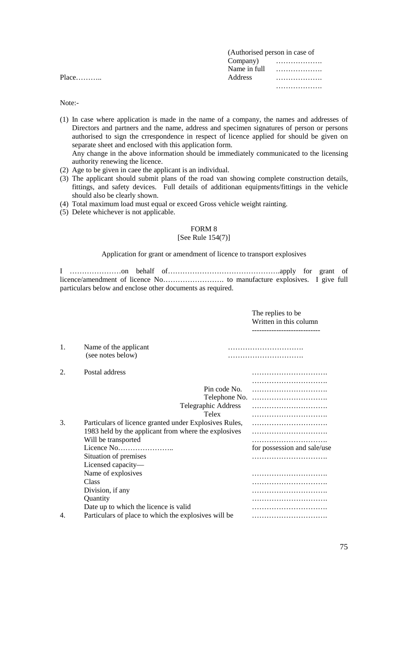|         | (Authorised person in case of |                             |
|---------|-------------------------------|-----------------------------|
|         |                               | $Company$ $\ldots$ $\ldots$ |
|         |                               |                             |
| $Place$ | <b>Address</b>                | .                           |
|         |                               | .                           |

Note:-

- (1) In case where application is made in the name of a company, the names and addresses of Directors and partners and the name, address and specimen signatures of person or persons authorised to sign the crrespondence in respect of licence applied for should be given on separate sheet and enclosed with this application form. Any change in the above information should be immediately communicated to the licensing authority renewing the licence.
- (2) Age to be given in caee the applicant is an individual.
- (3) The applicant should submit plans of the road van showing complete construction details, fittings, and safety devices. Full details of additionan equipments/fittings in the vehicle should also be clearly shown.
- (4) Total maximum load must equal or exceed Gross vehicle weight rainting.
- (5) Delete whichever is not applicable.

# FORM 8

# [See Rule 154(7)]

Application for grant or amendment of licence to transport explosives

I …………………on behalf of……………………………………….apply for grant of licence/amendment of licence No……………………. to manufacture explosives. I give full particulars below and enclose other documents as required.

|    |                                                                                                                                                                                                                                                                   | The replies to be.<br>Written in this column<br>------------------- |
|----|-------------------------------------------------------------------------------------------------------------------------------------------------------------------------------------------------------------------------------------------------------------------|---------------------------------------------------------------------|
| 1. | Name of the applicant<br>(see notes below)                                                                                                                                                                                                                        |                                                                     |
| 2. | Postal address                                                                                                                                                                                                                                                    |                                                                     |
|    | Pin code No.<br>Telephone No.                                                                                                                                                                                                                                     |                                                                     |
|    | Telegraphic Address<br>Telex                                                                                                                                                                                                                                      |                                                                     |
| 3. | Particulars of licence granted under Explosives Rules,<br>1983 held by the applicant from where the explosives<br>Will be transported<br>Licence No<br>Situation of premises<br>Licensed capacity-<br>Name of explosives<br>Class<br>Division, if any<br>Quantity | for possession and sale/use<br>.                                    |
| 4. | Date up to which the licence is valid<br>Particulars of place to which the explosives will be                                                                                                                                                                     |                                                                     |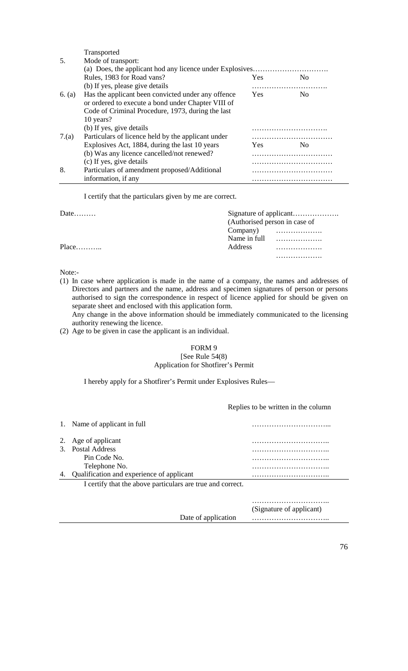Transported 5. Mode of transport: (a) Does, the applicant hod any licence under Explosives…………………………. Rules, 1983 for Road vans? Yes No (b) If yes, please give details …………………………. 6. (a) Has the applicant been convicted under any offence Yes No or ordered to execute a bond under Chapter VIII of Code of Criminal Procedure, 1973, during the last 10 years? (b) If yes, give details …………………………. 7.(a) Particulars of licence held by the applicant under …………………………… Explosives Act, 1884, during the last 10 years Yes No (b) Was any licence cancelled/not renewed? …………………………… (c) If yes, give details …………………………… 8. Particulars of amendment proposed/Additional …………………………… information, if any methods is a set of the set of the set of the set of the set of the set of the set of the set of the set of the set of the set of the set of the set of the set of the set of the set of the set of the se

I certify that the particulars given by me are correct.

Date……… (Authorised person in case of Company) ………………. Name in full ………………. Place……….. Address ……………….

Note:-

(1) In case where application is made in the name of a company, the names and addresses of Directors and partners and the name, address and specimen signatures of person or persons authorised to sign the correspondence in respect of licence applied for should be given on separate sheet and enclosed with this application form.

Any change in the above information should be immediately communicated to the licensing authority renewing the licence.

(2) Age to be given in case the applicant is an individual.

#### FORM 9 [See Rule 54(8) Application for Shotfirer's Permit

I hereby apply for a Shotfirer's Permit under Explosives Rules—

Replies to be written in the column

……………….

| 1. Name of applicant in full                               |   |
|------------------------------------------------------------|---|
| 2. Age of applicant                                        | . |
| 3. Postal Address                                          |   |
| Pin Code No.                                               |   |
| Telephone No.                                              |   |
| Qualification and experience of applicant                  |   |
| I certify that the above particulars are true and correct. |   |
|                                                            |   |
|                                                            | . |

(Signature of applicant) Date of application …………………………..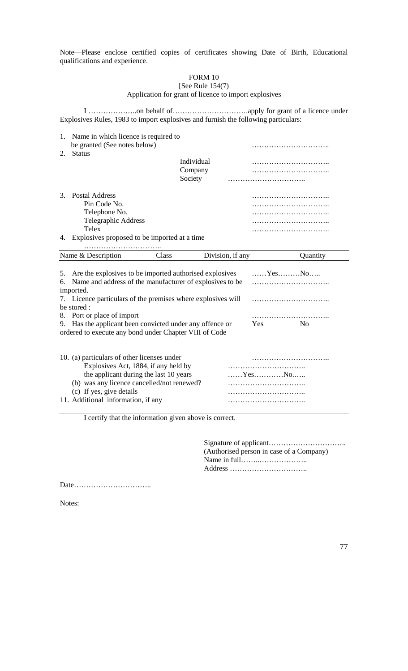Note—Please enclose certified copies of certificates showing Date of Birth, Educational qualifications and experience.

# FORM 10

# [See Rule 154(7) Application for grant of licence to import explosives

I ………………..on behalf of………………………….apply for grant of a licence under Explosives Rules, 1983 to import explosives and furnish the following particulars:

| 2. | 1. Name in which licence is required to<br>be granted (See notes below)<br><b>Status</b> |            |  |
|----|------------------------------------------------------------------------------------------|------------|--|
|    |                                                                                          | Individual |  |
|    |                                                                                          | Company    |  |
|    |                                                                                          | Society    |  |
|    | 3. Postal Address                                                                        |            |  |
|    | Pin Code No.                                                                             |            |  |
|    | Telephone No.                                                                            |            |  |
|    | Telegraphic Address                                                                      |            |  |
|    | Telex                                                                                    |            |  |
| 4. | Explosives proposed to be imported at a time                                             |            |  |

| Name & Description                                                                                                                     | Class | Division, if any |            | Quantity                                               |
|----------------------------------------------------------------------------------------------------------------------------------------|-------|------------------|------------|--------------------------------------------------------|
| 5. Are the explosives to be imported authorised explosives<br>6. Name and address of the manufacturer of explosives to be<br>imported. |       |                  |            | $\ldots \ldots$ Yes $\ldots \ldots \ldots$ No $\ldots$ |
| 7. Licence particulars of the premises where explosives will<br>he stored :                                                            |       |                  |            |                                                        |
| 8. Port or place of import                                                                                                             |       |                  |            |                                                        |
| Has the applicant been convicted under any offence or<br>9.<br>ordered to execute any bond under Chapter VIII of Code                  |       |                  | <b>Yes</b> | No.                                                    |
| 10. (a) particulars of other licenses under<br>Explosives Act, 1884, if any held by                                                    |       |                  |            |                                                        |

| the applicant during the last 10 years     | $\ldots \ldots Y$ es $\ldots \ldots \ldots \ldots N$ 0 |
|--------------------------------------------|--------------------------------------------------------|
| (b) was any licence cancelled/not renewed? |                                                        |
| (c) If yes, give details                   |                                                        |
| 11. Additional information, if any         |                                                        |

I certify that the information given above is correct.

Signature of applicant………………………….. (Authorised person in case of a Company) Name in full……..……………….. Address …………………………..

Date…………………………..

Notes: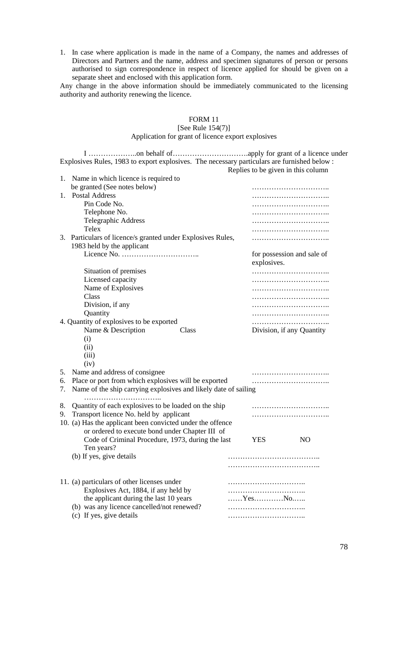1. In case where application is made in the name of a Company, the names and addresses of Directors and Partners and the name, address and specimen signatures of person or persons authorised to sign correspondence in respect of licence applied for should be given on a separate sheet and enclosed with this application form.

Any change in the above information should be immediately communicated to the licensing authority and authority renewing the licence.

# FORM 11 [See Rule 154(7)] Application for grant of licence export explosives

I ………………..on behalf of………………………….apply for grant of a licence under Explosives Rules, 1983 to export explosives. The necessary particulars are furnished below : Replies to be given in this column

| 1. | Name in which licence is required to                                                      |                            |  |
|----|-------------------------------------------------------------------------------------------|----------------------------|--|
|    | be granted (See notes below)                                                              |                            |  |
| 1. | <b>Postal Address</b>                                                                     |                            |  |
|    | Pin Code No.                                                                              |                            |  |
|    | Telephone No.                                                                             |                            |  |
|    | Telegraphic Address                                                                       |                            |  |
|    | Telex                                                                                     |                            |  |
|    | 3. Particulars of licence/s granted under Explosives Rules,<br>1983 held by the applicant |                            |  |
|    |                                                                                           | for possession and sale of |  |
|    |                                                                                           | explosives.                |  |
|    | Situation of premises                                                                     |                            |  |
|    | Licensed capacity                                                                         |                            |  |
|    | Name of Explosives                                                                        |                            |  |
|    | Class                                                                                     |                            |  |
|    | Division, if any                                                                          |                            |  |
|    | Quantity                                                                                  |                            |  |
|    | 4. Quantity of explosives to be exported                                                  |                            |  |
|    | Name & Description<br>Class                                                               | Division, if any Quantity  |  |
|    | (i)                                                                                       |                            |  |
|    | (ii)                                                                                      |                            |  |
|    | (iii)                                                                                     |                            |  |
|    | (iv)                                                                                      |                            |  |
| 5. | Name and address of consignee                                                             |                            |  |
| 6. | Place or port from which explosives will be exported                                      |                            |  |
| 7. | Name of the ship carrying explosives and likely date of sailing                           |                            |  |
|    |                                                                                           |                            |  |
| 8. | Quantity of each explosives to be loaded on the ship                                      |                            |  |
| 9. | Transport licence No. held by applicant                                                   |                            |  |
|    | 10. (a) Has the applicant been convicted under the offence                                |                            |  |
|    | or ordered to execute bond under Chapter III of                                           |                            |  |
|    | Code of Criminal Procedure, 1973, during the last                                         | NO<br><b>YES</b>           |  |
|    | Ten years?                                                                                |                            |  |
|    | (b) If yes, give details                                                                  |                            |  |
|    |                                                                                           |                            |  |
|    |                                                                                           |                            |  |
|    | 11. (a) particulars of other licenses under                                               |                            |  |
|    | Explosives Act, 1884, if any held by                                                      |                            |  |
|    | the applicant during the last 10 years                                                    | YesNo                      |  |
|    | (b) was any licence cancelled/not renewed?                                                |                            |  |
|    | (c) If yes, give details                                                                  |                            |  |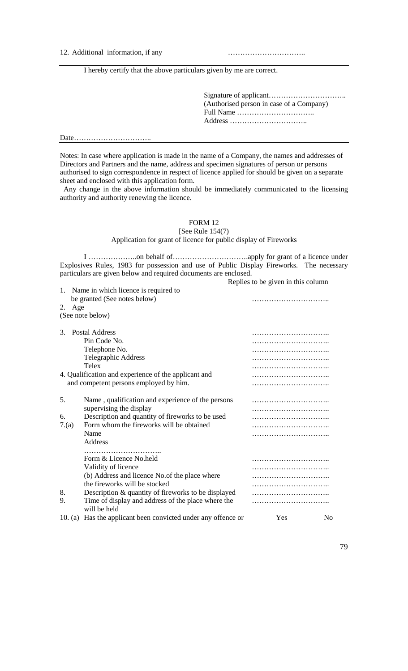12. Additional information, if any methods is a set of the set of the set of the set of the set of the set of the set of the set of the set of the set of the set of the set of the set of the set of the set of the set of th

I hereby certify that the above particulars given by me are correct.

Signature of applicant………………………….. (Authorised person in case of a Company) Full Name ………………………….. Address …………………………..

Date…………………………..

Notes: In case where application is made in the name of a Company, the names and addresses of Directors and Partners and the name, address and specimen signatures of person or persons authorised to sign correspondence in respect of licence applied for should be given on a separate sheet and enclosed with this application form.

 Any change in the above information should be immediately communicated to the licensing authority and authority renewing the licence.

FORM 12

[See Rule 154(7) Application for grant of licence for public display of Fireworks

I ………………..on behalf of………………………….apply for grant of a licence under Explosives Rules, 1983 for possession and use of Public Display Fireworks. The necessary particulars are given below and required documents are enclosed. Replies to be given in this column

|           | 1. Name in which licence is required to               |     |    |
|-----------|-------------------------------------------------------|-----|----|
|           | be granted (See notes below)                          |     |    |
| Age<br>2. |                                                       |     |    |
|           | (See note below)                                      |     |    |
|           |                                                       |     |    |
| 3.        | <b>Postal Address</b>                                 |     |    |
|           | Pin Code No.                                          |     |    |
|           | Telephone No.                                         |     |    |
|           | Telegraphic Address                                   |     |    |
|           | Telex                                                 |     |    |
|           | 4. Qualification and experience of the applicant and  |     |    |
|           | and competent persons employed by him.                |     |    |
|           |                                                       |     |    |
| 5.        | Name, qualification and experience of the persons     |     |    |
|           | supervising the display                               |     |    |
| 6.        | Description and quantity of fireworks to be used      |     |    |
|           | Form whom the fireworks will be obtained              |     |    |
| 7(a)      |                                                       |     |    |
|           | Name                                                  |     |    |
|           | Address                                               |     |    |
|           |                                                       |     |    |
|           | Form & Licence No.held                                |     |    |
|           | Validity of licence                                   |     |    |
|           | (b) Address and licence No. of the place where        |     |    |
|           | the fireworks will be stocked                         |     |    |
| 8.        | Description & quantity of fireworks to be displayed   |     |    |
| 9.        | Time of display and address of the place where the    |     |    |
|           | will be held                                          |     |    |
| 10. (a)   | Has the applicant been convicted under any offence or | Yes | No |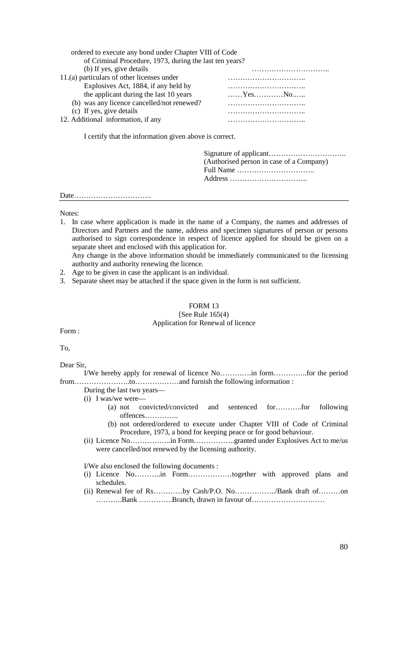| ordered to execute any bond under Chapter VIII of Code  |                                                               |  |  |
|---------------------------------------------------------|---------------------------------------------------------------|--|--|
| of Criminal Procedure, 1973, during the last ten years? |                                                               |  |  |
| (b) If yes, give details                                |                                                               |  |  |
| 11.(a) particulars of other licenses under              |                                                               |  |  |
| Explosives Act, 1884, if any held by                    |                                                               |  |  |
| the applicant during the last 10 years                  | $\ldots \ldots$ Yes $\ldots \ldots \ldots$ No $\ldots \ldots$ |  |  |
| (b) was any licence cancelled/not renewed?              |                                                               |  |  |
| (c) If yes, give details                                |                                                               |  |  |
| 12. Additional information, if any                      |                                                               |  |  |
| I certify that the information given above is correct.  |                                                               |  |  |
|                                                         |                                                               |  |  |

Signature of applicant………………………….. (Authorised person in case of a Company) Full Name ………………………….. Address …………………………..

Date…………………………..

Notes:

- 1. In case where application is made in the name of a Company, the names and addresses of Directors and Partners and the name, address and specimen signatures of person or persons authorised to sign correspondence in respect of licence applied for should be given on a separate sheet and enclosed with this application for. Any change in the above information should be immediately communicated to the licensing
- authority and authority renewing the licence.
- 2. Age to be given in case the applicant is an individual.
- 3. Separate sheet may be attached if the space given in the form is not sufficient.

#### FORM 13

#### [See Rule 165(4) Application for Renewal of licence

Form :

To,

Dear Sir,

I/We hereby apply for renewal of licence No………….in form…………..for the period from…………………..to………………and furnish the following information :

- During the last two years—
- (i) I was/we were—
	- (a) not convicted/convicted and sentenced for………..for following offences…………..
	- (b) not ordered/ordered to execute under Chapter VIII of Code of Criminal Procedure, 1973, a bond for keeping peace or for good behaviour.
- (ii) Licence No……………..in Form……………..granted under Explosives Act to me/us were cancelled/not renewed by the licensing authority.

I/We also enclosed the following documents :

- (i) Licence No………..in Form………………together with approved plans and schedules.
- (ii) Renewal fee of Rs…………by Cash/P.O. No……………../Bank draft of………on ………..Bank …………..Branch, drawn in favour of…………………………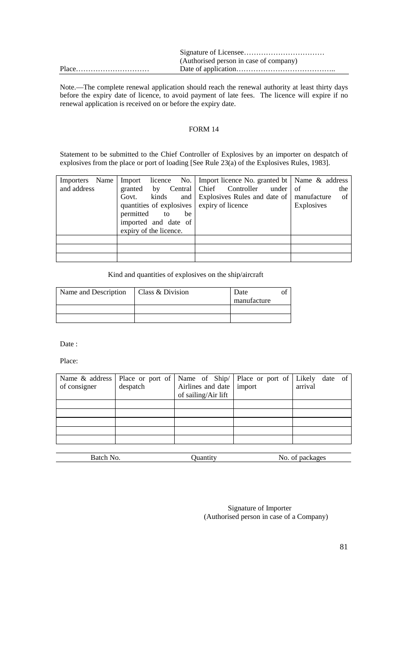| (Authorised person in case of company) |
|----------------------------------------|
|                                        |

Note.—The complete renewal application should reach the renewal authority at least thirty days before the expiry date of licence, to avoid payment of late fees. The licence will expire if no renewal application is received on or before the expiry date.

# FORM 14

Statement to be submitted to the Chief Controller of Explosives by an importer on despatch of explosives from the place or port of loading [See Rule 23(a) of the Explosives Rules, 1983].

| Importers Name<br>and address | granted by<br>kinds<br>Govt.<br>quantities of explosives expiry of licence | Import licence No.   Import licence No. granted bt   Name & address<br>Central Chief Controller<br>under $\vert$ of<br>and Explosives Rules and date of   manufacture | the<br>of<br><b>Explosives</b> |
|-------------------------------|----------------------------------------------------------------------------|-----------------------------------------------------------------------------------------------------------------------------------------------------------------------|--------------------------------|
|                               | permitted to<br>be<br>imported and date of<br>expiry of the licence.       |                                                                                                                                                                       |                                |
|                               |                                                                            |                                                                                                                                                                       |                                |
|                               |                                                                            |                                                                                                                                                                       |                                |
|                               |                                                                            |                                                                                                                                                                       |                                |

Kind and quantities of explosives on the ship/aircraft

| Name and Description | Class & Division | Date        |  |
|----------------------|------------------|-------------|--|
|                      |                  | manufacture |  |
|                      |                  |             |  |
|                      |                  |             |  |

Date :

Place:

| Name & address | Place or port of |                            | Name of $\text{Ship}/\mid$ Place or port of | Likely date of  |
|----------------|------------------|----------------------------|---------------------------------------------|-----------------|
| of consigner   | despatch         | Airlines and date   import |                                             | arrival         |
|                |                  | of sailing/Air lift        |                                             |                 |
|                |                  |                            |                                             |                 |
|                |                  |                            |                                             |                 |
|                |                  |                            |                                             |                 |
|                |                  |                            |                                             |                 |
|                |                  |                            |                                             |                 |
|                |                  |                            |                                             |                 |
| Batch No.      |                  | Quantity                   |                                             | No. of packages |

Signature of Importer (Authorised person in case of a Company)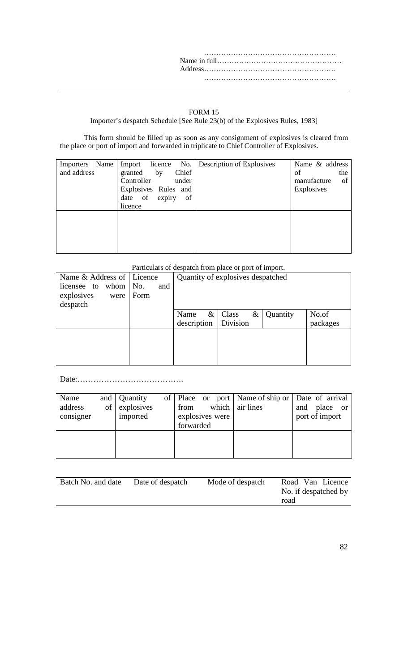……………………………………………… Name in full…………………………………………… Address……………………………………………… ………………………………………………

#### FORM 15

Importer's despatch Schedule [See Rule 23(b) of the Explosives Rules, 1983]

This form should be filled up as soon as any consignment of explosives is cleared from the place or port of import and forwarded in triplicate to Chief Controller of Explosives.

| Name<br>Importers<br>and address | licence No.<br>Import<br>Chief<br>by<br>granted<br>Controller<br>under<br>Explosives Rules and<br>date of<br>of<br>expiry<br>licence | Description of Explosives | Name & address<br>of<br>the<br>manufacture<br>of<br>Explosives |
|----------------------------------|--------------------------------------------------------------------------------------------------------------------------------------|---------------------------|----------------------------------------------------------------|
|                                  |                                                                                                                                      |                           |                                                                |

# Particulars of despatch from place or port of import.

| Name & Address of   Licence                                       |             | Quantity of explosives despatched                              |                   |  |
|-------------------------------------------------------------------|-------------|----------------------------------------------------------------|-------------------|--|
| whom $\vert$ No.<br>licensee to<br>explosives<br>were<br>despatch | and<br>Form |                                                                |                   |  |
|                                                                   |             | Name<br>&<br>Class<br>Quantity<br>&<br>Division<br>description | No.of<br>packages |  |
|                                                                   |             |                                                                |                   |  |

Date:………………………………….

| Name      |    | and   Quantity |                 |       | of   Place or port   Name of ship or   Date of arrival |     |                |               |
|-----------|----|----------------|-----------------|-------|--------------------------------------------------------|-----|----------------|---------------|
| address   | of | explosives     | from            | which | air lines                                              | and | place          | <sub>or</sub> |
| consigner |    | imported       | explosives were |       |                                                        |     | port of import |               |
|           |    |                | forwarded       |       |                                                        |     |                |               |
|           |    |                |                 |       |                                                        |     |                |               |
|           |    |                |                 |       |                                                        |     |                |               |
|           |    |                |                 |       |                                                        |     |                |               |

| Batch No. and date | Date of despatch | Mode of despatch | Road Van Licence     |
|--------------------|------------------|------------------|----------------------|
|                    |                  |                  | No. if despatched by |
|                    |                  |                  | road                 |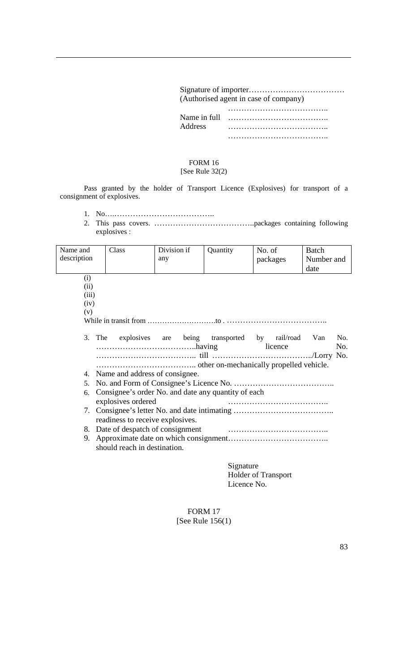|              | (Authorised agent in case of company) |
|--------------|---------------------------------------|
|              |                                       |
| Name in full |                                       |
| Address      |                                       |
|              |                                       |

# FORM 16 [See Rule 32(2)

Pass granted by the holder of Transport Licence (Explosives) for transport of a consignment of explosives.

- 1. No….………………………………..
- 2. This pass covers. ………………………………..packages containing following explosives :

| Name and       | Class                                               | Division if | Quantity | No. of                                            | <b>Batch</b> |
|----------------|-----------------------------------------------------|-------------|----------|---------------------------------------------------|--------------|
| description    |                                                     | any         |          | packages                                          | Number and   |
|                |                                                     |             |          |                                                   | date         |
| (i)            |                                                     |             |          |                                                   |              |
| (ii)           |                                                     |             |          |                                                   |              |
| (iii)          |                                                     |             |          |                                                   |              |
| (iv)           |                                                     |             |          |                                                   |              |
| (v)            |                                                     |             |          |                                                   |              |
|                |                                                     |             |          |                                                   |              |
|                |                                                     |             |          |                                                   |              |
| 3. The         |                                                     |             |          | explosives are being transported by rail/road Van | No.          |
|                |                                                     |             |          | licence                                           | No.          |
|                |                                                     |             |          |                                                   |              |
|                |                                                     |             |          |                                                   |              |
|                | 4. Name and address of consignee.                   |             |          |                                                   |              |
| 5 <sub>1</sub> |                                                     |             |          |                                                   |              |
| 6.             | Consignee's order No. and date any quantity of each |             |          |                                                   |              |
|                | explosives ordered                                  |             |          |                                                   |              |
|                |                                                     |             |          |                                                   |              |
|                | readiness to receive explosives.                    |             |          |                                                   |              |
|                |                                                     |             |          |                                                   |              |
| 9.             |                                                     |             |          |                                                   |              |
|                | should reach in destination.                        |             |          |                                                   |              |
|                |                                                     |             |          |                                                   |              |

Signature Holder of Transport Licence No.

# FORM 17 [See Rule 156(1)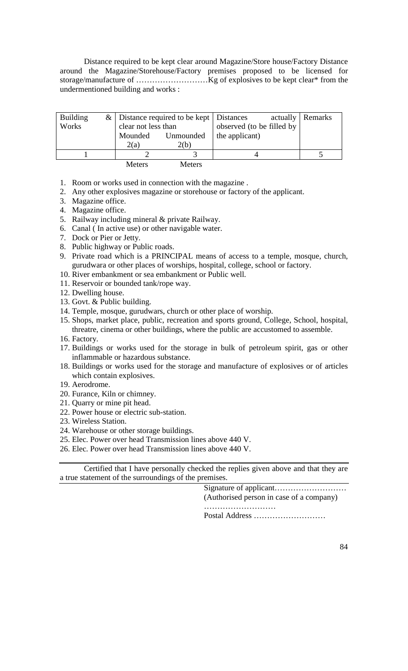Distance required to be kept clear around Magazine/Store house/Factory Distance around the Magazine/Storehouse/Factory premises proposed to be licensed for storage/manufacture of ………………………Kg of explosives to be kept clear\* from the undermentioned building and works :

| <b>Building</b> |                          | $\&$   Distance required to be kept   Distances |                           | actually   Remarks |
|-----------------|--------------------------|-------------------------------------------------|---------------------------|--------------------|
| Works           | clear not less than      |                                                 | observed (to be filled by |                    |
|                 | Mounded                  | Unmounded                                       | the applicant)            |                    |
|                 | 2(a)                     | 2(b)                                            |                           |                    |
|                 |                          |                                                 |                           |                    |
|                 | $M_{\alpha \tau \alpha}$ | $M_{\alpha\tau\alpha}$                          |                           |                    |

- Meters Meters
- 1. Room or works used in connection with the magazine .
- 2. Any other explosives magazine or storehouse or factory of the applicant.
- 3. Magazine office.
- 4. Magazine office.
- 5. Railway including mineral & private Railway.
- 6. Canal ( In active use) or other navigable water.
- 7. Dock or Pier or Jetty.
- 8. Public highway or Public roads.
- 9. Private road which is a PRINCIPAL means of access to a temple, mosque, church, gurudwara or other places of worships, hospital, college, school or factory.
- 10. River embankment or sea embankment or Public well.
- 11. Reservoir or bounded tank/rope way.
- 12. Dwelling house.
- 13. Govt. & Public building.
- 14. Temple, mosque, gurudwars, church or other place of worship.
- 15. Shops, market place, public, recreation and sports ground, College, School, hospital, threatre, cinema or other buildings, where the public are accustomed to assemble.
- 16. Factory.
- 17. Buildings or works used for the storage in bulk of petroleum spirit, gas or other inflammable or hazardous substance.
- 18. Buildings or works used for the storage and manufacture of explosives or of articles which contain explosives.
- 19. Aerodrome.
- 20. Furance, Kiln or chimney.
- 21. Quarry or mine pit head.
- 22. Power house or electric sub-station.
- 23. Wireless Station.
- 24. Warehouse or other storage buildings.
- 25. Elec. Power over head Transmission lines above 440 V.
- 26. Elec. Power over head Transmission lines above 440 V.

Certified that I have personally checked the replies given above and that they are a true statement of the surroundings of the premises.

> Signature of applicant……………………… (Authorised person in case of a company) …………………………

Postal Address ………………………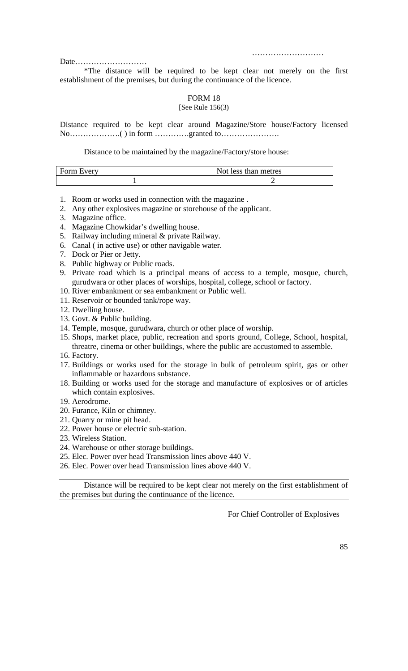………………………

Date………………………

\*The distance will be required to be kept clear not merely on the first establishment of the premises, but during the continuance of the licence.

# FORM 18

# [See Rule 156(3)

Distance required to be kept clear around Magazine/Store house/Factory licensed No……………….( ) in form ………….granted to………………….

Distance to be maintained by the magazine/Factory/store house:

| Form Every | Not less than metres |
|------------|----------------------|
|            |                      |

- 1. Room or works used in connection with the magazine .
- 2. Any other explosives magazine or storehouse of the applicant.
- 3. Magazine office.
- 4. Magazine Chowkidar's dwelling house.
- 5. Railway including mineral & private Railway.
- 6. Canal ( in active use) or other navigable water.
- 7. Dock or Pier or Jetty.
- 8. Public highway or Public roads.
- 9. Private road which is a principal means of access to a temple, mosque, church, gurudwara or other places of worships, hospital, college, school or factory.
- 10. River embankment or sea embankment or Public well.
- 11. Reservoir or bounded tank/rope way.
- 12. Dwelling house.
- 13. Govt. & Public building.
- 14. Temple, mosque, gurudwara, church or other place of worship.
- 15. Shops, market place, public, recreation and sports ground, College, School, hospital, threatre, cinema or other buildings, where the public are accustomed to assemble.
- 16. Factory.
- 17. Buildings or works used for the storage in bulk of petroleum spirit, gas or other inflammable or hazardous substance.
- 18. Building or works used for the storage and manufacture of explosives or of articles which contain explosives.
- 19. Aerodrome.
- 20. Furance, Kiln or chimney.
- 21. Quarry or mine pit head.
- 22. Power house or electric sub-station.
- 23. Wireless Station.
- 24. Warehouse or other storage buildings.
- 25. Elec. Power over head Transmission lines above 440 V.
- 26. Elec. Power over head Transmission lines above 440 V.

Distance will be required to be kept clear not merely on the first establishment of the premises but during the continuance of the licence.

For Chief Controller of Explosives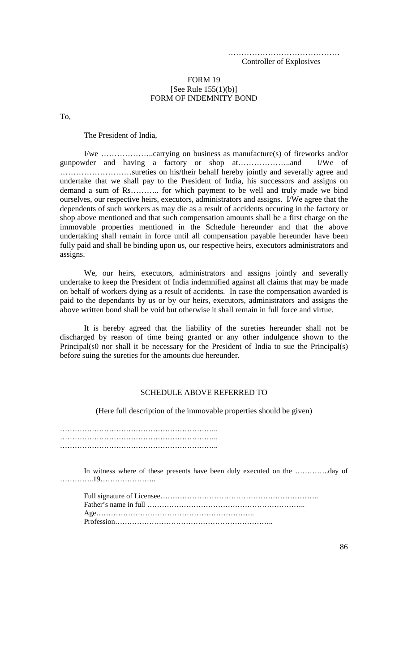…………………………………… Controller of Explosives

#### FORM 19 [See Rule 155(1)(b)] FORM OF INDEMNITY BOND

To,

The President of India,

I/we ………………..carrying on business as manufacture(s) of fireworks and/or gunpowder and having a factory or shop at………………..and I/We of ………………………sureties on his/their behalf hereby jointly and severally agree and undertake that we shall pay to the President of India, his successors and assigns on demand a sum of Rs……….. for which payment to be well and truly made we bind ourselves, our respective heirs, executors, administrators and assigns. I/We agree that the dependents of such workers as may die as a result of accidents occuring in the factory or shop above mentioned and that such compensation amounts shall be a first charge on the immovable properties mentioned in the Schedule hereunder and that the above undertaking shall remain in force until all compensation payable hereunder have been fully paid and shall be binding upon us, our respective heirs, executors administrators and assigns.

We, our heirs, executors, administrators and assigns jointly and severally undertake to keep the President of India indemnified against all claims that may be made on behalf of workers dying as a result of accidents. In case the compensation awarded is paid to the dependants by us or by our heirs, executors, administrators and assigns the above written bond shall be void but otherwise it shall remain in full force and virtue.

It is hereby agreed that the liability of the sureties hereunder shall not be discharged by reason of time being granted or any other indulgence shown to the Principal(s0 nor shall it be necessary for the President of India to sue the Principal(s) before suing the sureties for the amounts due hereunder.

# SCHEDULE ABOVE REFERRED TO

(Here full description of the immovable properties should be given)

…………………………………………………………………………… ……………………………………………………….. ………………………………………………………..

In witness where of these presents have been duly executed on the …………..day of …………..19…………………..

Full signature of Licensee……………………………………………………….. Father's name in full ……………………………………………………….. Age……………………………………………………….. Profession………………………………………………………..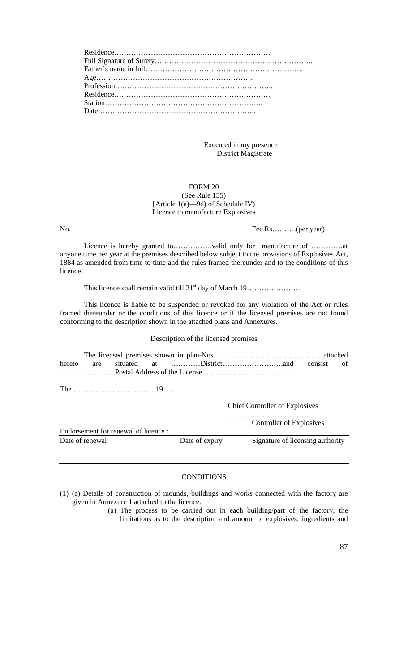Executed in my presence District Magistrate

## FORM 20 (See Rule 155) [Article 1(a)—9d) of Schedule IV) Licence to manufacture Explosives

No. Fee Rs…........(per year)

Licence is hereby granted to…………….valid only for manufacture of ………….at anyone time per year at the premises described below subject to the provisions of Explosives Act, 1884 as amended from time to time and the rules framed thereunder and to the conditions of this licence.

This licence shall remain valid till 31<sup>st</sup> day of March 19……………………

This licence is liable to be suspended or revoked for any violation of the Act or rules framed thereunder or the conditions of this licence or if the licensed premises are not found conforming to the description shown in the attached plans and Annexures.

# Description of the licensed premises

The …………………………….19….

Chief Controller of Explosives

 …………………………… Controller of Explosives

| Endorsement for renewal of licence : |                |                                  |
|--------------------------------------|----------------|----------------------------------|
| Date of renewal                      | Date of expiry | Signature of licensing authority |

# **CONDITIONS**

(1) (a) Details of construction of mounds, buildings and works connected with the factory are given in Annexure 1 attached to the licence.

(a) The process to be carried out in each building/part of the factory, the limitations as to the description and amount of explosives, ingredients and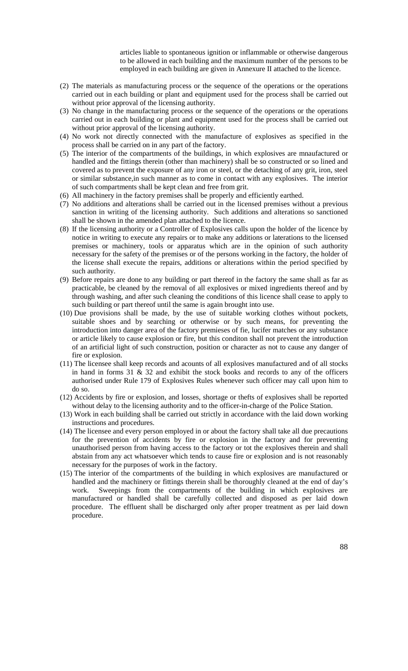articles liable to spontaneous ignition or inflammable or otherwise dangerous to be allowed in each building and the maximum number of the persons to be employed in each building are given in Annexure II attached to the licence.

- (2) The materials as manufacturing process or the sequence of the operations or the operations carried out in each building or plant and equipment used for the process shall be carried out without prior approval of the licensing authority.
- (3) No change in the manufacturing process or the sequence of the operations or the operations carried out in each building or plant and equipment used for the process shall be carried out without prior approval of the licensing authority.
- (4) No work not directly connected with the manufacture of explosives as specified in the process shall be carried on in any part of the factory.
- (5) The interior of the compartments of the buildings, in which explosives are mnaufactured or handled and the fittings therein (other than machinery) shall be so constructed or so lined and covered as to prevent the exposure of any iron or steel, or the detaching of any grit, iron, steel or similar substance,in such manner as to come in contact with any explosives. The interior of such compartments shall be kept clean and free from grit.
- (6) All machinery in the factory premises shall be properly and efficiently earthed.
- (7) No additions and alterations shall be carried out in the licensed premises without a previous sanction in writing of the licensing authority. Such additions and alterations so sanctioned shall be shown in the amended plan attached to the licence.
- (8) If the licensing authority or a Controller of Explosives calls upon the holder of the licence by notice in writing to execute any repairs or to make any additions or laterations to the licensed premises or machinery, tools or apparatus which are in the opinion of such authority necessary for the safety of the premises or of the persons working in the factory, the holder of the license shall execute the repairs, additions or alterations within the period specified by such authority.
- (9) Before repairs are done to any building or part thereof in the factory the same shall as far as practicable, be cleaned by the removal of all explosives or mixed ingredients thereof and by through washing, and after such cleaning the conditions of this licence shall cease to apply to such building or part thereof until the same is again brought into use.
- (10) Due provisions shall be made, by the use of suitable working clothes without pockets, suitable shoes and by searching or otherwise or by such means, for preventing the introduction into danger area of the factory premieses of fie, lucifer matches or any substance or article likely to cause explosion or fire, but this conditon shall not prevent the introduction of an artificial light of such construction, position or character as not to cause any danger of fire or explosion.
- (11) The licensee shall keep records and acounts of all explosives manufactured and of all stocks in hand in forms  $31 \& 32$  and exhibit the stock books and records to any of the officers authorised under Rule 179 of Explosives Rules whenever such officer may call upon him to do so.
- (12) Accidents by fire or explosion, and losses, shortage or thefts of explosives shall be reported without delay to the licensing authority and to the officer-in-charge of the Police Station.
- (13) Work in each building shall be carried out strictly in accordance with the laid down working instructions and procedures.
- (14) The licensee and every person employed in or about the factory shall take all due precautions for the prevention of accidents by fire or explosion in the factory and for preventing unauthorised person from having access to the factory or tot the explosives therein and shall abstain from any act whatsoever which tends to cause fire or explosion and is not reasonably necessary for the purposes of work in the factory.
- (15) The interior of the compartments of the building in which explosives are manufactured or handled and the machinery or fittings therein shall be thoroughly cleaned at the end of day's work. Sweepings from the compartments of the building in which explosives are manufactured or handled shall be carefully collected and disposed as per laid down procedure. The effluent shall be discharged only after proper treatment as per laid down procedure.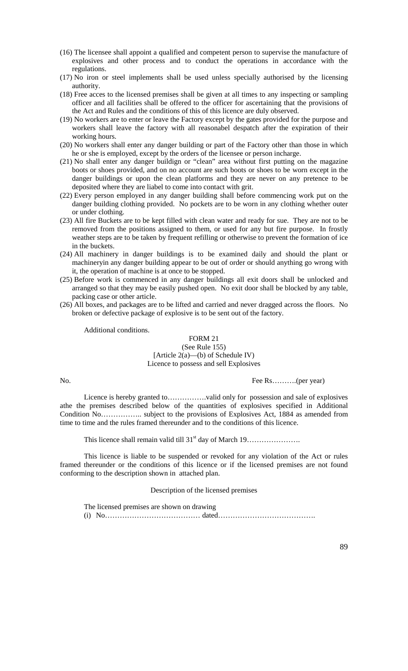- (16) The licensee shall appoint a qualified and competent person to supervise the manufacture of explosives and other process and to conduct the operations in accordance with the regulations.
- (17) No iron or steel implements shall be used unless specially authorised by the licensing authority.
- (18) Free acces to the licensed premises shall be given at all times to any inspecting or sampling officer and all facilities shall be offered to the officer for ascertaining that the provisions of the Act and Rules and the conditions of this of this licence are duly observed.
- (19) No workers are to enter or leave the Factory except by the gates provided for the purpose and workers shall leave the factory with all reasonabel despatch after the expiration of their working hours.
- (20) No workers shall enter any danger building or part of the Factory other than those in which he or she is employed, except by the orders of the licensee or person incharge.
- (21) No shall enter any danger buildign or "clean" area without first putting on the magazine boots or shoes provided, and on no account are such boots or shoes to be worn except in the danger buildings or upon the clean platforms and they are never on any pretence to be deposited where they are liabel to come into contact with grit.
- (22) Every person employed in any danger building shall before commencing work put on the danger building clothing provided. No pockets are to be worn in any clothing whether outer or under clothing.
- (23) All fire Buckets are to be kept filled with clean water and ready for sue. They are not to be removed from the positions assigned to them, or used for any but fire purpose. In frostly weather steps are to be taken by frequent refilling or otherwise to prevent the formation of ice in the buckets.
- (24) All machinery in danger buildings is to be examined daily and should the plant or machineryin any danger building appear to be out of order or should anything go wrong with it, the operation of machine is at once to be stopped.
- (25) Before work is commenced in any danger buildings all exit doors shall be unlocked and arranged so that they may be easily pushed open. No exit door shall be blocked by any table, packing case or other article.
- (26) All boxes, and packages are to be lifted and carried and never dragged across the floors. No broken or defective package of explosive is to be sent out of the factory.

Additional conditions.

#### FORM 21 (See Rule 155) [Article 2(a)—(b) of Schedule IV) Licence to possess and sell Explosives

No. Fee Rs……….(per year)

Licence is hereby granted to…………….valid only for possession and sale of explosives athe the premises described below of the quantities of explosives specified in Additional Condition No…………….. subject to the provisions of Explosives Act, 1884 as amended from time to time and the rules framed thereunder and to the conditions of this licence.

This licence shall remain valid till  $31<sup>st</sup>$  day of March  $19$ ……………………

This licence is liable to be suspended or revoked for any violation of the Act or rules framed thereunder or the conditions of this licence or if the licensed premises are not found conforming to the description shown in attached plan.

Description of the licensed premises

The licensed premises are shown on drawing (i) No………………………………… dated………………………………….

89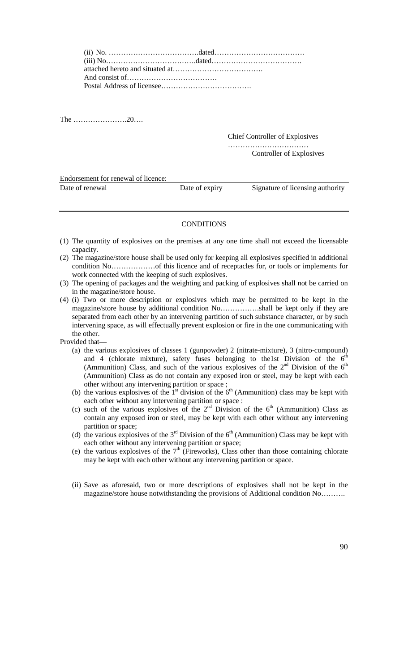The ………………….20….

Chief Controller of Explosives

………………………………………… Controller of Explosives

Endorsement for renewal of licence:

| Date of renewal<br>Signature of licensing authority<br>Date of expiry |  |  |
|-----------------------------------------------------------------------|--|--|
|                                                                       |  |  |

#### **CONDITIONS**

- (1) The quantity of explosives on the premises at any one time shall not exceed the licensable capacity.
- (2) The magazine/store house shall be used only for keeping all explosives specified in additional condition No………………of this licence and of receptacles for, or tools or implements for work connected with the keeping of such explosives.
- (3) The opening of packages and the weighting and packing of explosives shall not be carried on in the magazine/store house.
- (4) (i) Two or more description or explosives which may be permitted to be kept in the magazine/store house by additional condition No…………….shall be kept only if they are separated from each other by an intervening partition of such substance character, or by such intervening space, as will effectually prevent explosion or fire in the one communicating with the other.

Provided that—

- (a) the various explosives of classes 1 (gunpowder) 2 (nitrate-mixture), 3 (nitro-compound) and 4 (chlorate mixture), safety fuses belonging to the1st Division of the  $6<sup>th</sup>$ (Ammunition) Class, and such of the various explosives of the  $2<sup>nd</sup>$  Division of the  $6<sup>th</sup>$ (Ammunition) Class as do not contain any exposed iron or steel, may be kept with each other without any intervening partition or space ;
- (b) the various explosives of the  $1<sup>st</sup>$  division of the  $6<sup>th</sup>$  (Ammunition) class may be kept with each other without any intervening partition or space :
- (c) such of the various explosives of the  $2<sup>nd</sup>$  Division of the  $6<sup>th</sup>$  (Ammunition) Class as contain any exposed iron or steel, may be kept with each other without any intervening partition or space;
- (d) the various explosives of the  $3<sup>rd</sup>$  Division of the  $6<sup>th</sup>$  (Ammunition) Class may be kept with each other without any intervening partition or space;
- (e) the various explosives of the  $7<sup>th</sup>$  (Fireworks), Class other than those containing chlorate may be kept with each other without any intervening partition or space.
- (ii) Save as aforesaid, two or more descriptions of explosives shall not be kept in the magazine/store house notwithstanding the provisions of Additional condition No……….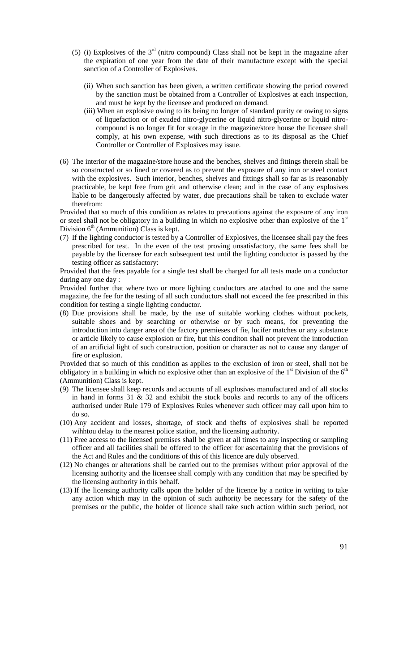- (5) (i) Explosives of the  $3<sup>rd</sup>$  (nitro compound) Class shall not be kept in the magazine after the expiration of one year from the date of their manufacture except with the special sanction of a Controller of Explosives.
	- (ii) When such sanction has been given, a written certificate showing the period covered by the sanction must be obtained from a Controller of Explosives at each inspection, and must be kept by the licensee and produced on demand.
	- (iii) When an explosive owing to its being no longer of standard purity or owing to signs of liquefaction or of exuded nitro-glycerine or liquid nitro-glycerine or liquid nitrocompound is no longer fit for storage in the magazine/store house the licensee shall comply, at his own expense, with such directions as to its disposal as the Chief Controller or Controller of Explosives may issue.
- (6) The interior of the magazine/store house and the benches, shelves and fittings therein shall be so constructed or so lined or covered as to prevent the exposure of any iron or steel contact with the explosives. Such interior, benches, shelves and fittings shall so far as is reasonably practicable, be kept free from grit and otherwise clean; and in the case of any explosives liable to be dangerously affected by water, due precautions shall be taken to exclude water therefrom:

Provided that so much of this condition as relates to precautions against the exposure of any iron or steel shall not be obligatory in a building in which no explosive other than explosive of the  $1<sup>st</sup>$ Division  $6<sup>th</sup>$  (Ammunition) Class is kept.

(7) If the lighting conductor is tested by a Controller of Explosives, the licensee shall pay the fees prescribed for test. In the even of the test proving unsatisfactory, the same fees shall be payable by the licensee for each subsequent test until the lighting conductor is passed by the testing officer as satisfactory:

Provided that the fees payable for a single test shall be charged for all tests made on a conductor during any one day :

Provided further that where two or more lighting conductors are atached to one and the same magazine, the fee for the testing of all such conductors shall not exceed the fee prescribed in this condition for testing a single lighting conductor.

(8) Due provisions shall be made, by the use of suitable working clothes without pockets, suitable shoes and by searching or otherwise or by such means, for preventing the introduction into danger area of the factory premieses of fie, lucifer matches or any substance or article likely to cause explosion or fire, but this conditon shall not prevent the introduction of an artificial light of such construction, position or character as not to cause any danger of fire or explosion.

Provided that so much of this condition as applies to the exclusion of iron or steel, shall not be obligatory in a building in which no explosive other than an explosive of the  $1<sup>st</sup>$  Division of the  $6<sup>th</sup>$ (Ammunition) Class is kept.

- (9) The licensee shall keep records and accounts of all explosives manufactured and of all stocks in hand in forms 31 & 32 and exhibit the stock books and records to any of the officers authorised under Rule 179 of Explosives Rules whenever such officer may call upon him to do so.
- (10) Any accident and losses, shortage, of stock and thefts of explosives shall be reported wihhtou delay to the nearest police station, and the licensing authority.
- (11) Free access to the licensed premises shall be given at all times to any inspecting or sampling officer and all facilities shall be offered to the officer for ascertaining that the provisions of the Act and Rules and the conditions of this of this licence are duly observed.
- (12) No changes or alterations shall be carried out to the premises without prior approval of the licensing authority and the licensee shall comply with any condition that may be specified by the licensing authority in this behalf.
- (13) If the licensing authority calls upon the holder of the licence by a notice in writing to take any action which may in the opinion of such authority be necessary for the safety of the premises or the public, the holder of licence shall take such action within such period, not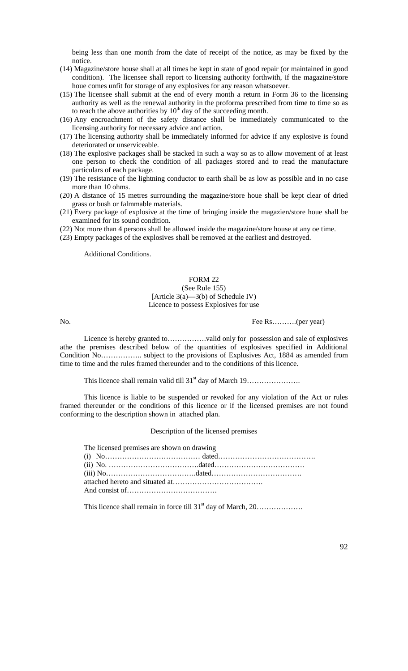being less than one month from the date of receipt of the notice, as may be fixed by the notice.

- (14) Magazine/store house shall at all times be kept in state of good repair (or maintained in good condition). The licensee shall report to licensing authority forthwith, if the magazine/store houe comes unfit for storage of any explosives for any reason whatsoever.
- (15) The licensee shall submit at the end of every month a return in Form 36 to the licensing authority as well as the renewal authority in the proforma prescribed from time to time so as to reach the above authorities by  $10<sup>th</sup>$  day of the succeeding month.
- (16) Any encroachment of the safety distance shall be immediately communicated to the licensing authority for necessary advice and action.
- (17) The licensing authority shall be immediately informed for advice if any explosive is found deteriorated or unserviceable.
- (18) The explosive packages shall be stacked in such a way so as to allow movement of at least one person to check the condition of all packages stored and to read the manufacture particulars of each package.
- (19) The resistance of the lightning conductor to earth shall be as low as possible and in no case more than 10 ohms.
- (20) A distance of 15 metres surrounding the magazine/store houe shall be kept clear of dried grass or bush or falmmable materials.
- (21) Every package of explosive at the time of bringing inside the magazien/store houe shall be examined for its sound condition.
- (22) Not more than 4 persons shall be allowed inside the magazine/store house at any oe time.
- (23) Empty packages of the explosives shall be removed at the earliest and destroyed.

Additional Conditions.

#### FORM 22

#### (See Rule 155) [Article 3(a)—3(b) of Schedule IV) Licence to possess Explosives for use

No. Fee Rs………(per year)

Licence is hereby granted to…………….valid only for possession and sale of explosives athe the premises described below of the quantities of explosives specified in Additional Condition No…………….. subject to the provisions of Explosives Act, 1884 as amended from time to time and the rules framed thereunder and to the conditions of this licence.

This licence shall remain valid till 31st day of March 19………………….

This licence is liable to be suspended or revoked for any violation of the Act or rules framed thereunder or the conditions of this licence or if the licensed premises are not found conforming to the description shown in attached plan.

Description of the licensed premises

| The licensed premises are shown on drawing |  |
|--------------------------------------------|--|
|                                            |  |
|                                            |  |
|                                            |  |
|                                            |  |

This licence shall remain in force till 31st day of March, 20……………….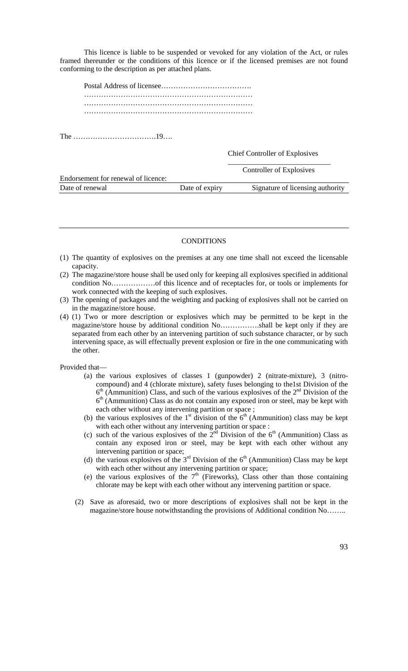This licence is liable to be suspended or vevoked for any violation of the Act, or rules framed thereunder or the conditions of this licence or if the licensed premises are not found conforming to the description as per attached plans.

The …………………………….19….

Chief Controller of Explosives

|                                     |                | Controller of Explosives         |
|-------------------------------------|----------------|----------------------------------|
| Endorsement for renewal of licence: |                |                                  |
| Date of renewal                     | Date of expiry | Signature of licensing authority |

#### **CONDITIONS**

- (1) The quantity of explosives on the premises at any one time shall not exceed the licensable capacity.
- (2) The magazine/store house shall be used only for keeping all explosives specified in additional condition No………………of this licence and of receptacles for, or tools or implements for work connected with the keeping of such explosives.
- (3) The opening of packages and the weighting and packing of explosives shall not be carried on in the magazine/store house.
- (4) (1) Two or more description or explosives which may be permitted to be kept in the magazine/store house by additional condition No…………….shall be kept only if they are separated from each other by an intervening partition of such substance character, or by such intervening space, as will effectually prevent explosion or fire in the one communicating with the other.

Provided that—

- (a) the various explosives of classes 1 (gunpowder) 2 (nitrate-mixture), 3 (nitrocompound) and 4 (chlorate mixture), safety fuses belonging to the1st Division of the  $6<sup>th</sup>$  (Ammunition) Class, and such of the various explosives of the  $2<sup>nd</sup>$  Division of the  $6<sup>th</sup>$  (Ammunition) Class as do not contain any exposed iron or steel, may be kept with each other without any intervening partition or space;
- (b) the various explosives of the 1<sup>st</sup> division of the  $6<sup>th</sup>$  (Ammunition) class may be kept with each other without any intervening partition or space :
- (c) such of the various explosives of the  $2<sup>nd</sup>$  Division of the 6<sup>th</sup> (Ammunition) Class as contain any exposed iron or steel, may be kept with each other without any intervening partition or space;
- (d) the various explosives of the  $3<sup>rd</sup>$  Division of the  $6<sup>th</sup>$  (Ammunition) Class may be kept with each other without any intervening partition or space;
- (e) the various explosives of the  $7<sup>th</sup>$  (Fireworks), Class other than those containing chlorate may be kept with each other without any intervening partition or space.
- (2) Save as aforesaid, two or more descriptions of explosives shall not be kept in the magazine/store house notwithstanding the provisions of Additional condition No……..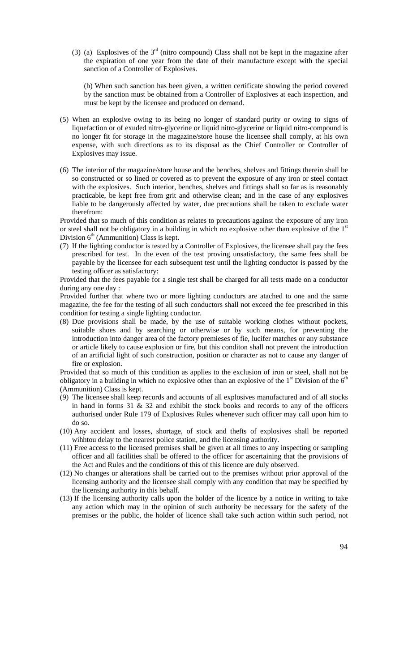(3) (a) Explosives of the  $3<sup>rd</sup>$  (nitro compound) Class shall not be kept in the magazine after the expiration of one year from the date of their manufacture except with the special sanction of a Controller of Explosives.

(b) When such sanction has been given, a written certificate showing the period covered by the sanction must be obtained from a Controller of Explosives at each inspection, and must be kept by the licensee and produced on demand.

- (5) When an explosive owing to its being no longer of standard purity or owing to signs of liquefaction or of exuded nitro-glycerine or liquid nitro-glycerine or liquid nitro-compound is no longer fit for storage in the magazine/store house the licensee shall comply, at his own expense, with such directions as to its disposal as the Chief Controller or Controller of Explosives may issue.
- (6) The interior of the magazine/store house and the benches, shelves and fittings therein shall be so constructed or so lined or covered as to prevent the exposure of any iron or steel contact with the explosives. Such interior, benches, shelves and fittings shall so far as is reasonably practicable, be kept free from grit and otherwise clean; and in the case of any explosives liable to be dangerously affected by water, due precautions shall be taken to exclude water therefrom:

Provided that so much of this condition as relates to precautions against the exposure of any iron or steel shall not be obligatory in a building in which no explosive other than explosive of the  $1<sup>st</sup>$ Division  $6<sup>th</sup>$  (Ammunition) Class is kept.

(7) If the lighting conductor is tested by a Controller of Explosives, the licensee shall pay the fees prescribed for test. In the even of the test proving unsatisfactory, the same fees shall be payable by the licensee for each subsequent test until the lighting conductor is passed by the testing officer as satisfactory:

Provided that the fees payable for a single test shall be charged for all tests made on a conductor during any one day :

Provided further that where two or more lighting conductors are atached to one and the same magazine, the fee for the testing of all such conductors shall not exceed the fee prescribed in this condition for testing a single lighting conductor.

(8) Due provisions shall be made, by the use of suitable working clothes without pockets, suitable shoes and by searching or otherwise or by such means, for preventing the introduction into danger area of the factory premieses of fie, lucifer matches or any substance or article likely to cause explosion or fire, but this conditon shall not prevent the introduction of an artificial light of such construction, position or character as not to cause any danger of fire or explosion.

Provided that so much of this condition as applies to the exclusion of iron or steel, shall not be obligatory in a building in which no explosive other than an explosive of the  $1<sup>st</sup>$  Division of the  $6<sup>th</sup>$ (Ammunition) Class is kept.

- (9) The licensee shall keep records and accounts of all explosives manufactured and of all stocks in hand in forms  $31 \& 32$  and exhibit the stock books and records to any of the officers authorised under Rule 179 of Explosives Rules whenever such officer may call upon him to do so.
- (10) Any accident and losses, shortage, of stock and thefts of explosives shall be reported wihhtou delay to the nearest police station, and the licensing authority.
- (11) Free access to the licensed premises shall be given at all times to any inspecting or sampling officer and all facilities shall be offered to the officer for ascertaining that the provisions of the Act and Rules and the conditions of this of this licence are duly observed.
- (12) No changes or alterations shall be carried out to the premises without prior approval of the licensing authority and the licensee shall comply with any condition that may be specified by the licensing authority in this behalf.
- (13) If the licensing authority calls upon the holder of the licence by a notice in writing to take any action which may in the opinion of such authority be necessary for the safety of the premises or the public, the holder of licence shall take such action within such period, not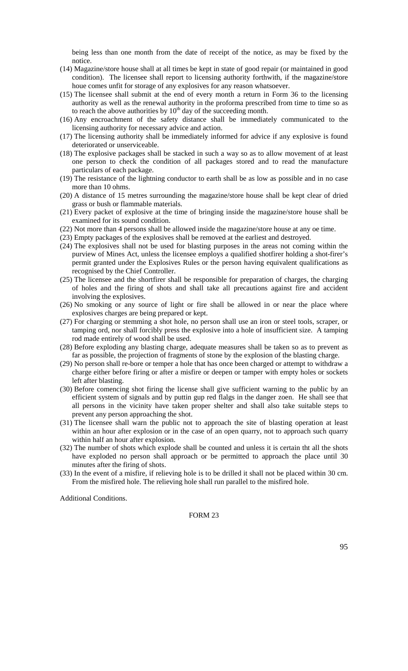being less than one month from the date of receipt of the notice, as may be fixed by the notice.

- (14) Magazine/store house shall at all times be kept in state of good repair (or maintained in good condition). The licensee shall report to licensing authority forthwith, if the magazine/store houe comes unfit for storage of any explosives for any reason whatsoever.
- (15) The licensee shall submit at the end of every month a return in Form 36 to the licensing authority as well as the renewal authority in the proforma prescribed from time to time so as to reach the above authorities by  $10<sup>th</sup>$  day of the succeeding month.
- (16) Any encroachment of the safety distance shall be immediately communicated to the licensing authority for necessary advice and action.
- (17) The licensing authority shall be immediately informed for advice if any explosive is found deteriorated or unserviceable.
- (18) The explosive packages shall be stacked in such a way so as to allow movement of at least one person to check the condition of all packages stored and to read the manufacture particulars of each package.
- (19) The resistance of the lightning conductor to earth shall be as low as possible and in no case more than 10 ohms.
- (20) A distance of 15 metres surrounding the magazine/store house shall be kept clear of dried grass or bush or flammable materials.
- (21) Every packet of explosive at the time of bringing inside the magazine/store house shall be examined for its sound condition.
- (22) Not more than 4 persons shall be allowed inside the magazine/store house at any oe time.
- (23) Empty packages of the explosives shall be removed at the earliest and destroyed.
- (24) The explosives shall not be used for blasting purposes in the areas not coming within the purview of Mines Act, unless the licensee employs a qualified shotfirer holding a shot-firer's permit granted under the Explosives Rules or the person having equivalent qualifications as recognised by the Chief Controller.
- (25) The licensee and the shortfirer shall be responsible for preparation of charges, the charging of holes and the firing of shots and shall take all precautions against fire and accident involving the explosives.
- (26) No smoking or any source of light or fire shall be allowed in or near the place where explosives charges are being prepared or kept.
- (27) For charging or stemming a shot hole, no person shall use an iron or steel tools, scraper, or tamping ord, nor shall forcibly press the explosive into a hole of insufficient size. A tamping rod made entirely of wood shall be used.
- (28) Before exploding any blasting charge, adequate measures shall be taken so as to prevent as far as possible, the projection of fragments of stone by the explosion of the blasting charge.
- (29) No person shall re-bore or temper a hole that has once been charged or attempt to withdraw a charge either before firing or after a misfire or deepen or tamper with empty holes or sockets left after blasting.
- (30) Before comencing shot firing the license shall give sufficient warning to the public by an efficient system of signals and by puttin gup red flalgs in the danger zoen. He shall see that all persons in the vicinity have taken proper shelter and shall also take suitable steps to prevent any person approaching the shot.
- (31) The licensee shall warn the public not to approach the site of blasting operation at least within an hour after explosion or in the case of an open quarry, not to approach such quarry within half an hour after explosion.
- (32) The number of shots which explode shall be counted and unless it is certain tht all the shots have exploded no person shall approach or be permitted to approach the place until 30 minutes after the firing of shots.
- (33) In the event of a misfire, if relieving hole is to be drilled it shall not be placed within 30 cm. From the misfired hole. The relieving hole shall run parallel to the misfired hole.

Additional Conditions.

# FORM 23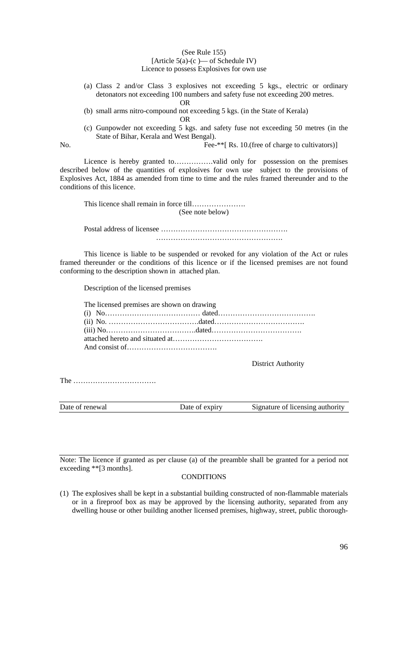#### (See Rule 155)

#### [Article  $5(a)-(c)$  — of Schedule IV)

Licence to possess Explosives for own use

- (a) Class 2 and/or Class 3 explosives not exceeding 5 kgs., electric or ordinary detonators not exceeding 100 numbers and safety fuse not exceeding 200 metres.
	- OR

(b) small arms nitro-compound not exceeding 5 kgs. (in the State of Kerala)

OR

(c) Gunpowder not exceeding 5 kgs. and safety fuse not exceeding 50 metres (in the State of Bihar, Kerala and West Bengal).

No. Fee-\*\*[ Rs. 10.(free of charge to cultivators)]

Licence is hereby granted to…………….valid only for possession on the premises described below of the quantities of explosives for own use subject to the provisions of Explosives Act, 1884 as amended from time to time and the rules framed thereunder and to the conditions of this licence.

This licence shall remain in force till…………………. (See note below)

Postal address of licensee ……………………………………………. …………………………………………….

This licence is liable to be suspended or revoked for any violation of the Act or rules framed thereunder or the conditions of this licence or if the licensed premises are not found conforming to the description shown in attached plan.

Description of the licensed premises

| The licensed premises are shown on drawing |  |
|--------------------------------------------|--|
|                                            |  |
|                                            |  |
|                                            |  |
|                                            |  |
|                                            |  |

District Authority

The …………………………….

Date of renewal Date of expiry Signature of licensing authority

Note: The licence if granted as per clause (a) of the preamble shall be granted for a period not exceeding \*\*[3 months].

# **CONDITIONS**

(1) The explosives shall be kept in a substantial building constructed of non-flammable materials or in a fireproof box as may be approved by the licensing authority, separated from any dwelling house or other building another licensed premises, highway, street, public thorough-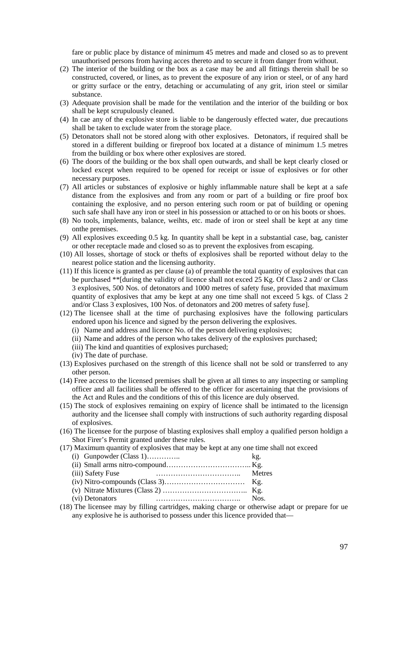fare or public place by distance of minimum 45 metres and made and closed so as to prevent unauthorised persons from having acces thereto and to secure it from danger from without.

- (2) The interior of the building or the box as a case may be and all fittings therein shall be so constructed, covered, or lines, as to prevent the exposure of any irion or steel, or of any hard or gritty surface or the entry, detaching or accumulating of any grit, irion steel or similar substance.
- (3) Adequate provision shall be made for the ventilation and the interior of the building or box shall be kept scrupulously cleaned.
- (4) In cae any of the explosive store is liable to be dangerously effected water, due precautions shall be taken to exclude water from the storage place.
- (5) Detonators shall not be stored along with other explosives. Detonators, if required shall be stored in a different building or fireproof box located at a distance of minimum 1.5 metres from the building or box where other explosives are stored.
- (6) The doors of the building or the box shall open outwards, and shall be kept clearly closed or locked except when required to be opened for receipt or issue of explosives or for other necessary purposes.
- (7) All articles or substances of explosive or highly inflammable nature shall be kept at a safe distance from the explosives and from any room or part of a building or fire proof box containing the explosive, and no person entering such room or pat of building or opening such safe shall have any iron or steel in his possession or attached to or on his boots or shoes.
- (8) No tools, implements, balance, weihts, etc. made of iron or steel shall be kept at any time onthe premises.
- (9) All explosives exceeding 0.5 kg. In quantity shall be kept in a substantial case, bag, canister or other receptacle made and closed so as to prevent the explosives from escaping.
- (10) All losses, shortage of stock or thefts of explosives shall be reported without delay to the nearest police station and the licensing authority.
- (11) If this licence is granted as per clause (a) of preamble the total quantity of explosives that can be purchased \*\*[during the validity of licence shall not exced 25 Kg. Of Class 2 and/ or Class 3 explosives, 500 Nos. of detonators and 1000 metres of safety fuse, provided that maximum quantity of explosives that amy be kept at any one time shall not exceed 5 kgs. of Class 2 and/or Class 3 explosives, 100 Nos. of detonators and 200 metres of safety fuse].
- (12) The licensee shall at the time of purchasing explosives have the following particulars endored upon his licence and signed by the person delivering the explosives.
	- (i) Name and address and licence No. of the person delivering explosives;
	- (ii) Name and addres of the person who takes delivery of the explosives purchased;
	- (iii) The kind and quantities of explosives purchased;
	- (iv) The date of purchase.
- (13) Explosives purchased on the strength of this licence shall not be sold or transferred to any other person.
- (14) Free access to the licensed premises shall be given at all times to any inspecting or sampling officer and all facilities shall be offered to the officer for ascertaining that the provisions of the Act and Rules and the conditions of this of this licence are duly observed.
- (15) The stock of explosives remaining on expiry of licence shall be intimated to the licensign authority and the licensee shall comply with instructions of such authority regarding disposal of explosives.
- (16) The licensee for the purpose of blasting explosives shall employ a qualified person holdign a Shot Firer's Permit granted under these rules.

(17) Maximum quantity of explosives that may be kept at any one time shall not exceed

| (i) Gunpowder (Class $1)$                                                  | kg. |
|----------------------------------------------------------------------------|-----|
|                                                                            |     |
| (iii) Safety Fuse                                                          |     |
|                                                                            |     |
|                                                                            |     |
| (vi) Detonators                                                            |     |
| . The Leonard may by C11 has contributed and molting changes on attractive |     |

(18) The licensee may by filling cartridges, making charge or otherwise adapt or prepare for ue any explosive he is authorised to possess under this licence provided that—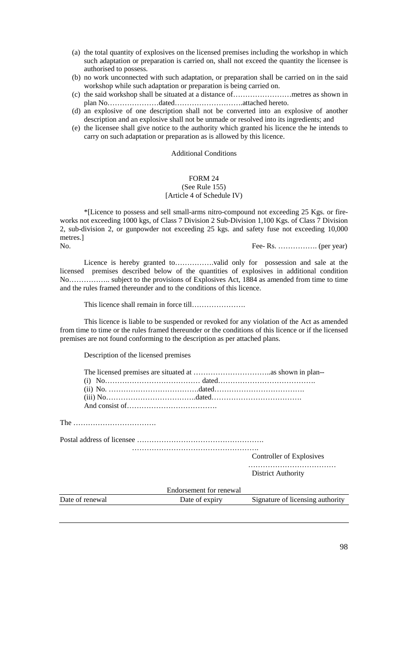- (a) the total quantity of explosives on the licensed premises including the workshop in which such adaptation or preparation is carried on, shall not exceed the quantity the licensee is authorised to possess.
- (b) no work unconnected with such adaptation, or preparation shall be carried on in the said workshop while such adaptation or preparation is being carried on.
- (c) the said workshop shall be situated at a distance of……………………metres as shown in plan No…………………dated……………………….attached hereto.
- (d) an explosive of one description shall not be converted into an explosive of another description and an explosive shall not be unmade or resolved into its ingredients; and
- (e) the licensee shall give notice to the authority which granted his licence the he intends to carry on such adaptation or preparation as is allowed by this licence.

#### Additional Conditions

#### FORM 24 (See Rule 155) [Article 4 of Schedule IV)

\*[Licence to possess and sell small-arms nitro-compound not exceeding 25 Kgs. or fireworks not exceeding 1000 kgs, of Class 7 Division 2 Sub-Division 1,100 Kgs. of Class 7 Division 2, sub-division 2, or gunpowder not exceeding 25 kgs. and safety fuse not exceeding 10,000 metres.]

No. Fee- Rs. ……………. (per year)

Licence is hereby granted to…………….valid only for possession and sale at the licensed premises described below of the quantities of explosives in additional condition No…………….. subject to the provisions of Explosives Act, 1884 as amended from time to time and the rules framed thereunder and to the conditions of this licence.

This licence shall remain in force till………………….

This licence is liable to be suspended or revoked for any violation of the Act as amended from time to time or the rules framed thereunder or the conditions of this licence or if the licensed premises are not found conforming to the description as per attached plans.

Description of the licensed premises

The …………………………….

Postal address of licensee …………………………………………….

……………………………………………. Controller of Explosives

…………………………………

District Authority

|                 | Endorsement for renewal |                                  |
|-----------------|-------------------------|----------------------------------|
| Date of renewal | Date of expiry          | Signature of licensing authority |
|                 |                         |                                  |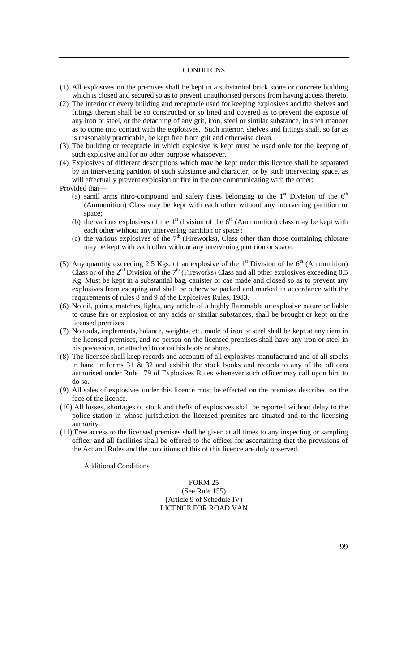#### **CONDITONS**

- (1) All explosives on the premises shall be kept in a substantial brick stone or concrete building which is closed and secured so as to prevent unauthorised persons from having access thereto.
- (2) The interior of every building and receptacle used for keeping explosives and the shelves and fittings therein shall be so constructed or so lined and covered as to prevent the exposue of any iron or steel, or the detaching of any grit, iron, steel or similar substance, in such manner as to come into contact with the explosives. Such interior, shelves and fittings shall, so far as is reasonably practicable, be kept free from grit and otherwise clean.
- (3) The building or receptacle in which explosive is kept must be used only for the keeping of such explosive and for no other purpose whatsoever.
- (4) Explosives of different descriptions which may be kept under this licence shall be separated by an intervening partition of such substance and character; or by such intervening space, as will effectually prevent explosion or fire in the one communicating with the other: Provided that—
	- (a) samll arms nitro-compound and safety fuses belonging to the  $1<sup>st</sup>$  Division of the  $6<sup>th</sup>$ (Ammunition) Class may be kept with each other without any intervening partition or space;
	- (b) the various explosives of the  $1<sup>st</sup>$  division of the  $6<sup>th</sup>$  (Ammunition) class may be kept with each other without any intervening partition or space :
	- (c) the various explosives of the  $7<sup>th</sup>$  (Fireworks), Class other than those containing chlorate may be kept with each other without any intervening partition or space.
- (5) Any quantity exceeding 2.5 Kgs. of an explosive of the  $1<sup>st</sup>$  Division of he  $6<sup>th</sup>$  (Ammunition) Class or of the 2<sup>nd</sup> Division of the 7<sup>th</sup> (Fireworks) Class and all other explosives exceeding 0.5 Kg. Must be kept in a substantial bag, canister or cae made and closed so as to prevent any explosives from escaping and shall be otherwise packed and marked in accordance with the requirements of rules 8 and 9 of the Explosives Rules, 1983.
- (6) No oil, paints, matches, lights, any article of a highly flammable or explosive nature or liable to cause fire or explosion or any acids or similar substances, shall be brought or kept on the licensed premises.
- (7) No tools, implements, balance, weights, etc. made of iron or steel shall be kept at any tiem in the licensed premises, and no person on the licensed premises shall have any iron or steel in his possession, or attached to or on his boots or shoes.
- (8) The licensee shall keep records and accounts of all explosives manufactured and of all stocks in hand in forms  $31 \& 32$  and exhibit the stock books and records to any of the officers authorised under Rule 179 of Explosives Rules whenever such officer may call upon him to do so.
- (9) All sales of explosives under this licence must be effected on the premises described on the face of the licence.
- (10) All losses, shortages of stock and thefts of explosives shall be reported without delay to the police station in whose jurisdiction the licensed premises are situated and to the licensing authority.
- (11) Free access to the licensed premises shall be given at all times to any inspecting or sampling officer and all facilities shall be offered to the officer for ascertaining that the provisions of the Act and Rules and the conditions of this of this licence are duly observed.

Additional Conditions

FORM 25 (See Rule 155) [Article 9 of Schedule IV) LICENCE FOR ROAD VAN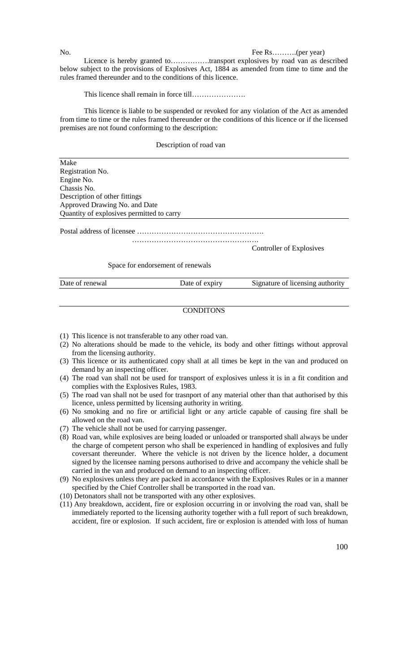No. Fee Rs….........(per year)

Licence is hereby granted to…………….transport explosives by road van as described below subject to the provisions of Explosives Act, 1884 as amended from time to time and the rules framed thereunder and to the conditions of this licence.

This licence shall remain in force till………………….

This licence is liable to be suspended or revoked for any violation of the Act as amended from time to time or the rules framed thereunder or the conditions of this licence or if the licensed premises are not found conforming to the description:

Description of road van

Make Registration No. Engine No. Chassis No. Description of other fittings Approved Drawing No. and Date Quantity of explosives permitted to carry Postal address of licensee ……………………………………………. …………………………………………….

Controller of Explosives

Space for endorsement of renewals

Date of renewal Date of expiry Signature of licensing authority

#### CONDITONS

- (1) This licence is not transferable to any other road van.
- (2) No alterations should be made to the vehicle, its body and other fittings without approval from the licensing authority.
- (3) This licence or its authenticated copy shall at all times be kept in the van and produced on demand by an inspecting officer.
- (4) The road van shall not be used for transport of explosives unless it is in a fit condition and complies with the Explosives Rules, 1983.
- (5) The road van shall not be used for trasnport of any material other than that authorised by this licence, unless permitted by licensing authority in writing.
- (6) No smoking and no fire or artificial light or any article capable of causing fire shall be allowed on the road van.
- (7) The vehicle shall not be used for carrying passenger.
- (8) Road van, while explosives are being loaded or unloaded or transported shall always be under the charge of competent person who shall be experienced in handling of explosives and fully coversant thereunder. Where the vehicle is not driven by the licence holder, a document signed by the licensee naming persons authorised to drive and accompany the vehicle shall be carried in the van and produced on demand to an inspecting officer.
- (9) No explosives unless they are packed in accordance with the Explosives Rules or in a manner specified by the Chief Controller shall be transported in the road van.
- (10) Detonators shall not be transported with any other explosives.
- (11) Any breakdown, accident, fire or explosion occurring in or involving the road van, shall be immediately reported to the licensing authority together with a full report of such breakdown, accident, fire or explosion. If such accident, fire or explosion is attended with loss of human

100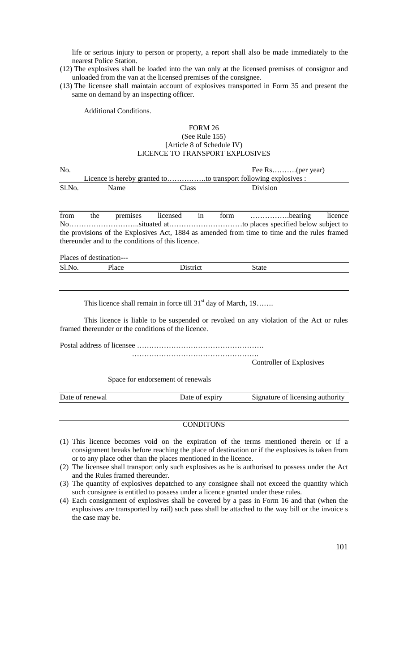life or serious injury to person or property, a report shall also be made immediately to the nearest Police Station.

- (12) The explosives shall be loaded into the van only at the licensed premises of consignor and unloaded from the van at the licensed premises of the consignee.
- (13) The licensee shall maintain account of explosives transported in Form 35 and present the same on demand by an inspecting officer.

Additional Conditions.

## FORM 26 (See Rule 155) [Article 8 of Schedule IV) LICENCE TO TRANSPORT EXPLOSIVES

| No.    |                                                                 |       |          |  |  |
|--------|-----------------------------------------------------------------|-------|----------|--|--|
|        | Licence is hereby granted toto transport following explosives : |       |          |  |  |
| Sl.No. | <b>Name</b>                                                     | Class | Division |  |  |

from the premises licensed in form …………….bearing licence No………………………..situated at…………………………to places specified below subject to the provisions of the Explosives Act, 1884 as amended from time to time and the rules framed thereunder and to the conditions of this licence.

| Places of destination--- |       |          |       |  |  |  |
|--------------------------|-------|----------|-------|--|--|--|
| Sl.No.                   | Place | District | State |  |  |  |
|                          |       |          |       |  |  |  |

This licence shall remain in force till 31<sup>st</sup> day of March, 19…….

This licence is liable to be suspended or revoked on any violation of the Act or rules framed thereunder or the conditions of the licence.

…………………………………………….

Postal address of licensee …………………………………………….

Controller of Explosives

Space for endorsement of renewals

| Date of renewal | Date of expiry | Signature of licensing authority |
|-----------------|----------------|----------------------------------|
|                 |                |                                  |

### **CONDITONS**

- (1) This licence becomes void on the expiration of the terms mentioned therein or if a consignment breaks before reaching the place of destination or if the explosives is taken from or to any place other than the places mentioned in the licence.
- (2) The licensee shall transport only such explosives as he is authorised to possess under the Act and the Rules framed thereunder.
- (3) The quantity of explosives depatched to any consignee shall not exceed the quantity which such consignee is entitled to possess under a licence granted under these rules.
- (4) Each consignment of explosives shall be covered by a pass in Form 16 and that (when the explosives are transported by rail) such pass shall be attached to the way bill or the invoice s the case may be.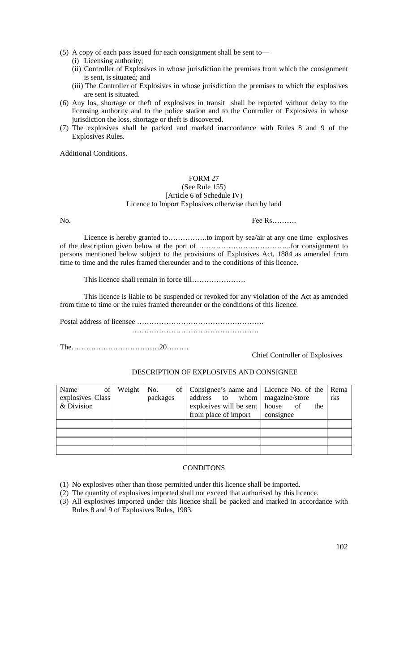- (5) A copy of each pass issued for each consignment shall be sent to—
	- (i) Licensing authority;
	- (ii) Controller of Explosives in whose jurisdiction the premises from which the consignment is sent, is situated; and
	- (iii) The Controller of Explosives in whose jurisdiction the premises to which the explosives are sent is situated.
- (6) Any los, shortage or theft of explosives in transit shall be reported without delay to the licensing authority and to the police station and to the Controller of Explosives in whose jurisdiction the loss, shortage or theft is discovered.
- (7) The explosives shall be packed and marked inaccordance with Rules 8 and 9 of the Explosives Rules.

Additional Conditions.

#### FORM 27 (See Rule 155) [Article 6 of Schedule IV) Licence to Import Explosives otherwise than by land

No. Fee Rs……….

Licence is hereby granted to…………….to import by sea/air at any one time explosives of the description given below at the port of ………………………………..for consignment to persons mentioned below subject to the provisions of Explosives Act, 1884 as amended from time to time and the rules framed thereunder and to the conditions of this licence.

This licence shall remain in force till………………….

This licence is liable to be suspended or revoked for any violation of the Act as amended from time to time or the rules framed thereunder or the conditions of this licence.

Postal address of licensee ……………………………………………. …………………………………………….

The………………………………20………

Chief Controller of Explosives

# DESCRIPTION OF EXPLOSIVES AND CONSIGNEE

| Name<br>of       | Weight | No.      | of   Consignee's name and   Licence No. of the   Rema |           |     |
|------------------|--------|----------|-------------------------------------------------------|-----------|-----|
| explosives Class |        | packages | address to whom magazine/store                        |           | rks |
| & Division       |        |          | explosives will be sent   house                       | of<br>the |     |
|                  |        |          | from place of import                                  | consignee |     |
|                  |        |          |                                                       |           |     |
|                  |        |          |                                                       |           |     |
|                  |        |          |                                                       |           |     |
|                  |        |          |                                                       |           |     |

# **CONDITONS**

(1) No explosives other than those permitted under this licence shall be imported.

(2) The quantity of explosives imported shall not exceed that authorised by this licence.

(3) All explosives imported under this licence shall be packed and marked in accordance with Rules 8 and 9 of Explosives Rules, 1983.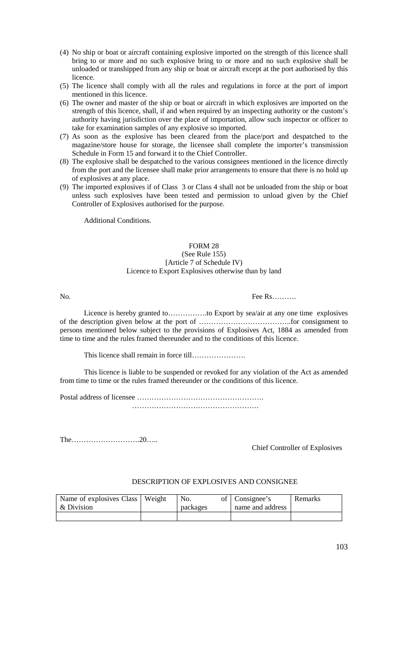- (4) No ship or boat or aircraft containing explosive imported on the strength of this licence shall bring to or more and no such explosive bring to or more and no such explosive shall be unloaded or transhipped from any ship or boat or aircraft except at the port authorised by this licence.
- (5) The licence shall comply with all the rules and regulations in force at the port of import mentioned in this licence.
- (6) The owner and master of the ship or boat or aircraft in which explosives are imported on the strength of this licence, shall, if and when required by an inspecting authority or the custom's authority having jurisdiction over the place of importation, allow such inspector or officer to take for examination samples of any explosive so imported.
- (7) As soon as the explosive has been cleared from the place/port and despatched to the magazine/store house for storage, the licensee shall complete the importer's transmission Schedule in Form 15 and forward it to the Chief Controller.
- (8) The explosive shall be despatched to the various consignees mentioned in the licence directly from the port and the licensee shall make prior arrangements to ensure that there is no hold up of explosives at any place.
- (9) The imported explosives if of Class 3 or Class 4 shall not be unloaded from the ship or boat unless such explosives have been tested and permission to unload given by the Chief Controller of Explosives authorised for the purpose.

Additional Conditions.

# FORM 28 (See Rule 155) [Article 7 of Schedule IV) Licence to Export Explosives otherwise than by land

#### No. Fee Rs……….

Licence is hereby granted to…………….to Export by sea/air at any one time explosives of the description given below at the port of ………………………………..for consignment to persons mentioned below subject to the provisions of Explosives Act, 1884 as amended from time to time and the rules framed thereunder and to the conditions of this licence.

This licence shall remain in force till………………….

This licence is liable to be suspended or revoked for any violation of the Act as amended from time to time or the rules framed thereunder or the conditions of this licence.

Postal address of licensee …………………………………………….

…………………………………………….

The……………………….20…..

Chief Controller of Explosives

# DESCRIPTION OF EXPLOSIVES AND CONSIGNEE

| Name of explosives Class   Weight<br>& Division | No.<br>packages | of   Consignee's<br>name and address | Remarks |
|-------------------------------------------------|-----------------|--------------------------------------|---------|
|                                                 |                 |                                      |         |

103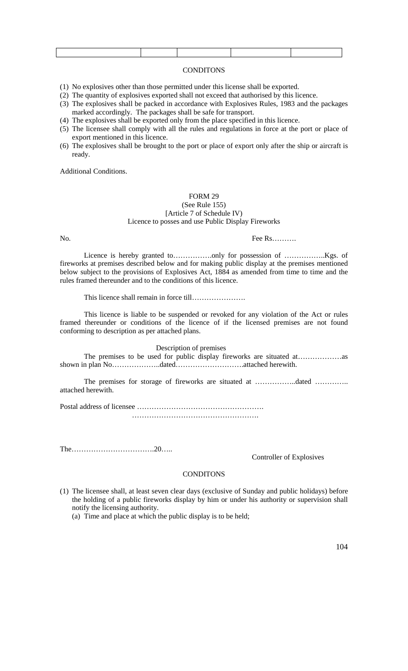## **CONDITONS**

(1) No explosives other than those permitted under this license shall be exported.

- (2) The quantity of explosives exported shall not exceed that authorised by this licence.
- (3) The explosives shall be packed in accordance with Explosives Rules, 1983 and the packages marked accordingly. The packages shall be safe for transport.
- (4) The explosives shall be exported only from the place specified in this licence.
- (5) The licensee shall comply with all the rules and regulations in force at the port or place of export mentioned in this licence.
- (6) The explosives shall be brought to the port or place of export only after the ship or aircraft is ready.

Additional Conditions.

## FORM 29 (See Rule 155) [Article 7 of Schedule IV) Licence to posses and use Public Display Fireworks

No. Fee Rs……….

Licence is hereby granted to…………….only for possession of ……………..Kgs. of fireworks at premises described below and for making public display at the premises mentioned below subject to the provisions of Explosives Act, 1884 as amended from time to time and the rules framed thereunder and to the conditions of this licence.

This licence shall remain in force till………………….

This licence is liable to be suspended or revoked for any violation of the Act or rules framed thereunder or conditions of the licence of if the licensed premises are not found conforming to description as per attached plans.

Description of premises

The premises to be used for public display fireworks are situated at………………as shown in plan No…………………dated………………………………attached herewith.

The premises for storage of fireworks are situated at ……………..dated ………….. attached herewith.

Postal address of licensee …………………………………………….

…………………………………………….

The…………………………….20…..

#### Controller of Explosives

## **CONDITONS**

(1) The licensee shall, at least seven clear days (exclusive of Sunday and public holidays) before the holding of a public fireworks display by him or under his authority or supervision shall notify the licensing authority.

(a) Time and place at which the public display is to be held;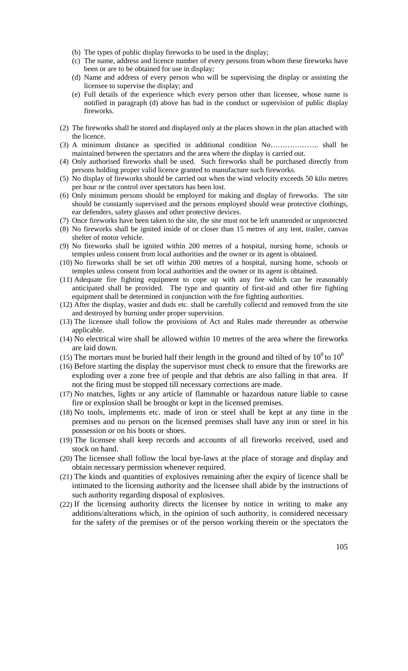- (b) The types of public display fireworks to be used in the display;
- (c) The name, address and licence number of every persons from whom these fireworks have been or are to be obtained for use in display;
- (d) Name and address of every person who will be supervising the display or assisting the licensee to supervise the display; and
- (e) Full details of the experience which every person other than licensee, whose name is notified in paragraph (d) above has had in the conduct or supervision of public display fireworks.
- (2) The fireworks shall be stored and displayed only at the places shown in the plan attached with the licence.
- (3) A minimum distance as specified in additional condition No……………….. shall be maintained between the spectators and the area where the display is carried out.
- (4) Only authorised fireworks shall be used. Such fireworks shall be purchased directly from persons holding proper valid licence granted to manufacture such fireworks.
- (5) No display of fireworks should be carried out when the wind velocity exceeds 50 kilo metres per hour or the control over spectators has been lost.
- (6) Only minimum persons should be employed for making and display of fireworks. The site should be constantly supervised and the persons employed should wear protective clothings, ear defenders, safety glasses and other protective devices.
- (7) Once fireworks have been taken to the site, the site must not be left unattended or unprotected
- (8) No fireworks shall be ignited inside of or closer than 15 metres of any tent, trailer, canvas shelter of motor vehicle.
- (9) No fireworks shall be ignited within 200 metres of a hospital, nursing home, schools or temples unless consent from local authorities and the owner or its agent is obtained.
- (10) No fireworks shall be set off within 200 metres of a hospital, nursing home, schools or temples unless consent from local authorities and the owner or its agent is obtained.
- (11) Adequate fire fighting equipment to cope up with any fire which can be reasonably anticipated shall be provided. The type and quantity of first-aid and other fire fighting equipment shall be determined in conjunction with the fire fighting authorities.
- (12) After the display, waster and duds etc. shall be carefully collectd and removed from the site and destroyed by burning under proper supervision.
- (13) The licensee shall follow the provisions of Act and Rules made thereunder as otherwise applicable.
- (14) No electrical wire shall be allowed within 10 metres of the area where the fireworks are laid down.
- (15) The mortars must be buried half their length in the ground and tilted of by  $10^0$  to  $10^0$
- (16) Before starting the display the supervisor must check to ensure that the fireworks are exploding over a zone free of people and that debris are also falling in that area. If not the firing must be stopped till necessary corrections are made.
- (17) No matches, lights or any article of flammable or hazardous nature liable to cause fire or explosion shall be brought or kept in the licensed premises.
- (18) No tools, implements etc. made of iron or steel shall be kept at any time in the premises and no person on the licensed premises shall have any iron or steel in his possession or on his boots or shoes.
- (19) The licensee shall keep records and accounts of all fireworks received, used and stock on hand.
- (20) The licensee shall follow the local bye-laws at the place of storage and display and obtain necessary permission whenever required.
- (21) The kinds and quantities of explosives remaining after the expiry of licence shall be intimated to the licensing authority and the licensee shall abide by the instructions of such authority regarding disposal of explosives.
- (22) If the licensing authority directs the licensee by notice in writing to make any additions/alterations which, in the opinion of such authority, is considered necessary for the safety of the premises or of the person working therein or the spectators the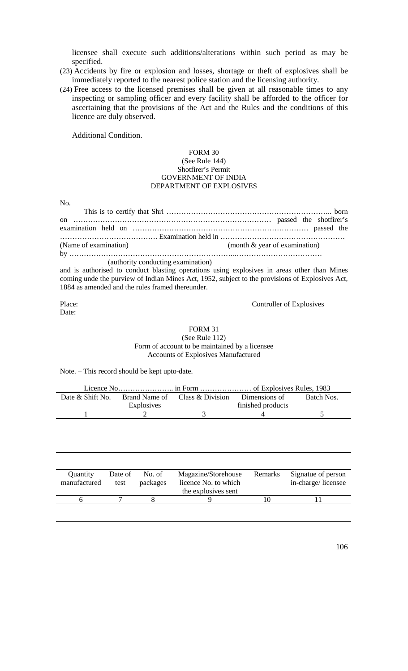licensee shall execute such additions/alterations within such period as may be specified.

- (23) Accidents by fire or explosion and losses, shortage or theft of explosives shall be immediately reported to the nearest police station and the licensing authority.
- (24) Free access to the licensed premises shall be given at all reasonable times to any inspecting or sampling officer and every facility shall be afforded to the officer for ascertaining that the provisions of the Act and the Rules and the conditions of this licence are duly observed.

Additional Condition.

## FORM 30 (See Rule 144) Shotfirer's Permit GOVERNMENT OF INDIA DEPARTMENT OF EXPLOSIVES

No.

| (Name of examination)              | (month $&$ year of examination) |
|------------------------------------|---------------------------------|
|                                    |                                 |
| (authority conducting examination) |                                 |

and is authorised to conduct blasting operations using explosives in areas other than Mines coming unde the purview of Indian Mines Act, 1952, subject to the provisions of Explosives Act, 1884 as amended and the rules framed thereunder.

Date:

Place: Controller of Explosives

FORM 31 (See Rule 112) Form of account to be maintained by a licensee Accounts of Explosives Manufactured

Note. – This record should be kept upto-date.

|            | Date & Shift No. Brand Name of Class & Division Dimensions of |                   | Batch Nos. |
|------------|---------------------------------------------------------------|-------------------|------------|
| Explosives |                                                               | finished products |            |
|            |                                                               |                   |            |

| Quantity<br>manufactured | Date of<br>test | No. of<br>packages | Magazine/Storehouse<br>licence No. to which<br>the explosives sent | Remarks | Signatue of person<br>in-charge/licensee |
|--------------------------|-----------------|--------------------|--------------------------------------------------------------------|---------|------------------------------------------|
|                          |                 |                    |                                                                    |         |                                          |
|                          |                 |                    |                                                                    |         |                                          |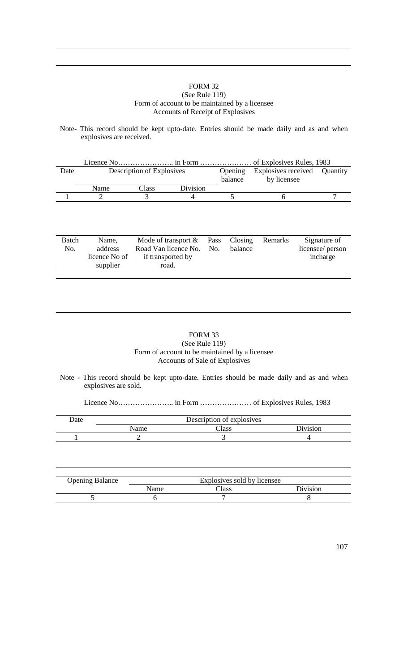## FORM 32 (See Rule 119) Form of account to be maintained by a licensee Accounts of Receipt of Explosives

Note- This record should be kept upto-date. Entries should be made daily and as and when explosives are received.

| Date |      | Description of Explosives |                 | Opening<br>balance | Explosives received Quantity<br>by licensee |  |
|------|------|---------------------------|-----------------|--------------------|---------------------------------------------|--|
|      | Name | Class                     | <b>Division</b> |                    |                                             |  |
|      |      |                           |                 |                    |                                             |  |
|      |      |                           |                 |                    |                                             |  |

| Batch | Name.         | Mode of transport $& Pass \text{ Closing}$ |         | Remarks | Signature of     |
|-------|---------------|--------------------------------------------|---------|---------|------------------|
| No.   | address       | Road Van licence No. No.                   | balance |         | licensee/ person |
|       | licence No of | if transported by                          |         |         | incharge         |
|       | supplier      | road.                                      |         |         |                  |
|       |               |                                            |         |         |                  |

# FORM 33 (See Rule 119) Form of account to be maintained by a licensee Accounts of Sale of Explosives

Note - This record should be kept upto-date. Entries should be made daily and as and when explosives are sold.

Licence No………………….. in Form ………………… of Explosives Rules, 1983

| Date | Description of explosives |       |          |  |  |
|------|---------------------------|-------|----------|--|--|
|      | Name                      | Class | Division |  |  |
|      |                           |       |          |  |  |

| <b>Opening Balance</b> | Explosives sold by licensee |        |          |
|------------------------|-----------------------------|--------|----------|
|                        | Name                        | Class: | Division |
|                        |                             |        |          |
|                        |                             |        |          |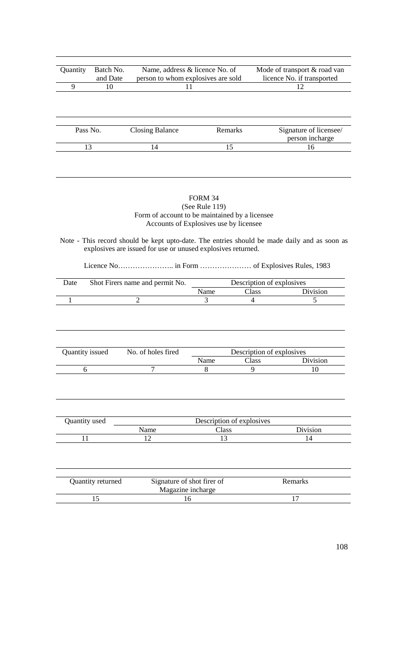| Quantity          | Batch No. | Name, address & licence No. of     |         | Mode of transport & road van |
|-------------------|-----------|------------------------------------|---------|------------------------------|
|                   | and Date  | person to whom explosives are sold |         | licence No. if transported   |
| 9                 | 10        | 11                                 |         | 12                           |
|                   |           |                                    |         |                              |
|                   |           |                                    |         |                              |
|                   |           |                                    |         |                              |
|                   |           |                                    |         |                              |
| Pass No.          |           | <b>Closing Balance</b>             | Remarks | Signature of licensee/       |
|                   |           |                                    |         | person incharge              |
| 13                |           | 14                                 | 15      | 16                           |
|                   |           |                                    |         |                              |
|                   |           |                                    |         |                              |
|                   |           |                                    |         |                              |
|                   |           |                                    |         |                              |
|                   |           |                                    |         |                              |
| <b>FORM 34</b>    |           |                                    |         |                              |
| (See Rule $119$ ) |           |                                    |         |                              |

Form of account to be maintained by a licensee Accounts of Explosives use by licensee

Note - This record should be kept upto-date. The entries should be made daily and as soon as explosives are issued for use or unused explosives returned.

Licence No………………….. in Form ………………… of Explosives Rules, 1983

| Date | Shot Firers name and permit No. | Description of explosives |       |                 |
|------|---------------------------------|---------------------------|-------|-----------------|
|      |                                 | Name                      | Class | <b>Division</b> |
|      |                                 |                           |       |                 |

| Quantity issued | No. of holes fired | Description of explosives |       |           |
|-----------------|--------------------|---------------------------|-------|-----------|
|                 |                    | Name                      | Class | Division. |
|                 |                    |                           |       |           |

| Quantity used | Description of explosives |       |                 |
|---------------|---------------------------|-------|-----------------|
|               | Name                      | Class | <b>Division</b> |
|               |                           | ⊥J    | 14              |

| Quantity returned | Signature of shot firer of | <b>Remarks</b> |
|-------------------|----------------------------|----------------|
|                   | Magazine incharge          |                |
|                   |                            |                |
|                   |                            |                |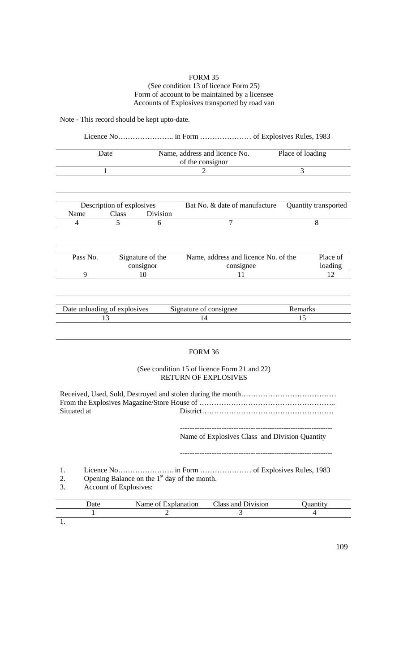#### FORM 35 (See condition 13 of licence Form 25) Form of account to be maintained by a licensee Accounts of Explosives transported by road van

Note - This record should be kept upto-date.

# Licence No………………….. in Form ………………… of Explosives Rules, 1983 Date Name, address and licence No. of the consignor Place of loading 1 2 3 Description of explosives Bat No. & date of manufacture Quantity transported Name Class Division<br>4 5 6 4 5 6 7 8 Pass No. Signature of the consignor Name, address and licence No. of the consignee Place of loading 9 10 11 12 Date unloading of explosives Signature of consignee Remarks 13 14 15

### FORM 36

#### (See condition 15 of licence Form 21 and 22) RETURN OF EXPLOSIVES

Received, Used, Sold, Destroyed and stolen during the month………………………………… From the Explosives Magazine/Store House of ……………………………………………….. Situated at District………………………………………………

> ---------------------------------------------------------------- Name of Explosives Class and Division Quantity

----------------------------------------------------------------

1. Licence No………………….. in Form ………………… of Explosives Rules, 1983

- 2. Opening Balance on the  $1<sup>st</sup>$  day of the month.
- 3. Account of Explosives:

| Date | Name of Explanation | Class and Division | Juantıtv |
|------|---------------------|--------------------|----------|
|      |                     |                    |          |
|      |                     |                    |          |

109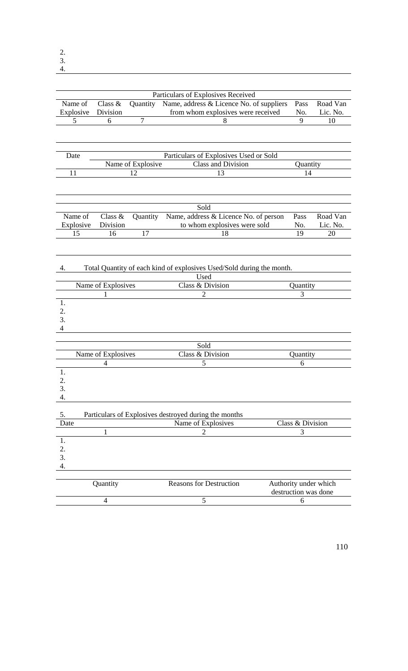4.

| Name of        |                       |                   | Particulars of Explosives Received                                             |                                               |                      |  |
|----------------|-----------------------|-------------------|--------------------------------------------------------------------------------|-----------------------------------------------|----------------------|--|
|                | Class $&$<br>Division | Quantity          | Name, address & Licence No. of suppliers<br>from whom explosives were received | Pass<br>No.                                   | Road Van<br>Lic. No. |  |
| Explosive<br>5 |                       | $\overline{7}$    | 8                                                                              | 9                                             | 10                   |  |
|                | 6                     |                   |                                                                                |                                               |                      |  |
|                |                       |                   |                                                                                |                                               |                      |  |
| Date           |                       |                   | Particulars of Explosives Used or Sold                                         |                                               |                      |  |
|                |                       | Name of Explosive | Class and Division                                                             | Quantity                                      |                      |  |
|                | 11<br>12<br>13<br>14  |                   |                                                                                |                                               |                      |  |
|                |                       |                   |                                                                                |                                               |                      |  |
|                |                       |                   | Sold                                                                           |                                               |                      |  |
| Name of        | Class &               | Quantity          | Name, address & Licence No. of person                                          | Pass                                          | Road Van             |  |
| Explosive      | Division              |                   | to whom explosives were sold                                                   | No.                                           | Lic. No.             |  |
| 15             | 16                    | 17                | 18                                                                             | 19                                            | 20                   |  |
|                |                       |                   |                                                                                |                                               |                      |  |
| 4.             |                       |                   | Total Quantity of each kind of explosives Used/Sold during the month.          |                                               |                      |  |
|                |                       |                   | Used                                                                           |                                               |                      |  |
|                | Name of Explosives    |                   | Class & Division                                                               | Quantity                                      |                      |  |
|                | L                     |                   | 2                                                                              | 3                                             |                      |  |
| 1.             |                       |                   |                                                                                |                                               |                      |  |
| 2.             |                       |                   |                                                                                |                                               |                      |  |
| 3.             |                       |                   |                                                                                |                                               |                      |  |
| 4              |                       |                   |                                                                                |                                               |                      |  |
|                |                       |                   |                                                                                |                                               |                      |  |
|                |                       |                   | Sold                                                                           |                                               |                      |  |
|                | Name of Explosives    |                   | Class & Division                                                               | Quantity                                      |                      |  |
| 1.             | 4                     |                   | 5                                                                              | 6                                             |                      |  |
| 2.             |                       |                   |                                                                                |                                               |                      |  |
| 3.             |                       |                   |                                                                                |                                               |                      |  |
| 4.             |                       |                   |                                                                                |                                               |                      |  |
|                |                       |                   |                                                                                |                                               |                      |  |
| 5.             |                       |                   | Particulars of Explosives destroyed during the months                          |                                               |                      |  |
| Date           |                       |                   | Name of Explosives                                                             | Class & Division                              |                      |  |
|                | $\mathbf{1}$          |                   | 2                                                                              | 3                                             |                      |  |
| 1.             |                       |                   |                                                                                |                                               |                      |  |
| 2.             |                       |                   |                                                                                |                                               |                      |  |
| 3.             |                       |                   |                                                                                |                                               |                      |  |
| 4.             |                       |                   |                                                                                |                                               |                      |  |
|                |                       |                   |                                                                                |                                               |                      |  |
|                | Quantity              |                   | <b>Reasons for Destruction</b>                                                 | Authority under which<br>destruction was done |                      |  |

|  | destruction was done |
|--|----------------------|
|  |                      |
|  |                      |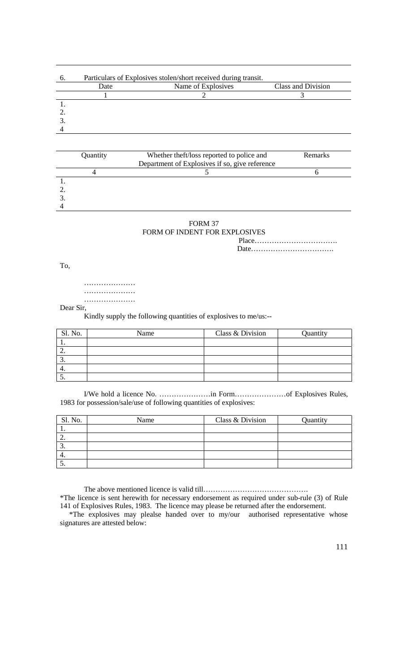|      | Particulars of Explosives stolen/short received during transit. |                    |
|------|-----------------------------------------------------------------|--------------------|
| Date | Name of Explosives                                              | Class and Division |
|      |                                                                 |                    |
|      |                                                                 |                    |
|      |                                                                 |                    |
|      |                                                                 |                    |
|      |                                                                 |                    |

| Quantity | Whether theft/loss reported to police and      | <b>Remarks</b> |
|----------|------------------------------------------------|----------------|
|          | Department of Explosives if so, give reference |                |
|          |                                                |                |
|          |                                                |                |
|          |                                                |                |
|          |                                                |                |
|          |                                                |                |

FORM 37 FORM OF INDENT FOR EXPLOSIVES

Place…………………………….

Date…………………………….

To,

………………… …………………

………………… Dear Sir,

Kindly supply the following quantities of explosives to me/us:--

| Sl. No.  | Name | Class & Division | Quantity |
|----------|------|------------------|----------|
|          |      |                  |          |
| <u>.</u> |      |                  |          |
|          |      |                  |          |
|          |      |                  |          |
|          |      |                  |          |

I/We hold a licence No. …………………in Form…………………of Explosives Rules, 1983 for possession/sale/use of following quantities of explosives:

| Sl. No.  | Name | Class & Division | Quantity |
|----------|------|------------------|----------|
|          |      |                  |          |
| <u>.</u> |      |                  |          |
| . ب      |      |                  |          |
|          |      |                  |          |
|          |      |                  |          |

The above mentioned licence is valid till…………………………………….

\*The licence is sent herewith for necessary endorsement as required under sub-rule (3) of Rule 141 of Explosives Rules, 1983. The licence may please be returned after the endorsement.

 \*The explosives may plealse handed over to my/our authorised representative whose signatures are attested below: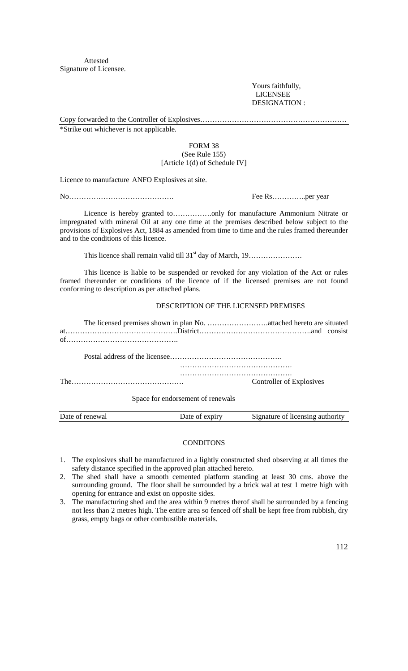Attested Signature of Licensee.

> Yours faithfully, LICENSEE DESIGNATION :

Copy forwarded to the Controller of Explosives…………………………………………………… \*Strike out whichever is not applicable.

### FORM 38 (See Rule 155) [Article 1(d) of Schedule IV]

Licence to manufacture ANFO Explosives at site.

No……………………………………. Fee Rs…………..per year

Licence is hereby granted to…………….only for manufacture Ammonium Nitrate or impregnated with mineral Oil at any one time at the premises described below subject to the provisions of Explosives Act, 1884 as amended from time to time and the rules framed thereunder and to the conditions of this licence.

This licence shall remain valid till 31st day of March, 19………………….

This licence is liable to be suspended or revoked for any violation of the Act or rules framed thereunder or conditions of the licence of if the licensed premises are not found conforming to description as per attached plans.

#### DESCRIPTION OF THE LICENSED PREMISES

The licensed premises shown in plan No. …………………….attached hereto are situated at……………………………………….District……………………………………….and consist of……………………………………….

| The | <b>Controller of Explosives</b> |
|-----|---------------------------------|

Space for endorsement of renewals

| Date of renewal | Date of expiry | Signature of licensing authority |
|-----------------|----------------|----------------------------------|
|                 |                |                                  |

#### **CONDITONS**

- 1. The explosives shall be manufactured in a lightly constructed shed observing at all times the safety distance specified in the approved plan attached hereto.
- 2. The shed shall have a smooth cemented platform standing at least 30 cms. above the surrounding ground. The floor shall be surrounded by a brick wal at test 1 metre high with opening for entrance and exist on opposite sides.
- 3. The manufacturing shed and the area within 9 metres therof shall be surrounded by a fencing not less than 2 metres high. The entire area so fenced off shall be kept free from rubbish, dry grass, empty bags or other combustible materials.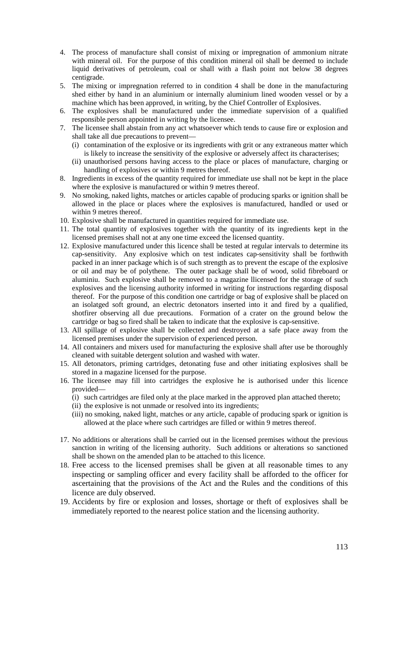- 4. The process of manufacture shall consist of mixing or impregnation of ammonium nitrate with mineral oil. For the purpose of this condition mineral oil shall be deemed to include liquid derivatives of petroleum, coal or shall with a flash point not below 38 degrees centigrade.
- 5. The mixing or impregnation referred to in condition 4 shall be done in the manufacturing shed either by hand in an aluminium or internally aluminium lined wooden vessel or by a machine which has been approved, in writing, by the Chief Controller of Explosives.
- 6. The explosives shall be manufactured under the immediate supervision of a qualified responsible person appointed in writing by the licensee.
- 7. The licensee shall abstain from any act whatsoever which tends to cause fire or explosion and shall take all due precautions to prevent—
	- (i) contamination of the explosive or its ingredients with grit or any extraneous matter which is likely to increase the sensitivity of the explosive or adversely affect its characterises;
	- (ii) unauthorised persons having access to the place or places of manufacture, charging or handling of explosives or within 9 metres thereof.
- 8. Ingredients in excess of the quantity required for immediate use shall not be kept in the place where the explosive is manufactured or within 9 metres thereof.
- 9. No smoking, naked lights, matches or articles capable of producing sparks or ignition shall be allowed in the place or places where the explosives is manufactured, handled or used or within 9 metres thereof.
- 10. Explosive shall be manufactured in quantities required for immediate use.
- 11. The total quantity of explosives together with the quantity of its ingredients kept in the licensed premises shall not at any one time exceed the licensed quantity.
- 12. Explosive manufactured under this licence shall be tested at regular intervals to determine its cap-sensitivity. Any explosive which on test indicates cap-sensitivity shall be forthwith packed in an inner package which is of such strength as to prevent the escape of the explosive or oil and may be of polythene. The outer package shall be of wood, solid fibreboard or aluminiu. Such explosive shall be removed to a magazine llicensed for the storage of such explosives and the licensing authority informed in writing for instructions regarding disposal thereof. For the purpose of this condition one cartridge or bag of explosive shall be placed on an isolatged soft ground, an electric detonators inserted into it and fired by a qualified, shotfirer observing all due precautions. Formation of a crater on the ground below the cartridge or bag so fired shall be taken to indicate that the explosive is cap-sensitive.
- 13. All spillage of explosive shall be collected and destroyed at a safe place away from the licensed premises under the supervision of experienced person.
- 14. All containers and mixers used for manufacturing the explosive shall after use be thoroughly cleaned with suitable detergent solution and washed with water.
- 15. All detonators, priming cartridges, detonating fuse and other initiating explosives shall be stored in a magazine licensed for the purpose.
- 16. The licensee may fill into cartridges the explosive he is authorised under this licence provided—
	- (i) such cartridges are filed only at the place marked in the approved plan attached thereto;
	- (ii) the explosive is not unmade or resolved into its ingredients;
	- (iii) no smoking, naked light, matches or any article, capable of producing spark or ignition is allowed at the place where such cartridges are filled or within 9 metres thereof.
- 17. No additions or alterations shall be carried out in the licensed premises without the previous sanction in writing of the licensing authority. Such additions or alterations so sanctioned shall be shown on the amended plan to be attached to this licence.
- 18. Free access to the licensed premises shall be given at all reasonable times to any inspecting or sampling officer and every facility shall be afforded to the officer for ascertaining that the provisions of the Act and the Rules and the conditions of this licence are duly observed.
- 19. Accidents by fire or explosion and losses, shortage or theft of explosives shall be immediately reported to the nearest police station and the licensing authority.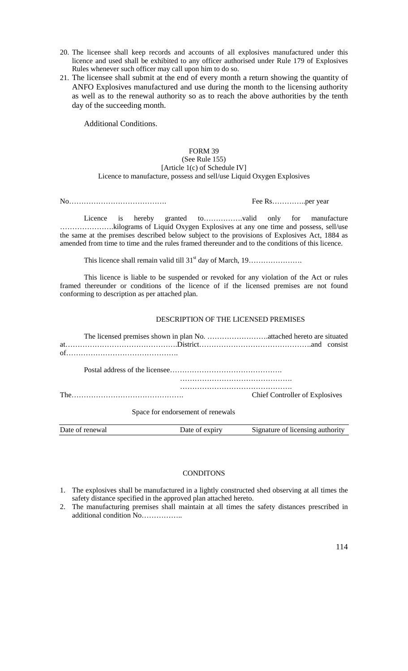- 20. The licensee shall keep records and accounts of all explosives manufactured under this licence and used shall be exhibited to any officer authorised under Rule 179 of Explosives Rules whenever such officer may call upon him to do so.
- 21. The licensee shall submit at the end of every month a return showing the quantity of ANFO Explosives manufactured and use during the month to the licensing authority as well as to the renewal authority so as to reach the above authorities by the tenth day of the succeeding month.

Additional Conditions.

# FORM 39 (See Rule 155) [Article 1(c) of Schedule IV] Licence to manufacture, possess and sell/use Liquid Oxygen Explosives

No…………………………………. Fee Rs…………..per year

Licence is hereby granted to…………….valid only for manufacture ………………….kilograms of Liquid Oxygen Explosives at any one time and possess, sell/use the same at the premises described below subject to the provisions of Explosives Act, 1884 as amended from time to time and the rules framed thereunder and to the conditions of this licence.

This licence shall remain valid till 31st day of March, 19………………….

This licence is liable to be suspended or revoked for any violation of the Act or rules framed thereunder or conditions of the licence of if the licensed premises are not found conforming to description as per attached plan.

### DESCRIPTION OF THE LICENSED PREMISES

|                 |                                   | <b>Chief Controller of Explosives</b> |
|-----------------|-----------------------------------|---------------------------------------|
|                 | Space for endorsement of renewals |                                       |
| Date of renewal | Date of expiry                    | Signature of licensing authority      |

# **CONDITONS**

- 1. The explosives shall be manufactured in a lightly constructed shed observing at all times the safety distance specified in the approved plan attached hereto.
- 2. The manufacturing premises shall maintain at all times the safety distances prescribed in additional condition No……………..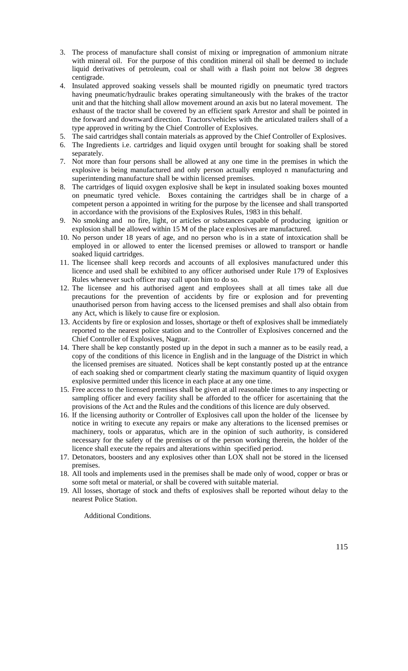- 3. The process of manufacture shall consist of mixing or impregnation of ammonium nitrate with mineral oil. For the purpose of this condition mineral oil shall be deemed to include liquid derivatives of petroleum, coal or shall with a flash point not below 38 degrees centigrade.
- 4. Insulated approved soaking vessels shall be mounted rigidly on pneumatic tyred tractors having pneumatic/hydraulic brakes operating simultaneously with the brakes of the tractor unit and that the hitching shall allow movement around an axis but no lateral movement. The exhaust of the tractor shall be covered by an efficient spark Arrestor and shall be pointed in the forward and downward direction. Tractors/vehicles with the articulated trailers shall of a type approved in writing by the Chief Controller of Explosives.
- 5. The said cartridges shall contain materials as approved by the Chief Controller of Explosives.
- 6. The Ingredients i.e. cartridges and liquid oxygen until brought for soaking shall be stored separately.
- 7. Not more than four persons shall be allowed at any one time in the premises in which the explosive is being manufactured and only person actually employed n manufacturing and superintending manufacture shall be within licensed premises.
- 8. The cartridges of liquid oxygen explosive shall be kept in insulated soaking boxes mounted on pneumatic tyred vehicle. Boxes containing the cartridges shall be in charge of a competent person a appointed in writing for the purpose by the licensee and shall transported in accordance with the provisions of the Explosives Rules, 1983 in this behalf.
- 9. No smoking and no fire, light, or articles or substances capable of producing ignition or explosion shall be allowed within 15 M of the place explosives are manufactured.
- 10. No person under 18 years of age, and no person who is in a state of intoxication shall be employed in or allowed to enter the licensed premises or allowed to transport or handle soaked liquid cartridges.
- 11. The licensee shall keep records and accounts of all explosives manufactured under this licence and used shall be exhibited to any officer authorised under Rule 179 of Explosives Rules whenever such officer may call upon him to do so.
- 12. The licensee and his authorised agent and employees shall at all times take all due precautions for the prevention of accidents by fire or explosion and for preventing unauthorised person from having access to the licensed premises and shall also obtain from any Act, which is likely to cause fire or explosion.
- 13. Accidents by fire or explosion and losses, shortage or theft of explosives shall be immediately reported to the nearest police station and to the Controller of Explosives concerned and the Chief Controller of Explosives, Nagpur.
- 14. There shall be kep constantly posted up in the depot in such a manner as to be easily read, a copy of the conditions of this licence in English and in the language of the District in which the licensed premises are situated. Notices shall be kept constantly posted up at the entrance of each soaking shed or compartment clearly stating the maximum quantity of liquid oxygen explosive permitted under this licence in each place at any one time.
- 15. Free access to the licensed premises shall be given at all reasonable times to any inspecting or sampling officer and every facility shall be afforded to the officer for ascertaining that the provisions of the Act and the Rules and the conditions of this licence are duly observed.
- 16. If the licensing authority or Controller of Explosives call upon the holder of the licensee by notice in writing to execute any repairs or make any alterations to the licensed premises or machinery, tools or apparatus, which are in the opinion of such authority, is considered necessary for the safety of the premises or of the person working therein, the holder of the licence shall execute the repairs and alterations within specified period.
- 17. Detonators, boosters and any explosives other than LOX shall not be stored in the licensed premises.
- 18. All tools and implements used in the premises shall be made only of wood, copper or bras or some soft metal or material, or shall be covered with suitable material.
- 19. All losses, shortage of stock and thefts of explosives shall be reported wihout delay to the nearest Police Station.

Additional Conditions.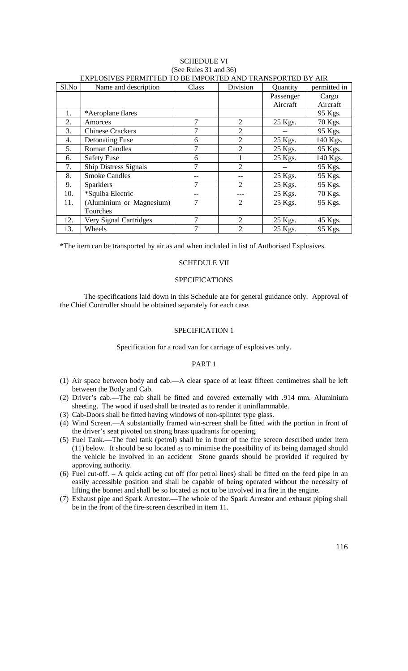|       | EAT LOST LS T EIGHT TED TO DE IMITOIGLED AGO TIGAGOI OIGLED D'I TAIG |       |                |           |              |  |  |  |  |
|-------|----------------------------------------------------------------------|-------|----------------|-----------|--------------|--|--|--|--|
| Sl.No | Name and description                                                 | Class | Division       | Quantity  | permitted in |  |  |  |  |
|       |                                                                      |       |                | Passenger | Cargo        |  |  |  |  |
|       |                                                                      |       |                | Aircraft  | Aircraft     |  |  |  |  |
| 1.    | *Aeroplane flares                                                    |       |                |           | 95 Kgs.      |  |  |  |  |
| 2.    | Amorces                                                              | 7     | $\overline{2}$ | 25 Kgs.   | 70 Kgs.      |  |  |  |  |
| 3.    | <b>Chinese Crackers</b>                                              | 7     | $\overline{2}$ |           | 95 Kgs.      |  |  |  |  |
| 4.    | <b>Detonating Fuse</b>                                               | 6     | $\overline{2}$ | 25 Kgs.   | 140 Kgs.     |  |  |  |  |
| 5.    | <b>Roman Candles</b>                                                 |       | $\overline{2}$ | 25 Kgs.   | 95 Kgs.      |  |  |  |  |
| 6.    | <b>Safety Fuse</b>                                                   | 6     |                | 25 Kgs.   | 140 Kgs.     |  |  |  |  |
| 7.    | <b>Ship Distress Signals</b>                                         | 7     | $\overline{2}$ |           | 95 Kgs.      |  |  |  |  |
| 8.    | <b>Smoke Candles</b>                                                 |       |                | 25 Kgs.   | 95 Kgs.      |  |  |  |  |
| 9.    | <b>Sparklers</b>                                                     | 7     | $\overline{2}$ | 25 Kgs.   | 95 Kgs.      |  |  |  |  |
| 10.   | *Squiba Electric                                                     |       |                | 25 Kgs.   | 70 Kgs.      |  |  |  |  |
| 11.   | (Aluminium or Magnesium)                                             | 7     | $\overline{2}$ | 25 Kgs.   | 95 Kgs.      |  |  |  |  |
|       | Tourches                                                             |       |                |           |              |  |  |  |  |
| 12.   | Very Signal Cartridges                                               | 7     | $\overline{2}$ | 25 Kgs.   | 45 Kgs.      |  |  |  |  |
| 13.   | Wheels                                                               | 7     | $\overline{2}$ | 25 Kgs.   | 95 Kgs.      |  |  |  |  |

#### SCHEDULE VI (See Rules 31 and 36) EXPLOSIVES PERMITTED TO BE IMPORTED AND TRANSPORTED BY AIR

\*The item can be transported by air as and when included in list of Authorised Explosives.

#### SCHEDULE VII

### SPECIFICATIONS

The specifications laid down in this Schedule are for general guidance only. Approval of the Chief Controller should be obtained separately for each case.

# SPECIFICATION 1

### Specification for a road van for carriage of explosives only.

#### PART 1

- (1) Air space between body and cab.—A clear space of at least fifteen centimetres shall be left between the Body and Cab.
- (2) Driver's cab.—The cab shall be fitted and covered externally with .914 mm. Aluminium sheeting. The wood if used shall be treated as to render it uninflammable.
- (3) Cab-Doors shall be fitted having windows of non-splinter type glass.
- (4) Wind Screen.—A substantially framed win-screen shall be fitted with the portion in front of the driver's seat pivoted on strong brass quadrants for opening.
- (5) Fuel Tank.—The fuel tank (petrol) shall be in front of the fire screen described under item (11) below. It should be so located as to minimise the possibility of its being damaged should the vehicle be involved in an accident Stone guards should be provided if required by approving authority.
- (6) Fuel cut-off. A quick acting cut off (for petrol lines) shall be fitted on the feed pipe in an easily accessible position and shall be capable of being operated without the necessity of lifting the bonnet and shall be so located as not to be involved in a fire in the engine.
- (7) Exhaust pipe and Spark Arrestor.—The whole of the Spark Arrestor and exhaust piping shall be in the front of the fire-screen described in item 11.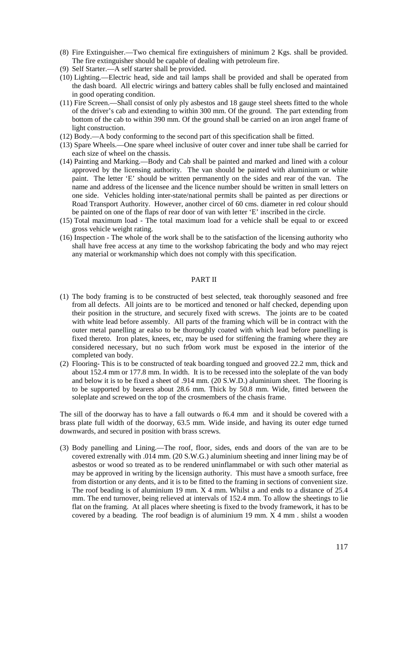- (8) Fire Extinguisher.—Two chemical fire extinguishers of minimum 2 Kgs. shall be provided. The fire extinguisher should be capable of dealing with petroleum fire.
- (9) Self Starter.—A self starter shall be provided.
- (10) Lighting.—Electric head, side and tail lamps shall be provided and shall be operated from the dash board. All electric wirings and battery cables shall be fully enclosed and maintained in good operating condition.
- (11) Fire Screen.—Shall consist of only ply asbestos and 18 gauge steel sheets fitted to the whole of the driver's cab and extending to within 300 mm. Of the ground. The part extending from bottom of the cab to within 390 mm. Of the ground shall be carried on an iron angel frame of light construction.
- (12) Body.—A body conforming to the second part of this specification shall be fitted.
- (13) Spare Wheels.—One spare wheel inclusive of outer cover and inner tube shall be carried for each size of wheel on the chassis.
- (14) Painting and Marking.—Body and Cab shall be painted and marked and lined with a colour approved by the licensing authority. The van should be painted with aluminium or white paint. The letter 'E' should be written permanently on the sides and rear of the van. The name and address of the licensee and the licence number should be written in small letters on one side. Vehicles holding inter-state/national permits shall be painted as per directions or Road Transport Authority. However, another circel of 60 cms. diameter in red colour should be painted on one of the flaps of rear door of van with letter 'E' inscribed in the circle.
- (15) Total maximum load The total maximum load for a vehicle shall be equal to or exceed gross vehicle weight rating.
- (16) Inspection The whole of the work shall be to the satisfaction of the licensing authority who shall have free access at any time to the workshop fabricating the body and who may reject any material or workmanship which does not comply with this specification.

### PART II

- (1) The body framing is to be constructed of best selected, teak thoroughly seasoned and free from all defects. All joints are to be morticed and tenoned or half checked, depending upon their position in the structure, and securely fixed with screws. The joints are to be coated with white lead before assembly. All parts of the framing which will be in contract with the outer metal panelling ar ealso to be thoroughly coated with which lead before panelling is fixed thereto. Iron plates, knees, etc, may be used for stiffening the framing where they are considered necessary, but no such fr0om work must be exposed in the interior of the completed van body.
- (2) Flooring- This is to be constructed of teak boarding tongued and grooved 22.2 mm, thick and about 152.4 mm or 177.8 mm. In width. It is to be recessed into the soleplate of the van body and below it is to be fixed a sheet of .914 mm. (20 S.W.D.) aluminium sheet. The flooring is to be supported by bearers about 28.6 mm. Thick by 50.8 mm. Wide, fitted between the soleplate and screwed on the top of the crosmembers of the chasis frame.

The sill of the doorway has to have a fall outwards o f6.4 mm and it should be covered with a brass plate full width of the doorway, 63.5 mm. Wide inside, and having its outer edge turned downwards, and secured in position with brass screws.

(3) Body panelling and Lining.—The roof, floor, sides, ends and doors of the van are to be covered extrenally with .014 mm. (20 S.W.G.) aluminium sheeting and inner lining may be of asbestos or wood so treated as to be rendered uninflammabel or with such other material as may be approved in writing by the licensign authority. This must have a smooth surface, free from distortion or any dents, and it is to be fitted to the framing in sections of convenient size. The roof beading is of aluminium 19 mm. X 4 mm. Whilst a and ends to a distance of 25.4 mm. The end turnover, being relieved at intervals of 152.4 mm. To allow the sheetings to lie flat on the framing. At all places where sheeting is fixed to the bvody framework, it has to be covered by a beading. The roof beadign is of aluminium 19 mm. X 4 mm . shilst a wooden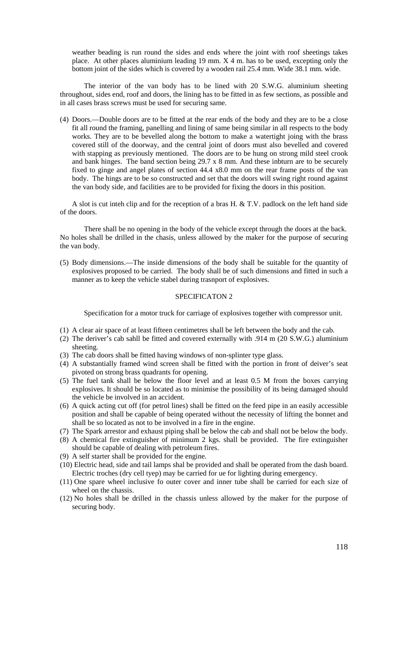weather beading is run round the sides and ends where the joint with roof sheetings takes place. At other places aluminium leading 19 mm.  $X$  4 m, has to be used, excepting only the bottom joint of the sides which is covered by a wooden rail 25.4 mm. Wide 38.1 mm. wide.

The interior of the van body has to be lined with 20 S.W.G. aluminium sheeting throughout, sides end, roof and doors, the lining has to be fitted in as few sections, as possible and in all cases brass screws must be used for securing same.

(4) Doors.—Double doors are to be fitted at the rear ends of the body and they are to be a close fit all round the framing, panelling and lining of same being similar in all respects to the body works. They are to be bevelled along the bottom to make a watertight joing with the brass covered still of the doorway, and the central joint of doors must also bevelled and covered with stapping as previously mentioned. The doors are to be hung on strong mild steel crook and bank hinges. The band section being 29.7 x 8 mm. And these inbturn are to be securely fixed to ginge and angel plates of section 44.4 x8.0 mm on the rear frame posts of the van body. The hings are to be so constructed and set that the doors will swing right round against the van body side, and facilities are to be provided for fixing the doors in this position.

A slot is cut inteh clip and for the reception of a bras H. & T.V. padlock on the left hand side of the doors.

There shall be no opening in the body of the vehicle except through the doors at the back. No holes shall be drilled in the chasis, unless allowed by the maker for the purpose of securing the van body.

(5) Body dimensions.—The inside dimensions of the body shall be suitable for the quantity of explosives proposed to be carried. The body shall be of such dimensions and fitted in such a manner as to keep the vehicle stabel during trasnport of explosives.

#### SPECIFICATON 2

Specification for a motor truck for carriage of explosives together with compressor unit.

- (1) A clear air space of at least fifteen centimetres shall be left between the body and the cab.
- (2) The deriver's cab sahll be fitted and covered externally with .914 m (20 S.W.G.) aluminium sheeting.
- (3) The cab doors shall be fitted having windows of non-splinter type glass.
- (4) A substantially framed wind screen shall be fitted with the portion in front of deiver's seat pivoted on strong brass quadrants for opening.
- (5) The fuel tank shall be below the floor level and at least 0.5 M from the boxes carrying explosives. It should be so located as to minimise the possibility of its being damaged should the vehicle be involved in an accident.
- (6) A quick acting cut off (for petrol lines) shall be fitted on the feed pipe in an easily accessible position and shall be capable of being operated without the necessity of lifting the bonnet and shall be so located as not to be involved in a fire in the engine.
- (7) The Spark arrestor and exhaust piping shall be below the cab and shall not be below the body.
- (8) A chemical fire extinguisher of minimum 2 kgs. shall be provided. The fire extinguisher
- should be capable of dealing with petroleum fires.
- (9) A self starter shall be provided for the engine.
- (10) Electric head, side and tail lamps shal be provided and shall be operated from the dash board. Electric troches (dry cell tyep) may be carried for ue for lighting during emergency.
- (11) One spare wheel inclusive fo outer cover and inner tube shall be carried for each size of wheel on the chassis.
- (12) No holes shall be drilled in the chassis unless allowed by the maker for the purpose of securing body.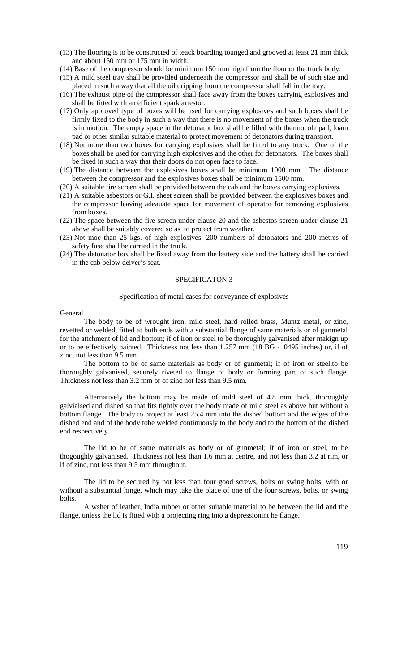- (13) The flooring is to be constructed of teack boarding tounged and grooved at least 21 mm thick and about 150 mm or 175 mm in width.
- (14) Base of the compressor should be minimum 150 mm high from the floor or the truck body.
- (15) A mild steel tray shall be provided underneath the compressor and shall be of such size and placed in such a way that all the oil dripping from the compressor shall fall in the tray.
- (16) The exhaust pipe of the compressor shall face away from the boxes carrying explosives and shall be fitted with an efficient spark arrestor.
- (17) Only approved type of boxes will be used for carrying explosives and such boxes shall be firmly fixed to the body in such a way that there is no movement of the boxes when the truck is in motion. The empty space in the detonator box shall be filled with thermocole pad, foam pad or other similar suitable material to protect movement of detonators during transport.
- (18) Not more than two boxes for carrying explosives shall be fitted to any truck. One of the boxes shall be used for carrying high explosives and the other for detonators. The boxes shall be fixed in such a way that their doors do not open face to face.
- (19) The distance between the explosives boxes shall be minimum 1000 mm. The distance between the compressor and the explosives boxes shall be minimum 1500 mm.
- (20) A suitable fire screen shall be provided between the cab and the boxes carrying explosives.
- (21) A suitable asbestors or G.I. sheet screen shall be provided between the explosives boxes and the compressor leaving adeauate space for movement of operator for removing explosives from boxes.
- (22) The space between the fire screen under clause 20 and the asbestos screen under clause 21 above shall be suitably covered so as to protect from weather.
- (23) Not moe than 25 kgs. of high explosives, 200 numbers of detonators and 200 metres of safety fuse shall be carried in the truck.
- (24) The detonator box shall be fixed away from the battery side and the battery shall be carried in the cab below deiver's seat.

#### SPECIFICATON 3

#### Specification of metal cases for conveyance of explosives

General :

The body to be of wrought iron, mild steel, hard rolled brass, Muntz metal, or zinc, revetted or welded, fitted at both ends with a substantial flange of same materials or of gunmetal for the attchment of lid and bottom; if of iron or steel to be thoroughly galvanised after makign up or to be effectively painted. Thickness not less than 1.257 mm (18 BG - .0495 inches) or, if of zinc, not less than 9.5 mm.

The bottom to be of same materials as body or of gunmetal; if of iron or steel,to be thoroughly galvanised, securely riveted to flange of body or forming part of such flange. Thickness not less than 3.2 mm or of zinc not less than 9.5 mm.

Alternatively the bottom may be made of mild steel of 4.8 mm thick, thoroughly galviaised and dished so that fits tightly over the body made of mild steel as above but without a bottom flange. The body to project at least 25.4 mm into the dished bottom and the edges of the dished end and of the body tobe welded continuously to the body and to the bottom of the dished end respectively.

The lid to be of same materials as body or of gunmetal; if of iron or steel, to be thogoughly galvanised. Thickness not less than 1.6 mm at centre, and not less than 3.2 at rim, or if of zinc, not less than 9.5 mm throughout.

The lid to be secured by not less than four good screws, bolts or swing bolts, with or without a substantial hinge, which may take the place of one of the four screws, bolts, or swing bolts.

A wsher of leather, India rubber or other suitable material to be between the lid and the flange, unless the lid is fitted with a projecting ring into a depressionint he flange.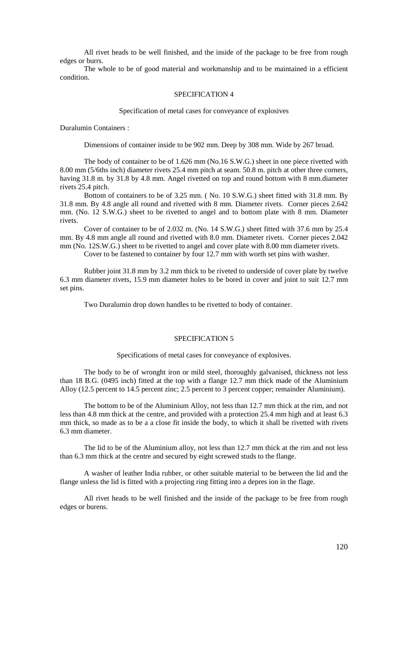All rivet heads to be well finished, and the inside of the package to be free from rough edges or burrs.

The whole to be of good material and workmanship and to be maintained in a efficient condition.

#### SPECIFICATION 4

#### Specification of metal cases for conveyance of explosives

Duralumin Containers :

Dimensions of container inside to be 902 mm. Deep by 308 mm. Wide by 267 broad.

The body of container to be of 1.626 mm (No.16 S.W.G.) sheet in one piece rivetted with 8.00 mm (5/6ths inch) diameter rivets 25.4 mm pitch at seam. 50.8 m. pitch at other three corners, having 31.8 m. by 31.8 by 4.8 mm. Angel rivetted on top and round bottom with 8 mm.diameter rivets 25.4 pitch.

Bottom of containers to be of 3.25 mm. ( No. 10 S.W.G.) sheet fitted with 31.8 mm. By 31.8 mm. By 4.8 angle all round and rivetted with 8 mm. Diameter rivets. Corner pieces 2.642 mm. (No. 12 S.W.G.) sheet to be rivetted to angel and to bottom plate with 8 mm. Diameter rivets.

Cover of container to be of 2.032 m. (No. 14 S.W.G.) sheet fitted with 37.6 mm by 25.4 mm. By 4.8 mm angle all round and rivetted with 8.0 mm. Diameter rivets. Corner pieces 2.042 mm (No. 12S.W.G.) sheet to be rivetted to angel and cover plate with 8.00 mm diameter rivets.

Cover to be fastened to container by four 12.7 mm with worth set pins with washer.

Rubber joint 31.8 mm by 3.2 mm thick to be riveted to underside of cover plate by twelve 6.3 mm diameter rivets, 15.9 mm diameter holes to be bored in cover and joint to suit 12.7 mm set pins.

Two Duralumin drop down handles to be rivetted to body of container.

### SPECIFICATION 5

Specifications of metal cases for conveyance of explosives.

The body to be of wronght iron or mild steel, thoroughly galvanised, thickness not less than 18 B.G. (0495 inch) fitted at the top with a flange 12.7 mm thick made of the Aluminium Alloy (12.5 percent to 14.5 percent zinc; 2.5 percent to 3 percent copper; remainder Aluminium).

The bottom to be of the Aluminium Alloy, not less than 12.7 mm thick at the rim, and not less than 4.8 mm thick at the centre, and provided with a protection 25.4 mm high and at least 6.3 mm thick, so made as to be a a close fit inside the body, to which it shall be rivetted with rivets 6.3 mm diameter.

The lid to be of the Aluminium alloy, not less than 12.7 mm thick at the rim and not less than 6.3 mm thick at the centre and secured by eight screwed studs to the flange.

A washer of leather India rubber, or other suitable material to be between the lid and the flange unless the lid is fitted with a projecting ring fitting into a depres ion in the flage.

All rivet heads to be well finished and the inside of the package to be free from rough edges or burens.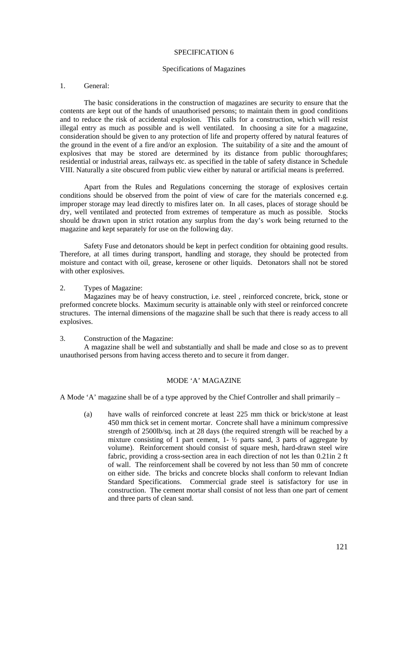#### SPECIFICATION 6

#### Specifications of Magazines

### 1. General:

The basic considerations in the construction of magazines are security to ensure that the contents are kept out of the hands of unauthorised persons; to maintain them in good conditions and to reduce the risk of accidental explosion. This calls for a construction, which will resist illegal entry as much as possible and is well ventilated. In choosing a site for a magazine, consideration should be given to any protection of life and property offered by natural features of the ground in the event of a fire and/or an explosion. The suitability of a site and the amount of explosives that may be stored are determined by its distance from public thoroughfares; residential or industrial areas, railways etc. as specified in the table of safety distance in Schedule VIII. Naturally a site obscured from public view either by natural or artificial means is preferred.

Apart from the Rules and Regulations concerning the storage of explosives certain conditions should be observed from the point of view of care for the materials concerned e.g. improper storage may lead directly to misfires later on. In all cases, places of storage should be dry, well ventilated and protected from extremes of temperature as much as possible. Stocks should be drawn upon in strict rotation any surplus from the day's work being returned to the magazine and kept separately for use on the following day.

Safety Fuse and detonators should be kept in perfect condition for obtaining good results. Therefore, at all times during transport, handling and storage, they should be protected from moisture and contact with oil, grease, kerosene or other liquids. Detonators shall not be stored with other explosives.

2. Types of Magazine:

Magazines may be of heavy construction, i.e. steel , reinforced concrete, brick, stone or preformed concrete blocks. Maximum security is attainable only with steel or reinforced concrete structures. The internal dimensions of the magazine shall be such that there is ready access to all explosives.

3. Construction of the Magazine:

A magazine shall be well and substantially and shall be made and close so as to prevent unauthorised persons from having access thereto and to secure it from danger.

### MODE 'A' MAGAZINE

A Mode 'A' magazine shall be of a type approved by the Chief Controller and shall primarily –

(a) have walls of reinforced concrete at least 225 mm thick or brick/stone at least 450 mm thick set in cement mortar. Concrete shall have a minimum compressive strength of 2500lb/sq. inch at 28 days (the required strength will be reached by a mixture consisting of 1 part cement, 1- ½ parts sand, 3 parts of aggregate by volume). Reinforcement should consist of square mesh, hard-drawn steel wire fabric, providing a cross-section area in each direction of not les than 0.21in 2 ft of wall. The reinforcement shall be covered by not less than 50 mm of concrete on either side. The bricks and concrete blocks shall conform to relevant Indian Standard Specifications. Commercial grade steel is satisfactory for use in construction. The cement mortar shall consist of not less than one part of cement and three parts of clean sand.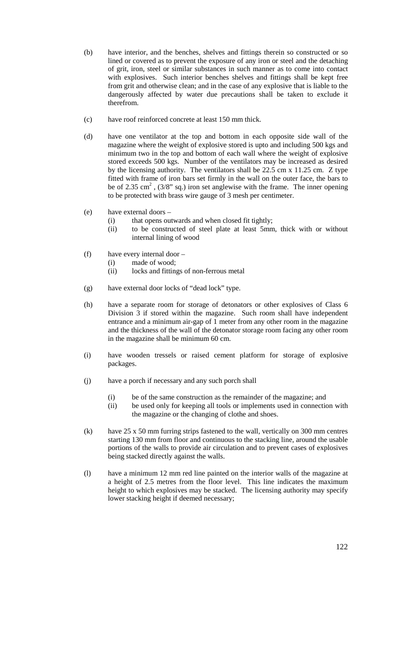- (b) have interior, and the benches, shelves and fittings therein so constructed or so lined or covered as to prevent the exposure of any iron or steel and the detaching of grit, iron, steel or similar substances in such manner as to come into contact with explosives. Such interior benches shelves and fittings shall be kept free from grit and otherwise clean; and in the case of any explosive that is liable to the dangerously affected by water due precautions shall be taken to exclude it therefrom.
- (c) have roof reinforced concrete at least 150 mm thick.
- (d) have one ventilator at the top and bottom in each opposite side wall of the magazine where the weight of explosive stored is upto and including 500 kgs and minimum two in the top and bottom of each wall where the weight of explosive stored exceeds 500 kgs. Number of the ventilators may be increased as desired by the licensing authority. The ventilators shall be 22.5 cm x 11.25 cm. Z type fitted with frame of iron bars set firmly in the wall on the outer face, the bars to be of 2.35 cm<sup>2</sup>,  $(3/8$ " sq.) iron set anglewise with the frame. The inner opening to be protected with brass wire gauge of 3 mesh per centimeter.
- (e) have external doors
	- (i) that opens outwards and when closed fit tightly;
	- (ii) to be constructed of steel plate at least 5mm, thick with or without internal lining of wood
- (f) have every internal door
	- (i) made of wood;
	- (ii) locks and fittings of non-ferrous metal
- (g) have external door locks of "dead lock" type.
- (h) have a separate room for storage of detonators or other explosives of Class 6 Division 3 if stored within the magazine. Such room shall have independent entrance and a minimum air-gap of 1 meter from any other room in the magazine and the thickness of the wall of the detonator storage room facing any other room in the magazine shall be minimum 60 cm.
- (i) have wooden tressels or raised cement platform for storage of explosive packages.
- (j) have a porch if necessary and any such porch shall
	- (i) be of the same construction as the remainder of the magazine; and
	- (ii) be used only for keeping all tools or implements used in connection with the magazine or the changing of clothe and shoes.
- (k) have 25 x 50 mm furring strips fastened to the wall, vertically on 300 mm centres starting 130 mm from floor and continuous to the stacking line, around the usable portions of the walls to provide air circulation and to prevent cases of explosives being stacked directly against the walls.
- (l) have a minimum 12 mm red line painted on the interior walls of the magazine at a height of 2.5 metres from the floor level. This line indicates the maximum height to which explosives may be stacked. The licensing authority may specify lower stacking height if deemed necessary;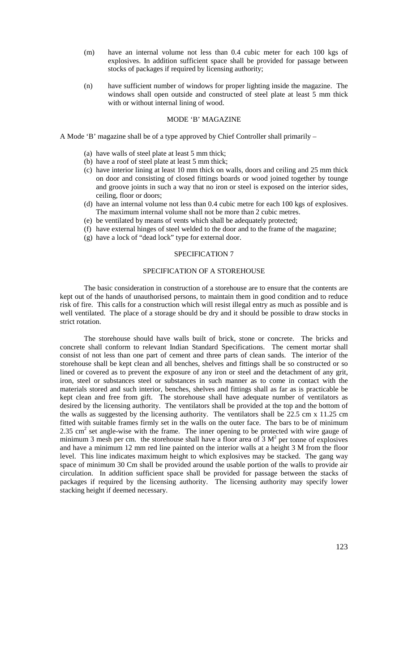- (m) have an internal volume not less than 0.4 cubic meter for each 100 kgs of explosives. In addition sufficient space shall be provided for passage between stocks of packages if required by licensing authority;
- (n) have sufficient number of windows for proper lighting inside the magazine. The windows shall open outside and constructed of steel plate at least 5 mm thick with or without internal lining of wood.

### MODE 'B' MAGAZINE

A Mode 'B' magazine shall be of a type approved by Chief Controller shall primarily –

- (a) have walls of steel plate at least 5 mm thick;
- (b) have a roof of steel plate at least 5 mm thick;
- (c) have interior lining at least 10 mm thick on walls, doors and ceiling and 25 mm thick on door and consisting of closed fittings boards or wood joined together by tounge and groove joints in such a way that no iron or steel is exposed on the interior sides, ceiling, floor or doors;
- (d) have an internal volume not less than 0.4 cubic metre for each 100 kgs of explosives. The maximum internal volume shall not be more than 2 cubic metres.
- (e) be ventilated by means of vents which shall be adequately protected;
- (f) have external hinges of steel welded to the door and to the frame of the magazine;
- (g) have a lock of "dead lock" type for external door.

### SPECIFICATION 7

### SPECIFICATION OF A STOREHOUSE

The basic consideration in construction of a storehouse are to ensure that the contents are kept out of the hands of unauthorised persons, to maintain them in good condition and to reduce risk of fire. This calls for a construction which will resist illegal entry as much as possible and is well ventilated. The place of a storage should be dry and it should be possible to draw stocks in strict rotation.

The storehouse should have walls built of brick, stone or concrete. The bricks and concrete shall conform to relevant Indian Standard Specifications. The cement mortar shall consist of not less than one part of cement and three parts of clean sands. The interior of the storehouse shall be kept clean and all benches, shelves and fittings shall be so constructed or so lined or covered as to prevent the exposure of any iron or steel and the detachment of any grit, iron, steel or substances steel or substances in such manner as to come in contact with the materials stored and such interior, benches, shelves and fittings shall as far as is practicable be kept clean and free from gift. The storehouse shall have adequate number of ventilators as desired by the licensing authority. The ventilators shall be provided at the top and the bottom of the walls as suggested by the licensing authority. The ventilators shall be 22.5 cm x 11.25 cm fitted with suitable frames firmly set in the walls on the outer face. The bars to be of minimum 2.35 cm<sup>2</sup> set angle-wise with the frame. The inner opening to be protected with wire gauge of minimum 3 mesh per cm. the storehouse shall have a floor area of  $3 \text{ M}^2$  per tonne of explosives and have a minimum 12 mm red line painted on the interior walls at a height 3 M from the floor level. This line indicates maximum height to which explosives may be stacked. The gang way space of minimum 30 Cm shall be provided around the usable portion of the walls to provide air circulation. In addition sufficient space shall be provided for passage between the stacks of packages if required by the licensing authority. The licensing authority may specify lower stacking height if deemed necessary.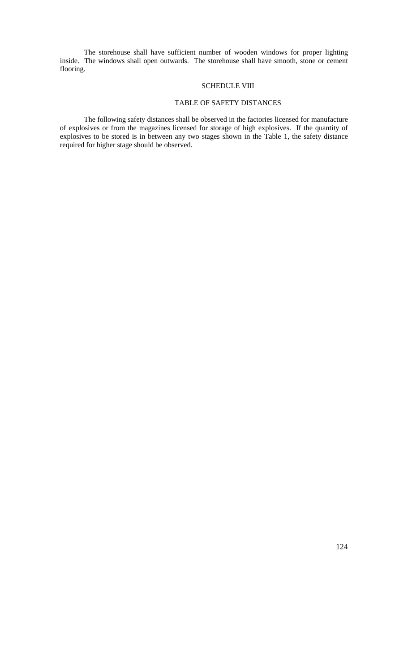The storehouse shall have sufficient number of wooden windows for proper lighting inside. The windows shall open outwards. The storehouse shall have smooth, stone or cement flooring.

### SCHEDULE VIII

# TABLE OF SAFETY DISTANCES

The following safety distances shall be observed in the factories licensed for manufacture of explosives or from the magazines licensed for storage of high explosives. If the quantity of explosives to be stored is in between any two stages shown in the Table 1, the safety distance required for higher stage should be observed.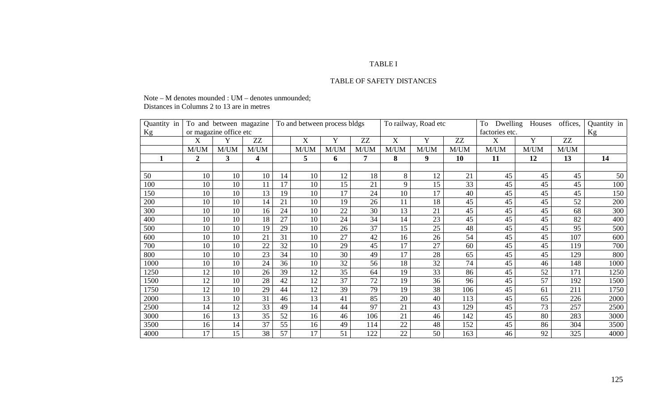#### TABLE I

#### TABLE OF SAFETY DISTANCES

Note – M denotes mounded : UM – denotes unmounded; Distances in Columns 2 to 13 are in metres

| Quantity in |              | To and between magazine |      |    |      | To and between process bldgs |      |      | To railway, Road etc |      | Dwelling<br>To | Houses | offices, | Quantity in |
|-------------|--------------|-------------------------|------|----|------|------------------------------|------|------|----------------------|------|----------------|--------|----------|-------------|
| Kg          |              | or magazine office etc  |      |    |      |                              |      |      |                      |      | factories etc. |        |          | Kg          |
|             | X            | Y                       | ZZ   |    | X    | Y                            | ZZ   | X    | Y                    | ZZ   | X              | Y      | ZZ       |             |
|             | M/UM         | M/UM                    | M/UM |    | M/UM | M/UM                         | M/UM | M/UM | M/UM                 | M/UM | M/UM           | M/UM   | M/UM     |             |
|             | $\mathbf{2}$ | 3                       | 4    |    | 5    | 6                            | 7    | 8    | 9                    | 10   | 11             | 12     | 13       | 14          |
|             |              |                         |      |    |      |                              |      |      |                      |      |                |        |          |             |
| 50          | 10           | 10                      | 10   | 14 | 10   | 12                           | 18   | 8    | 12                   | 21   | 45             | 45     | 45       | 50          |
| 100         | 10           | 10                      | 11   | 17 | 10   | 15                           | 21   | 9    | 15                   | 33   | 45             | 45     | 45       | 100         |
| 150         | 10           | 10                      | 13   | 19 | 10   | 17                           | 24   | 10   | 17                   | 40   | 45             | 45     | 45       | 150         |
| 200         | 10           | 10                      | 14   | 21 | 10   | 19                           | 26   | 11   | 18                   | 45   | 45             | 45     | 52       | 200         |
| 300         | 10           | 10                      | 16   | 24 | 10   | 22                           | 30   | 13   | 21                   | 45   | 45             | 45     | 68       | 300         |
| 400         | 10           | 10                      | 18   | 27 | 10   | 24                           | 34   | 14   | 23                   | 45   | 45             | 45     | 82       | 400         |
| 500         | 10           | 10                      | 19   | 29 | 10   | 26                           | 37   | 15   | 25                   | 48   | 45             | 45     | 95       | 500         |
| 600         | 10           | 10                      | 21   | 31 | 10   | 27                           | 42   | 16   | 26                   | 54   | 45             | 45     | 107      | 600         |
| 700         | 10           | 10                      | 22   | 32 | 10   | 29                           | 45   | 17   | 27                   | 60   | 45             | 45     | 119      | 700         |
| 800         | 10           | 10                      | 23   | 34 | 10   | 30                           | 49   | 17   | 28                   | 65   | 45             | 45     | 129      | 800         |
| 1000        | 10           | 10                      | 24   | 36 | 10   | 32                           | 56   | 18   | 32                   | 74   | 45             | 46     | 148      | 1000        |
| 1250        | 12           | 10                      | 26   | 39 | 12   | 35                           | 64   | 19   | 33                   | 86   | 45             | 52     | 171      | 1250        |
| 1500        | 12           | 10                      | 28   | 42 | 12   | 37                           | 72   | 19   | 36                   | 96   | 45             | 57     | 192      | 1500        |
| 1750        | 12           | 10                      | 29   | 44 | 12   | 39                           | 79   | 19   | 38                   | 106  | 45             | 61     | 211      | 1750        |
| 2000        | 13           | 10                      | 31   | 46 | 13   | 41                           | 85   | 20   | 40                   | 113  | 45             | 65     | 226      | 2000        |
| 2500        | 14           | 12                      | 33   | 49 | 14   | 44                           | 97   | 21   | 43                   | 129  | 45             | 73     | 257      | 2500        |
| 3000        | 16           | 13                      | 35   | 52 | 16   | 46                           | 106  | 21   | 46                   | 142  | 45             | 80     | 283      | 3000        |
| 3500        | 16           | 14                      | 37   | 55 | 16   | 49                           | 114  | 22   | 48                   | 152  | 45             | 86     | 304      | 3500        |
| 4000        | 17           | 15                      | 38   | 57 | 17   | 51                           | 122  | 22   | 50                   | 163  | 46             | 92     | 325      | 4000        |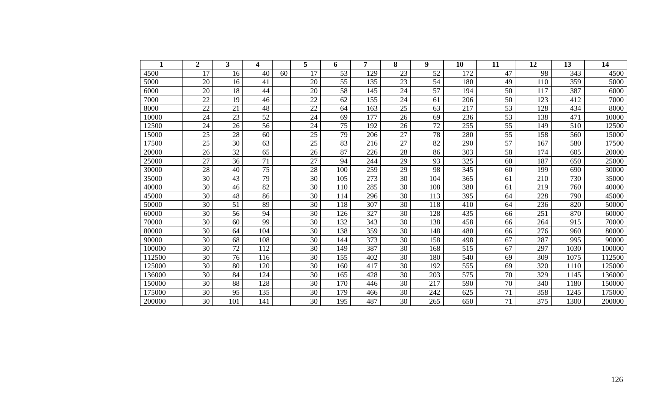|        | $\overline{2}$ | 3   | 4   |    | 5  | 6   | 7   | 8  | 9   | 10  | 11              | 12  | 13   | 14     |
|--------|----------------|-----|-----|----|----|-----|-----|----|-----|-----|-----------------|-----|------|--------|
| 4500   | 17             | 16  | 40  | 60 | 17 | 53  | 129 | 23 | 52  | 172 | 47              | 98  | 343  | 4500   |
| 5000   | 20             | 16  | 41  |    | 20 | 55  | 135 | 23 | 54  | 180 | 49              | 110 | 359  | 5000   |
| 6000   | 20             | 18  | 44  |    | 20 | 58  | 145 | 24 | 57  | 194 | 50              | 117 | 387  | 6000   |
| 7000   | 22             | 19  | 46  |    | 22 | 62  | 155 | 24 | 61  | 206 | 50              | 123 | 412  | 7000   |
| 8000   | 22             | 21  | 48  |    | 22 | 64  | 163 | 25 | 63  | 217 | 53              | 128 | 434  | 8000   |
| 10000  | 24             | 23  | 52  |    | 24 | 69  | 177 | 26 | 69  | 236 | 53              | 138 | 471  | 10000  |
| 12500  | 24             | 26  | 56  |    | 24 | 75  | 192 | 26 | 72  | 255 | 55              | 149 | 510  | 12500  |
| 15000  | 25             | 28  | 60  |    | 25 | 79  | 206 | 27 | 78  | 280 | 55              | 158 | 560  | 15000  |
| 17500  | 25             | 30  | 63  |    | 25 | 83  | 216 | 27 | 82  | 290 | $\overline{57}$ | 167 | 580  | 17500  |
| 20000  | 26             | 32  | 65  |    | 26 | 87  | 226 | 28 | 86  | 303 | 58              | 174 | 605  | 20000  |
| 25000  | 27             | 36  | 71  |    | 27 | 94  | 244 | 29 | 93  | 325 | 60              | 187 | 650  | 25000  |
| 30000  | 28             | 40  | 75  |    | 28 | 100 | 259 | 29 | 98  | 345 | 60              | 199 | 690  | 30000  |
| 35000  | 30             | 43  | 79  |    | 30 | 105 | 273 | 30 | 104 | 365 | 61              | 210 | 730  | 35000  |
| 40000  | 30             | 46  | 82  |    | 30 | 110 | 285 | 30 | 108 | 380 | 61              | 219 | 760  | 40000  |
| 45000  | 30             | 48  | 86  |    | 30 | 114 | 296 | 30 | 113 | 395 | 64              | 228 | 790  | 45000  |
| 50000  | 30             | 51  | 89  |    | 30 | 118 | 307 | 30 | 118 | 410 | 64              | 236 | 820  | 50000  |
| 60000  | 30             | 56  | 94  |    | 30 | 126 | 327 | 30 | 128 | 435 | 66              | 251 | 870  | 60000  |
| 70000  | 30             | 60  | 99  |    | 30 | 132 | 343 | 30 | 138 | 458 | 66              | 264 | 915  | 70000  |
| 80000  | 30             | 64  | 104 |    | 30 | 138 | 359 | 30 | 148 | 480 | 66              | 276 | 960  | 80000  |
| 90000  | 30             | 68  | 108 |    | 30 | 144 | 373 | 30 | 158 | 498 | 67              | 287 | 995  | 90000  |
| 100000 | 30             | 72  | 112 |    | 30 | 149 | 387 | 30 | 168 | 515 | 67              | 297 | 1030 | 100000 |
| 112500 | 30             | 76  | 116 |    | 30 | 155 | 402 | 30 | 180 | 540 | 69              | 309 | 1075 | 112500 |
| 125000 | 30             | 80  | 120 |    | 30 | 160 | 417 | 30 | 192 | 555 | 69              | 320 | 1110 | 125000 |
| 136000 | 30             | 84  | 124 |    | 30 | 165 | 428 | 30 | 203 | 575 | 70              | 329 | 1145 | 136000 |
| 150000 | 30             | 88  | 128 |    | 30 | 170 | 446 | 30 | 217 | 590 | 70              | 340 | 1180 | 150000 |
| 175000 | 30             | 95  | 135 |    | 30 | 179 | 466 | 30 | 242 | 625 | 71              | 358 | 1245 | 175000 |
| 200000 | 30             | 101 | 141 |    | 30 | 195 | 487 | 30 | 265 | 650 | 71              | 375 | 1300 | 200000 |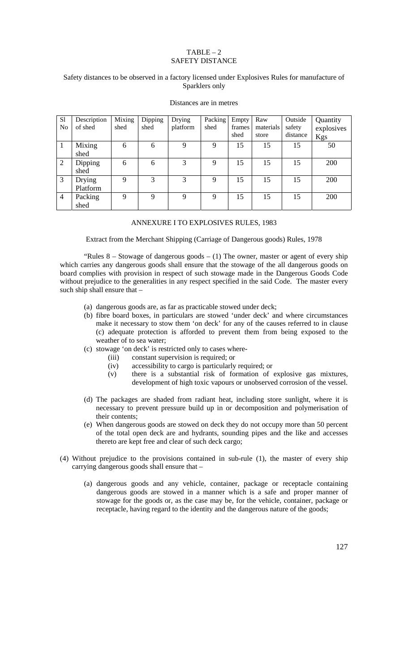### $TABLE - 2$ SAFETY DISTANCE

#### Safety distances to be observed in a factory licensed under Explosives Rules for manufacture of Sparklers only

| S <sub>1</sub><br>N <sub>0</sub> | Description<br>of shed | Mixing<br>shed | Dipping<br>shed | Drying<br>platform | Packing<br>shed | Empty<br>frames<br>shed | Raw<br>materials<br>store | Outside<br>safety<br>distance | Quantity<br>explosives<br>Kgs |
|----------------------------------|------------------------|----------------|-----------------|--------------------|-----------------|-------------------------|---------------------------|-------------------------------|-------------------------------|
|                                  | Mixing<br>shed         | 6              | 6               | 9                  | 9               | 15                      | 15                        | 15                            | 50                            |
| 2                                | Dipping<br>shed        | 6              | 6               | 3                  | 9               | 15                      | 15                        | 15                            | 200                           |
| 3                                | Drying<br>Platform     | 9              | 3               | 3                  | 9               | 15                      | 15                        | 15                            | 200                           |
| $\overline{4}$                   | Packing<br>shed        | 9              | 9               | 9                  | 9               | 15                      | 15                        | 15                            | 200                           |

#### Distances are in metres

### ANNEXURE I TO EXPLOSIVES RULES, 1983

Extract from the Merchant Shipping (Carriage of Dangerous goods) Rules, 1978

"Rules  $8 -$  Stowage of dangerous goods  $- (1)$  The owner, master or agent of every ship which carries any dangerous goods shall ensure that the stowage of the all dangerous goods on board complies with provision in respect of such stowage made in the Dangerous Goods Code without prejudice to the generalities in any respect specified in the said Code. The master every such ship shall ensure that –

- (a) dangerous goods are, as far as practicable stowed under deck;
- (b) fibre board boxes, in particulars are stowed 'under deck' and where circumstances make it necessary to stow them 'on deck' for any of the causes referred to in clause (c) adequate protection is afforded to prevent them from being exposed to the weather of to sea water;
- (c) stowage 'on deck' is restricted only to cases where-
	- (iii) constant supervision is required; or
	- (iv) accessibility to cargo is particularly required; or
	- (v) there is a substantial risk of formation of explosive gas mixtures, development of high toxic vapours or unobserved corrosion of the vessel.
- (d) The packages are shaded from radiant heat, including store sunlight, where it is necessary to prevent pressure build up in or decomposition and polymerisation of their contents;
- (e) When dangerous goods are stowed on deck they do not occupy more than 50 percent of the total open deck are and hydrants, sounding pipes and the like and accesses thereto are kept free and clear of such deck cargo;
- (4) Without prejudice to the provisions contained in sub-rule (1), the master of every ship carrying dangerous goods shall ensure that –
	- (a) dangerous goods and any vehicle, container, package or receptacle containing dangerous goods are stowed in a manner which is a safe and proper manner of stowage for the goods or, as the case may be, for the vehicle, container, package or receptacle, having regard to the identity and the dangerous nature of the goods;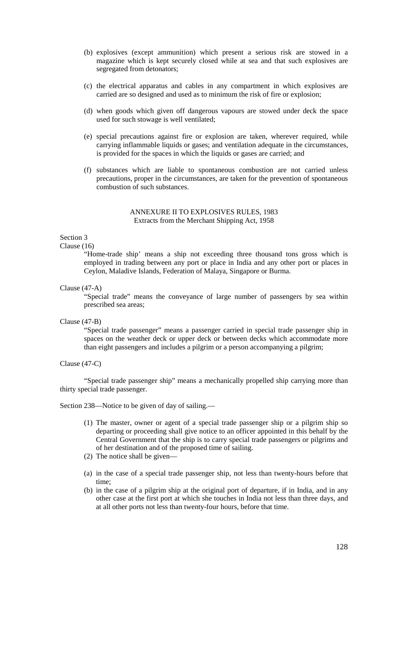- (b) explosives (except ammunition) which present a serious risk are stowed in a magazine which is kept securely closed while at sea and that such explosives are segregated from detonators;
- (c) the electrical apparatus and cables in any compartment in which explosives are carried are so designed and used as to minimum the risk of fire or explosion;
- (d) when goods which given off dangerous vapours are stowed under deck the space used for such stowage is well ventilated;
- (e) special precautions against fire or explosion are taken, wherever required, while carrying inflammable liquids or gases; and ventilation adequate in the circumstances, is provided for the spaces in which the liquids or gases are carried; and
- (f) substances which are liable to spontaneous combustion are not carried unless precautions, proper in the circumstances, are taken for the prevention of spontaneous combustion of such substances.

### ANNEXURE II TO EXPLOSIVES RULES, 1983 Extracts from the Merchant Shipping Act, 1958

# Section 3

#### Clause (16)

"Home-trade ship' means a ship not exceeding three thousand tons gross which is employed in trading between any port or place in India and any other port or places in Ceylon, Maladive Islands, Federation of Malaya, Singapore or Burma.

#### Clause (47-A)

"Special trade" means the conveyance of large number of passengers by sea within prescribed sea areas;

Clause (47-B)

"Special trade passenger" means a passenger carried in special trade passenger ship in spaces on the weather deck or upper deck or between decks which accommodate more than eight passengers and includes a pilgrim or a person accompanying a pilgrim;

### Clause (47-C)

"Special trade passenger ship" means a mechanically propelled ship carrying more than thirty special trade passenger.

Section 238—Notice to be given of day of sailing.—

- (1) The master, owner or agent of a special trade passenger ship or a pilgrim ship so departing or proceeding shall give notice to an officer appointed in this behalf by the Central Government that the ship is to carry special trade passengers or pilgrims and of her destination and of the proposed time of sailing.
- (2) The notice shall be given—
- (a) in the case of a special trade passenger ship, not less than twenty-hours before that time;
- (b) in the case of a pilgrim ship at the original port of departure, if in India, and in any other case at the first port at which she touches in India not less than three days, and at all other ports not less than twenty-four hours, before that time.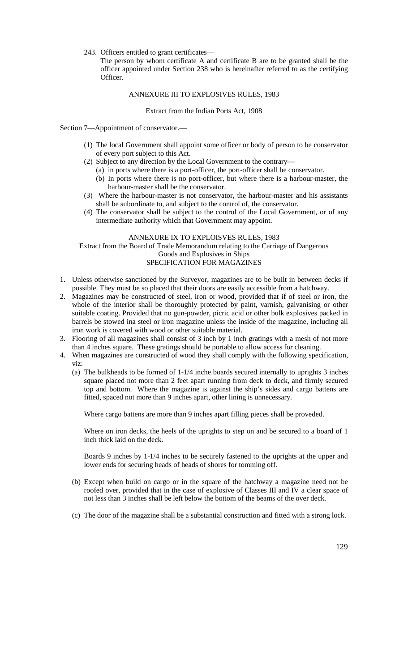243. Officers entitled to grant certificates—

The person by whom certificate A and certificate B are to be granted shall be the officer appointed under Section 238 who is hereinafter referred to as the certifying Officer.

### ANNEXURE III TO EXPLOSIVES RULES, 1983

#### Extract from the Indian Ports Act, 1908

Section 7—Appointment of conservator.—

- (1) The local Government shall appoint some officer or body of person to be conservator of every port subject to this Act.
- (2) Subject to any direction by the Local Government to the contrary—
	- (a) in ports where there is a port-officer, the port-officer shall be conservator.
	- (b) In ports where there is no port-officer, but where there is a harbour-master, the harbour-master shall be the conservator.
- (3) Where the harbour-master is not conservator, the harbour-master and his assistants shall be subordinate to, and subject to the control of, the conservator.
- (4) The conservator shall be subject to the control of the Local Government, or of any intermediate authority which that Government may appoint.

### ANNEXURE IX TO EXPLOISVES RULES, 1983 Extract from the Board of Trade Memorandum relating to the Carriage of Dangerous Goods and Explosives in Ships SPECIFICATION FOR MAGAZINES

- 1. Unless otherwise sanctioned by the Surveyor, magazines are to be built in between decks if possible. They must be so placed that their doors are easily accessible from a hatchway.
- 2. Magazines may be constructed of steel, iron or wood, provided that if of steel or iron, the whole of the interior shall be thoroughly protected by paint, varnish, galvanising or other suitable coating. Provided that no gun-powder, picric acid or other bulk explosives packed in barrels be stowed ina steel or iron magazine unless the inside of the magazine, including all iron work is covered with wood or other suitable material.
- 3. Flooring of all magazines shall consist of 3 inch by 1 inch gratings with a mesh of not more than 4 inches square. These gratings should be portable to allow access for cleaning.
- 4. When magazines are constructed of wood they shall comply with the following specification, viz:
	- (a) The bulkheads to be formed of 1-1/4 inche boards secured internally to uprights 3 inches square placed not more than 2 feet apart running from deck to deck, and firmly secured top and bottom. Where the magazine is against the ship's sides and cargo battens are fitted, spaced not more than 9 inches apart, other lining is unnecessary.

Where cargo battens are more than 9 inches apart filling pieces shall be proveded.

Where on iron decks, the heels of the uprights to step on and be secured to a board of 1 inch thick laid on the deck.

Boards 9 inches by 1-1/4 inches to be securely fastened to the uprights at the upper and lower ends for securing heads of heads of shores for tomming off.

- (b) Except when build on cargo or in the square of the hatchway a magazine need not be roofed over, provided that in the case of explosive of Classes III and IV a clear space of not less than 3 inches shall be left below the bottom of the beams of the over deck.
- (c) The door of the magazine shall be a substantial construction and fitted with a strong lock.